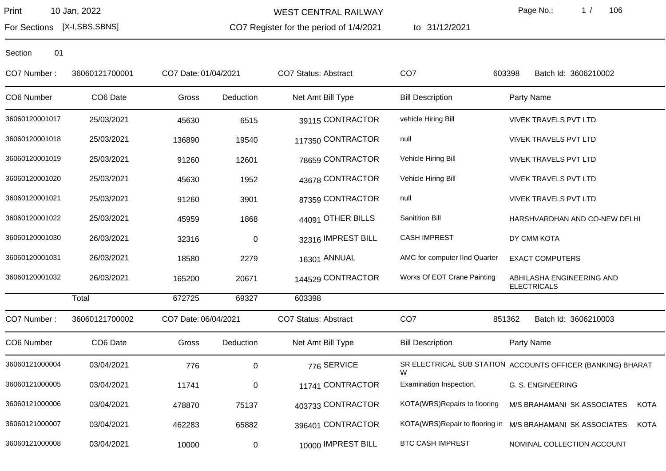WEST CENTRAL RAILWAY

CO7 Register for the period of 1/4/2021

to 31/12/2021

Page No.: 1 / 106

For Sections [X-I,SBS,SBNS]

| CO7 Number:    | 36060121700001 | CO7 Date: 01/04/2021 |             | <b>CO7 Status: Abstract</b> | CO <sub>7</sub>               | Batch Id: 3606210002<br>603398                                            |
|----------------|----------------|----------------------|-------------|-----------------------------|-------------------------------|---------------------------------------------------------------------------|
| CO6 Number     | CO6 Date       | Gross                | Deduction   | Net Amt Bill Type           | <b>Bill Description</b>       | Party Name                                                                |
| 36060120001017 | 25/03/2021     | 45630                | 6515        | 39115 CONTRACTOR            | vehicle Hiring Bill           | <b>VIVEK TRAVELS PVT LTD</b>                                              |
| 36060120001018 | 25/03/2021     | 136890               | 19540       | 117350 CONTRACTOR           | null                          | <b>VIVEK TRAVELS PVT LTD</b>                                              |
| 36060120001019 | 25/03/2021     | 91260                | 12601       | 78659 CONTRACTOR            | Vehicle Hiring Bill           | <b>VIVEK TRAVELS PVT LTD</b>                                              |
| 36060120001020 | 25/03/2021     | 45630                | 1952        | 43678 CONTRACTOR            | Vehicle Hiring Bill           | VIVEK TRAVELS PVT LTD                                                     |
| 36060120001021 | 25/03/2021     | 91260                | 3901        | 87359 CONTRACTOR            | null                          | <b>VIVEK TRAVELS PVT LTD</b>                                              |
| 36060120001022 | 25/03/2021     | 45959                | 1868        | 44091 OTHER BILLS           | <b>Sanitition Bill</b>        | HARSHVARDHAN AND CO-NEW DELHI                                             |
| 36060120001030 | 26/03/2021     | 32316                | $\mathbf 0$ | 32316 IMPREST BILL          | <b>CASH IMPREST</b>           | DY CMM KOTA                                                               |
| 36060120001031 | 26/03/2021     | 18580                | 2279        | 16301 ANNUAL                | AMC for computer IInd Quarter | <b>EXACT COMPUTERS</b>                                                    |
| 36060120001032 | 26/03/2021     | 165200               | 20671       | 144529 CONTRACTOR           | Works Of EOT Crane Painting   | ABHILASHA ENGINEERING AND<br><b>ELECTRICALS</b>                           |
|                | Total          | 672725               | 69327       | 603398                      |                               |                                                                           |
| CO7 Number:    | 36060121700002 | CO7 Date: 06/04/2021 |             | <b>CO7 Status: Abstract</b> | CO <sub>7</sub>               | Batch Id: 3606210003<br>851362                                            |
| CO6 Number     | CO6 Date       | Gross                | Deduction   | Net Amt Bill Type           | <b>Bill Description</b>       | Party Name                                                                |
| 36060121000004 | 03/04/2021     | 776                  | 0           | 776 SERVICE                 | W                             | SR ELECTRICAL SUB STATION ACCOUNTS OFFICER (BANKING) BHARAT               |
| 36060121000005 | 03/04/2021     | 11741                | 0           | 11741 CONTRACTOR            | Examination Inspection,       | G. S. ENGINEERING                                                         |
| 36060121000006 | 03/04/2021     | 478870               | 75137       | 403733 CONTRACTOR           | KOTA(WRS)Repairs to flooring  | M/S BRAHAMANI SK ASSOCIATES<br><b>KOTA</b>                                |
| 36060121000007 | 03/04/2021     | 462283               | 65882       | 396401 CONTRACTOR           |                               | KOTA(WRS)Repair to flooring in M/S BRAHAMANI SK ASSOCIATES<br><b>KOTA</b> |
| 36060121000008 | 03/04/2021     | 10000                | 0           | 10000 IMPREST BILL          | <b>BTC CASH IMPREST</b>       | NOMINAL COLLECTION ACCOUNT                                                |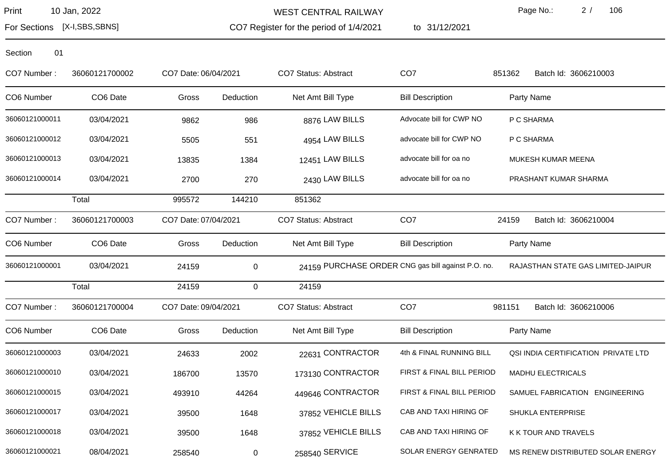Section 01

WEST CENTRAL RAILWAY

Page No.: 2 / 106

For Sections [X-I,SBS,SBNS]

CO7 Register for the period of 1/4/2021

to 31/12/2021

| CO7 Number:    | 36060121700002       | CO7 Date: 06/04/2021 |           | <b>CO7 Status: Abstract</b>                        | CO <sub>7</sub>                      | 851362<br>Batch Id: 3606210003      |
|----------------|----------------------|----------------------|-----------|----------------------------------------------------|--------------------------------------|-------------------------------------|
| CO6 Number     | CO <sub>6</sub> Date | Gross                | Deduction | Net Amt Bill Type                                  | <b>Bill Description</b>              | Party Name                          |
| 36060121000011 | 03/04/2021           | 9862                 | 986       | 8876 LAW BILLS                                     | Advocate bill for CWP NO             | P C SHARMA                          |
| 36060121000012 | 03/04/2021           | 5505                 | 551       | 4954 LAW BILLS                                     | advocate bill for CWP NO             | P C SHARMA                          |
| 36060121000013 | 03/04/2021           | 13835                | 1384      | 12451 LAW BILLS                                    | advocate bill for oa no              | MUKESH KUMAR MEENA                  |
| 36060121000014 | 03/04/2021           | 2700                 | 270       | 2430 LAW BILLS                                     | advocate bill for oa no              | PRASHANT KUMAR SHARMA               |
|                | Total                | 995572               | 144210    | 851362                                             |                                      |                                     |
| CO7 Number:    | 36060121700003       | CO7 Date: 07/04/2021 |           | <b>CO7 Status: Abstract</b>                        | CO <sub>7</sub>                      | 24159<br>Batch Id: 3606210004       |
| CO6 Number     | CO6 Date             | Gross                | Deduction | Net Amt Bill Type                                  | <b>Bill Description</b>              | Party Name                          |
| 36060121000001 | 03/04/2021           | 24159                | 0         | 24159 PURCHASE ORDER CNG gas bill against P.O. no. |                                      | RAJASTHAN STATE GAS LIMITED-JAIPUR  |
|                | Total                | 24159                | 0         | 24159                                              |                                      |                                     |
| CO7 Number:    | 36060121700004       | CO7 Date: 09/04/2021 |           | <b>CO7 Status: Abstract</b>                        | CO <sub>7</sub>                      | Batch Id: 3606210006<br>981151      |
| CO6 Number     | CO <sub>6</sub> Date | Gross                | Deduction | Net Amt Bill Type                                  | <b>Bill Description</b>              | Party Name                          |
| 36060121000003 | 03/04/2021           | 24633                | 2002      | 22631 CONTRACTOR                                   | 4th & FINAL RUNNING BILL             | QSI INDIA CERTIFICATION PRIVATE LTD |
| 36060121000010 | 03/04/2021           | 186700               | 13570     | 173130 CONTRACTOR                                  | <b>FIRST &amp; FINAL BILL PERIOD</b> | <b>MADHU ELECTRICALS</b>            |
| 36060121000015 | 03/04/2021           | 493910               | 44264     | 449646 CONTRACTOR                                  | FIRST & FINAL BILL PERIOD            | SAMUEL FABRICATION ENGINEERING      |
| 36060121000017 | 03/04/2021           | 39500                | 1648      | 37852 VEHICLE BILLS                                | CAB AND TAXI HIRING OF               | SHUKLA ENTERPRISE                   |

36060121000018 03/04/2021 39500 1648 37852 VEHICLE BILLS CAB AND TAXI HIRING OF K K TOUR AND TRAVELS

36060121000021 08/04/2021 258540 0 0 258540 SERVICE SOLAR ENERGY GENRATED MS RENEW DISTRIBUTED SOLAR ENERGY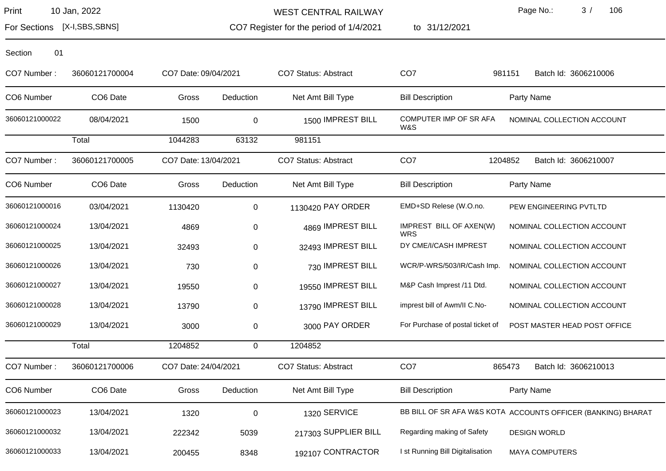For Sections [X-I,SBS,SBNS]

WEST CENTRAL RAILWAY

CO7 Register for the period of 1/4/2021

to 31/12/2021

Page No.: 3 / 106

| 01<br>Section  |                      |                      |             |                             |                                       |                                                              |
|----------------|----------------------|----------------------|-------------|-----------------------------|---------------------------------------|--------------------------------------------------------------|
| CO7 Number:    | 36060121700004       | CO7 Date: 09/04/2021 |             | <b>CO7 Status: Abstract</b> | CO <sub>7</sub>                       | 981151<br>Batch Id: 3606210006                               |
| CO6 Number     | CO <sub>6</sub> Date | Gross                | Deduction   | Net Amt Bill Type           | <b>Bill Description</b>               | Party Name                                                   |
| 36060121000022 | 08/04/2021           | 1500                 | 0           | 1500 IMPREST BILL           | COMPUTER IMP OF SR AFA<br>W&S         | NOMINAL COLLECTION ACCOUNT                                   |
|                | Total                | 1044283              | 63132       | 981151                      |                                       |                                                              |
| CO7 Number:    | 36060121700005       | CO7 Date: 13/04/2021 |             | <b>CO7 Status: Abstract</b> | CO <sub>7</sub>                       | 1204852<br>Batch Id: 3606210007                              |
| CO6 Number     | CO <sub>6</sub> Date | Gross                | Deduction   | Net Amt Bill Type           | <b>Bill Description</b>               | Party Name                                                   |
| 36060121000016 | 03/04/2021           | 1130420              | 0           | 1130420 PAY ORDER           | EMD+SD Relese (W.O.no.                | PEW ENGINEERING PVTLTD                                       |
| 36060121000024 | 13/04/2021           | 4869                 | $\pmb{0}$   | 4869 IMPREST BILL           | IMPREST BILL OF AXEN(W)<br><b>WRS</b> | NOMINAL COLLECTION ACCOUNT                                   |
| 36060121000025 | 13/04/2021           | 32493                | 0           | 32493 IMPREST BILL          | DY CME/I/CASH IMPREST                 | NOMINAL COLLECTION ACCOUNT                                   |
| 36060121000026 | 13/04/2021           | 730                  | $\pmb{0}$   | 730 IMPREST BILL            | WCR/P-WRS/503/IR/Cash Imp.            | NOMINAL COLLECTION ACCOUNT                                   |
| 36060121000027 | 13/04/2021           | 19550                | 0           | 19550 IMPREST BILL          | M&P Cash Imprest /11 Dtd.             | NOMINAL COLLECTION ACCOUNT                                   |
| 36060121000028 | 13/04/2021           | 13790                | 0           | 13790 IMPREST BILL          | imprest bill of Awm/II C.No-          | NOMINAL COLLECTION ACCOUNT                                   |
| 36060121000029 | 13/04/2021           | 3000                 | 0           | 3000 PAY ORDER              | For Purchase of postal ticket of      | POST MASTER HEAD POST OFFICE                                 |
|                | Total                | 1204852              | $\mathbf 0$ | 1204852                     |                                       |                                                              |
| CO7 Number:    | 36060121700006       | CO7 Date: 24/04/2021 |             | <b>CO7 Status: Abstract</b> | CO <sub>7</sub>                       | 865473<br>Batch Id: 3606210013                               |
| CO6 Number     | CO <sub>6</sub> Date | Gross                | Deduction   | Net Amt Bill Type           | <b>Bill Description</b>               | Party Name                                                   |
| 36060121000023 | 13/04/2021           | 1320                 | $\pmb{0}$   | 1320 SERVICE                |                                       | BB BILL OF SR AFA W&S KOTA ACCOUNTS OFFICER (BANKING) BHARAT |
| 36060121000032 | 13/04/2021           | 222342               | 5039        | 217303 SUPPLIER BILL        | Regarding making of Safety            | <b>DESIGN WORLD</b>                                          |
| 36060121000033 | 13/04/2021           | 200455               | 8348        | 192107 CONTRACTOR           | I st Running Bill Digitalisation      | <b>MAYA COMPUTERS</b>                                        |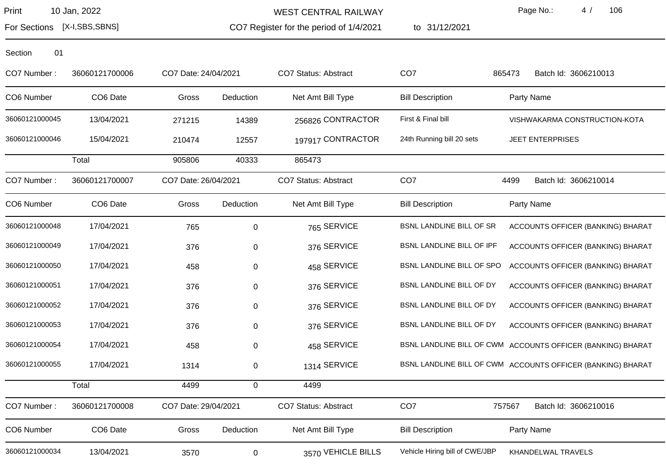WEST CENTRAL RAILWAY

CO7 Register for the period of 1/4/2021

to 31/12/2021

Page No.: 4 / 106

For Sections [X-I,SBS,SBNS]

| CO7 Number:    | 36060121700006       | CO7 Date: 24/04/2021 |             | CO7 Status: Abstract        | CO <sub>7</sub>                | 865473<br>Batch Id: 3606210013                              |
|----------------|----------------------|----------------------|-------------|-----------------------------|--------------------------------|-------------------------------------------------------------|
| CO6 Number     | CO6 Date             | Gross                | Deduction   | Net Amt Bill Type           | <b>Bill Description</b>        | Party Name                                                  |
| 36060121000045 | 13/04/2021           | 271215               | 14389       | 256826 CONTRACTOR           | First & Final bill             | VISHWAKARMA CONSTRUCTION-KOTA                               |
| 36060121000046 | 15/04/2021           | 210474               | 12557       | 197917 CONTRACTOR           | 24th Running bill 20 sets      | <b>JEET ENTERPRISES</b>                                     |
|                | Total                | 905806               | 40333       | 865473                      |                                |                                                             |
| CO7 Number:    | 36060121700007       | CO7 Date: 26/04/2021 |             | <b>CO7 Status: Abstract</b> | CO <sub>7</sub>                | 4499<br>Batch Id: 3606210014                                |
| CO6 Number     | CO <sub>6</sub> Date | Gross                | Deduction   | Net Amt Bill Type           | <b>Bill Description</b>        | Party Name                                                  |
| 36060121000048 | 17/04/2021           | 765                  | $\mathbf 0$ | 765 SERVICE                 | BSNL LANDLINE BILL OF SR       | ACCOUNTS OFFICER (BANKING) BHARAT                           |
| 36060121000049 | 17/04/2021           | 376                  | 0           | 376 SERVICE                 | BSNL LANDLINE BILL OF IPF      | ACCOUNTS OFFICER (BANKING) BHARAT                           |
| 36060121000050 | 17/04/2021           | 458                  | 0           | 458 SERVICE                 | BSNL LANDLINE BILL OF SPO      | ACCOUNTS OFFICER (BANKING) BHARAT                           |
| 36060121000051 | 17/04/2021           | 376                  | 0           | 376 SERVICE                 | BSNL LANDLINE BILL OF DY       | ACCOUNTS OFFICER (BANKING) BHARAT                           |
| 36060121000052 | 17/04/2021           | 376                  | $\pmb{0}$   | 376 SERVICE                 | BSNL LANDLINE BILL OF DY       | ACCOUNTS OFFICER (BANKING) BHARAT                           |
| 36060121000053 | 17/04/2021           | 376                  | 0           | 376 SERVICE                 | BSNL LANDLINE BILL OF DY       | ACCOUNTS OFFICER (BANKING) BHARAT                           |
| 36060121000054 | 17/04/2021           | 458                  | 0           | 458 SERVICE                 |                                | BSNL LANDLINE BILL OF CWM ACCOUNTS OFFICER (BANKING) BHARAT |
| 36060121000055 | 17/04/2021           | 1314                 | 0           | 1314 SERVICE                |                                | BSNL LANDLINE BILL OF CWM ACCOUNTS OFFICER (BANKING) BHARAT |
|                | Total                | 4499                 | $\mathbf 0$ | 4499                        |                                |                                                             |
| CO7 Number:    | 36060121700008       | CO7 Date: 29/04/2021 |             | <b>CO7 Status: Abstract</b> | CO <sub>7</sub>                | 757567<br>Batch Id: 3606210016                              |
| CO6 Number     | CO6 Date             | Gross                | Deduction   | Net Amt Bill Type           | <b>Bill Description</b>        | Party Name                                                  |
| 36060121000034 | 13/04/2021           | 3570                 | 0           | 3570 VEHICLE BILLS          | Vehicle Hiring bill of CWE/JBP | KHANDELWAL TRAVELS                                          |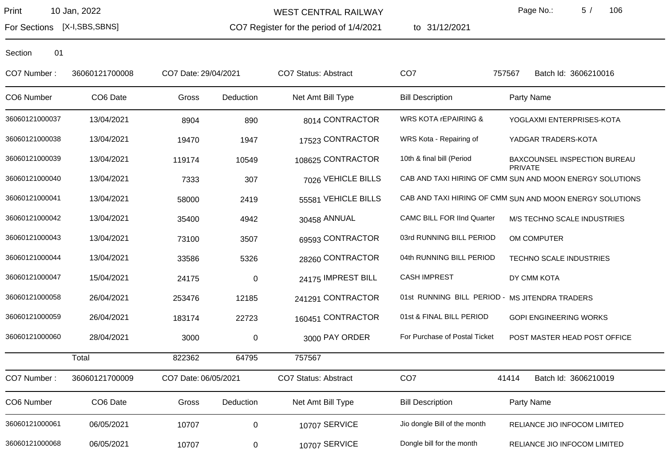For Sections [X-I,SBS,SBNS]

WEST CENTRAL RAILWAY

CO7 Register for the period of 1/4/2021

to 31/12/2021

Page No.: 5 / 106

| CO7 Number:    | 36060121700008       | CO7 Date: 29/04/2021 |             | <b>CO7 Status: Abstract</b> | CO <sub>7</sub>                                | 757567<br>Batch Id: 3606210016                           |
|----------------|----------------------|----------------------|-------------|-----------------------------|------------------------------------------------|----------------------------------------------------------|
| CO6 Number     | CO <sub>6</sub> Date | Gross                | Deduction   | Net Amt Bill Type           | <b>Bill Description</b>                        | Party Name                                               |
| 36060121000037 | 13/04/2021           | 8904                 | 890         | 8014 CONTRACTOR             | WRS KOTA <b>rEPAIRING &amp;</b>                | YOGLAXMI ENTERPRISES-KOTA                                |
| 36060121000038 | 13/04/2021           | 19470                | 1947        | 17523 CONTRACTOR            | WRS Kota - Repairing of                        | YADGAR TRADERS-KOTA                                      |
| 36060121000039 | 13/04/2021           | 119174               | 10549       | 108625 CONTRACTOR           | 10th & final bill (Period                      | BAXCOUNSEL INSPECTION BUREAU<br><b>PRIVATE</b>           |
| 36060121000040 | 13/04/2021           | 7333                 | 307         | 7026 VEHICLE BILLS          |                                                | CAB AND TAXI HIRING OF CMM SUN AND MOON ENERGY SOLUTIONS |
| 36060121000041 | 13/04/2021           | 58000                | 2419        | 55581 VEHICLE BILLS         |                                                | CAB AND TAXI HIRING OF CMM SUN AND MOON ENERGY SOLUTIONS |
| 36060121000042 | 13/04/2021           | 35400                | 4942        | 30458 ANNUAL                | <b>CAMC BILL FOR IInd Quarter</b>              | M/S TECHNO SCALE INDUSTRIES                              |
| 36060121000043 | 13/04/2021           | 73100                | 3507        | 69593 CONTRACTOR            | 03rd RUNNING BILL PERIOD                       | OM COMPUTER                                              |
| 36060121000044 | 13/04/2021           | 33586                | 5326        | 28260 CONTRACTOR            | 04th RUNNING BILL PERIOD                       | TECHNO SCALE INDUSTRIES                                  |
| 36060121000047 | 15/04/2021           | 24175                | $\mathbf 0$ | 24175 IMPREST BILL          | <b>CASH IMPREST</b>                            | DY CMM KOTA                                              |
| 36060121000058 | 26/04/2021           | 253476               | 12185       | 241291 CONTRACTOR           | 01st RUNNING BILL PERIOD - MS JITENDRA TRADERS |                                                          |
| 36060121000059 | 26/04/2021           | 183174               | 22723       | 160451 CONTRACTOR           | 01st & FINAL BILL PERIOD                       | <b>GOPI ENGINEERING WORKS</b>                            |
| 36060121000060 | 28/04/2021           | 3000                 | $\mathbf 0$ | 3000 PAY ORDER              | For Purchase of Postal Ticket                  | POST MASTER HEAD POST OFFICE                             |
|                | Total                | 822362               | 64795       | 757567                      |                                                |                                                          |
| CO7 Number:    | 36060121700009       | CO7 Date: 06/05/2021 |             | <b>CO7 Status: Abstract</b> | CO <sub>7</sub>                                | 41414<br>Batch Id: 3606210019                            |
| CO6 Number     | CO6 Date             | Gross                | Deduction   | Net Amt Bill Type           | <b>Bill Description</b>                        | Party Name                                               |
| 36060121000061 | 06/05/2021           | 10707                | $\pmb{0}$   | 10707 SERVICE               | Jio dongle Bill of the month                   | RELIANCE JIO INFOCOM LIMITED                             |
| 36060121000068 | 06/05/2021           | 10707                | 0           | 10707 SERVICE               | Dongle bill for the month                      | RELIANCE JIO INFOCOM LIMITED                             |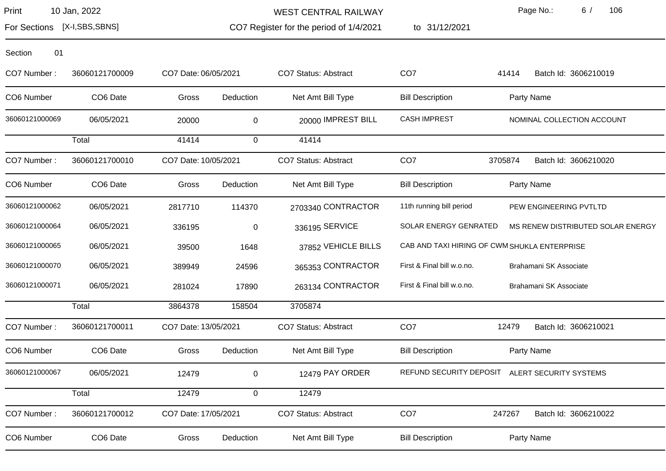For Sections [X-I,SBS,SBNS]

WEST CENTRAL RAILWAY

CO7 Register for the period of 1/4/2021

to 31/12/2021

Page No.: 6 / 106

| 01<br>Section  |                |                      |              |                      |                            |                                              |
|----------------|----------------|----------------------|--------------|----------------------|----------------------------|----------------------------------------------|
| CO7 Number:    | 36060121700009 | CO7 Date: 06/05/2021 |              | CO7 Status: Abstract | CO <sub>7</sub>            | 41414<br>Batch Id: 3606210019                |
| CO6 Number     | CO6 Date       | Gross                | Deduction    | Net Amt Bill Type    | <b>Bill Description</b>    | Party Name                                   |
| 36060121000069 | 06/05/2021     | 20000                | $\mathbf 0$  | 20000 IMPREST BILL   | <b>CASH IMPREST</b>        | NOMINAL COLLECTION ACCOUNT                   |
|                | Total          | 41414                | $\mathbf 0$  | 41414                |                            |                                              |
| CO7 Number:    | 36060121700010 | CO7 Date: 10/05/2021 |              | CO7 Status: Abstract | CO <sub>7</sub>            | Batch Id: 3606210020<br>3705874              |
| CO6 Number     | CO6 Date       | Gross                | Deduction    | Net Amt Bill Type    | <b>Bill Description</b>    | Party Name                                   |
| 36060121000062 | 06/05/2021     | 2817710              | 114370       | 2703340 CONTRACTOR   | 11th running bill period   | PEW ENGINEERING PVTLTD                       |
| 36060121000064 | 06/05/2021     | 336195               | $\mathbf 0$  | 336195 SERVICE       | SOLAR ENERGY GENRATED      | MS RENEW DISTRIBUTED SOLAR ENERGY            |
| 36060121000065 | 06/05/2021     | 39500                | 1648         | 37852 VEHICLE BILLS  |                            | CAB AND TAXI HIRING OF CWM SHUKLA ENTERPRISE |
| 36060121000070 | 06/05/2021     | 389949               | 24596        | 365353 CONTRACTOR    | First & Final bill w.o.no. | Brahamani SK Associate                       |
| 36060121000071 | 06/05/2021     | 281024               | 17890        | 263134 CONTRACTOR    | First & Final bill w.o.no. | Brahamani SK Associate                       |
|                | Total          | 3864378              | 158504       | 3705874              |                            |                                              |
| CO7 Number:    | 36060121700011 | CO7 Date: 13/05/2021 |              | CO7 Status: Abstract | CO <sub>7</sub>            | 12479<br>Batch Id: 3606210021                |
| CO6 Number     | CO6 Date       | Gross                | Deduction    | Net Amt Bill Type    | <b>Bill Description</b>    | Party Name                                   |
| 36060121000067 | 06/05/2021     | 12479                | 0            | 12479 PAY ORDER      | REFUND SECURITY DEPOSIT    | ALERT SECURITY SYSTEMS                       |
|                | Total          | 12479                | $\mathbf{0}$ | 12479                |                            |                                              |
| CO7 Number:    | 36060121700012 | CO7 Date: 17/05/2021 |              | CO7 Status: Abstract | CO <sub>7</sub>            | 247267<br>Batch Id: 3606210022               |
| CO6 Number     | CO6 Date       | Gross                | Deduction    | Net Amt Bill Type    | <b>Bill Description</b>    | Party Name                                   |
|                |                |                      |              |                      |                            |                                              |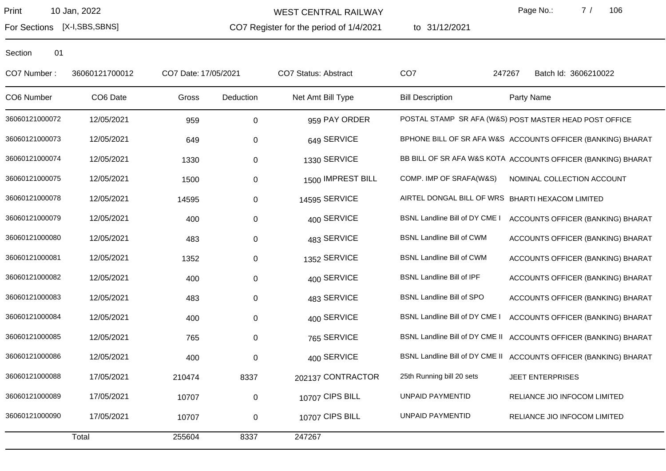WEST CENTRAL RAILWAY

CO7 Register for the period of 1/4/2021

to 31/12/2021

Page No.: 7 / 106

For Sections [X-I,SBS,SBNS]

| CO7 Number:    | 36060121700012 | CO7 Date: 17/05/2021 |           | <b>CO7 Status: Abstract</b> | CO <sub>7</sub>                  | Batch Id: 3606210022<br>247267                                    |
|----------------|----------------|----------------------|-----------|-----------------------------|----------------------------------|-------------------------------------------------------------------|
| CO6 Number     | CO6 Date       | Gross                | Deduction | Net Amt Bill Type           | <b>Bill Description</b>          | Party Name                                                        |
| 36060121000072 | 12/05/2021     | 959                  | $\pmb{0}$ | 959 PAY ORDER               |                                  | POSTAL STAMP SR AFA (W&S) POST MASTER HEAD POST OFFICE            |
| 36060121000073 | 12/05/2021     | 649                  | 0         | 649 SERVICE                 |                                  | BPHONE BILL OF SR AFA W&S ACCOUNTS OFFICER (BANKING) BHARAT       |
| 36060121000074 | 12/05/2021     | 1330                 | 0         | 1330 SERVICE                |                                  | BB BILL OF SR AFA W&S KOTA ACCOUNTS OFFICER (BANKING) BHARAT      |
| 36060121000075 | 12/05/2021     | 1500                 | 0         | 1500 IMPREST BILL           | COMP. IMP OF SRAFA(W&S)          | NOMINAL COLLECTION ACCOUNT                                        |
| 36060121000078 | 12/05/2021     | 14595                | 0         | 14595 SERVICE               |                                  | AIRTEL DONGAL BILL OF WRS BHARTI HEXACOM LIMITED                  |
| 36060121000079 | 12/05/2021     | 400                  | 0         | 400 SERVICE                 | BSNL Landline Bill of DY CME I   | ACCOUNTS OFFICER (BANKING) BHARAT                                 |
| 36060121000080 | 12/05/2021     | 483                  | $\pmb{0}$ | 483 SERVICE                 | <b>BSNL Landline Bill of CWM</b> | ACCOUNTS OFFICER (BANKING) BHARAT                                 |
| 36060121000081 | 12/05/2021     | 1352                 | 0         | 1352 SERVICE                | <b>BSNL Landline Bill of CWM</b> | ACCOUNTS OFFICER (BANKING) BHARAT                                 |
| 36060121000082 | 12/05/2021     | 400                  | 0         | 400 SERVICE                 | <b>BSNL Landline Bill of IPF</b> | ACCOUNTS OFFICER (BANKING) BHARAT                                 |
| 36060121000083 | 12/05/2021     | 483                  | 0         | 483 SERVICE                 | <b>BSNL Landline Bill of SPO</b> | ACCOUNTS OFFICER (BANKING) BHARAT                                 |
| 36060121000084 | 12/05/2021     | 400                  | 0         | 400 SERVICE                 | BSNL Landline Bill of DY CME I   | ACCOUNTS OFFICER (BANKING) BHARAT                                 |
| 36060121000085 | 12/05/2021     | 765                  | 0         | 765 SERVICE                 |                                  | BSNL Landline Bill of DY CME II ACCOUNTS OFFICER (BANKING) BHARAT |
| 36060121000086 | 12/05/2021     | 400                  | 0         | 400 SERVICE                 |                                  | BSNL Landline Bill of DY CME II ACCOUNTS OFFICER (BANKING) BHARAT |
| 36060121000088 | 17/05/2021     | 210474               | 8337      | 202137 CONTRACTOR           | 25th Running bill 20 sets        | <b>JEET ENTERPRISES</b>                                           |
| 36060121000089 | 17/05/2021     | 10707                | 0         | 10707 CIPS BILL             | UNPAID PAYMENTID                 | RELIANCE JIO INFOCOM LIMITED                                      |
| 36060121000090 | 17/05/2021     | 10707                | 0         | 10707 CIPS BILL             | UNPAID PAYMENTID                 | RELIANCE JIO INFOCOM LIMITED                                      |
|                | Total          | 255604               | 8337      | 247267                      |                                  |                                                                   |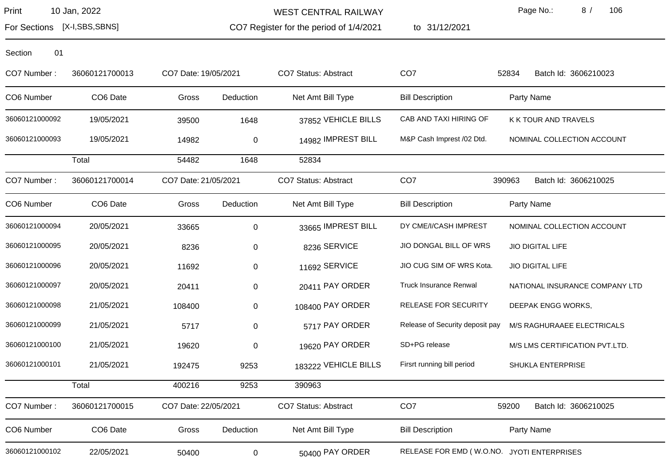WEST CENTRAL RAILWAY

CO7 Register for the period of 1/4/2021

to 31/12/2021

Page No.: 8 / 106

For Sections [X-I,SBS,SBNS]

| Section | 01 |
|---------|----|
|         |    |

| CO7 Number:    | 36060121700013 | CO7 Date: 19/05/2021 |             | CO7 Status: Abstract        | CO <sub>7</sub>                            | 52834<br>Batch Id: 3606210023  |
|----------------|----------------|----------------------|-------------|-----------------------------|--------------------------------------------|--------------------------------|
| CO6 Number     | CO6 Date       | Gross                | Deduction   | Net Amt Bill Type           | <b>Bill Description</b>                    | Party Name                     |
| 36060121000092 | 19/05/2021     | 39500                | 1648        | 37852 VEHICLE BILLS         | CAB AND TAXI HIRING OF                     | K K TOUR AND TRAVELS           |
| 36060121000093 | 19/05/2021     | 14982                | $\mathbf 0$ | 14982 IMPREST BILL          | M&P Cash Imprest /02 Dtd.                  | NOMINAL COLLECTION ACCOUNT     |
|                | Total          | 54482                | 1648        | 52834                       |                                            |                                |
| CO7 Number:    | 36060121700014 | CO7 Date: 21/05/2021 |             | CO7 Status: Abstract        | CO <sub>7</sub>                            | 390963<br>Batch Id: 3606210025 |
| CO6 Number     | CO6 Date       | Gross                | Deduction   | Net Amt Bill Type           | <b>Bill Description</b>                    | Party Name                     |
| 36060121000094 | 20/05/2021     | 33665                | $\mathbf 0$ | 33665 IMPREST BILL          | DY CME/I/CASH IMPREST                      | NOMINAL COLLECTION ACCOUNT     |
| 36060121000095 | 20/05/2021     | 8236                 | $\pmb{0}$   | 8236 SERVICE                | JIO DONGAL BILL OF WRS                     | <b>JIO DIGITAL LIFE</b>        |
| 36060121000096 | 20/05/2021     | 11692                | 0           | 11692 SERVICE               | JIO CUG SIM OF WRS Kota.                   | <b>JIO DIGITAL LIFE</b>        |
| 36060121000097 | 20/05/2021     | 20411                | 0           | 20411 PAY ORDER             | <b>Truck Insurance Renwal</b>              | NATIONAL INSURANCE COMPANY LTD |
| 36060121000098 | 21/05/2021     | 108400               | $\pmb{0}$   | 108400 PAY ORDER            | RELEASE FOR SECURITY                       | DEEPAK ENGG WORKS,             |
| 36060121000099 | 21/05/2021     | 5717                 | 0           | 5717 PAY ORDER              | Release of Security deposit pay            | M/S RAGHURAAEE ELECTRICALS     |
| 36060121000100 | 21/05/2021     | 19620                | 0           | 19620 PAY ORDER             | SD+PG release                              | M/S LMS CERTIFICATION PVT.LTD. |
| 36060121000101 | 21/05/2021     | 192475               | 9253        | 183222 VEHICLE BILLS        | Firsrt running bill period                 | SHUKLA ENTERPRISE              |
|                | Total          | 400216               | 9253        | 390963                      |                                            |                                |
| CO7 Number:    | 36060121700015 | CO7 Date: 22/05/2021 |             | <b>CO7 Status: Abstract</b> | CO <sub>7</sub>                            | 59200<br>Batch Id: 3606210025  |
| CO6 Number     | CO6 Date       | Gross                | Deduction   | Net Amt Bill Type           | <b>Bill Description</b>                    | Party Name                     |
| 36060121000102 | 22/05/2021     | 50400                | 0           | 50400 PAY ORDER             | RELEASE FOR EMD (W.O.NO. JYOTI ENTERPRISES |                                |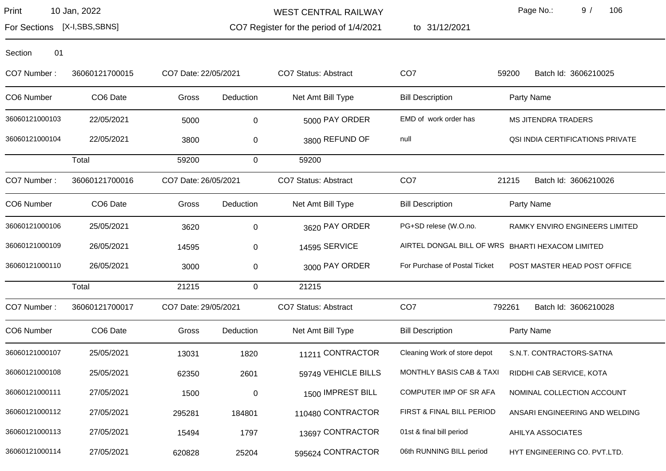WEST CENTRAL RAILWAY

CO7 Register for the period of 1/4/2021

to 31/12/2021

Page No.: 9 / 106

For Sections [X-I,SBS,SBNS]

| CO7 Number:    | 36060121700015       | CO7 Date: 22/05/2021 |             | <b>CO7 Status: Abstract</b> | CO <sub>7</sub>                                  | Batch Id: 3606210025<br>59200    |
|----------------|----------------------|----------------------|-------------|-----------------------------|--------------------------------------------------|----------------------------------|
| CO6 Number     | CO <sub>6</sub> Date | Gross                | Deduction   | Net Amt Bill Type           | <b>Bill Description</b>                          | Party Name                       |
| 36060121000103 | 22/05/2021           | 5000                 | 0           | 5000 PAY ORDER              | EMD of work order has                            | <b>MS JITENDRA TRADERS</b>       |
| 36060121000104 | 22/05/2021           | 3800                 | 0           | 3800 REFUND OF              | null                                             | QSI INDIA CERTIFICATIONS PRIVATE |
|                | Total                | 59200                | $\mathbf 0$ | 59200                       |                                                  |                                  |
| CO7 Number:    | 36060121700016       | CO7 Date: 26/05/2021 |             | <b>CO7 Status: Abstract</b> | CO <sub>7</sub>                                  | 21215<br>Batch Id: 3606210026    |
| CO6 Number     | CO6 Date             | Gross                | Deduction   | Net Amt Bill Type           | <b>Bill Description</b>                          | Party Name                       |
| 36060121000106 | 25/05/2021           | 3620                 | 0           | 3620 PAY ORDER              | PG+SD relese (W.O.no.                            | RAMKY ENVIRO ENGINEERS LIMITED   |
| 36060121000109 | 26/05/2021           | 14595                | 0           | 14595 SERVICE               | AIRTEL DONGAL BILL OF WRS BHARTI HEXACOM LIMITED |                                  |
| 36060121000110 | 26/05/2021           | 3000                 | 0           | 3000 PAY ORDER              | For Purchase of Postal Ticket                    | POST MASTER HEAD POST OFFICE     |
|                | Total                | 21215                | $\mathbf 0$ | 21215                       |                                                  |                                  |
| CO7 Number:    | 36060121700017       | CO7 Date: 29/05/2021 |             | <b>CO7 Status: Abstract</b> | CO <sub>7</sub>                                  | 792261<br>Batch Id: 3606210028   |
| CO6 Number     | CO6 Date             | Gross                | Deduction   | Net Amt Bill Type           | <b>Bill Description</b>                          | Party Name                       |
| 36060121000107 | 25/05/2021           | 13031                | 1820        | 11211 CONTRACTOR            | Cleaning Work of store depot                     | S.N.T. CONTRACTORS-SATNA         |
| 36060121000108 | 25/05/2021           | 62350                | 2601        | 59749 VEHICLE BILLS         | MONTHLY BASIS CAB & TAXI                         | RIDDHI CAB SERVICE, KOTA         |
| 36060121000111 | 27/05/2021           | 1500                 | 0           | 1500 IMPREST BILL           | COMPUTER IMP OF SR AFA                           | NOMINAL COLLECTION ACCOUNT       |
| 36060121000112 | 27/05/2021           | 295281               | 184801      | 110480 CONTRACTOR           | FIRST & FINAL BILL PERIOD                        | ANSARI ENGINEERING AND WELDING   |
| 36060121000113 | 27/05/2021           | 15494                | 1797        | 13697 CONTRACTOR            | 01st & final bill period                         | AHILYA ASSOCIATES                |
| 36060121000114 | 27/05/2021           | 620828               | 25204       | 595624 CONTRACTOR           | 06th RUNNING BILL period                         | HYT ENGINEERING CO. PVT.LTD.     |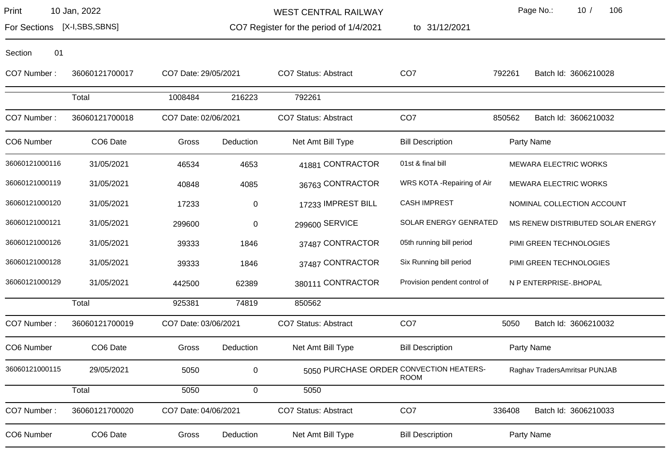WEST CENTRAL RAILWAY

CO7 Register for the period of 1/4/2021

to 31/12/2021

Page No.: 10 / 106

For Sections [X-I,SBS,SBNS]

| CO7 Number:    | 36060121700017 | CO7 Date: 29/05/2021 |             | CO7 Status: Abstract                    | CO <sub>7</sub>              | 792261 | Batch Id: 3606210028              |
|----------------|----------------|----------------------|-------------|-----------------------------------------|------------------------------|--------|-----------------------------------|
|                | Total          | 1008484              | 216223      | 792261                                  |                              |        |                                   |
| CO7 Number:    | 36060121700018 | CO7 Date: 02/06/2021 |             | CO7 Status: Abstract                    | CO <sub>7</sub>              | 850562 | Batch Id: 3606210032              |
| CO6 Number     | CO6 Date       | Gross                | Deduction   | Net Amt Bill Type                       | <b>Bill Description</b>      |        | Party Name                        |
| 36060121000116 | 31/05/2021     | 46534                | 4653        | 41881 CONTRACTOR                        | 01st & final bill            |        | <b>MEWARA ELECTRIC WORKS</b>      |
| 36060121000119 | 31/05/2021     | 40848                | 4085        | 36763 CONTRACTOR                        | WRS KOTA - Repairing of Air  |        | <b>MEWARA ELECTRIC WORKS</b>      |
| 36060121000120 | 31/05/2021     | 17233                | 0           | 17233 IMPREST BILL                      | <b>CASH IMPREST</b>          |        | NOMINAL COLLECTION ACCOUNT        |
| 36060121000121 | 31/05/2021     | 299600               | $\pmb{0}$   | 299600 SERVICE                          | <b>SOLAR ENERGY GENRATED</b> |        | MS RENEW DISTRIBUTED SOLAR ENERGY |
| 36060121000126 | 31/05/2021     | 39333                | 1846        | 37487 CONTRACTOR                        | 05th running bill period     |        | PIMI GREEN TECHNOLOGIES           |
| 36060121000128 | 31/05/2021     | 39333                | 1846        | 37487 CONTRACTOR                        | Six Running bill period      |        | PIMI GREEN TECHNOLOGIES           |
| 36060121000129 | 31/05/2021     | 442500               | 62389       | 380111 CONTRACTOR                       | Provision pendent control of |        | N P ENTERPRISE-. BHOPAL           |
|                | Total          | 925381               | 74819       | 850562                                  |                              |        |                                   |
| CO7 Number:    | 36060121700019 | CO7 Date: 03/06/2021 |             | <b>CO7 Status: Abstract</b>             | CO <sub>7</sub>              | 5050   | Batch Id: 3606210032              |
| CO6 Number     | CO6 Date       | Gross                | Deduction   | Net Amt Bill Type                       | <b>Bill Description</b>      |        | Party Name                        |
| 36060121000115 | 29/05/2021     | 5050                 | $\mathbf 0$ | 5050 PURCHASE ORDER CONVECTION HEATERS- | <b>ROOM</b>                  |        | Raghav TradersAmritsar PUNJAB     |
|                | Total          | 5050                 | $\mathbf 0$ | 5050                                    |                              |        |                                   |
| CO7 Number:    | 36060121700020 | CO7 Date: 04/06/2021 |             | CO7 Status: Abstract                    | CO <sub>7</sub>              | 336408 | Batch Id: 3606210033              |
| CO6 Number     | CO6 Date       | Gross                | Deduction   | Net Amt Bill Type                       | <b>Bill Description</b>      |        | Party Name                        |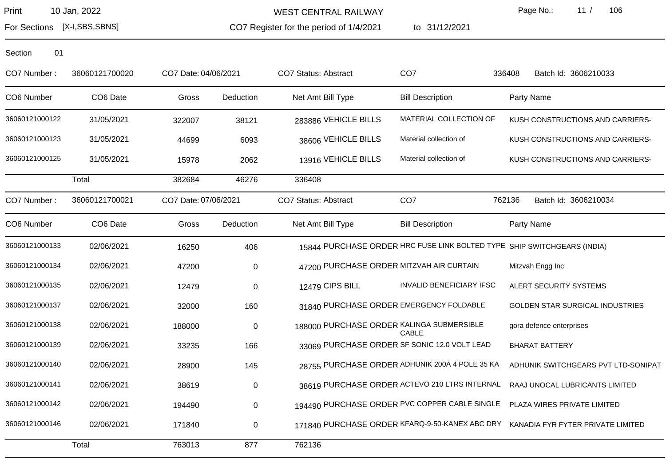WEST CENTRAL RAILWAY

CO7 Register for the period of 1/4/2021

to 31/12/2021

Page No.: 11 / 106

For Sections [X-I,SBS,SBNS]

| CO7 Number:    | 36060121700020 | CO7 Date: 04/06/2021 |           | <b>CO7 Status: Abstract</b>               | CO <sub>7</sub>                                | 336408<br>Batch Id: 3606210033                                          |
|----------------|----------------|----------------------|-----------|-------------------------------------------|------------------------------------------------|-------------------------------------------------------------------------|
| CO6 Number     | CO6 Date       | Gross                | Deduction | Net Amt Bill Type                         | <b>Bill Description</b>                        | Party Name                                                              |
| 36060121000122 | 31/05/2021     | 322007               | 38121     | 283886 VEHICLE BILLS                      | MATERIAL COLLECTION OF                         | KUSH CONSTRUCTIONS AND CARRIERS-                                        |
| 36060121000123 | 31/05/2021     | 44699                | 6093      | 38606 VEHICLE BILLS                       | Material collection of                         | KUSH CONSTRUCTIONS AND CARRIERS-                                        |
| 36060121000125 | 31/05/2021     | 15978                | 2062      | 13916 VEHICLE BILLS                       | Material collection of                         | KUSH CONSTRUCTIONS AND CARRIERS-                                        |
|                | Total          | 382684               | 46276     | 336408                                    |                                                |                                                                         |
| CO7 Number:    | 36060121700021 | CO7 Date: 07/06/2021 |           | <b>CO7 Status: Abstract</b>               | CO <sub>7</sub>                                | 762136<br>Batch Id: 3606210034                                          |
| CO6 Number     | CO6 Date       | Gross                | Deduction | Net Amt Bill Type                         | <b>Bill Description</b>                        | Party Name                                                              |
| 36060121000133 | 02/06/2021     | 16250                | 406       |                                           |                                                | 15844 PURCHASE ORDER HRC FUSE LINK BOLTED TYPE SHIP SWITCHGEARS (INDIA) |
| 36060121000134 | 02/06/2021     | 47200                | 0         | 47200 PURCHASE ORDER MITZVAH AIR CURTAIN  |                                                | Mitzvah Engg Inc                                                        |
| 36060121000135 | 02/06/2021     | 12479                | 0         | 12479 CIPS BILL                           | <b>INVALID BENEFICIARY IFSC</b>                | ALERT SECURITY SYSTEMS                                                  |
| 36060121000137 | 02/06/2021     | 32000                | 160       |                                           | 31840 PURCHASE ORDER EMERGENCY FOLDABLE        | <b>GOLDEN STAR SURGICAL INDUSTRIES</b>                                  |
| 36060121000138 | 02/06/2021     | 188000               | 0         | 188000 PURCHASE ORDER KALINGA SUBMERSIBLE | CABLE                                          | gora defence enterprises                                                |
| 36060121000139 | 02/06/2021     | 33235                | 166       |                                           | 33069 PURCHASE ORDER SF SONIC 12.0 VOLT LEAD   | <b>BHARAT BATTERY</b>                                                   |
| 36060121000140 | 02/06/2021     | 28900                | 145       |                                           | 28755 PURCHASE ORDER ADHUNIK 200A 4 POLE 35 KA | ADHUNIK SWITCHGEARS PVT LTD-SONIPAT                                     |
| 36060121000141 | 02/06/2021     | 38619                | $\pmb{0}$ |                                           | 38619 PURCHASE ORDER ACTEVO 210 LTRS INTERNAL  | RAAJ UNOCAL LUBRICANTS LIMITED                                          |
| 36060121000142 | 02/06/2021     | 194490               | 0         |                                           | 194490 PURCHASE ORDER PVC COPPER CABLE SINGLE  | PLAZA WIRES PRIVATE LIMITED                                             |
| 36060121000146 | 02/06/2021     | 171840               | 0         |                                           | 171840 PURCHASE ORDER KFARQ-9-50-KANEX ABC DRY | KANADIA FYR FYTER PRIVATE LIMITED                                       |
|                | Total          | 763013               | 877       | 762136                                    |                                                |                                                                         |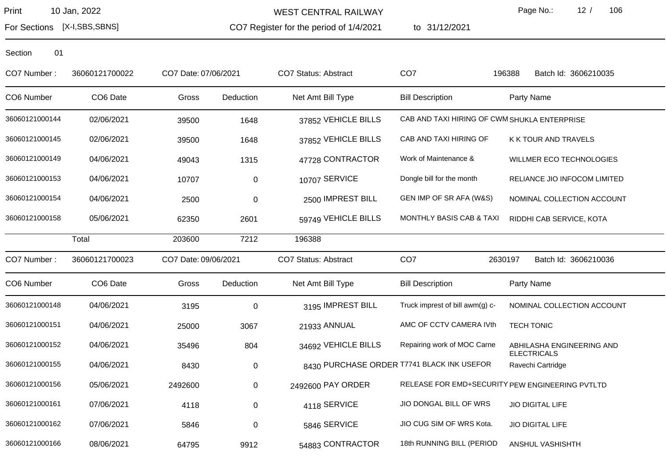CO7 Register for the period of 1/4/2021 WEST CENTRAL RAILWAY

to 31/12/2021

Page No.: 12 / 106

For Sections [X-I,SBS,SBNS]

| CO7 Number:    | 36060121700022       | CO7 Date: 07/06/2021 |           | <b>CO7 Status: Abstract</b> | CO <sub>7</sub>                              | 196388<br>Batch Id: 3606210035                  |
|----------------|----------------------|----------------------|-----------|-----------------------------|----------------------------------------------|-------------------------------------------------|
| CO6 Number     | CO <sub>6</sub> Date | Gross                | Deduction | Net Amt Bill Type           | <b>Bill Description</b>                      | Party Name                                      |
| 36060121000144 | 02/06/2021           | 39500                | 1648      | 37852 VEHICLE BILLS         | CAB AND TAXI HIRING OF CWM SHUKLA ENTERPRISE |                                                 |
| 36060121000145 | 02/06/2021           | 39500                | 1648      | 37852 VEHICLE BILLS         | CAB AND TAXI HIRING OF                       | K K TOUR AND TRAVELS                            |
| 36060121000149 | 04/06/2021           | 49043                | 1315      | 47728 CONTRACTOR            | Work of Maintenance &                        | WILLMER ECO TECHNOLOGIES                        |
| 36060121000153 | 04/06/2021           | 10707                | 0         | 10707 SERVICE               | Dongle bill for the month                    | RELIANCE JIO INFOCOM LIMITED                    |
| 36060121000154 | 04/06/2021           | 2500                 | 0         | 2500 IMPREST BILL           | GEN IMP OF SR AFA (W&S)                      | NOMINAL COLLECTION ACCOUNT                      |
| 36060121000158 | 05/06/2021           | 62350                | 2601      | 59749 VEHICLE BILLS         | MONTHLY BASIS CAB & TAXI                     | RIDDHI CAB SERVICE, KOTA                        |
|                | Total                | 203600               | 7212      | 196388                      |                                              |                                                 |
| CO7 Number:    | 36060121700023       | CO7 Date: 09/06/2021 |           | <b>CO7 Status: Abstract</b> | CO <sub>7</sub>                              | 2630197<br>Batch Id: 3606210036                 |
| CO6 Number     | CO6 Date             | Gross                | Deduction | Net Amt Bill Type           | <b>Bill Description</b>                      | Party Name                                      |
| 36060121000148 | 04/06/2021           | 3195                 | $\pmb{0}$ | 3195 IMPREST BILL           | Truck imprest of bill awm(g) c-              | NOMINAL COLLECTION ACCOUNT                      |
| 36060121000151 | 04/06/2021           | 25000                | 3067      | 21933 ANNUAL                | AMC OF CCTV CAMERA IVth                      | <b>TECH TONIC</b>                               |
| 36060121000152 | 04/06/2021           | 35496                | 804       | 34692 VEHICLE BILLS         | Repairing work of MOC Carne                  | ABHILASHA ENGINEERING AND<br><b>ELECTRICALS</b> |
| 36060121000155 | 04/06/2021           | 8430                 | 0         |                             | 8430 PURCHASE ORDER T7741 BLACK INK USEFOR   | Ravechi Cartridge                               |
| 36060121000156 | 05/06/2021           | 2492600              | 0         | 2492600 PAY ORDER           |                                              | RELEASE FOR EMD+SECURITY PEW ENGINEERING PVTLTD |
| 36060121000161 | 07/06/2021           | 4118                 | 0         | 4118 SERVICE                | JIO DONGAL BILL OF WRS                       | <b>JIO DIGITAL LIFE</b>                         |
| 36060121000162 | 07/06/2021           | 5846                 | 0         | 5846 SERVICE                | JIO CUG SIM OF WRS Kota.                     | <b>JIO DIGITAL LIFE</b>                         |
| 36060121000166 | 08/06/2021           | 64795                | 9912      | 54883 CONTRACTOR            | 18th RUNNING BILL (PERIOD                    | ANSHUL VASHISHTH                                |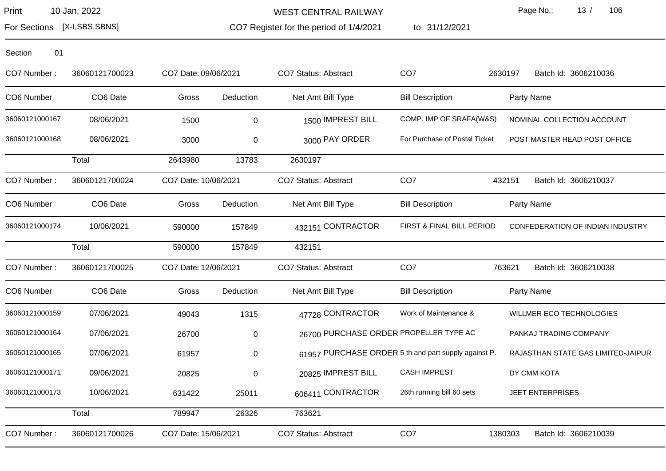WEST CENTRAL RAILWAY

CO7 Register for the period of 1/4/2021

to 31/12/2021

Page No.: 13 / 106

For Sections [X-I,SBS,SBNS]

| CO7 Number:    | 36060121700023 | CO7 Date: 09/06/2021 |           | <b>CO7 Status: Abstract</b>            | CO <sub>7</sub>                                      | 2630197<br>Batch Id: 3606210036    |
|----------------|----------------|----------------------|-----------|----------------------------------------|------------------------------------------------------|------------------------------------|
| CO6 Number     | CO6 Date       | Gross                | Deduction | Net Amt Bill Type                      | <b>Bill Description</b>                              | Party Name                         |
| 36060121000167 | 08/06/2021     | 1500                 | 0         | 1500 IMPREST BILL                      | COMP. IMP OF SRAFA(W&S)                              | NOMINAL COLLECTION ACCOUNT         |
| 36060121000168 | 08/06/2021     | 3000                 | 0         | 3000 PAY ORDER                         | For Purchase of Postal Ticket                        | POST MASTER HEAD POST OFFICE       |
|                | Total          | 2643980              | 13783     | 2630197                                |                                                      |                                    |
| CO7 Number:    | 36060121700024 | CO7 Date: 10/06/2021 |           | <b>CO7 Status: Abstract</b>            | CO <sub>7</sub>                                      | 432151<br>Batch Id: 3606210037     |
| CO6 Number     | CO6 Date       | Gross                | Deduction | Net Amt Bill Type                      | <b>Bill Description</b>                              | Party Name                         |
| 36060121000174 | 10/06/2021     | 590000               | 157849    | 432151 CONTRACTOR                      | FIRST & FINAL BILL PERIOD                            | CONFEDERATION OF INDIAN INDUSTRY   |
|                | Total          | 590000               | 157849    | 432151                                 |                                                      |                                    |
| CO7 Number:    | 36060121700025 | CO7 Date: 12/06/2021 |           | CO7 Status: Abstract                   | CO <sub>7</sub>                                      | 763621<br>Batch Id: 3606210038     |
| CO6 Number     | CO6 Date       | Gross                | Deduction | Net Amt Bill Type                      | <b>Bill Description</b>                              | Party Name                         |
| 36060121000159 | 07/06/2021     | 49043                | 1315      | 47728 CONTRACTOR                       | Work of Maintenance &                                | WILLMER ECO TECHNOLOGIES           |
| 36060121000164 | 07/06/2021     | 26700                | 0         | 26700 PURCHASE ORDER PROPELLER TYPE AC |                                                      | PANKAJ TRADING COMPANY             |
| 36060121000165 | 07/06/2021     | 61957                | 0         |                                        | 61957 PURCHASE ORDER 5 th and part supply against P. | RAJASTHAN STATE GAS LIMITED-JAIPUR |
| 36060121000171 | 09/06/2021     | 20825                | 0         | 20825 IMPREST BILL                     | <b>CASH IMPREST</b>                                  | DY CMM KOTA                        |
| 36060121000173 | 10/06/2021     | 631422               | 25011     | 606411 CONTRACTOR                      | 26th running bill 60 sets                            | <b>JEET ENTERPRISES</b>            |
|                | Total          | 789947               | 26326     | 763621                                 |                                                      |                                    |
| CO7 Number:    | 36060121700026 | CO7 Date: 15/06/2021 |           | CO7 Status: Abstract                   | CO <sub>7</sub>                                      | 1380303<br>Batch Id: 3606210039    |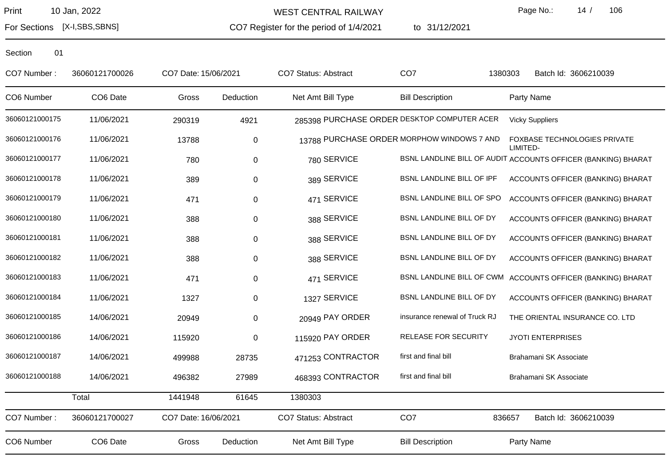For Sections [X-I,SBS,SBNS]

WEST CENTRAL RAILWAY

CO7 Register for the period of 1/4/2021

to 31/12/2021

Page No.: 14 / 106

| CO7 Number:    | 36060121700026 | CO7 Date: 15/06/2021 |             | CO7 Status: Abstract        | CO <sub>7</sub>                             | 1380303<br>Batch Id: 3606210039                               |
|----------------|----------------|----------------------|-------------|-----------------------------|---------------------------------------------|---------------------------------------------------------------|
| CO6 Number     | CO6 Date       | Gross                | Deduction   | Net Amt Bill Type           | <b>Bill Description</b>                     | Party Name                                                    |
| 36060121000175 | 11/06/2021     | 290319               | 4921        |                             | 285398 PURCHASE ORDER DESKTOP COMPUTER ACER | <b>Vicky Suppliers</b>                                        |
| 36060121000176 | 11/06/2021     | 13788                | $\mathbf 0$ |                             | 13788 PURCHASE ORDER MORPHOW WINDOWS 7 AND  | FOXBASE TECHNOLOGIES PRIVATE<br>LIMITED-                      |
| 36060121000177 | 11/06/2021     | 780                  | $\mathbf 0$ | 780 SERVICE                 |                                             | BSNL LANDLINE BILL OF AUDIT ACCOUNTS OFFICER (BANKING) BHARAT |
| 36060121000178 | 11/06/2021     | 389                  | $\mathbf 0$ | 389 SERVICE                 | BSNL LANDLINE BILL OF IPF                   | ACCOUNTS OFFICER (BANKING) BHARAT                             |
| 36060121000179 | 11/06/2021     | 471                  | $\mathbf 0$ | 471 SERVICE                 | BSNL LANDLINE BILL OF SPO                   | ACCOUNTS OFFICER (BANKING) BHARAT                             |
| 36060121000180 | 11/06/2021     | 388                  | $\mathbf 0$ | 388 SERVICE                 | BSNL LANDLINE BILL OF DY                    | ACCOUNTS OFFICER (BANKING) BHARAT                             |
| 36060121000181 | 11/06/2021     | 388                  | $\pmb{0}$   | 388 SERVICE                 | BSNL LANDLINE BILL OF DY                    | ACCOUNTS OFFICER (BANKING) BHARAT                             |
| 36060121000182 | 11/06/2021     | 388                  | $\pmb{0}$   | 388 SERVICE                 | BSNL LANDLINE BILL OF DY                    | ACCOUNTS OFFICER (BANKING) BHARAT                             |
| 36060121000183 | 11/06/2021     | 471                  | 0           | 471 SERVICE                 | BSNL LANDLINE BILL OF CWM                   | ACCOUNTS OFFICER (BANKING) BHARAT                             |
| 36060121000184 | 11/06/2021     | 1327                 | $\mathbf 0$ | 1327 SERVICE                | BSNL LANDLINE BILL OF DY                    | ACCOUNTS OFFICER (BANKING) BHARAT                             |
| 36060121000185 | 14/06/2021     | 20949                | $\mathbf 0$ | 20949 PAY ORDER             | insurance renewal of Truck RJ               | THE ORIENTAL INSURANCE CO. LTD                                |
| 36060121000186 | 14/06/2021     | 115920               | $\mathbf 0$ | 115920 PAY ORDER            | RELEASE FOR SECURITY                        | <b>JYOTI ENTERPRISES</b>                                      |
| 36060121000187 | 14/06/2021     | 499988               | 28735       | 471253 CONTRACTOR           | first and final bill                        | Brahamani SK Associate                                        |
| 36060121000188 | 14/06/2021     | 496382               | 27989       | 468393 CONTRACTOR           | first and final bill                        | Brahamani SK Associate                                        |
|                | Total          | 1441948              | 61645       | 1380303                     |                                             |                                                               |
| CO7 Number:    | 36060121700027 | CO7 Date: 16/06/2021 |             | <b>CO7 Status: Abstract</b> | CO <sub>7</sub>                             | 836657<br>Batch Id: 3606210039                                |
| CO6 Number     | CO6 Date       | Gross                | Deduction   | Net Amt Bill Type           | <b>Bill Description</b>                     | Party Name                                                    |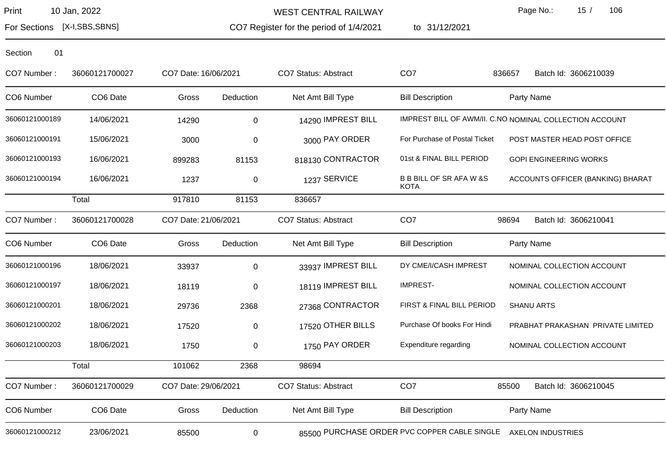For Sections [X-I,SBS,SBNS]

WEST CENTRAL RAILWAY

CO7 Register for the period of 1/4/2021 1/4/2021 to 31/12/2021 Page No.: 15 / 106

Section 01

CO7 Number : 36060121700027 CO7 Date:16/06/2021 CO7 Status: Abstract CO7 836657 Batch Id: 3606210039 CO6 Number CO6 Date Gross Deduction Net Amt Bill Type Bill Description Party Name 36060121000189 14/06/2021 14290 14290 0 14290 1MPREST BILL IMPREST BILL OF AWM/II. C.NO NOMINAL COLLECTION ACCOUNT 36060121000191 15/06/2021 3000 0 3000 0 3000 BAY ORDER For Purchase of Postal Ticket POST MASTER HEAD POST OFFICE 36060121000193 16/06/2021 899283 81153 818130 CONTRACTOR 01st & FINAL BILL PERIOD GOPI ENGINEERING WORKS 16/06/2021 B B BILL OF SR AFA W &S **KOTA** 36060121000194 16/06/2021 1237 0 1237 SERVICE BB BILL OF SR AFA W &S ACCOUNTS OFFICER (BANKING) BHARAT Total 917810 81153 836657 CO7 Number : 36060121700028 CO7 Date:21/06/2021 CO7 Status: Abstract CO7 98694 Batch Id: 3606210041 CO6 Number CO6 Date Gross Deduction Net Amt Bill Type Bill Description Party Name 36060121000196 18/06/2021 33937 0 33937 IMPREST BILL DY CME/I/CASH IMPREST NOMINAL COLLECTION ACCOUNT 36060121000197 18/06/2021 18119 0 18119 18119 18119 1812 1812 IMPREST BILL IMPREST- NOMINAL COLLECTION ACCOUNT 36060121000201 18/06/2021 29736 2368 27368 CONTRACTOR FIRST & FINAL BILL PERIOD SHANU ARTS 36060121000202 18/06/2021 17520 0 17520 0THER BILLS Purchase Of books For Hindi PRABHAT PRAKASHAN PRIVATE LIMITED 36060121000203 18/06/2021 1750 0 1750 1750 1750 1750 1750 1750 PAY ORDER Expenditure regarding NOMINAL COLLECTION ACCOUNT Total 101062 2368 98694 CO7 Number: 36060121700029 CO7 Date: 29/06/2021 CO7 Status: Abstract CO7 85700 Batch Id: 3606210045 CO6 Number CO6 Date Gross Deduction Net Amt Bill Type Bill Description Party Name 36060121000212 23/06/2021 85500 0 85500 PURCHASE ORDER PVC COPPER CABLE SINGLE AXELON INDUSTRIES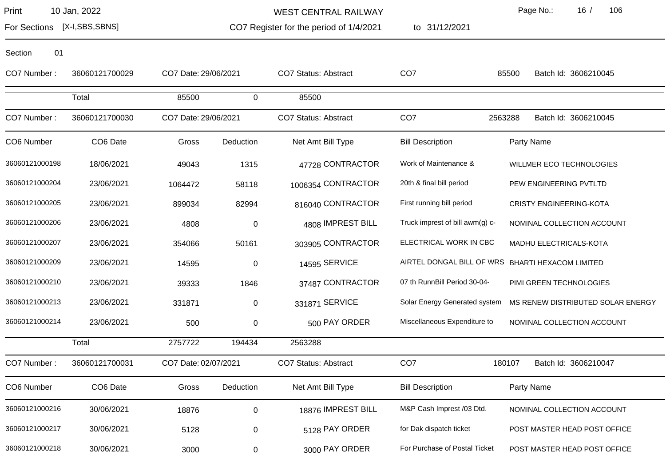Section 01

For Sections [X-I,SBS,SBNS]

WEST CENTRAL RAILWAY

CO7 Register for the period of 1/4/2021

to 31/12/2021

Page No.: 16 / 106

| CO7 Number: | 36060121700029       |
|-------------|----------------------|
|             | Total                |
| CO7 Number: | 36060121700030       |
| CO6 Number  | CO <sub>6</sub> Date |

| CO7 Number:    | 36060121700029 | CO7 Date: 29/06/2021 |             | <b>CO7 Status: Abstract</b> | CO <sub>7</sub>                 | 85500<br>Batch Id: 3606210045                    |
|----------------|----------------|----------------------|-------------|-----------------------------|---------------------------------|--------------------------------------------------|
|                | Total          | 85500                | $\Omega$    | 85500                       |                                 |                                                  |
| CO7 Number:    | 36060121700030 | CO7 Date: 29/06/2021 |             | <b>CO7 Status: Abstract</b> | CO <sub>7</sub>                 | 2563288<br>Batch Id: 3606210045                  |
| CO6 Number     | CO6 Date       | Gross                | Deduction   | Net Amt Bill Type           | <b>Bill Description</b>         | Party Name                                       |
| 36060121000198 | 18/06/2021     | 49043                | 1315        | 47728 CONTRACTOR            | Work of Maintenance &           | WILLMER ECO TECHNOLOGIES                         |
| 36060121000204 | 23/06/2021     | 1064472              | 58118       | 1006354 CONTRACTOR          | 20th & final bill period        | PEW ENGINEERING PVTLTD                           |
| 36060121000205 | 23/06/2021     | 899034               | 82994       | 816040 CONTRACTOR           | First running bill period       | <b>CRISTY ENGINEERING-KOTA</b>                   |
| 36060121000206 | 23/06/2021     | 4808                 | $\pmb{0}$   | 4808 IMPREST BILL           | Truck imprest of bill awm(g) c- | NOMINAL COLLECTION ACCOUNT                       |
| 36060121000207 | 23/06/2021     | 354066               | 50161       | 303905 CONTRACTOR           | ELECTRICAL WORK IN CBC          | MADHU ELECTRICALS-KOTA                           |
| 36060121000209 | 23/06/2021     | 14595                | $\pmb{0}$   | 14595 SERVICE               |                                 | AIRTEL DONGAL BILL OF WRS BHARTI HEXACOM LIMITED |
| 36060121000210 | 23/06/2021     | 39333                | 1846        | 37487 CONTRACTOR            | 07 th RunnBill Period 30-04-    | PIMI GREEN TECHNOLOGIES                          |
| 36060121000213 | 23/06/2021     | 331871               | $\mathbf 0$ | 331871 SERVICE              | Solar Energy Generated system   | MS RENEW DISTRIBUTED SOLAR ENERGY                |
| 36060121000214 | 23/06/2021     | 500                  | $\pmb{0}$   | 500 PAY ORDER               | Miscellaneous Expenditure to    | NOMINAL COLLECTION ACCOUNT                       |
|                | Total          | 2757722              | 194434      | 2563288                     |                                 |                                                  |
| CO7 Number:    | 36060121700031 | CO7 Date: 02/07/2021 |             | <b>CO7 Status: Abstract</b> | CO <sub>7</sub>                 | 180107<br>Batch Id: 3606210047                   |
| CO6 Number     | CO6 Date       | Gross                | Deduction   | Net Amt Bill Type           | <b>Bill Description</b>         | Party Name                                       |
| 36060121000216 | 30/06/2021     | 18876                | $\mathbf 0$ | 18876 IMPREST BILL          | M&P Cash Imprest /03 Dtd.       | NOMINAL COLLECTION ACCOUNT                       |
| 36060121000217 | 30/06/2021     | 5128                 | 0           | 5128 PAY ORDER              | for Dak dispatch ticket         | POST MASTER HEAD POST OFFICE                     |
| 36060121000218 | 30/06/2021     | 3000                 | 0           | 3000 PAY ORDER              | For Purchase of Postal Ticket   | POST MASTER HEAD POST OFFICE                     |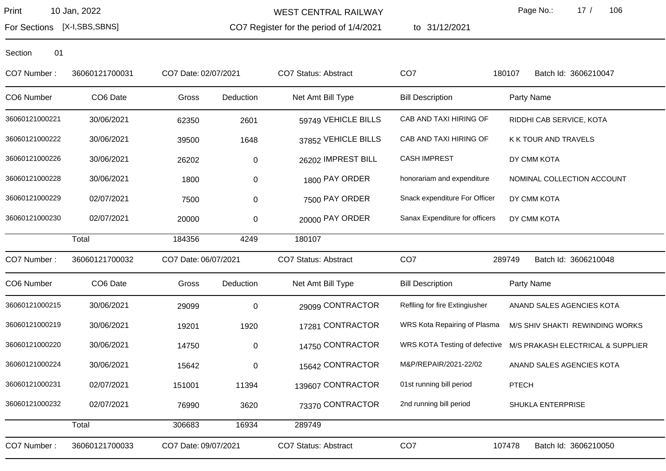WEST CENTRAL RAILWAY

CO7 Register for the period of 1/4/2021

to 31/12/2021

Page No.: 17 / 106

For Sections [X-I,SBS,SBNS]

| CO7 Number:    | 36060121700031 | CO7 Date: 02/07/2021 |           | <b>CO7 Status: Abstract</b> | CO <sub>7</sub>                | 180107<br>Batch Id: 3606210047    |
|----------------|----------------|----------------------|-----------|-----------------------------|--------------------------------|-----------------------------------|
| CO6 Number     | CO6 Date       | Gross                | Deduction | Net Amt Bill Type           | <b>Bill Description</b>        | Party Name                        |
| 36060121000221 | 30/06/2021     | 62350                | 2601      | 59749 VEHICLE BILLS         | CAB AND TAXI HIRING OF         | RIDDHI CAB SERVICE, KOTA          |
| 36060121000222 | 30/06/2021     | 39500                | 1648      | 37852 VEHICLE BILLS         | CAB AND TAXI HIRING OF         | K K TOUR AND TRAVELS              |
| 36060121000226 | 30/06/2021     | 26202                | 0         | 26202 IMPREST BILL          | <b>CASH IMPREST</b>            | DY CMM KOTA                       |
| 36060121000228 | 30/06/2021     | 1800                 | 0         | 1800 PAY ORDER              | honorariam and expenditure     | NOMINAL COLLECTION ACCOUNT        |
| 36060121000229 | 02/07/2021     | 7500                 | 0         | 7500 PAY ORDER              | Snack expenditure For Officer  | DY CMM KOTA                       |
| 36060121000230 | 02/07/2021     | 20000                | 0         | 20000 PAY ORDER             | Sanax Expenditure for officers | DY CMM KOTA                       |
|                | Total          | 184356               | 4249      | 180107                      |                                |                                   |
| CO7 Number:    | 36060121700032 | CO7 Date: 06/07/2021 |           | <b>CO7 Status: Abstract</b> | CO <sub>7</sub>                | 289749<br>Batch Id: 3606210048    |
| CO6 Number     | CO6 Date       | Gross                | Deduction | Net Amt Bill Type           | <b>Bill Description</b>        | Party Name                        |
| 36060121000215 | 30/06/2021     | 29099                | $\pmb{0}$ | 29099 CONTRACTOR            | Reflling for fire Extingiusher | ANAND SALES AGENCIES KOTA         |
| 36060121000219 | 30/06/2021     | 19201                | 1920      | 17281 CONTRACTOR            | WRS Kota Repairing of Plasma   | M/S SHIV SHAKTI REWINDING WORKS   |
| 36060121000220 | 30/06/2021     | 14750                | $\pmb{0}$ | 14750 CONTRACTOR            | WRS KOTA Testing of defective  | M/S PRAKASH ELECTRICAL & SUPPLIER |
| 36060121000224 | 30/06/2021     | 15642                | $\pmb{0}$ | 15642 CONTRACTOR            | M&P/REPAIR/2021-22/02          | ANAND SALES AGENCIES KOTA         |
| 36060121000231 | 02/07/2021     | 151001               | 11394     | 139607 CONTRACTOR           | 01st running bill period       | <b>PTECH</b>                      |
| 36060121000232 | 02/07/2021     | 76990                | 3620      | 73370 CONTRACTOR            | 2nd running bill period        | SHUKLA ENTERPRISE                 |
|                | Total          | 306683               | 16934     | 289749                      |                                |                                   |
| CO7 Number:    | 36060121700033 | CO7 Date: 09/07/2021 |           | <b>CO7 Status: Abstract</b> | CO <sub>7</sub>                | 107478<br>Batch Id: 3606210050    |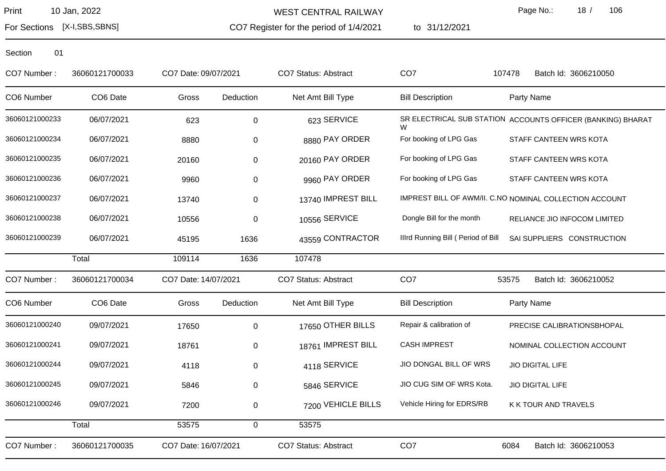WEST CENTRAL RAILWAY

CO7 Register for the period of 1/4/2021

to 31/12/2021

Page No.: 18 / 106

For Sections [X-I,SBS,SBNS]

| CO7 Number:    | 36060121700033 | CO7 Date: 09/07/2021 |           | <b>CO7 Status: Abstract</b> | CO <sub>7</sub>                    | Batch Id: 3606210050<br>107478                              |
|----------------|----------------|----------------------|-----------|-----------------------------|------------------------------------|-------------------------------------------------------------|
| CO6 Number     | CO6 Date       | Gross                | Deduction | Net Amt Bill Type           | <b>Bill Description</b>            | Party Name                                                  |
| 36060121000233 | 06/07/2021     | 623                  | 0         | 623 SERVICE                 | W                                  | SR ELECTRICAL SUB STATION ACCOUNTS OFFICER (BANKING) BHARAT |
| 36060121000234 | 06/07/2021     | 8880                 | 0         | 8880 PAY ORDER              | For booking of LPG Gas             | STAFF CANTEEN WRS KOTA                                      |
| 36060121000235 | 06/07/2021     | 20160                | 0         | 20160 PAY ORDER             | For booking of LPG Gas             | STAFF CANTEEN WRS KOTA                                      |
| 36060121000236 | 06/07/2021     | 9960                 | 0         | 9960 PAY ORDER              | For booking of LPG Gas             | STAFF CANTEEN WRS KOTA                                      |
| 36060121000237 | 06/07/2021     | 13740                | $\pmb{0}$ | 13740 IMPREST BILL          |                                    | IMPREST BILL OF AWM/II. C.NO NOMINAL COLLECTION ACCOUNT     |
| 36060121000238 | 06/07/2021     | 10556                | 0         | 10556 SERVICE               | Dongle Bill for the month          | RELIANCE JIO INFOCOM LIMITED                                |
| 36060121000239 | 06/07/2021     | 45195                | 1636      | 43559 CONTRACTOR            | Illrd Running Bill (Period of Bill | SAI SUPPLIERS CONSTRUCTION                                  |
|                | Total          | 109114               | 1636      | 107478                      |                                    |                                                             |
| CO7 Number:    | 36060121700034 | CO7 Date: 14/07/2021 |           | CO7 Status: Abstract        | CO <sub>7</sub>                    | Batch Id: 3606210052<br>53575                               |
| CO6 Number     | CO6 Date       | Gross                | Deduction | Net Amt Bill Type           | <b>Bill Description</b>            | Party Name                                                  |
| 36060121000240 | 09/07/2021     | 17650                | 0         | 17650 OTHER BILLS           | Repair & calibration of            | PRECISE CALIBRATIONSBHOPAL                                  |
| 36060121000241 | 09/07/2021     | 18761                | 0         | 18761 IMPREST BILL          | <b>CASH IMPREST</b>                | NOMINAL COLLECTION ACCOUNT                                  |
| 36060121000244 | 09/07/2021     | 4118                 | 0         | 4118 SERVICE                | JIO DONGAL BILL OF WRS             | <b>JIO DIGITAL LIFE</b>                                     |
| 36060121000245 | 09/07/2021     | 5846                 | $\pmb{0}$ | 5846 SERVICE                | JIO CUG SIM OF WRS Kota.           | JIO DIGITAL LIFE                                            |
| 36060121000246 | 09/07/2021     | 7200                 | 0         | 7200 VEHICLE BILLS          | Vehicle Hiring for EDRS/RB         | K K TOUR AND TRAVELS                                        |
|                | Total          | 53575                | 0         | 53575                       |                                    |                                                             |
| CO7 Number:    | 36060121700035 | CO7 Date: 16/07/2021 |           | <b>CO7 Status: Abstract</b> | CO <sub>7</sub>                    | Batch Id: 3606210053<br>6084                                |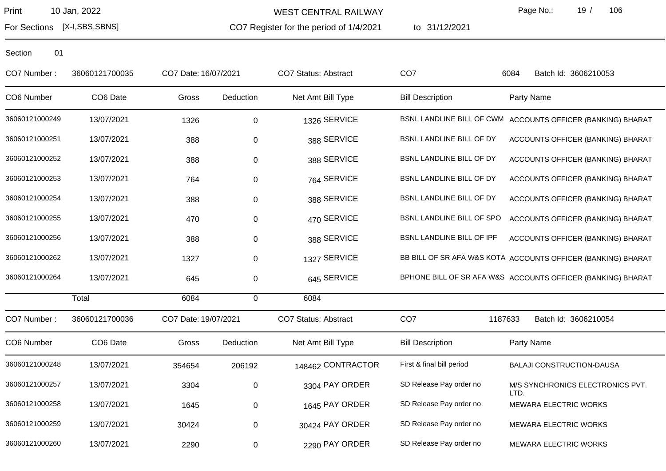WEST CENTRAL RAILWAY

CO7 Register for the period of 1/4/2021

to 31/12/2021

Page No.: 19 / 106

For Sections [X-I,SBS,SBNS]

| CO7 Number:    | 36060121700035 | CO7 Date: 16/07/2021 |             | <b>CO7 Status: Abstract</b> | CO <sub>7</sub>           | Batch Id: 3606210053<br>6084                                 |
|----------------|----------------|----------------------|-------------|-----------------------------|---------------------------|--------------------------------------------------------------|
| CO6 Number     | CO6 Date       | Gross                | Deduction   | Net Amt Bill Type           | <b>Bill Description</b>   | Party Name                                                   |
| 36060121000249 | 13/07/2021     | 1326                 | $\mathbf 0$ | 1326 SERVICE                |                           | BSNL LANDLINE BILL OF CWM ACCOUNTS OFFICER (BANKING) BHARAT  |
| 36060121000251 | 13/07/2021     | 388                  | 0           | 388 SERVICE                 | BSNL LANDLINE BILL OF DY  | ACCOUNTS OFFICER (BANKING) BHARAT                            |
| 36060121000252 | 13/07/2021     | 388                  | 0           | 388 SERVICE                 | BSNL LANDLINE BILL OF DY  | ACCOUNTS OFFICER (BANKING) BHARAT                            |
| 36060121000253 | 13/07/2021     | 764                  | $\pmb{0}$   | 764 SERVICE                 | BSNL LANDLINE BILL OF DY  | ACCOUNTS OFFICER (BANKING) BHARAT                            |
| 36060121000254 | 13/07/2021     | 388                  | $\pmb{0}$   | 388 SERVICE                 | BSNL LANDLINE BILL OF DY  | ACCOUNTS OFFICER (BANKING) BHARAT                            |
| 36060121000255 | 13/07/2021     | 470                  | $\pmb{0}$   | 470 SERVICE                 | BSNL LANDLINE BILL OF SPO | ACCOUNTS OFFICER (BANKING) BHARAT                            |
| 36060121000256 | 13/07/2021     | 388                  | 0           | 388 SERVICE                 | BSNL LANDLINE BILL OF IPF | ACCOUNTS OFFICER (BANKING) BHARAT                            |
| 36060121000262 | 13/07/2021     | 1327                 | $\pmb{0}$   | 1327 SERVICE                |                           | BB BILL OF SR AFA W&S KOTA ACCOUNTS OFFICER (BANKING) BHARAT |
| 36060121000264 | 13/07/2021     | 645                  | 0           | 645 SERVICE                 |                           | BPHONE BILL OF SR AFA W&S ACCOUNTS OFFICER (BANKING) BHARAT  |
|                | Total          | 6084                 | $\mathbf 0$ | 6084                        |                           |                                                              |
| CO7 Number:    | 36060121700036 | CO7 Date: 19/07/2021 |             | <b>CO7 Status: Abstract</b> | CO <sub>7</sub>           | 1187633<br>Batch Id: 3606210054                              |
| CO6 Number     | CO6 Date       | Gross                | Deduction   | Net Amt Bill Type           | <b>Bill Description</b>   | Party Name                                                   |
| 36060121000248 | 13/07/2021     | 354654               | 206192      | 148462 CONTRACTOR           | First & final bill period | <b>BALAJI CONSTRUCTION-DAUSA</b>                             |
| 36060121000257 | 13/07/2021     | 3304                 | 0           | 3304 PAY ORDER              | SD Release Pay order no   | M/S SYNCHRONICS ELECTRONICS PVT.<br>LTD.                     |
| 36060121000258 | 13/07/2021     | 1645                 | $\pmb{0}$   | 1645 PAY ORDER              | SD Release Pay order no   | MEWARA ELECTRIC WORKS                                        |
| 36060121000259 | 13/07/2021     | 30424                | $\pmb{0}$   | 30424 PAY ORDER             | SD Release Pay order no   | <b>MEWARA ELECTRIC WORKS</b>                                 |
| 36060121000260 | 13/07/2021     | 2290                 | 0           | 2290 PAY ORDER              | SD Release Pay order no   | <b>MEWARA ELECTRIC WORKS</b>                                 |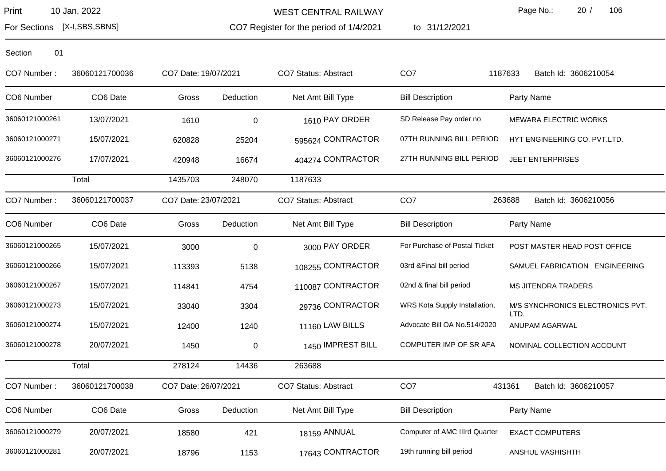WEST CENTRAL RAILWAY

CO7 Register for the period of 1/4/2021

to 31/12/2021

Page No.: 20 / 106

For Sections [X-I,SBS,SBNS]

| CO7 Number:    | 36060121700036 | CO7 Date: 19/07/2021 |           | <b>CO7 Status: Abstract</b> | CO <sub>7</sub>               | 1187633<br>Batch Id: 3606210054          |
|----------------|----------------|----------------------|-----------|-----------------------------|-------------------------------|------------------------------------------|
| CO6 Number     | CO6 Date       | Gross                | Deduction | Net Amt Bill Type           | <b>Bill Description</b>       | Party Name                               |
| 36060121000261 | 13/07/2021     | 1610                 | $\pmb{0}$ | 1610 PAY ORDER              | SD Release Pay order no       | MEWARA ELECTRIC WORKS                    |
| 36060121000271 | 15/07/2021     | 620828               | 25204     | 595624 CONTRACTOR           | 07TH RUNNING BILL PERIOD      | HYT ENGINEERING CO. PVT.LTD.             |
| 36060121000276 | 17/07/2021     | 420948               | 16674     | 404274 CONTRACTOR           | 27TH RUNNING BILL PERIOD      | <b>JEET ENTERPRISES</b>                  |
|                | Total          | 1435703              | 248070    | 1187633                     |                               |                                          |
| CO7 Number:    | 36060121700037 | CO7 Date: 23/07/2021 |           | CO7 Status: Abstract        | CO <sub>7</sub>               | 263688<br>Batch Id: 3606210056           |
| CO6 Number     | CO6 Date       | Gross                | Deduction | Net Amt Bill Type           | <b>Bill Description</b>       | Party Name                               |
| 36060121000265 | 15/07/2021     | 3000                 | $\pmb{0}$ | 3000 PAY ORDER              | For Purchase of Postal Ticket | POST MASTER HEAD POST OFFICE             |
| 36060121000266 | 15/07/2021     | 113393               | 5138      | 108255 CONTRACTOR           | 03rd & Final bill period      | SAMUEL FABRICATION ENGINEERING           |
| 36060121000267 | 15/07/2021     | 114841               | 4754      | 110087 CONTRACTOR           | 02nd & final bill period      | <b>MS JITENDRA TRADERS</b>               |
| 36060121000273 | 15/07/2021     | 33040                | 3304      | 29736 CONTRACTOR            | WRS Kota Supply Installation, | M/S SYNCHRONICS ELECTRONICS PVT.<br>LTD. |
| 36060121000274 | 15/07/2021     | 12400                | 1240      | 11160 LAW BILLS             | Advocate Bill OA No.514/2020  | ANUPAM AGARWAL                           |
| 36060121000278 | 20/07/2021     | 1450                 | $\pmb{0}$ | 1450 IMPREST BILL           | COMPUTER IMP OF SR AFA        | NOMINAL COLLECTION ACCOUNT               |
|                | Total          | 278124               | 14436     | 263688                      |                               |                                          |
| CO7 Number:    | 36060121700038 | CO7 Date: 26/07/2021 |           | CO7 Status: Abstract        | CO <sub>7</sub>               | Batch Id: 3606210057<br>431361           |
| CO6 Number     | CO6 Date       | Gross                | Deduction | Net Amt Bill Type           | <b>Bill Description</b>       | Party Name                               |
| 36060121000279 | 20/07/2021     | 18580                | 421       | 18159 ANNUAL                | Computer of AMC IIIrd Quarter | <b>EXACT COMPUTERS</b>                   |
| 36060121000281 | 20/07/2021     | 18796                | 1153      | 17643 CONTRACTOR            | 19th running bill period      | ANSHUL VASHISHTH                         |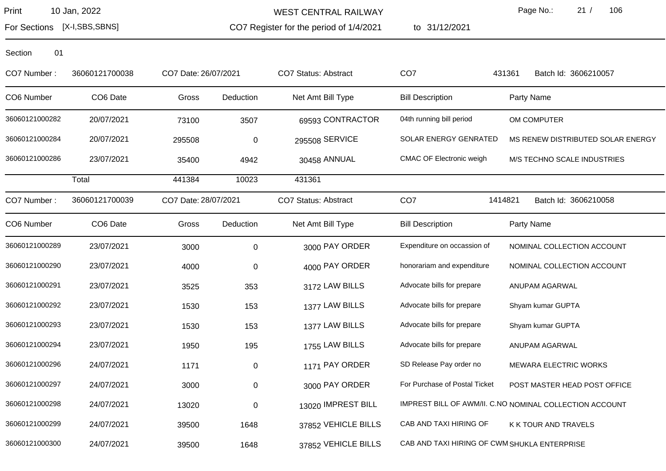WEST CENTRAL RAILWAY

CO7 Register for the period of 1/4/2021

to 31/12/2021

Page No.: 21 / 106

For Sections [X-I,SBS,SBNS]

| CO7 Number:    | 36060121700038 | CO7 Date: 26/07/2021 |           | <b>CO7 Status: Abstract</b> | CO <sub>7</sub>                              | 431361<br>Batch Id: 3606210057                          |
|----------------|----------------|----------------------|-----------|-----------------------------|----------------------------------------------|---------------------------------------------------------|
| CO6 Number     | CO6 Date       | Gross                | Deduction | Net Amt Bill Type           | <b>Bill Description</b>                      | Party Name                                              |
| 36060121000282 | 20/07/2021     | 73100                | 3507      | 69593 CONTRACTOR            | 04th running bill period                     | OM COMPUTER                                             |
| 36060121000284 | 20/07/2021     | 295508               | $\pmb{0}$ | 295508 SERVICE              | <b>SOLAR ENERGY GENRATED</b>                 | MS RENEW DISTRIBUTED SOLAR ENERGY                       |
| 36060121000286 | 23/07/2021     | 35400                | 4942      | 30458 ANNUAL                | <b>CMAC OF Electronic weigh</b>              | M/S TECHNO SCALE INDUSTRIES                             |
|                | Total          | 441384               | 10023     | 431361                      |                                              |                                                         |
| CO7 Number:    | 36060121700039 | CO7 Date: 28/07/2021 |           | <b>CO7 Status: Abstract</b> | CO <sub>7</sub>                              | 1414821<br>Batch Id: 3606210058                         |
| CO6 Number     | CO6 Date       | Gross                | Deduction | Net Amt Bill Type           | <b>Bill Description</b>                      | Party Name                                              |
| 36060121000289 | 23/07/2021     | 3000                 | $\pmb{0}$ | 3000 PAY ORDER              | Expenditure on occassion of                  | NOMINAL COLLECTION ACCOUNT                              |
| 36060121000290 | 23/07/2021     | 4000                 | $\pmb{0}$ | 4000 PAY ORDER              | honorariam and expenditure                   | NOMINAL COLLECTION ACCOUNT                              |
| 36060121000291 | 23/07/2021     | 3525                 | 353       | 3172 LAW BILLS              | Advocate bills for prepare                   | ANUPAM AGARWAL                                          |
| 36060121000292 | 23/07/2021     | 1530                 | 153       | 1377 LAW BILLS              | Advocate bills for prepare                   | Shyam kumar GUPTA                                       |
| 36060121000293 | 23/07/2021     | 1530                 | 153       | 1377 LAW BILLS              | Advocate bills for prepare                   | Shyam kumar GUPTA                                       |
| 36060121000294 | 23/07/2021     | 1950                 | 195       | 1755 LAW BILLS              | Advocate bills for prepare                   | ANUPAM AGARWAL                                          |
| 36060121000296 | 24/07/2021     | 1171                 | $\pmb{0}$ | 1171 PAY ORDER              | SD Release Pay order no                      | <b>MEWARA ELECTRIC WORKS</b>                            |
| 36060121000297 | 24/07/2021     | 3000                 | $\pmb{0}$ | 3000 PAY ORDER              | For Purchase of Postal Ticket                | POST MASTER HEAD POST OFFICE                            |
| 36060121000298 | 24/07/2021     | 13020                | $\pmb{0}$ | 13020 IMPREST BILL          |                                              | IMPREST BILL OF AWM/II. C.NO NOMINAL COLLECTION ACCOUNT |
| 36060121000299 | 24/07/2021     | 39500                | 1648      | 37852 VEHICLE BILLS         | CAB AND TAXI HIRING OF                       | K K TOUR AND TRAVELS                                    |
| 36060121000300 | 24/07/2021     | 39500                | 1648      | 37852 VEHICLE BILLS         | CAB AND TAXI HIRING OF CWM SHUKLA ENTERPRISE |                                                         |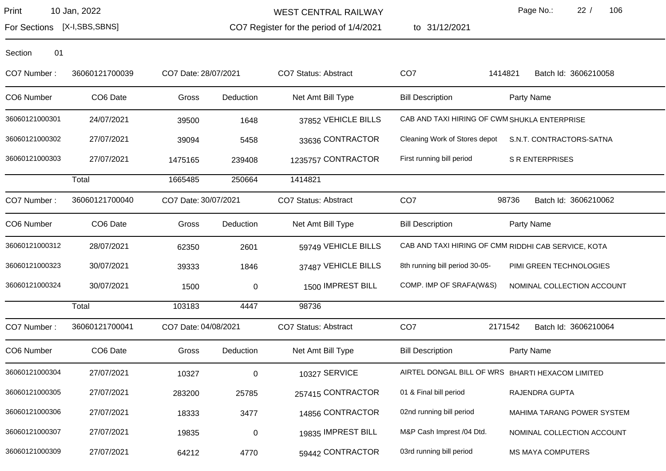WEST CENTRAL RAILWAY

CO7 Register for the period of 1/4/2021

to 31/12/2021

Page No.: 22 / 106

For Sections [X-I,SBS,SBNS]

| CO7 Number :   | 36060121700039       | CO7 Date: 28/07/2021 |             | CO7 Status: Abstract        | CO <sub>7</sub>                              | Batch Id: 3606210058<br>1414821                     |
|----------------|----------------------|----------------------|-------------|-----------------------------|----------------------------------------------|-----------------------------------------------------|
| CO6 Number     | CO6 Date             | Gross                | Deduction   | Net Amt Bill Type           | <b>Bill Description</b>                      | Party Name                                          |
| 36060121000301 | 24/07/2021           | 39500                | 1648        | 37852 VEHICLE BILLS         | CAB AND TAXI HIRING OF CWM SHUKLA ENTERPRISE |                                                     |
| 36060121000302 | 27/07/2021           | 39094                | 5458        | 33636 CONTRACTOR            | Cleaning Work of Stores depot                | S.N.T. CONTRACTORS-SATNA                            |
| 36060121000303 | 27/07/2021           | 1475165              | 239408      | 1235757 CONTRACTOR          | First running bill period                    | <b>S R ENTERPRISES</b>                              |
|                | Total                | 1665485              | 250664      | 1414821                     |                                              |                                                     |
| CO7 Number:    | 36060121700040       | CO7 Date: 30/07/2021 |             | <b>CO7 Status: Abstract</b> | CO <sub>7</sub>                              | Batch Id: 3606210062<br>98736                       |
| CO6 Number     | CO <sub>6</sub> Date | Gross                | Deduction   | Net Amt Bill Type           | <b>Bill Description</b>                      | Party Name                                          |
| 36060121000312 | 28/07/2021           | 62350                | 2601        | 59749 VEHICLE BILLS         |                                              | CAB AND TAXI HIRING OF CMM RIDDHI CAB SERVICE, KOTA |
| 36060121000323 | 30/07/2021           | 39333                | 1846        | 37487 VEHICLE BILLS         | 8th running bill period 30-05-               | PIMI GREEN TECHNOLOGIES                             |
| 36060121000324 | 30/07/2021           | 1500                 | 0           | 1500 IMPREST BILL           | COMP. IMP OF SRAFA(W&S)                      | NOMINAL COLLECTION ACCOUNT                          |
|                | Total                | 103183               | 4447        | 98736                       |                                              |                                                     |
| CO7 Number:    | 36060121700041       | CO7 Date: 04/08/2021 |             | <b>CO7 Status: Abstract</b> | CO <sub>7</sub>                              | 2171542<br>Batch Id: 3606210064                     |
| CO6 Number     | CO6 Date             | Gross                | Deduction   | Net Amt Bill Type           | <b>Bill Description</b>                      | Party Name                                          |
| 36060121000304 | 27/07/2021           | 10327                | $\mathbf 0$ | 10327 SERVICE               |                                              | AIRTEL DONGAL BILL OF WRS BHARTI HEXACOM LIMITED    |
| 36060121000305 | 27/07/2021           | 283200               | 25785       | 257415 CONTRACTOR           | 01 & Final bill period                       | RAJENDRA GUPTA                                      |
| 36060121000306 | 27/07/2021           | 18333                | 3477        | 14856 CONTRACTOR            | 02nd running bill period                     | MAHIMA TARANG POWER SYSTEM                          |
| 36060121000307 | 27/07/2021           | 19835                | $\mathbf 0$ | 19835 IMPREST BILL          | M&P Cash Imprest /04 Dtd.                    | NOMINAL COLLECTION ACCOUNT                          |
| 36060121000309 | 27/07/2021           | 64212                | 4770        | 59442 CONTRACTOR            | 03rd running bill period                     | <b>MS MAYA COMPUTERS</b>                            |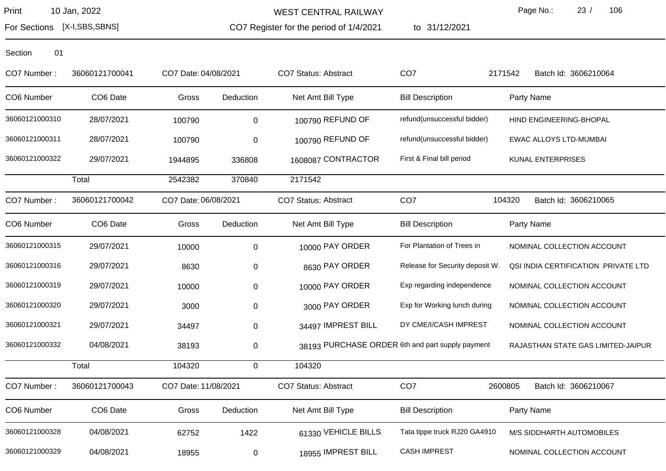WEST CENTRAL RAILWAY

CO7 Register for the period of 1/4/2021

to 31/12/2021

Page No.: 23 / 106

For Sections [X-I,SBS,SBNS]

| CO7 Number:    | 36060121700041 | CO7 Date: 04/08/2021 |              | CO7 Status: Abstract        | CO <sub>7</sub>                                  | 2171542<br>Batch Id: 3606210064     |
|----------------|----------------|----------------------|--------------|-----------------------------|--------------------------------------------------|-------------------------------------|
| CO6 Number     | CO6 Date       | Gross                | Deduction    | Net Amt Bill Type           | <b>Bill Description</b>                          | Party Name                          |
| 36060121000310 | 28/07/2021     | 100790               | 0            | 100790 REFUND OF            | refund(unsuccessful bidder)                      | HIND ENGINEERING-BHOPAL             |
| 36060121000311 | 28/07/2021     | 100790               | 0            | 100790 REFUND OF            | refund(unsuccessful bidder)                      | <b>EWAC ALLOYS LTD-MUMBAI</b>       |
| 36060121000322 | 29/07/2021     | 1944895              | 336808       | 1608087 CONTRACTOR          | First & Final bill period                        | <b>KUNAL ENTERPRISES</b>            |
|                | Total          | 2542382              | 370840       | 2171542                     |                                                  |                                     |
| CO7 Number:    | 36060121700042 | CO7 Date: 06/08/2021 |              | CO7 Status: Abstract        | CO <sub>7</sub>                                  | 104320<br>Batch Id: 3606210065      |
| CO6 Number     | CO6 Date       | Gross                | Deduction    | Net Amt Bill Type           | <b>Bill Description</b>                          | Party Name                          |
| 36060121000315 | 29/07/2021     | 10000                | $\pmb{0}$    | 10000 PAY ORDER             | For Plantation of Trees in                       | NOMINAL COLLECTION ACCOUNT          |
| 36060121000316 | 29/07/2021     | 8630                 | $\pmb{0}$    | 8630 PAY ORDER              | Release for Security deposit W.                  | QSI INDIA CERTIFICATION PRIVATE LTD |
| 36060121000319 | 29/07/2021     | 10000                | $\pmb{0}$    | 10000 PAY ORDER             | Exp regarding independence                       | NOMINAL COLLECTION ACCOUNT          |
| 36060121000320 | 29/07/2021     | 3000                 | $\,0\,$      | 3000 PAY ORDER              | Exp for Working lunch during                     | NOMINAL COLLECTION ACCOUNT          |
| 36060121000321 | 29/07/2021     | 34497                | $\pmb{0}$    | 34497 IMPREST BILL          | DY CME/I/CASH IMPREST                            | NOMINAL COLLECTION ACCOUNT          |
| 36060121000332 | 04/08/2021     | 38193                | 0            |                             | 38193 PURCHASE ORDER 6th and part supply payment | RAJASTHAN STATE GAS LIMITED-JAIPUR  |
|                | Total          | 104320               | $\mathsf{O}$ | 104320                      |                                                  |                                     |
| CO7 Number:    | 36060121700043 | CO7 Date: 11/08/2021 |              | <b>CO7 Status: Abstract</b> | CO <sub>7</sub>                                  | 2600805<br>Batch Id: 3606210067     |
| CO6 Number     | CO6 Date       | Gross                | Deduction    | Net Amt Bill Type           | <b>Bill Description</b>                          | Party Name                          |
| 36060121000328 | 04/08/2021     | 62752                | 1422         | 61330 VEHICLE BILLS         | Tata tippe truck RJ20 GA4910                     | M/S SIDDHARTH AUTOMOBILES           |
| 36060121000329 | 04/08/2021     | 18955                | 0            | 18955 IMPREST BILL          | <b>CASH IMPREST</b>                              | NOMINAL COLLECTION ACCOUNT          |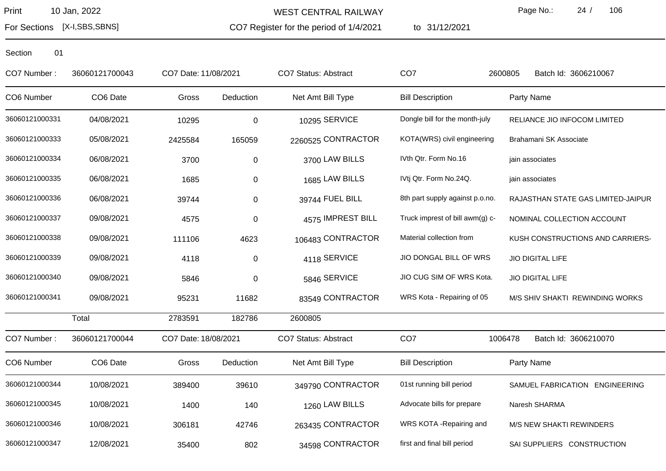For Sections [X-I,SBS,SBNS]

WEST CENTRAL RAILWAY

CO7 Register for the period of 1/4/2021

to 31/12/2021

Page No.: 24 / 106

| CO7 Number:    | 36060121700043 | CO7 Date: 11/08/2021 |           | CO7 Status: Abstract        | CO <sub>7</sub>                 | 2600805<br>Batch Id: 3606210067    |
|----------------|----------------|----------------------|-----------|-----------------------------|---------------------------------|------------------------------------|
| CO6 Number     | CO6 Date       | Gross                | Deduction | Net Amt Bill Type           | <b>Bill Description</b>         | Party Name                         |
| 36060121000331 | 04/08/2021     | 10295                | $\pmb{0}$ | 10295 SERVICE               | Dongle bill for the month-july  | RELIANCE JIO INFOCOM LIMITED       |
| 36060121000333 | 05/08/2021     | 2425584              | 165059    | 2260525 CONTRACTOR          | KOTA(WRS) civil engineering     | Brahamani SK Associate             |
| 36060121000334 | 06/08/2021     | 3700                 | $\pmb{0}$ | 3700 LAW BILLS              | IVth Qtr. Form No.16            | jain associates                    |
| 36060121000335 | 06/08/2021     | 1685                 | $\pmb{0}$ | 1685 LAW BILLS              | IVtj Qtr. Form No.24Q.          | jain associates                    |
| 36060121000336 | 06/08/2021     | 39744                | $\pmb{0}$ | 39744 FUEL BILL             | 8th part supply against p.o.no. | RAJASTHAN STATE GAS LIMITED-JAIPUR |
| 36060121000337 | 09/08/2021     | 4575                 | 0         | 4575 IMPREST BILL           | Truck imprest of bill awm(g) c- | NOMINAL COLLECTION ACCOUNT         |
| 36060121000338 | 09/08/2021     | 111106               | 4623      | 106483 CONTRACTOR           | Material collection from        | KUSH CONSTRUCTIONS AND CARRIERS-   |
| 36060121000339 | 09/08/2021     | 4118                 | $\pmb{0}$ | 4118 SERVICE                | JIO DONGAL BILL OF WRS          | <b>JIO DIGITAL LIFE</b>            |
| 36060121000340 | 09/08/2021     | 5846                 | $\,0\,$   | 5846 SERVICE                | JIO CUG SIM OF WRS Kota.        | <b>JIO DIGITAL LIFE</b>            |
| 36060121000341 | 09/08/2021     | 95231                | 11682     | 83549 CONTRACTOR            | WRS Kota - Repairing of 05      | M/S SHIV SHAKTI REWINDING WORKS    |
|                | Total          | 2783591              | 182786    | 2600805                     |                                 |                                    |
| CO7 Number:    | 36060121700044 | CO7 Date: 18/08/2021 |           | <b>CO7 Status: Abstract</b> | CO <sub>7</sub>                 | 1006478<br>Batch Id: 3606210070    |
| CO6 Number     | CO6 Date       | Gross                | Deduction | Net Amt Bill Type           | <b>Bill Description</b>         | Party Name                         |
| 36060121000344 | 10/08/2021     | 389400               | 39610     | 349790 CONTRACTOR           | 01st running bill period        | SAMUEL FABRICATION ENGINEERING     |
| 36060121000345 | 10/08/2021     | 1400                 | 140       | 1260 LAW BILLS              | Advocate bills for prepare      | Naresh SHARMA                      |
| 36060121000346 | 10/08/2021     | 306181               | 42746     | 263435 CONTRACTOR           | WRS KOTA - Repairing and        | M/S NEW SHAKTI REWINDERS           |
| 36060121000347 | 12/08/2021     | 35400                | 802       | 34598 CONTRACTOR            | first and final bill period     | SAI SUPPLIERS CONSTRUCTION         |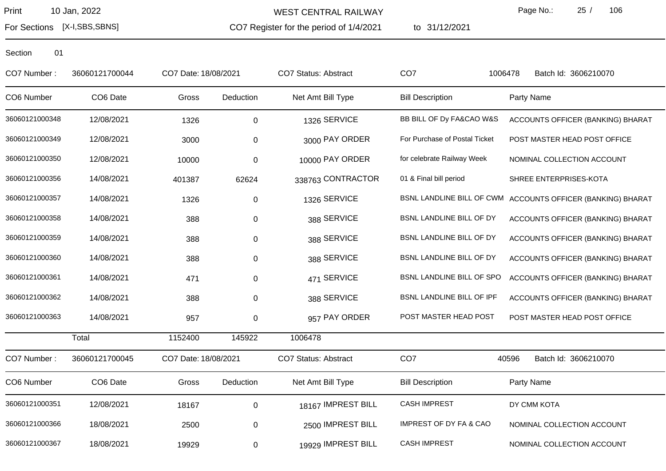For Sections [X-I,SBS,SBNS]

WEST CENTRAL RAILWAY

CO7 Register for the period of 1/4/2021 to 31/12/2021 Page No.: 25 / 106

| CO7 Number:    | 36060121700044 | CO7 Date: 18/08/2021 |             | <b>CO7 Status: Abstract</b> | CO <sub>7</sub>                   | 1006478<br>Batch Id: 3606210070                             |
|----------------|----------------|----------------------|-------------|-----------------------------|-----------------------------------|-------------------------------------------------------------|
| CO6 Number     | CO6 Date       | Gross                | Deduction   | Net Amt Bill Type           | <b>Bill Description</b>           | Party Name                                                  |
| 36060121000348 | 12/08/2021     | 1326                 | 0           | 1326 SERVICE                | BB BILL OF Dy FA&CAO W&S          | ACCOUNTS OFFICER (BANKING) BHARAT                           |
| 36060121000349 | 12/08/2021     | 3000                 | 0           | 3000 PAY ORDER              | For Purchase of Postal Ticket     | POST MASTER HEAD POST OFFICE                                |
| 36060121000350 | 12/08/2021     | 10000                | $\pmb{0}$   | 10000 PAY ORDER             | for celebrate Railway Week        | NOMINAL COLLECTION ACCOUNT                                  |
| 36060121000356 | 14/08/2021     | 401387               | 62624       | 338763 CONTRACTOR           | 01 & Final bill period            | SHREE ENTERPRISES-KOTA                                      |
| 36060121000357 | 14/08/2021     | 1326                 | 0           | 1326 SERVICE                |                                   | BSNL LANDLINE BILL OF CWM ACCOUNTS OFFICER (BANKING) BHARAT |
| 36060121000358 | 14/08/2021     | 388                  | 0           | 388 SERVICE                 | BSNL LANDLINE BILL OF DY          | ACCOUNTS OFFICER (BANKING) BHARAT                           |
| 36060121000359 | 14/08/2021     | 388                  | $\pmb{0}$   | 388 SERVICE                 | BSNL LANDLINE BILL OF DY          | ACCOUNTS OFFICER (BANKING) BHARAT                           |
| 36060121000360 | 14/08/2021     | 388                  | 0           | 388 SERVICE                 | BSNL LANDLINE BILL OF DY          | ACCOUNTS OFFICER (BANKING) BHARAT                           |
| 36060121000361 | 14/08/2021     | 471                  | 0           | 471 SERVICE                 | BSNL LANDLINE BILL OF SPO         | ACCOUNTS OFFICER (BANKING) BHARAT                           |
| 36060121000362 | 14/08/2021     | 388                  | $\mathbf 0$ | 388 SERVICE                 | BSNL LANDLINE BILL OF IPF         | ACCOUNTS OFFICER (BANKING) BHARAT                           |
| 36060121000363 | 14/08/2021     | 957                  | 0           | 957 PAY ORDER               | POST MASTER HEAD POST             | POST MASTER HEAD POST OFFICE                                |
|                | Total          | 1152400              | 145922      | 1006478                     |                                   |                                                             |
| CO7 Number:    | 36060121700045 | CO7 Date: 18/08/2021 |             | <b>CO7 Status: Abstract</b> | CO <sub>7</sub>                   | 40596<br>Batch Id: 3606210070                               |
| CO6 Number     | CO6 Date       | Gross                | Deduction   | Net Amt Bill Type           | <b>Bill Description</b>           | Party Name                                                  |
| 36060121000351 | 12/08/2021     | 18167                | 0           | 18167 IMPREST BILL          | <b>CASH IMPREST</b>               | DY CMM KOTA                                                 |
| 36060121000366 | 18/08/2021     | 2500                 | 0           | 2500 IMPREST BILL           | <b>IMPREST OF DY FA &amp; CAO</b> | NOMINAL COLLECTION ACCOUNT                                  |
| 36060121000367 | 18/08/2021     | 19929                | 0           | 19929 IMPREST BILL          | <b>CASH IMPREST</b>               | NOMINAL COLLECTION ACCOUNT                                  |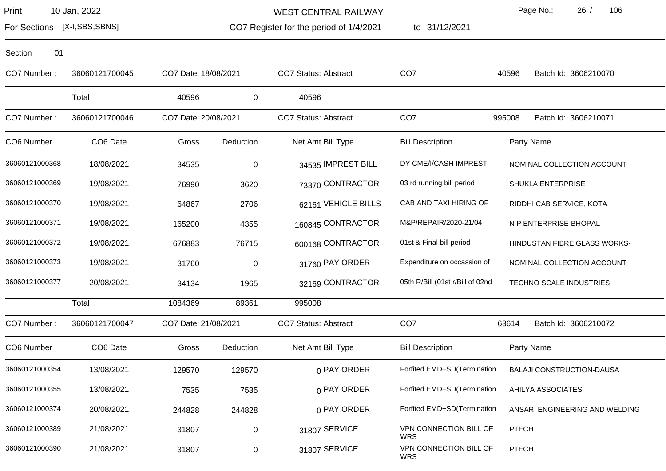For Sections [X-I,SBS,SBNS]

WEST CENTRAL RAILWAY

CO7 Register for the period of 1/4/2021

to 31/12/2021

Page No.: 26 / 106

| Section | 01 |
|---------|----|
|         |    |

| CO7 Number:    | 36060121700045 | CO7 Date: 18/08/2021 |             | <b>CO7 Status: Abstract</b> | CO <sub>7</sub>                      | 40596<br>Batch Id: 3606210070    |
|----------------|----------------|----------------------|-------------|-----------------------------|--------------------------------------|----------------------------------|
|                | Total          | 40596                | $\mathbf 0$ | 40596                       |                                      |                                  |
| CO7 Number:    | 36060121700046 | CO7 Date: 20/08/2021 |             | <b>CO7 Status: Abstract</b> | CO <sub>7</sub>                      | 995008<br>Batch Id: 3606210071   |
| CO6 Number     | CO6 Date       | Gross                | Deduction   | Net Amt Bill Type           | <b>Bill Description</b>              | Party Name                       |
| 36060121000368 | 18/08/2021     | 34535                | $\pmb{0}$   | 34535 IMPREST BILL          | DY CME/I/CASH IMPREST                | NOMINAL COLLECTION ACCOUNT       |
| 36060121000369 | 19/08/2021     | 76990                | 3620        | 73370 CONTRACTOR            | 03 rd running bill period            | SHUKLA ENTERPRISE                |
| 36060121000370 | 19/08/2021     | 64867                | 2706        | 62161 VEHICLE BILLS         | CAB AND TAXI HIRING OF               | RIDDHI CAB SERVICE, KOTA         |
| 36060121000371 | 19/08/2021     | 165200               | 4355        | 160845 CONTRACTOR           | M&P/REPAIR/2020-21/04                | N P ENTERPRISE-BHOPAL            |
| 36060121000372 | 19/08/2021     | 676883               | 76715       | 600168 CONTRACTOR           | 01st & Final bill period             | HINDUSTAN FIBRE GLASS WORKS-     |
| 36060121000373 | 19/08/2021     | 31760                | 0           | 31760 PAY ORDER             | Expenditure on occassion of          | NOMINAL COLLECTION ACCOUNT       |
| 36060121000377 | 20/08/2021     | 34134                | 1965        | 32169 CONTRACTOR            | 05th R/Bill (01st r/Bill of 02nd     | TECHNO SCALE INDUSTRIES          |
|                | Total          | 1084369              | 89361       | 995008                      |                                      |                                  |
| CO7 Number:    | 36060121700047 | CO7 Date: 21/08/2021 |             | <b>CO7 Status: Abstract</b> | CO <sub>7</sub>                      | Batch Id: 3606210072<br>63614    |
| CO6 Number     | CO6 Date       | Gross                | Deduction   | Net Amt Bill Type           | <b>Bill Description</b>              | Party Name                       |
| 36060121000354 | 13/08/2021     | 129570               | 129570      | 0 PAY ORDER                 | Forfited EMD+SD(Termination          | <b>BALAJI CONSTRUCTION-DAUSA</b> |
| 36060121000355 | 13/08/2021     | 7535                 | 7535        | 0 PAY ORDER                 | Forfited EMD+SD(Termination          | AHILYA ASSOCIATES                |
| 36060121000374 | 20/08/2021     | 244828               | 244828      | 0 PAY ORDER                 | Forfited EMD+SD(Termination          | ANSARI ENGINEERING AND WELDING   |
| 36060121000389 | 21/08/2021     | 31807                | 0           | 31807 SERVICE               | VPN CONNECTION BILL OF<br><b>WRS</b> | <b>PTECH</b>                     |
| 36060121000390 | 21/08/2021     | 31807                | 0           | 31807 SERVICE               | VPN CONNECTION BILL OF<br><b>WRS</b> | <b>PTECH</b>                     |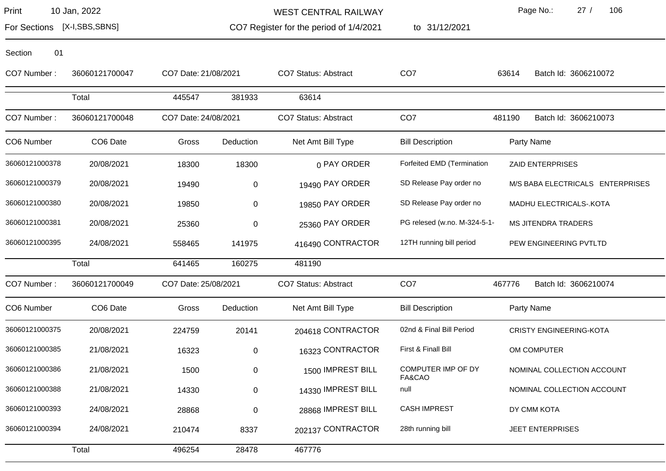Section 01

WEST CENTRAL RAILWAY

1/4/2021 to 31/12/2021

Page No.: 27 / 106

For Sections [X-I,SBS,SBNS]

CO7 Register for the period of 1/4/2021

36060121000394 24/08/2021 210474 8337 202137 CONTRACTOR 28th running bill JEET ENTERPRISES

Total 496254 28478 467776

CO7 Number : 36060121700047 CO7 Date:21/08/2021 CO7 Status: Abstract CO7 63614 Batch Id: 3606210072 Total 445547 381933 63614 CO7 Number : 36060121700048 CO7 Date:24/08/2021 CO7 Status: Abstract CO7 481190 Batch Id: 3606210073 CO6 Number CO6 Date Gross Deduction Net Amt Bill Type Bill Description Party Name 36060121000378 20/08/2021 18300 18300 18300 0 PAY ORDER Forfeited EMD (Termination ZAID ENTERPRISES 36060121000379 20/08/2021 19490 0 19490 PAY ORDER SD Release Pay order no M/S BABA ELECTRICALS ENTERPRISES 36060121000380 20/08/2021 19850 0 19850 0 19850 PAY ORDER SD Release Pay order no MADHU ELECTRICALS-.KOTA 36060121000381 20/08/2021 25360 0 25360 0 25360 PAY ORDER PG relesed (w.no. M-324-5-1- MS JITENDRA TRADERS 36060121000395 24/08/2021 558465 141975 416490 CONTRACTOR 12TH running bill period PEW ENGINEERING PVTLTD Total 641465 160275 481190 CO7 Number : 36060121700049 CO7 Date:25/08/2021 CO7 Status: Abstract CO7 467776 Batch Id: 3606210074 CO6 Number CO6 Date Gross Deduction Net Amt Bill Type Bill Description Party Name 36060121000375 20/08/2021 224759 20141 204618 CONTRACTOR 02nd & Final Bill Period CRISTY ENGINEERING-KOTA 36060121000385 21/08/2021 16323 0 16323 0 16323 CONTRACTOR First & Finall Bill OM COMPUTER 21/08/2021 1500 0 1500 1500 1500 1 1500 MPREST BILL COMPUTER IMP OF DY FA&CAO 36060121000386 1500 0 1500 IMPREST BILL NOMINAL COLLECTION ACCOUNT 36060121000388 21/08/2021 14330 0 14330 1MPREST BILL null 1990 14330 NOMINAL COLLECTION ACCOUNT 36060121000393 24/08/2021 28868 0 28868 IMPREST BILL CASH IMPREST DY CMM KOTA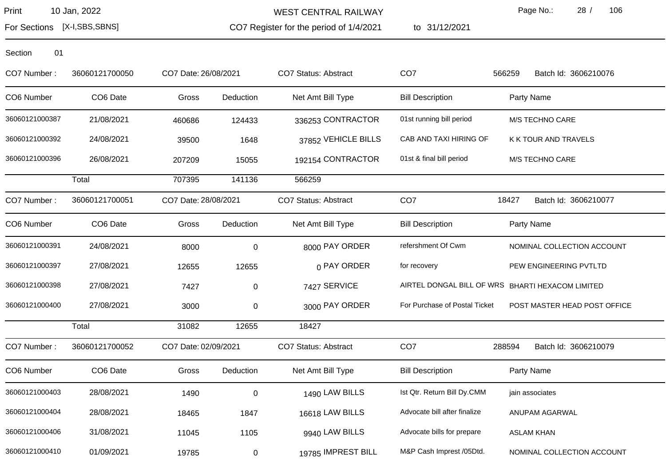WEST CENTRAL RAILWAY

CO7 Register for the period of 1/4/2021

to 31/12/2021

Page No.: 28 / 106

For Sections [X-I,SBS,SBNS]

| CO7 Number:    | 36060121700050 | CO7 Date: 26/08/2021 |             | CO7 Status: Abstract        | CO <sub>7</sub>               | 566259<br>Batch Id: 3606210076                   |
|----------------|----------------|----------------------|-------------|-----------------------------|-------------------------------|--------------------------------------------------|
| CO6 Number     | CO6 Date       | Gross                | Deduction   | Net Amt Bill Type           | <b>Bill Description</b>       | Party Name                                       |
| 36060121000387 | 21/08/2021     | 460686               | 124433      | 336253 CONTRACTOR           | 01st running bill period      | M/S TECHNO CARE                                  |
| 36060121000392 | 24/08/2021     | 39500                | 1648        | 37852 VEHICLE BILLS         | CAB AND TAXI HIRING OF        | K K TOUR AND TRAVELS                             |
| 36060121000396 | 26/08/2021     | 207209               | 15055       | 192154 CONTRACTOR           | 01st & final bill period      | M/S TECHNO CARE                                  |
|                | Total          | 707395               | 141136      | 566259                      |                               |                                                  |
| CO7 Number:    | 36060121700051 | CO7 Date: 28/08/2021 |             | CO7 Status: Abstract        | CO <sub>7</sub>               | 18427<br>Batch Id: 3606210077                    |
| CO6 Number     | CO6 Date       | Gross                | Deduction   | Net Amt Bill Type           | <b>Bill Description</b>       | Party Name                                       |
| 36060121000391 | 24/08/2021     | 8000                 | $\mathbf 0$ | 8000 PAY ORDER              | refershment Of Cwm            | NOMINAL COLLECTION ACCOUNT                       |
| 36060121000397 | 27/08/2021     | 12655                | 12655       | 0 PAY ORDER                 | for recovery                  | PEW ENGINEERING PVTLTD                           |
| 36060121000398 | 27/08/2021     | 7427                 | 0           | 7427 SERVICE                |                               | AIRTEL DONGAL BILL OF WRS BHARTI HEXACOM LIMITED |
| 36060121000400 | 27/08/2021     | 3000                 | $\,0\,$     | 3000 PAY ORDER              | For Purchase of Postal Ticket | POST MASTER HEAD POST OFFICE                     |
|                | Total          | 31082                | 12655       | 18427                       |                               |                                                  |
| CO7 Number:    | 36060121700052 | CO7 Date: 02/09/2021 |             | <b>CO7 Status: Abstract</b> | CO <sub>7</sub>               | 288594<br>Batch Id: 3606210079                   |
| CO6 Number     | CO6 Date       | Gross                | Deduction   | Net Amt Bill Type           | <b>Bill Description</b>       | Party Name                                       |
| 36060121000403 | 28/08/2021     | 1490                 | 0           | 1490 LAW BILLS              | Ist Qtr. Return Bill Dy.CMM   | jain associates                                  |
| 36060121000404 | 28/08/2021     | 18465                | 1847        | 16618 LAW BILLS             | Advocate bill after finalize  | ANUPAM AGARWAL                                   |
| 36060121000406 | 31/08/2021     | 11045                | 1105        | 9940 LAW BILLS              | Advocate bills for prepare    | <b>ASLAM KHAN</b>                                |
| 36060121000410 | 01/09/2021     | 19785                | 0           | 19785 IMPREST BILL          | M&P Cash Imprest /05Dtd.      | NOMINAL COLLECTION ACCOUNT                       |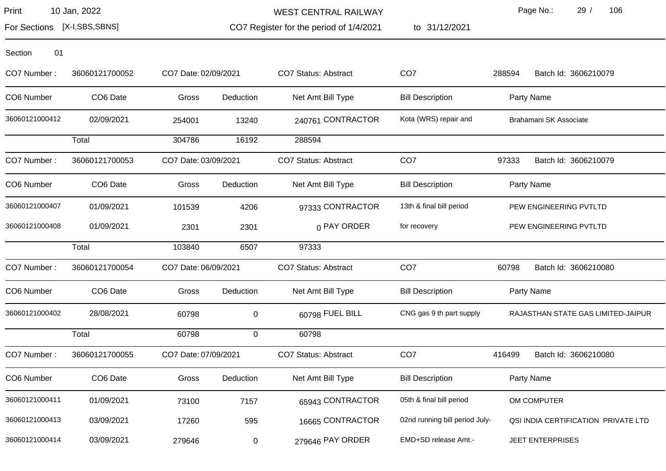WEST CENTRAL RAILWAY

CO7 Register for the period of 1/4/2021

to 31/12/2021

Page No.: 29 / 106

For Sections [X-I,SBS,SBNS]

| Section | 01 |
|---------|----|
|         |    |

| CO7 Number:    | 36060121700052       | CO7 Date: 02/09/2021 |             | <b>CO7 Status: Abstract</b> | CO <sub>7</sub>                | Batch Id: 3606210079<br>288594      |
|----------------|----------------------|----------------------|-------------|-----------------------------|--------------------------------|-------------------------------------|
| CO6 Number     | CO <sub>6</sub> Date | Gross                | Deduction   | Net Amt Bill Type           | <b>Bill Description</b>        | Party Name                          |
| 36060121000412 | 02/09/2021           | 254001               | 13240       | 240761 CONTRACTOR           | Kota (WRS) repair and          | Brahamani SK Associate              |
|                | Total                | 304786               | 16192       | 288594                      |                                |                                     |
| CO7 Number:    | 36060121700053       | CO7 Date: 03/09/2021 |             | <b>CO7 Status: Abstract</b> | CO <sub>7</sub>                | 97333<br>Batch Id: 3606210079       |
| CO6 Number     | CO <sub>6</sub> Date | Gross                | Deduction   | Net Amt Bill Type           | <b>Bill Description</b>        | Party Name                          |
| 36060121000407 | 01/09/2021           | 101539               | 4206        | 97333 CONTRACTOR            | 13th & final bill period       | PEW ENGINEERING PVTLTD              |
| 36060121000408 | 01/09/2021           | 2301                 | 2301        | 0 PAY ORDER                 | for recovery                   | PEW ENGINEERING PVTLTD              |
|                | Total                | 103840               | 6507        | 97333                       |                                |                                     |
| CO7 Number:    | 36060121700054       | CO7 Date: 06/09/2021 |             | <b>CO7 Status: Abstract</b> | CO <sub>7</sub>                | 60798<br>Batch Id: 3606210080       |
| CO6 Number     | CO6 Date             | Gross                | Deduction   | Net Amt Bill Type           | <b>Bill Description</b>        | Party Name                          |
| 36060121000402 | 28/08/2021           | 60798                | 0           | 60798 FUEL BILL             | CNG gas 9 th part supply       | RAJASTHAN STATE GAS LIMITED-JAIPUR  |
|                | Total                | 60798                | $\mathbf 0$ | 60798                       |                                |                                     |
| CO7 Number:    | 36060121700055       | CO7 Date: 07/09/2021 |             | CO7 Status: Abstract        | CO <sub>7</sub>                | 416499<br>Batch Id: 3606210080      |
| CO6 Number     | CO6 Date             | Gross                | Deduction   | Net Amt Bill Type           | <b>Bill Description</b>        | Party Name                          |
| 36060121000411 | 01/09/2021           | 73100                | 7157        | 65943 CONTRACTOR            | 05th & final bill period       | OM COMPUTER                         |
| 36060121000413 | 03/09/2021           | 17260                | 595         | 16665 CONTRACTOR            | 02nd running bill period July- | QSI INDIA CERTIFICATION PRIVATE LTD |
| 36060121000414 | 03/09/2021           | 279646               | 0           | 279646 PAY ORDER            | EMD+SD release Amt.-           | <b>JEET ENTERPRISES</b>             |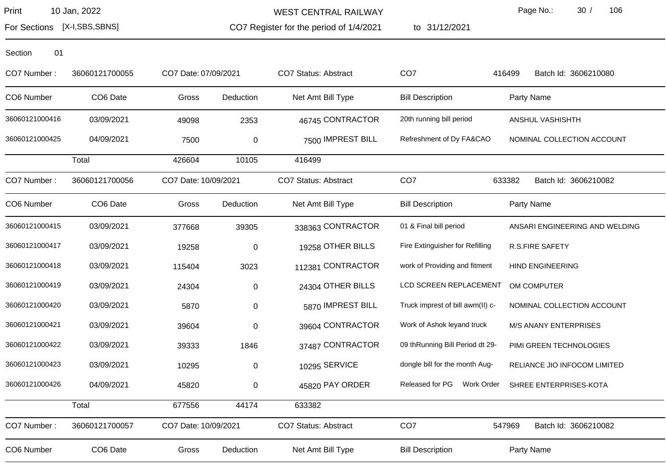For Sections [X-I,SBS,SBNS]

WEST CENTRAL RAILWAY

CO7 Register for the period of 1/4/2021 to 31/12/2021 Page No.: 30 / 106

| CO7 Number:    | 36060121700055       | CO7 Date: 07/09/2021 |                  | <b>CO7 Status: Abstract</b> | CO <sub>7</sub>                  | 416499<br>Batch Id: 3606210080 |
|----------------|----------------------|----------------------|------------------|-----------------------------|----------------------------------|--------------------------------|
| CO6 Number     | CO6 Date             | Gross                | Deduction        | Net Amt Bill Type           | <b>Bill Description</b>          | Party Name                     |
| 36060121000416 | 03/09/2021           | 49098                | 2353             | 46745 CONTRACTOR            | 20th running bill period         | ANSHUL VASHISHTH               |
| 36060121000425 | 04/09/2021           | 7500                 | $\boldsymbol{0}$ | 7500 IMPREST BILL           | Refreshment of Dy FA&CAO         | NOMINAL COLLECTION ACCOUNT     |
|                | Total                | 426604               | 10105            | 416499                      |                                  |                                |
| CO7 Number:    | 36060121700056       | CO7 Date: 10/09/2021 |                  | CO7 Status: Abstract        | CO <sub>7</sub>                  | 633382<br>Batch Id: 3606210082 |
| CO6 Number     | CO6 Date             | Gross                | Deduction        | Net Amt Bill Type           | <b>Bill Description</b>          | Party Name                     |
| 36060121000415 | 03/09/2021           | 377668               | 39305            | 338363 CONTRACTOR           | 01 & Final bill period           | ANSARI ENGINEERING AND WELDING |
| 36060121000417 | 03/09/2021           | 19258                | $\pmb{0}$        | 19258 OTHER BILLS           | Fire Extinguisher for Refilling  | <b>R.S.FIRE SAFETY</b>         |
| 36060121000418 | 03/09/2021           | 115404               | 3023             | 112381 CONTRACTOR           | work of Providing and fitment    | <b>HIND ENGINEERING</b>        |
| 36060121000419 | 03/09/2021           | 24304                | 0                | 24304 OTHER BILLS           | LCD SCREEN REPLACEMENT           | OM COMPUTER                    |
| 36060121000420 | 03/09/2021           | 5870                 | 0                | 5870 IMPREST BILL           | Truck imprest of bill awm(II) c- | NOMINAL COLLECTION ACCOUNT     |
| 36060121000421 | 03/09/2021           | 39604                | $\mathbf 0$      | 39604 CONTRACTOR            | Work of Ashok leyand truck       | <b>M/S ANANY ENTERPRISES</b>   |
| 36060121000422 | 03/09/2021           | 39333                | 1846             | 37487 CONTRACTOR            | 09 thRunning Bill Period dt 29-  | PIMI GREEN TECHNOLOGIES        |
| 36060121000423 | 03/09/2021           | 10295                | 0                | 10295 SERVICE               | dongle bill for the month Aug-   | RELIANCE JIO INFOCOM LIMITED   |
| 36060121000426 | 04/09/2021           | 45820                | $\pmb{0}$        | 45820 PAY ORDER             | Released for PG<br>Work Order    | SHREE ENTERPRISES-KOTA         |
|                | Total                | 677556               | 44174            | 633382                      |                                  |                                |
| CO7 Number:    | 36060121700057       | CO7 Date: 10/09/2021 |                  | <b>CO7 Status: Abstract</b> | CO <sub>7</sub>                  | Batch Id: 3606210082<br>547969 |
| CO6 Number     | CO <sub>6</sub> Date | Gross                | Deduction        | Net Amt Bill Type           | <b>Bill Description</b>          | Party Name                     |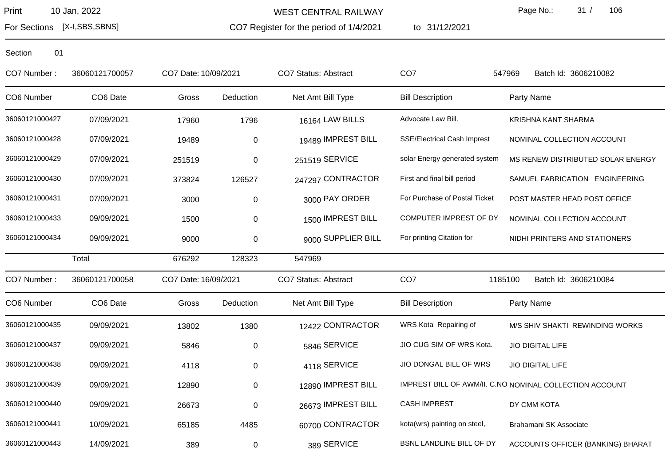For Sections [X-I,SBS,SBNS]

WEST CENTRAL RAILWAY

CO7 Register for the period of 1/4/2021

to 31/12/2021

Page No.: 31 / 106

| CO7 Number:    | 36060121700057       | CO7 Date: 10/09/2021 |           | <b>CO7 Status: Abstract</b> | CO <sub>7</sub>                    | 547969<br>Batch Id: 3606210082                          |
|----------------|----------------------|----------------------|-----------|-----------------------------|------------------------------------|---------------------------------------------------------|
| CO6 Number     | CO <sub>6</sub> Date | Gross                | Deduction | Net Amt Bill Type           | <b>Bill Description</b>            | Party Name                                              |
| 36060121000427 | 07/09/2021           | 17960                | 1796      | 16164 LAW BILLS             | Advocate Law Bill.                 | KRISHNA KANT SHARMA                                     |
| 36060121000428 | 07/09/2021           | 19489                | 0         | 19489 IMPREST BILL          | <b>SSE/Electrical Cash Imprest</b> | NOMINAL COLLECTION ACCOUNT                              |
| 36060121000429 | 07/09/2021           | 251519               | 0         | 251519 SERVICE              | solar Energy generated system      | MS RENEW DISTRIBUTED SOLAR ENERGY                       |
| 36060121000430 | 07/09/2021           | 373824               | 126527    | 247297 CONTRACTOR           | First and final bill period        | SAMUEL FABRICATION ENGINEERING                          |
| 36060121000431 | 07/09/2021           | 3000                 | 0         | 3000 PAY ORDER              | For Purchase of Postal Ticket      | POST MASTER HEAD POST OFFICE                            |
| 36060121000433 | 09/09/2021           | 1500                 | 0         | 1500 IMPREST BILL           | COMPUTER IMPREST OF DY             | NOMINAL COLLECTION ACCOUNT                              |
| 36060121000434 | 09/09/2021           | 9000                 | 0         | 9000 SUPPLIER BILL          | For printing Citation for          | NIDHI PRINTERS AND STATIONERS                           |
|                | Total                | 676292               | 128323    | 547969                      |                                    |                                                         |
| CO7 Number:    | 36060121700058       | CO7 Date: 16/09/2021 |           | CO7 Status: Abstract        | CO <sub>7</sub>                    | 1185100<br>Batch Id: 3606210084                         |
| CO6 Number     | CO6 Date             | Gross                | Deduction | Net Amt Bill Type           | <b>Bill Description</b>            | Party Name                                              |
| 36060121000435 | 09/09/2021           | 13802                | 1380      | 12422 CONTRACTOR            | WRS Kota Repairing of              | M/S SHIV SHAKTI REWINDING WORKS                         |
| 36060121000437 | 09/09/2021           | 5846                 | $\pmb{0}$ | 5846 SERVICE                | JIO CUG SIM OF WRS Kota.           | <b>JIO DIGITAL LIFE</b>                                 |
| 36060121000438 | 09/09/2021           | 4118                 | 0         | 4118 SERVICE                | JIO DONGAL BILL OF WRS             | <b>JIO DIGITAL LIFE</b>                                 |
| 36060121000439 | 09/09/2021           | 12890                | 0         | 12890 IMPREST BILL          |                                    | IMPREST BILL OF AWM/II. C.NO NOMINAL COLLECTION ACCOUNT |
| 36060121000440 | 09/09/2021           | 26673                | $\pmb{0}$ | 26673 IMPREST BILL          | <b>CASH IMPREST</b>                | DY CMM KOTA                                             |
| 36060121000441 | 10/09/2021           | 65185                | 4485      | 60700 CONTRACTOR            | kota(wrs) painting on steel,       | Brahamani SK Associate                                  |
| 36060121000443 | 14/09/2021           | 389                  | $\pmb{0}$ | 389 SERVICE                 | BSNL LANDLINE BILL OF DY           | ACCOUNTS OFFICER (BANKING) BHARAT                       |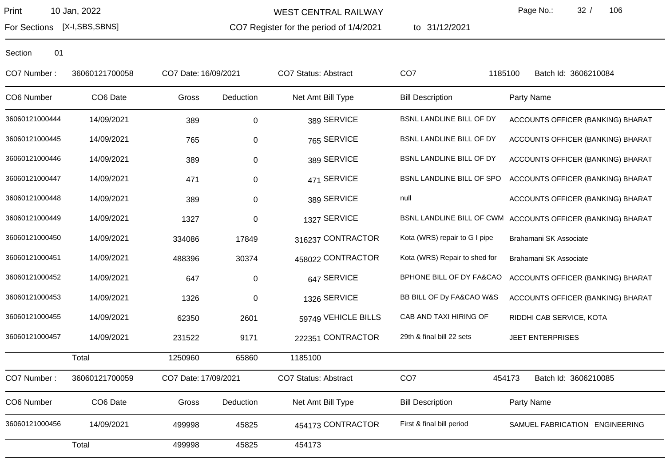WEST CENTRAL RAILWAY

CO7 Register for the period of 1/4/2021

to 31/12/2021

Page No.: 32 / 106

For Sections [X-I,SBS,SBNS]

| CO7 Number:    | 36060121700058 | CO7 Date: 16/09/2021 |             | CO7 Status: Abstract | CO <sub>7</sub>               | 1185100<br>Batch Id: 3606210084                             |
|----------------|----------------|----------------------|-------------|----------------------|-------------------------------|-------------------------------------------------------------|
| CO6 Number     | CO6 Date       | Gross                | Deduction   | Net Amt Bill Type    | <b>Bill Description</b>       | Party Name                                                  |
| 36060121000444 | 14/09/2021     | 389                  | 0           | 389 SERVICE          | BSNL LANDLINE BILL OF DY      | ACCOUNTS OFFICER (BANKING) BHARAT                           |
| 36060121000445 | 14/09/2021     | 765                  | 0           | 765 SERVICE          | BSNL LANDLINE BILL OF DY      | ACCOUNTS OFFICER (BANKING) BHARAT                           |
| 36060121000446 | 14/09/2021     | 389                  | $\pmb{0}$   | 389 SERVICE          | BSNL LANDLINE BILL OF DY      | ACCOUNTS OFFICER (BANKING) BHARAT                           |
| 36060121000447 | 14/09/2021     | 471                  | $\pmb{0}$   | 471 SERVICE          | BSNL LANDLINE BILL OF SPO     | ACCOUNTS OFFICER (BANKING) BHARAT                           |
| 36060121000448 | 14/09/2021     | 389                  | $\pmb{0}$   | 389 SERVICE          | null                          | ACCOUNTS OFFICER (BANKING) BHARAT                           |
| 36060121000449 | 14/09/2021     | 1327                 | 0           | 1327 SERVICE         |                               | BSNL LANDLINE BILL OF CWM ACCOUNTS OFFICER (BANKING) BHARAT |
| 36060121000450 | 14/09/2021     | 334086               | 17849       | 316237 CONTRACTOR    | Kota (WRS) repair to G I pipe | Brahamani SK Associate                                      |
| 36060121000451 | 14/09/2021     | 488396               | 30374       | 458022 CONTRACTOR    | Kota (WRS) Repair to shed for | Brahamani SK Associate                                      |
| 36060121000452 | 14/09/2021     | 647                  | $\pmb{0}$   | 647 SERVICE          | BPHONE BILL OF DY FA&CAO      | ACCOUNTS OFFICER (BANKING) BHARAT                           |
| 36060121000453 | 14/09/2021     | 1326                 | $\mathbf 0$ | 1326 SERVICE         | BB BILL OF Dy FA&CAO W&S      | ACCOUNTS OFFICER (BANKING) BHARAT                           |
| 36060121000455 | 14/09/2021     | 62350                | 2601        | 59749 VEHICLE BILLS  | CAB AND TAXI HIRING OF        | RIDDHI CAB SERVICE, KOTA                                    |
| 36060121000457 | 14/09/2021     | 231522               | 9171        | 222351 CONTRACTOR    | 29th & final bill 22 sets     | <b>JEET ENTERPRISES</b>                                     |
|                | Total          | 1250960              | 65860       | 1185100              |                               |                                                             |
| CO7 Number:    | 36060121700059 | CO7 Date: 17/09/2021 |             | CO7 Status: Abstract | CO <sub>7</sub>               | 454173<br>Batch Id: 3606210085                              |
| CO6 Number     | CO6 Date       | Gross                | Deduction   | Net Amt Bill Type    | <b>Bill Description</b>       | Party Name                                                  |
| 36060121000456 | 14/09/2021     | 499998               | 45825       | 454173 CONTRACTOR    | First & final bill period     | SAMUEL FABRICATION ENGINEERING                              |
|                | Total          | 499998               | 45825       | 454173               |                               |                                                             |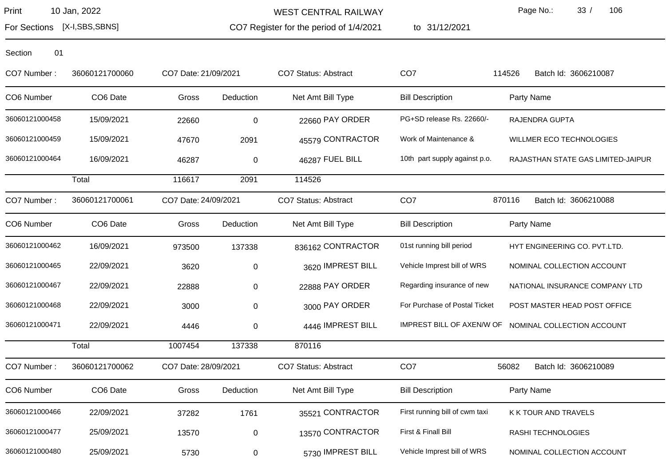WEST CENTRAL RAILWAY

CO7 Register for the period of 1/4/2021

to 31/12/2021

Page No.: 33 / 106

For Sections [X-I,SBS,SBNS]

| CO7 Number:    | 36060121700060 | CO7 Date: 21/09/2021 |           | CO7 Status: Abstract | CO <sub>7</sub>                | Batch Id: 3606210087<br>114526                       |
|----------------|----------------|----------------------|-----------|----------------------|--------------------------------|------------------------------------------------------|
| CO6 Number     | CO6 Date       | Gross                | Deduction | Net Amt Bill Type    | <b>Bill Description</b>        | Party Name                                           |
| 36060121000458 | 15/09/2021     | 22660                | $\pmb{0}$ | 22660 PAY ORDER      | PG+SD release Rs. 22660/-      | RAJENDRA GUPTA                                       |
| 36060121000459 | 15/09/2021     | 47670                | 2091      | 45579 CONTRACTOR     | Work of Maintenance &          | WILLMER ECO TECHNOLOGIES                             |
| 36060121000464 | 16/09/2021     | 46287                | 0         | 46287 FUEL BILL      | 10th part supply against p.o.  | RAJASTHAN STATE GAS LIMITED-JAIPUR                   |
|                | Total          | 116617               | 2091      | 114526               |                                |                                                      |
| CO7 Number:    | 36060121700061 | CO7 Date: 24/09/2021 |           | CO7 Status: Abstract | CO <sub>7</sub>                | 870116<br>Batch Id: 3606210088                       |
| CO6 Number     | CO6 Date       | Gross                | Deduction | Net Amt Bill Type    | <b>Bill Description</b>        | Party Name                                           |
| 36060121000462 | 16/09/2021     | 973500               | 137338    | 836162 CONTRACTOR    | 01st running bill period       | HYT ENGINEERING CO. PVT.LTD.                         |
| 36060121000465 | 22/09/2021     | 3620                 | $\pmb{0}$ | 3620 IMPREST BILL    | Vehicle Imprest bill of WRS    | NOMINAL COLLECTION ACCOUNT                           |
| 36060121000467 | 22/09/2021     | 22888                | 0         | 22888 PAY ORDER      | Regarding insurance of new     | NATIONAL INSURANCE COMPANY LTD                       |
| 36060121000468 | 22/09/2021     | 3000                 | 0         | 3000 PAY ORDER       | For Purchase of Postal Ticket  | POST MASTER HEAD POST OFFICE                         |
| 36060121000471 | 22/09/2021     | 4446                 | 0         | 4446 IMPREST BILL    |                                | IMPREST BILL OF AXEN/W OF NOMINAL COLLECTION ACCOUNT |
|                | Total          | 1007454              | 137338    | 870116               |                                |                                                      |
| CO7 Number:    | 36060121700062 | CO7 Date: 28/09/2021 |           | CO7 Status: Abstract | CO <sub>7</sub>                | 56082<br>Batch Id: 3606210089                        |
| CO6 Number     | CO6 Date       | Gross                | Deduction | Net Amt Bill Type    | <b>Bill Description</b>        | Party Name                                           |
| 36060121000466 | 22/09/2021     | 37282                | 1761      | 35521 CONTRACTOR     | First running bill of cwm taxi | K K TOUR AND TRAVELS                                 |
| 36060121000477 | 25/09/2021     | 13570                | $\pmb{0}$ | 13570 CONTRACTOR     | First & Finall Bill            | RASHI TECHNOLOGIES                                   |
| 36060121000480 | 25/09/2021     | 5730                 | 0         | 5730 IMPREST BILL    | Vehicle Imprest bill of WRS    | NOMINAL COLLECTION ACCOUNT                           |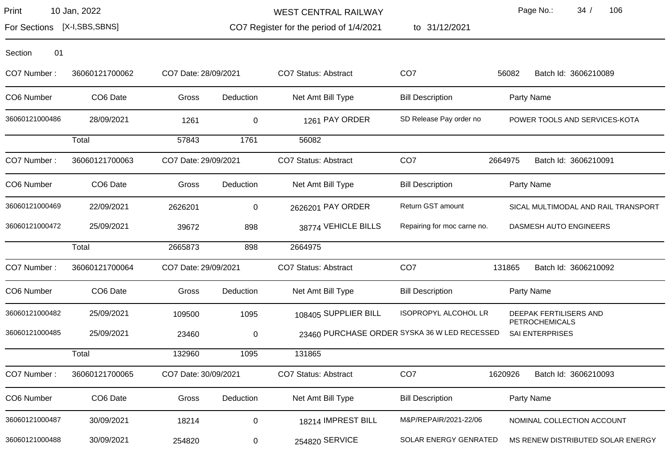For Sections [X-I,SBS,SBNS]

WEST CENTRAL RAILWAY

CO7 Register for the period of 1/4/2021 to 31/12/2021 Page No.: 34 / 106

| 01<br>Section  |                |                      |           |                             |                                              |                                          |
|----------------|----------------|----------------------|-----------|-----------------------------|----------------------------------------------|------------------------------------------|
| CO7 Number:    | 36060121700062 | CO7 Date: 28/09/2021 |           | <b>CO7 Status: Abstract</b> | CO <sub>7</sub>                              | Batch Id: 3606210089<br>56082            |
| CO6 Number     | CO6 Date       | Gross                | Deduction | Net Amt Bill Type           | <b>Bill Description</b>                      | Party Name                               |
| 36060121000486 | 28/09/2021     | 1261                 | 0         | 1261 PAY ORDER              | SD Release Pay order no                      | POWER TOOLS AND SERVICES-KOTA            |
|                | Total          | 57843                | 1761      | 56082                       |                                              |                                          |
| CO7 Number:    | 36060121700063 | CO7 Date: 29/09/2021 |           | <b>CO7 Status: Abstract</b> | CO <sub>7</sub>                              | 2664975<br>Batch Id: 3606210091          |
| CO6 Number     | CO6 Date       | Gross                | Deduction | Net Amt Bill Type           | <b>Bill Description</b>                      | Party Name                               |
| 36060121000469 | 22/09/2021     | 2626201              | 0         | 2626201 PAY ORDER           | Return GST amount                            | SICAL MULTIMODAL AND RAIL TRANSPORT      |
| 36060121000472 | 25/09/2021     | 39672                | 898       | 38774 VEHICLE BILLS         | Repairing for moc carne no.                  | DASMESH AUTO ENGINEERS                   |
|                | Total          | 2665873              | 898       | 2664975                     |                                              |                                          |
| CO7 Number:    | 36060121700064 | CO7 Date: 29/09/2021 |           | <b>CO7 Status: Abstract</b> | CO <sub>7</sub>                              | Batch Id: 3606210092<br>131865           |
| CO6 Number     | CO6 Date       | Gross                | Deduction | Net Amt Bill Type           | <b>Bill Description</b>                      | Party Name                               |
| 36060121000482 | 25/09/2021     | 109500               | 1095      | 108405 SUPPLIER BILL        | <b>ISOPROPYL ALCOHOL LR</b>                  | DEEPAK FERTILISERS AND<br>PETROCHEMICALS |
| 36060121000485 | 25/09/2021     | 23460                | 0         |                             | 23460 PURCHASE ORDER SYSKA 36 W LED RECESSED | <b>SAI ENTERPRISES</b>                   |
|                | Total          | 132960               | 1095      | 131865                      |                                              |                                          |
| CO7 Number:    | 36060121700065 | CO7 Date: 30/09/2021 |           | CO7 Status: Abstract        | CO <sub>7</sub>                              | 1620926<br>Batch Id: 3606210093          |
| CO6 Number     | CO6 Date       | Gross                | Deduction | Net Amt Bill Type           | <b>Bill Description</b>                      | Party Name                               |
| 36060121000487 | 30/09/2021     | 18214                | 0         | 18214 IMPREST BILL          | M&P/REPAIR/2021-22/06                        | NOMINAL COLLECTION ACCOUNT               |
| 36060121000488 | 30/09/2021     | 254820               | 0         | 254820 SERVICE              | SOLAR ENERGY GENRATED                        | MS RENEW DISTRIBUTED SOLAR ENERGY        |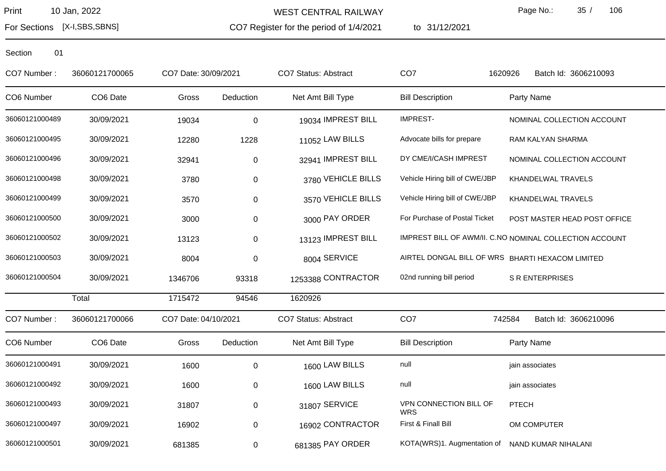WEST CENTRAL RAILWAY

CO7 Register for the period of 1/4/2021

to 31/12/2021

Page No.: 35 / 106

For Sections [X-I,SBS,SBNS]

| CO7 Number:    | 36060121700065 | CO7 Date: 30/09/2021 |           | <b>CO7 Status: Abstract</b> | CO <sub>7</sub>                                         | Batch Id: 3606210093<br>1620926 |
|----------------|----------------|----------------------|-----------|-----------------------------|---------------------------------------------------------|---------------------------------|
| CO6 Number     | CO6 Date       | Gross                | Deduction | Net Amt Bill Type           | <b>Bill Description</b>                                 | Party Name                      |
| 36060121000489 | 30/09/2021     | 19034                | $\pmb{0}$ | 19034 IMPREST BILL          | <b>IMPREST-</b>                                         | NOMINAL COLLECTION ACCOUNT      |
| 36060121000495 | 30/09/2021     | 12280                | 1228      | 11052 LAW BILLS             | Advocate bills for prepare                              | RAM KALYAN SHARMA               |
| 36060121000496 | 30/09/2021     | 32941                | 0         | 32941 IMPREST BILL          | DY CME/I/CASH IMPREST                                   | NOMINAL COLLECTION ACCOUNT      |
| 36060121000498 | 30/09/2021     | 3780                 | 0         | 3780 VEHICLE BILLS          | Vehicle Hiring bill of CWE/JBP                          | KHANDELWAL TRAVELS              |
| 36060121000499 | 30/09/2021     | 3570                 | 0         | 3570 VEHICLE BILLS          | Vehicle Hiring bill of CWE/JBP                          | KHANDELWAL TRAVELS              |
| 36060121000500 | 30/09/2021     | 3000                 | 0         | 3000 PAY ORDER              | For Purchase of Postal Ticket                           | POST MASTER HEAD POST OFFICE    |
| 36060121000502 | 30/09/2021     | 13123                | 0         | 13123 IMPREST BILL          | IMPREST BILL OF AWM/II. C.NO NOMINAL COLLECTION ACCOUNT |                                 |
| 36060121000503 | 30/09/2021     | 8004                 | $\pmb{0}$ | 8004 SERVICE                | AIRTEL DONGAL BILL OF WRS BHARTI HEXACOM LIMITED        |                                 |
| 36060121000504 | 30/09/2021     | 1346706              | 93318     | 1253388 CONTRACTOR          | 02nd running bill period                                | <b>S R ENTERPRISES</b>          |
|                | Total          | 1715472              | 94546     | 1620926                     |                                                         |                                 |
| CO7 Number:    | 36060121700066 | CO7 Date: 04/10/2021 |           | <b>CO7 Status: Abstract</b> | CO <sub>7</sub>                                         | 742584<br>Batch Id: 3606210096  |
| CO6 Number     | CO6 Date       | Gross                | Deduction | Net Amt Bill Type           | <b>Bill Description</b>                                 | Party Name                      |
| 36060121000491 | 30/09/2021     | 1600                 | 0         | 1600 LAW BILLS              | null                                                    | jain associates                 |
| 36060121000492 | 30/09/2021     | 1600                 | 0         | 1600 LAW BILLS              | null                                                    | jain associates                 |
| 36060121000493 | 30/09/2021     | 31807                | 0         | 31807 SERVICE               | VPN CONNECTION BILL OF<br><b>WRS</b>                    | <b>PTECH</b>                    |
| 36060121000497 | 30/09/2021     | 16902                | 0         | 16902 CONTRACTOR            | First & Finall Bill                                     | OM COMPUTER                     |
| 36060121000501 | 30/09/2021     | 681385               | 0         | 681385 PAY ORDER            | KOTA(WRS)1. Augmentation of                             | NAND KUMAR NIHALANI             |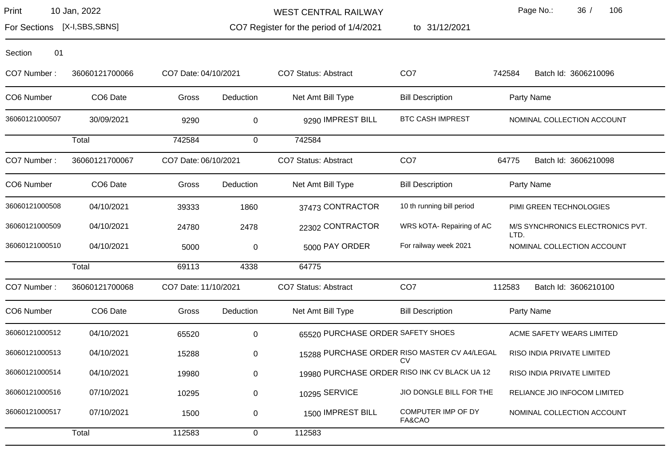For Sections [X-I,SBS,SBNS]

CO7 Register for the period of 1/4/2021 WEST CENTRAL RAILWAY

to 31/12/2021

Page No.: 36 / 106

| Section<br>01  |                |                      |             |                                   |                                                    |                                          |
|----------------|----------------|----------------------|-------------|-----------------------------------|----------------------------------------------------|------------------------------------------|
| CO7 Number:    | 36060121700066 | CO7 Date: 04/10/2021 |             | CO7 Status: Abstract              | CO <sub>7</sub>                                    | 742584<br>Batch Id: 3606210096           |
| CO6 Number     | CO6 Date       | Gross                | Deduction   | Net Amt Bill Type                 | <b>Bill Description</b>                            | Party Name                               |
| 36060121000507 | 30/09/2021     | 9290                 | $\mathbf 0$ | 9290 IMPREST BILL                 | <b>BTC CASH IMPREST</b>                            | NOMINAL COLLECTION ACCOUNT               |
|                | Total          | 742584               | $\mathbf 0$ | 742584                            |                                                    |                                          |
| CO7 Number:    | 36060121700067 | CO7 Date: 06/10/2021 |             | CO7 Status: Abstract              | CO <sub>7</sub>                                    | 64775<br>Batch Id: 3606210098            |
| CO6 Number     | CO6 Date       | Gross                | Deduction   | Net Amt Bill Type                 | <b>Bill Description</b>                            | Party Name                               |
| 36060121000508 | 04/10/2021     | 39333                | 1860        | 37473 CONTRACTOR                  | 10 th running bill period                          | PIMI GREEN TECHNOLOGIES                  |
| 36060121000509 | 04/10/2021     | 24780                | 2478        | 22302 CONTRACTOR                  | WRS kOTA- Repairing of AC                          | M/S SYNCHRONICS ELECTRONICS PVT.<br>LTD. |
| 36060121000510 | 04/10/2021     | 5000                 | $\mathbf 0$ | 5000 PAY ORDER                    | For railway week 2021                              | NOMINAL COLLECTION ACCOUNT               |
|                | Total          | 69113                | 4338        | 64775                             |                                                    |                                          |
| CO7 Number:    | 36060121700068 | CO7 Date: 11/10/2021 |             | <b>CO7 Status: Abstract</b>       | CO <sub>7</sub>                                    | 112583<br>Batch Id: 3606210100           |
| CO6 Number     | CO6 Date       | Gross                | Deduction   | Net Amt Bill Type                 | <b>Bill Description</b>                            | Party Name                               |
| 36060121000512 | 04/10/2021     | 65520                | $\mathbf 0$ | 65520 PURCHASE ORDER SAFETY SHOES |                                                    | ACME SAFETY WEARS LIMITED                |
| 36060121000513 | 04/10/2021     | 15288                | 0           |                                   | 15288 PURCHASE ORDER RISO MASTER CV A4/LEGAL<br>CV | RISO INDIA PRIVATE LIMITED               |
| 36060121000514 | 04/10/2021     | 19980                | 0           |                                   | 19980 PURCHASE ORDER RISO INK CV BLACK UA 12       | RISO INDIA PRIVATE LIMITED               |
| 36060121000516 | 07/10/2021     | 10295                | 0           | 10295 SERVICE                     | JIO DONGLE BILL FOR THE                            | RELIANCE JIO INFOCOM LIMITED             |
| 36060121000517 | 07/10/2021     | 1500                 | 0           | 1500 IMPREST BILL                 | COMPUTER IMP OF DY<br>FA&CAO                       | NOMINAL COLLECTION ACCOUNT               |
| Total          |                | 112583               | $\mathbf 0$ | 112583                            |                                                    |                                          |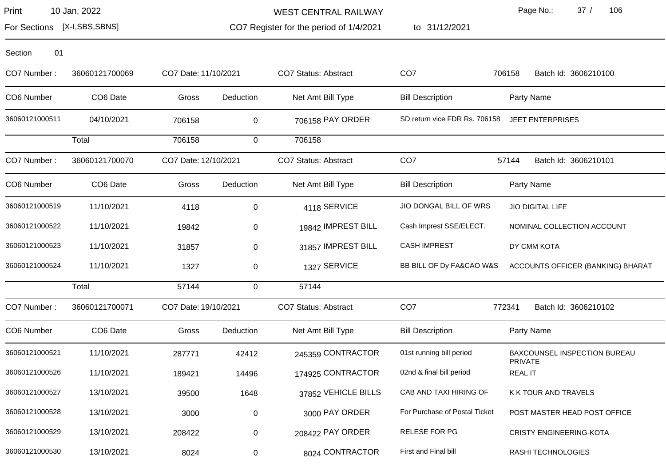For Sections [X-I,SBS,SBNS]

WEST CENTRAL RAILWAY

CO7 Register for the period of 1/4/2021

to 31/12/2021

Page No.: 37 / 106

| 01<br>Section  |                      |                      |             |                             |                               |                                                |
|----------------|----------------------|----------------------|-------------|-----------------------------|-------------------------------|------------------------------------------------|
| CO7 Number:    | 36060121700069       | CO7 Date: 11/10/2021 |             | CO7 Status: Abstract        | CO <sub>7</sub>               | 706158<br>Batch Id: 3606210100                 |
| CO6 Number     | CO6 Date             | Gross                | Deduction   | Net Amt Bill Type           | <b>Bill Description</b>       | Party Name                                     |
| 36060121000511 | 04/10/2021           | 706158               | 0           | 706158 PAY ORDER            | SD return vice FDR Rs. 706158 | <b>JEET ENTERPRISES</b>                        |
|                | Total                | 706158               | 0           | 706158                      |                               |                                                |
| CO7 Number:    | 36060121700070       | CO7 Date: 12/10/2021 |             | CO7 Status: Abstract        | CO <sub>7</sub>               | 57144<br>Batch Id: 3606210101                  |
| CO6 Number     | CO <sub>6</sub> Date | Gross                | Deduction   | Net Amt Bill Type           | <b>Bill Description</b>       | Party Name                                     |
| 36060121000519 | 11/10/2021           | 4118                 | 0           | 4118 SERVICE                | JIO DONGAL BILL OF WRS        | <b>JIO DIGITAL LIFE</b>                        |
| 36060121000522 | 11/10/2021           | 19842                | 0           | 19842 IMPREST BILL          | Cash Imprest SSE/ELECT.       | NOMINAL COLLECTION ACCOUNT                     |
| 36060121000523 | 11/10/2021           | 31857                | 0           | 31857 IMPREST BILL          | <b>CASH IMPREST</b>           | DY CMM KOTA                                    |
| 36060121000524 | 11/10/2021           | 1327                 | 0           | 1327 SERVICE                | BB BILL OF Dy FA&CAO W&S      | ACCOUNTS OFFICER (BANKING) BHARAT              |
|                | Total                | 57144                | $\mathbf 0$ | 57144                       |                               |                                                |
| CO7 Number:    | 36060121700071       | CO7 Date: 19/10/2021 |             | <b>CO7 Status: Abstract</b> | CO <sub>7</sub>               | Batch Id: 3606210102<br>772341                 |
| CO6 Number     | CO6 Date             | Gross                | Deduction   | Net Amt Bill Type           | <b>Bill Description</b>       | Party Name                                     |
| 36060121000521 | 11/10/2021           | 287771               | 42412       | 245359 CONTRACTOR           | 01st running bill period      | BAXCOUNSEL INSPECTION BUREAU<br><b>PRIVATE</b> |
| 36060121000526 | 11/10/2021           | 189421               | 14496       | 174925 CONTRACTOR           | 02nd & final bill period      | <b>REAL IT</b>                                 |
| 36060121000527 | 13/10/2021           | 39500                | 1648        | 37852 VEHICLE BILLS         | CAB AND TAXI HIRING OF        | K K TOUR AND TRAVELS                           |
| 36060121000528 | 13/10/2021           | 3000                 | 0           | 3000 PAY ORDER              | For Purchase of Postal Ticket | POST MASTER HEAD POST OFFICE                   |
| 36060121000529 | 13/10/2021           | 208422               | 0           | 208422 PAY ORDER            | RELESE FOR PG                 | <b>CRISTY ENGINEERING-KOTA</b>                 |
| 36060121000530 | 13/10/2021           | 8024                 | 0           | 8024 CONTRACTOR             | First and Final bill          | RASHI TECHNOLOGIES                             |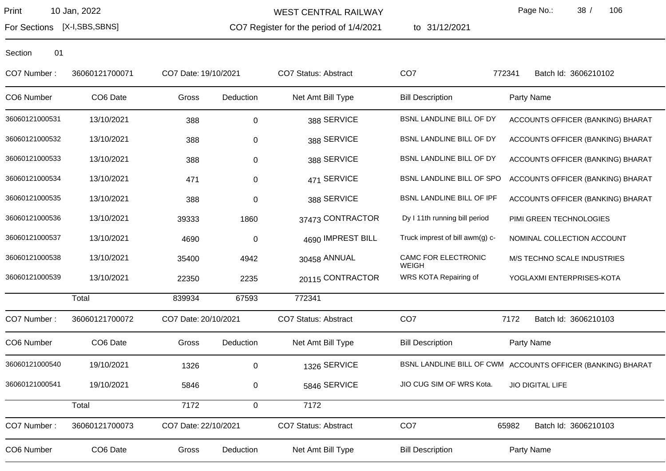WEST CENTRAL RAILWAY

CO7 Register for the period of 1/4/2021

to 31/12/2021

Page No.: 38 / 106

For Sections [X-I,SBS,SBNS]

| CO7 Number:    | 36060121700071 | CO7 Date: 19/10/2021 |             | CO7 Status: Abstract        | CO <sub>7</sub>                 | Batch Id: 3606210102<br>772341                              |
|----------------|----------------|----------------------|-------------|-----------------------------|---------------------------------|-------------------------------------------------------------|
| CO6 Number     | CO6 Date       | Gross                | Deduction   | Net Amt Bill Type           | <b>Bill Description</b>         | Party Name                                                  |
| 36060121000531 | 13/10/2021     | 388                  | 0           | 388 SERVICE                 | BSNL LANDLINE BILL OF DY        | ACCOUNTS OFFICER (BANKING) BHARAT                           |
| 36060121000532 | 13/10/2021     | 388                  | 0           | 388 SERVICE                 | BSNL LANDLINE BILL OF DY        | ACCOUNTS OFFICER (BANKING) BHARAT                           |
| 36060121000533 | 13/10/2021     | 388                  | 0           | 388 SERVICE                 | BSNL LANDLINE BILL OF DY        | ACCOUNTS OFFICER (BANKING) BHARAT                           |
| 36060121000534 | 13/10/2021     | 471                  | 0           | 471 SERVICE                 | BSNL LANDLINE BILL OF SPO       | ACCOUNTS OFFICER (BANKING) BHARAT                           |
| 36060121000535 | 13/10/2021     | 388                  | 0           | 388 SERVICE                 | BSNL LANDLINE BILL OF IPF       | ACCOUNTS OFFICER (BANKING) BHARAT                           |
| 36060121000536 | 13/10/2021     | 39333                | 1860        | 37473 CONTRACTOR            | Dy I 11th running bill period   | PIMI GREEN TECHNOLOGIES                                     |
| 36060121000537 | 13/10/2021     | 4690                 | $\mathbf 0$ | 4690 IMPREST BILL           | Truck imprest of bill awm(g) c- | NOMINAL COLLECTION ACCOUNT                                  |
| 36060121000538 | 13/10/2021     | 35400                | 4942        | 30458 ANNUAL                | CAMC FOR ELECTRONIC<br>WEIGH    | M/S TECHNO SCALE INDUSTRIES                                 |
| 36060121000539 | 13/10/2021     | 22350                | 2235        | 20115 CONTRACTOR            | WRS KOTA Repairing of           | YOGLAXMI ENTERPRISES-KOTA                                   |
|                | Total          | 839934               | 67593       | 772341                      |                                 |                                                             |
| CO7 Number:    | 36060121700072 | CO7 Date: 20/10/2021 |             | CO7 Status: Abstract        | CO <sub>7</sub>                 | 7172<br>Batch Id: 3606210103                                |
| CO6 Number     | CO6 Date       | Gross                | Deduction   | Net Amt Bill Type           | <b>Bill Description</b>         | Party Name                                                  |
| 36060121000540 | 19/10/2021     | 1326                 | 0           | 1326 SERVICE                |                                 | BSNL LANDLINE BILL OF CWM ACCOUNTS OFFICER (BANKING) BHARAT |
| 36060121000541 | 19/10/2021     | 5846                 | 0           | 5846 SERVICE                | JIO CUG SIM OF WRS Kota.        | <b>JIO DIGITAL LIFE</b>                                     |
|                | Total          | 7172                 | $\mathbf 0$ | 7172                        |                                 |                                                             |
| CO7 Number:    | 36060121700073 | CO7 Date: 22/10/2021 |             | <b>CO7 Status: Abstract</b> | CO <sub>7</sub>                 | 65982<br>Batch Id: 3606210103                               |
| CO6 Number     | CO6 Date       | Gross                | Deduction   | Net Amt Bill Type           | <b>Bill Description</b>         | Party Name                                                  |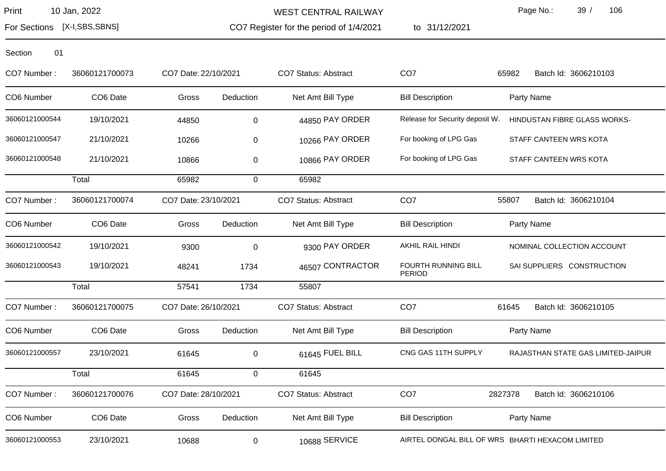WEST CENTRAL RAILWAY

CO7 Register for the period of 1/4/2021

to 31/12/2021

Page No.: 39 / 106

For Sections [X-I,SBS,SBNS]

| CO7 Number:    | 36060121700073 | CO7 Date: 22/10/2021 |             | <b>CO7 Status: Abstract</b> | CO <sub>7</sub>                      | 65982<br>Batch Id: 3606210103                    |
|----------------|----------------|----------------------|-------------|-----------------------------|--------------------------------------|--------------------------------------------------|
| CO6 Number     | CO6 Date       | Gross                | Deduction   | Net Amt Bill Type           | <b>Bill Description</b>              | Party Name                                       |
| 36060121000544 | 19/10/2021     | 44850                | $\mathbf 0$ | 44850 PAY ORDER             | Release for Security deposit W.      | HINDUSTAN FIBRE GLASS WORKS-                     |
| 36060121000547 | 21/10/2021     | 10266                | $\pmb{0}$   | 10266 PAY ORDER             | For booking of LPG Gas               | STAFF CANTEEN WRS KOTA                           |
| 36060121000548 | 21/10/2021     | 10866                | $\pmb{0}$   | 10866 PAY ORDER             | For booking of LPG Gas               | STAFF CANTEEN WRS KOTA                           |
|                | Total          | 65982                | $\mathbf 0$ | 65982                       |                                      |                                                  |
| CO7 Number:    | 36060121700074 | CO7 Date: 23/10/2021 |             | CO7 Status: Abstract        | CO <sub>7</sub>                      | 55807<br>Batch Id: 3606210104                    |
| CO6 Number     | CO6 Date       | Gross                | Deduction   | Net Amt Bill Type           | <b>Bill Description</b>              | Party Name                                       |
| 36060121000542 | 19/10/2021     | 9300                 | $\mathsf 0$ | 9300 PAY ORDER              | AKHIL RAIL HINDI                     | NOMINAL COLLECTION ACCOUNT                       |
| 36060121000543 | 19/10/2021     | 48241                | 1734        | 46507 CONTRACTOR            | FOURTH RUNNING BILL<br><b>PERIOD</b> | SAI SUPPLIERS CONSTRUCTION                       |
|                | Total          | 57541                | 1734        | 55807                       |                                      |                                                  |
| CO7 Number:    | 36060121700075 | CO7 Date: 26/10/2021 |             | <b>CO7 Status: Abstract</b> | CO <sub>7</sub>                      | 61645<br>Batch Id: 3606210105                    |
| CO6 Number     | CO6 Date       | Gross                | Deduction   | Net Amt Bill Type           | <b>Bill Description</b>              | Party Name                                       |
| 36060121000557 | 23/10/2021     | 61645                | $\mathbf 0$ | 61645 FUEL BILL             | CNG GAS 11TH SUPPLY                  | RAJASTHAN STATE GAS LIMITED-JAIPUR               |
|                | Total          | 61645                | 0           | 61645                       |                                      |                                                  |
| CO7 Number:    | 36060121700076 | CO7 Date: 28/10/2021 |             | CO7 Status: Abstract        | CO <sub>7</sub>                      | 2827378<br>Batch Id: 3606210106                  |
| CO6 Number     | CO6 Date       | Gross                | Deduction   | Net Amt Bill Type           | <b>Bill Description</b>              | Party Name                                       |
| 36060121000553 | 23/10/2021     | 10688                | 0           | 10688 SERVICE               |                                      | AIRTEL DONGAL BILL OF WRS BHARTI HEXACOM LIMITED |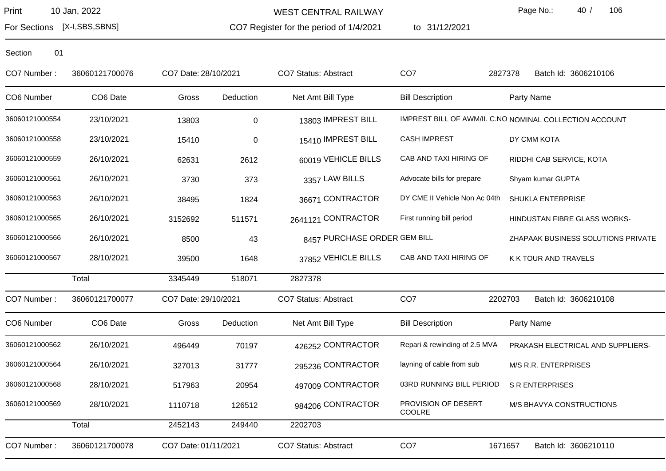WEST CENTRAL RAILWAY

CO7 Register for the period of 1/4/2021

to 31/12/2021

Page No.: 40 / 106

For Sections [X-I,SBS,SBNS]

| CO7 Number:    | 36060121700076 | CO7 Date: 28/10/2021 |             | <b>CO7 Status: Abstract</b>  | CO <sub>7</sub>               | 2827378<br>Batch Id: 3606210106                         |
|----------------|----------------|----------------------|-------------|------------------------------|-------------------------------|---------------------------------------------------------|
| CO6 Number     | CO6 Date       | Gross                | Deduction   | Net Amt Bill Type            | <b>Bill Description</b>       | Party Name                                              |
| 36060121000554 | 23/10/2021     | 13803                | $\mathbf 0$ | 13803 IMPREST BILL           |                               | IMPREST BILL OF AWM/II. C.NO NOMINAL COLLECTION ACCOUNT |
| 36060121000558 | 23/10/2021     | 15410                | $\mathbf 0$ | 15410 IMPREST BILL           | <b>CASH IMPREST</b>           | DY CMM KOTA                                             |
| 36060121000559 | 26/10/2021     | 62631                | 2612        | 60019 VEHICLE BILLS          | CAB AND TAXI HIRING OF        | RIDDHI CAB SERVICE, KOTA                                |
| 36060121000561 | 26/10/2021     | 3730                 | 373         | 3357 LAW BILLS               | Advocate bills for prepare    | Shyam kumar GUPTA                                       |
| 36060121000563 | 26/10/2021     | 38495                | 1824        | 36671 CONTRACTOR             | DY CME II Vehicle Non Ac 04th | SHUKLA ENTERPRISE                                       |
| 36060121000565 | 26/10/2021     | 3152692              | 511571      | 2641121 CONTRACTOR           | First running bill period     | HINDUSTAN FIBRE GLASS WORKS-                            |
| 36060121000566 | 26/10/2021     | 8500                 | 43          | 8457 PURCHASE ORDER GEM BILL |                               | ZHAPAAK BUSINESS SOLUTIONS PRIVATE                      |
| 36060121000567 | 28/10/2021     | 39500                | 1648        | 37852 VEHICLE BILLS          | CAB AND TAXI HIRING OF        | K K TOUR AND TRAVELS                                    |
|                | Total          | 3345449              | 518071      | 2827378                      |                               |                                                         |
| CO7 Number:    | 36060121700077 | CO7 Date: 29/10/2021 |             | CO7 Status: Abstract         | CO <sub>7</sub>               | 2202703<br>Batch Id: 3606210108                         |
| CO6 Number     | CO6 Date       | Gross                | Deduction   | Net Amt Bill Type            | <b>Bill Description</b>       | Party Name                                              |
| 36060121000562 | 26/10/2021     | 496449               | 70197       | 426252 CONTRACTOR            | Repari & rewinding of 2.5 MVA | PRAKASH ELECTRICAL AND SUPPLIERS-                       |
| 36060121000564 | 26/10/2021     | 327013               | 31777       | 295236 CONTRACTOR            | layning of cable from sub     | M/S R.R. ENTERPRISES                                    |
| 36060121000568 | 28/10/2021     | 517963               | 20954       | 497009 CONTRACTOR            | 03RD RUNNING BILL PERIOD      | <b>S R ENTERPRISES</b>                                  |
| 36060121000569 | 28/10/2021     | 1110718              | 126512      | 984206 CONTRACTOR            | PROVISION OF DESERT<br>COOLRE | M/S BHAVYA CONSTRUCTIONS                                |
|                | Total          | 2452143              | 249440      | 2202703                      |                               |                                                         |
| CO7 Number:    | 36060121700078 | CO7 Date: 01/11/2021 |             | <b>CO7 Status: Abstract</b>  | CO <sub>7</sub>               | 1671657<br>Batch Id: 3606210110                         |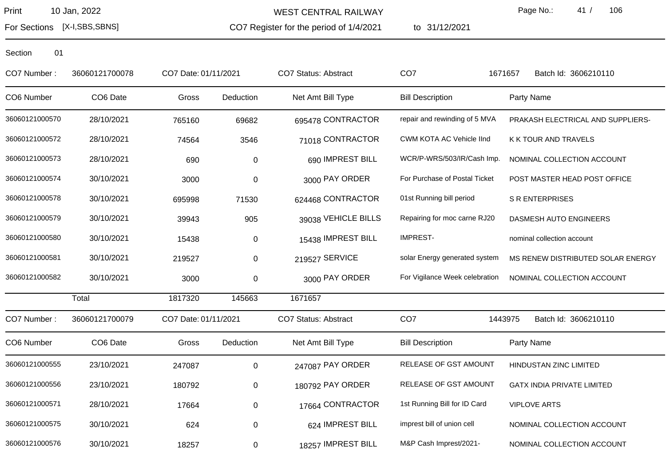For Sections [X-I,SBS,SBNS]

CO7 Register for the period of 1/4/2021 WEST CENTRAL RAILWAY

to 31/12/2021

Page No.: 41 / 106

| CO7 Number:    | 36060121700078 | CO7 Date: 01/11/2021 |           | <b>CO7 Status: Abstract</b> | CO <sub>7</sub>                | Batch Id: 3606210110<br>1671657   |
|----------------|----------------|----------------------|-----------|-----------------------------|--------------------------------|-----------------------------------|
| CO6 Number     | CO6 Date       | Gross                | Deduction | Net Amt Bill Type           | <b>Bill Description</b>        | Party Name                        |
| 36060121000570 | 28/10/2021     | 765160               | 69682     | 695478 CONTRACTOR           | repair and rewinding of 5 MVA  | PRAKASH ELECTRICAL AND SUPPLIERS- |
| 36060121000572 | 28/10/2021     | 74564                | 3546      | 71018 CONTRACTOR            | CWM KOTA AC Vehicle IInd       | K K TOUR AND TRAVELS              |
| 36060121000573 | 28/10/2021     | 690                  | 0         | 690 IMPREST BILL            | WCR/P-WRS/503/IR/Cash Imp.     | NOMINAL COLLECTION ACCOUNT        |
| 36060121000574 | 30/10/2021     | 3000                 | $\pmb{0}$ | 3000 PAY ORDER              | For Purchase of Postal Ticket  | POST MASTER HEAD POST OFFICE      |
| 36060121000578 | 30/10/2021     | 695998               | 71530     | 624468 CONTRACTOR           | 01st Running bill period       | <b>S R ENTERPRISES</b>            |
| 36060121000579 | 30/10/2021     | 39943                | 905       | 39038 VEHICLE BILLS         | Repairing for moc carne RJ20   | DASMESH AUTO ENGINEERS            |
| 36060121000580 | 30/10/2021     | 15438                | 0         | 15438 IMPREST BILL          | <b>IMPREST-</b>                | nominal collection account        |
| 36060121000581 | 30/10/2021     | 219527               | 0         | 219527 SERVICE              | solar Energy generated system  | MS RENEW DISTRIBUTED SOLAR ENERGY |
| 36060121000582 | 30/10/2021     | 3000                 | 0         | 3000 PAY ORDER              | For Vigilance Week celebration | NOMINAL COLLECTION ACCOUNT        |
|                | Total          | 1817320              | 145663    | 1671657                     |                                |                                   |
| CO7 Number:    | 36060121700079 | CO7 Date: 01/11/2021 |           | <b>CO7 Status: Abstract</b> | CO <sub>7</sub>                | 1443975<br>Batch Id: 3606210110   |
| CO6 Number     | CO6 Date       | Gross                | Deduction | Net Amt Bill Type           | <b>Bill Description</b>        | Party Name                        |
| 36060121000555 | 23/10/2021     | 247087               | 0         | 247087 PAY ORDER            | RELEASE OF GST AMOUNT          | HINDUSTAN ZINC LIMITED            |
| 36060121000556 | 23/10/2021     | 180792               | 0         | 180792 PAY ORDER            | RELEASE OF GST AMOUNT          | <b>GATX INDIA PRIVATE LIMITED</b> |
| 36060121000571 | 28/10/2021     | 17664                | 0         | 17664 CONTRACTOR            | 1st Running Bill for ID Card   | <b>VIPLOVE ARTS</b>               |
| 36060121000575 | 30/10/2021     | 624                  | 0         | 624 IMPREST BILL            | imprest bill of union cell     | NOMINAL COLLECTION ACCOUNT        |
| 36060121000576 | 30/10/2021     | 18257                | 0         | 18257 IMPREST BILL          | M&P Cash Imprest/2021-         | NOMINAL COLLECTION ACCOUNT        |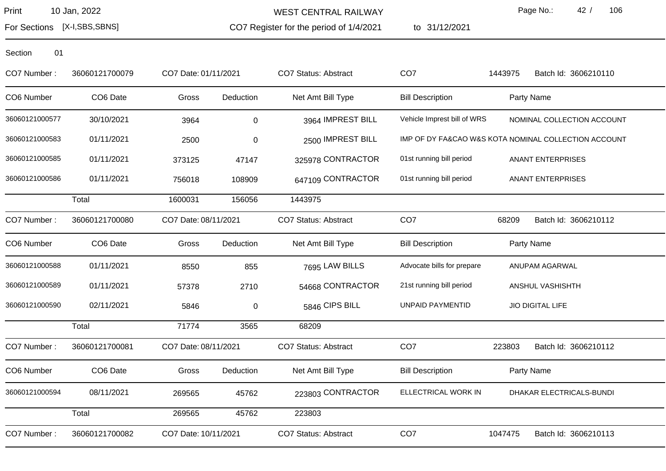WEST CENTRAL RAILWAY

CO7 Register for the period of 1/4/2021 to 31/12/2021 Page No.: 42 / 106

For Sections [X-I,SBS,SBNS]

| CO7 Number:    | 36060121700079 | CO7 Date: 01/11/2021 |           | CO7 Status: Abstract | CO <sub>7</sub>             | 1443975<br>Batch Id: 3606210110                      |
|----------------|----------------|----------------------|-----------|----------------------|-----------------------------|------------------------------------------------------|
| CO6 Number     | CO6 Date       | Gross                | Deduction | Net Amt Bill Type    | <b>Bill Description</b>     | Party Name                                           |
| 36060121000577 | 30/10/2021     | 3964                 | $\pmb{0}$ | 3964 IMPREST BILL    | Vehicle Imprest bill of WRS | NOMINAL COLLECTION ACCOUNT                           |
| 36060121000583 | 01/11/2021     | 2500                 | $\pmb{0}$ | 2500 IMPREST BILL    |                             | IMP OF DY FA&CAO W&S KOTA NOMINAL COLLECTION ACCOUNT |
| 36060121000585 | 01/11/2021     | 373125               | 47147     | 325978 CONTRACTOR    | 01st running bill period    | <b>ANANT ENTERPRISES</b>                             |
| 36060121000586 | 01/11/2021     | 756018               | 108909    | 647109 CONTRACTOR    | 01st running bill period    | <b>ANANT ENTERPRISES</b>                             |
|                | Total          | 1600031              | 156056    | 1443975              |                             |                                                      |
| CO7 Number:    | 36060121700080 | CO7 Date: 08/11/2021 |           | CO7 Status: Abstract | CO <sub>7</sub>             | 68209<br>Batch Id: 3606210112                        |
| CO6 Number     | CO6 Date       | Gross                | Deduction | Net Amt Bill Type    | <b>Bill Description</b>     | Party Name                                           |
| 36060121000588 | 01/11/2021     | 8550                 | 855       | 7695 LAW BILLS       | Advocate bills for prepare  | ANUPAM AGARWAL                                       |
| 36060121000589 | 01/11/2021     | 57378                | 2710      | 54668 CONTRACTOR     | 21st running bill period    | ANSHUL VASHISHTH                                     |
| 36060121000590 | 02/11/2021     | 5846                 | 0         | 5846 CIPS BILL       | <b>UNPAID PAYMENTID</b>     | <b>JIO DIGITAL LIFE</b>                              |
|                | Total          | 71774                | 3565      | 68209                |                             |                                                      |
| CO7 Number:    | 36060121700081 | CO7 Date: 08/11/2021 |           | CO7 Status: Abstract | CO <sub>7</sub>             | 223803<br>Batch Id: 3606210112                       |
| CO6 Number     | CO6 Date       | Gross                | Deduction | Net Amt Bill Type    | <b>Bill Description</b>     | Party Name                                           |
| 36060121000594 | 08/11/2021     | 269565               | 45762     | 223803 CONTRACTOR    | ELLECTRICAL WORK IN         | DHAKAR ELECTRICALS-BUNDI                             |
|                | Total          | 269565               | 45762     | 223803               |                             |                                                      |
| CO7 Number:    | 36060121700082 | CO7 Date: 10/11/2021 |           | CO7 Status: Abstract | CO <sub>7</sub>             | 1047475<br>Batch Id: 3606210113                      |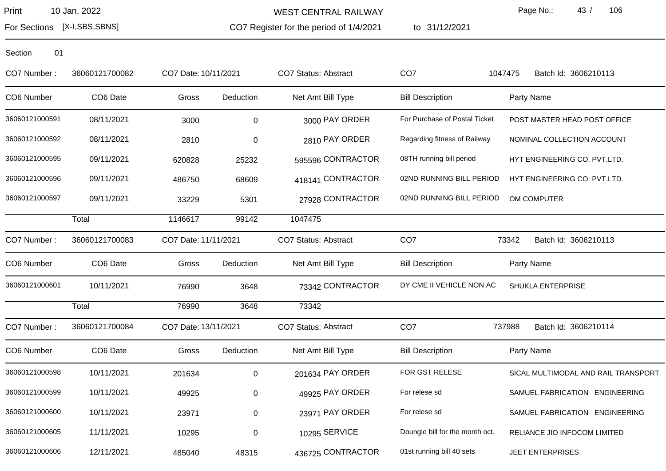WEST CENTRAL RAILWAY

CO7 Register for the period of 1/4/2021

to 31/12/2021

Page No.: 43 / 106

For Sections [X-I,SBS,SBNS]

| CO7 Number:    | 36060121700082 | CO7 Date: 10/11/2021 |           | <b>CO7 Status: Abstract</b> | CO <sub>7</sub>                 | 1047475<br>Batch Id: 3606210113     |
|----------------|----------------|----------------------|-----------|-----------------------------|---------------------------------|-------------------------------------|
| CO6 Number     | CO6 Date       | Gross                | Deduction | Net Amt Bill Type           | <b>Bill Description</b>         | Party Name                          |
| 36060121000591 | 08/11/2021     | 3000                 | $\pmb{0}$ | 3000 PAY ORDER              | For Purchase of Postal Ticket   | POST MASTER HEAD POST OFFICE        |
| 36060121000592 | 08/11/2021     | 2810                 | 0         | 2810 PAY ORDER              | Regarding fitness of Railway    | NOMINAL COLLECTION ACCOUNT          |
| 36060121000595 | 09/11/2021     | 620828               | 25232     | 595596 CONTRACTOR           | 08TH running bill period        | HYT ENGINEERING CO. PVT.LTD.        |
| 36060121000596 | 09/11/2021     | 486750               | 68609     | 418141 CONTRACTOR           | 02ND RUNNING BILL PERIOD        | HYT ENGINEERING CO. PVT.LTD.        |
| 36060121000597 | 09/11/2021     | 33229                | 5301      | 27928 CONTRACTOR            | 02ND RUNNING BILL PERIOD        | OM COMPUTER                         |
|                | Total          | 1146617              | 99142     | 1047475                     |                                 |                                     |
| CO7 Number:    | 36060121700083 | CO7 Date: 11/11/2021 |           | <b>CO7 Status: Abstract</b> | CO <sub>7</sub>                 | 73342<br>Batch Id: 3606210113       |
| CO6 Number     | CO6 Date       | Gross                | Deduction | Net Amt Bill Type           | <b>Bill Description</b>         | Party Name                          |
| 36060121000601 | 10/11/2021     | 76990                | 3648      | 73342 CONTRACTOR            | DY CME II VEHICLE NON AC        | <b>SHUKLA ENTERPRISE</b>            |
|                | Total          | 76990                | 3648      | 73342                       |                                 |                                     |
| CO7 Number:    | 36060121700084 | CO7 Date: 13/11/2021 |           | CO7 Status: Abstract        | CO <sub>7</sub>                 | 737988<br>Batch Id: 3606210114      |
| CO6 Number     | CO6 Date       | Gross                | Deduction | Net Amt Bill Type           | <b>Bill Description</b>         | Party Name                          |
| 36060121000598 | 10/11/2021     | 201634               | $\pmb{0}$ | 201634 PAY ORDER            | FOR GST RELESE                  | SICAL MULTIMODAL AND RAIL TRANSPORT |
| 36060121000599 | 10/11/2021     | 49925                | 0         | 49925 PAY ORDER             | For relese sd                   | SAMUEL FABRICATION ENGINEERING      |
| 36060121000600 | 10/11/2021     | 23971                | 0         | 23971 PAY ORDER             | For relese sd                   | SAMUEL FABRICATION ENGINEERING      |
| 36060121000605 | 11/11/2021     | 10295                | 0         | 10295 SERVICE               | Doungle bill for the month oct. | RELIANCE JIO INFOCOM LIMITED        |
| 36060121000606 | 12/11/2021     | 485040               | 48315     | 436725 CONTRACTOR           | 01st running bill 40 sets       | <b>JEET ENTERPRISES</b>             |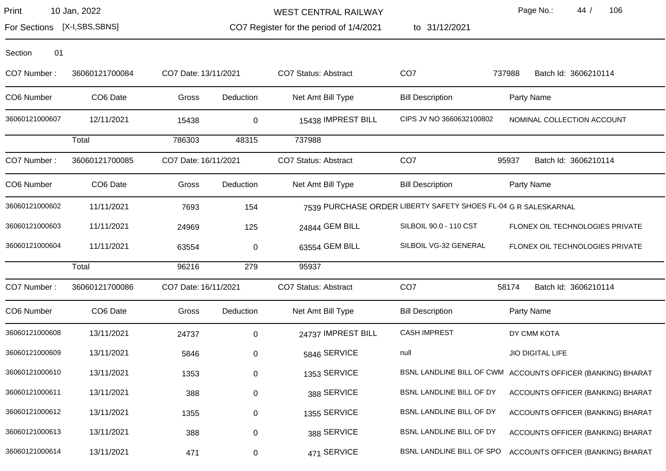WEST CENTRAL RAILWAY

CO7 Register for the period of 1/4/2021

to 31/12/2021

Page No.: 44 / 106

For Sections [X-I,SBS,SBNS]

| Section | 01 |
|---------|----|
|         |    |

| CO7 Number:    | 36060121700084       | CO7 Date: 13/11/2021 |             | CO7 Status: Abstract        | CO <sub>7</sub>                                                | 737988<br>Batch Id: 3606210114                              |
|----------------|----------------------|----------------------|-------------|-----------------------------|----------------------------------------------------------------|-------------------------------------------------------------|
| CO6 Number     | CO <sub>6</sub> Date | Gross                | Deduction   | Net Amt Bill Type           | <b>Bill Description</b>                                        | Party Name                                                  |
| 36060121000607 | 12/11/2021           | 15438                | $\mathbf 0$ | 15438 IMPREST BILL          | CIPS JV NO 3660632100802                                       | NOMINAL COLLECTION ACCOUNT                                  |
|                | Total                | 786303               | 48315       | 737988                      |                                                                |                                                             |
| CO7 Number:    | 36060121700085       | CO7 Date: 16/11/2021 |             | CO7 Status: Abstract        | CO <sub>7</sub>                                                | 95937<br>Batch Id: 3606210114                               |
| CO6 Number     | CO6 Date             | Gross                | Deduction   | Net Amt Bill Type           | <b>Bill Description</b>                                        | Party Name                                                  |
| 36060121000602 | 11/11/2021           | 7693                 | 154         |                             | 7539 PURCHASE ORDER LIBERTY SAFETY SHOES FL-04 G R SALESKARNAL |                                                             |
| 36060121000603 | 11/11/2021           | 24969                | 125         | 24844 GEM BILL              | SILBOIL 90.0 - 110 CST                                         | FLONEX OIL TECHNOLOGIES PRIVATE                             |
| 36060121000604 | 11/11/2021           | 63554                | 0           | 63554 GEM BILL              | SILBOIL VG-32 GENERAL                                          | FLONEX OIL TECHNOLOGIES PRIVATE                             |
|                | Total                | 96216                | 279         | 95937                       |                                                                |                                                             |
| CO7 Number:    | 36060121700086       | CO7 Date: 16/11/2021 |             | <b>CO7 Status: Abstract</b> | CO <sub>7</sub>                                                | 58174<br>Batch Id: 3606210114                               |
| CO6 Number     | CO6 Date             | Gross                | Deduction   | Net Amt Bill Type           | <b>Bill Description</b>                                        | Party Name                                                  |
| 36060121000608 | 13/11/2021           | 24737                | $\mathbf 0$ | 24737 IMPREST BILL          | <b>CASH IMPREST</b>                                            | DY CMM KOTA                                                 |
| 36060121000609 | 13/11/2021           | 5846                 | $\Omega$    | 5846 SERVICE                | null                                                           | <b>JIO DIGITAL LIFE</b>                                     |
| 36060121000610 | 13/11/2021           | 1353                 | $\mathbf 0$ | 1353 SERVICE                |                                                                | BSNL LANDLINE BILL OF CWM ACCOUNTS OFFICER (BANKING) BHARAT |
| 36060121000611 | 13/11/2021           | 388                  | 0           | 388 SERVICE                 | BSNL LANDLINE BILL OF DY                                       | ACCOUNTS OFFICER (BANKING) BHARAT                           |
| 36060121000612 | 13/11/2021           | 1355                 | 0           | 1355 SERVICE                | BSNL LANDLINE BILL OF DY                                       | ACCOUNTS OFFICER (BANKING) BHARAT                           |
| 36060121000613 | 13/11/2021           | 388                  | 0           | 388 SERVICE                 | BSNL LANDLINE BILL OF DY                                       | ACCOUNTS OFFICER (BANKING) BHARAT                           |
| 36060121000614 | 13/11/2021           | 471                  | 0           | 471 SERVICE                 | BSNL LANDLINE BILL OF SPO                                      | ACCOUNTS OFFICER (BANKING) BHARAT                           |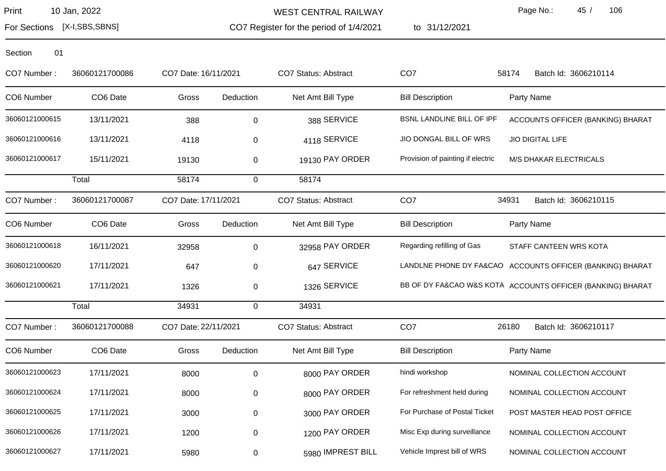WEST CENTRAL RAILWAY

CO7 Register for the period of 1/4/2021

to 31/12/2021

Page No.: 45 / 106

For Sections [X-I,SBS,SBNS]

| CO7 Number:    | 36060121700086 | CO7 Date: 16/11/2021 |           | <b>CO7 Status: Abstract</b> | CO <sub>7</sub>                   | 58174<br>Batch Id: 3606210114                              |
|----------------|----------------|----------------------|-----------|-----------------------------|-----------------------------------|------------------------------------------------------------|
| CO6 Number     | CO6 Date       | Gross                | Deduction | Net Amt Bill Type           | <b>Bill Description</b>           | Party Name                                                 |
| 36060121000615 | 13/11/2021     | 388                  | 0         | 388 SERVICE                 | <b>BSNL LANDLINE BILL OF IPF</b>  | ACCOUNTS OFFICER (BANKING) BHARAT                          |
| 36060121000616 | 13/11/2021     | 4118                 | 0         | 4118 SERVICE                | JIO DONGAL BILL OF WRS            | JIO DIGITAL LIFE                                           |
| 36060121000617 | 15/11/2021     | 19130                | 0         | 19130 PAY ORDER             | Provision of painting if electric | <b>M/S DHAKAR ELECTRICALS</b>                              |
|                | Total          | 58174                | 0         | 58174                       |                                   |                                                            |
| CO7 Number:    | 36060121700087 | CO7 Date: 17/11/2021 |           | CO7 Status: Abstract        | CO <sub>7</sub>                   | 34931<br>Batch Id: 3606210115                              |
| CO6 Number     | CO6 Date       | Gross                | Deduction | Net Amt Bill Type           | <b>Bill Description</b>           | Party Name                                                 |
| 36060121000618 | 16/11/2021     | 32958                | 0         | 32958 PAY ORDER             | Regarding refilling of Gas        | STAFF CANTEEN WRS KOTA                                     |
| 36060121000620 | 17/11/2021     | 647                  | 0         | 647 SERVICE                 |                                   | LANDLNE PHONE DY FA&CAO ACCOUNTS OFFICER (BANKING) BHARAT  |
| 36060121000621 | 17/11/2021     | 1326                 | 0         | 1326 SERVICE                |                                   | BB OF DY FA&CAO W&S KOTA ACCOUNTS OFFICER (BANKING) BHARAT |
|                | Total          | 34931                | 0         | 34931                       |                                   |                                                            |
| CO7 Number:    | 36060121700088 | CO7 Date: 22/11/2021 |           | CO7 Status: Abstract        | CO <sub>7</sub>                   | 26180<br>Batch Id: 3606210117                              |
| CO6 Number     | CO6 Date       | Gross                | Deduction | Net Amt Bill Type           | <b>Bill Description</b>           | Party Name                                                 |
| 36060121000623 | 17/11/2021     | 8000                 | 0         | 8000 PAY ORDER              | hindi workshop                    | NOMINAL COLLECTION ACCOUNT                                 |
| 36060121000624 | 17/11/2021     | 8000                 | 0         | 8000 PAY ORDER              | For refreshment held during       | NOMINAL COLLECTION ACCOUNT                                 |
| 36060121000625 | 17/11/2021     | 3000                 | 0         | 3000 PAY ORDER              | For Purchase of Postal Ticket     | POST MASTER HEAD POST OFFICE                               |
| 36060121000626 | 17/11/2021     | 1200                 | 0         | 1200 PAY ORDER              | Misc Exp during surveillance      | NOMINAL COLLECTION ACCOUNT                                 |
| 36060121000627 | 17/11/2021     | 5980                 | 0         | 5980 IMPREST BILL           | Vehicle Imprest bill of WRS       | NOMINAL COLLECTION ACCOUNT                                 |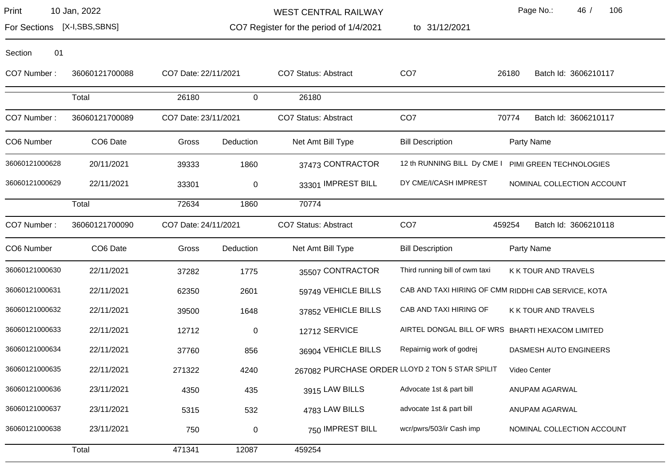WEST CENTRAL RAILWAY

to 31/12/2021

Page No.: 46 / 106

CO7 26180 Batch Id: 3606210117

CO7 70774 Batch Id: 3606210117

Bill Description **Party Name** 

For Sections [X-I,SBS,SBNS]

CO7 Register for the period of 1/4/2021

| 01<br>Section  |                      |                      |           |                      |
|----------------|----------------------|----------------------|-----------|----------------------|
| CO7 Number:    | 36060121700088       | CO7 Date: 22/11/2021 |           | CO7 Status: Abstract |
|                | Total                | 26180                | $\Omega$  | 26180                |
| CO7 Number:    | 36060121700089       | CO7 Date: 23/11/2021 |           | CO7 Status: Abstract |
| CO6 Number     | CO <sub>6</sub> Date | Gross                | Deduction | Net Amt Bill Type    |
| 36060121000628 | 20/11/2021           | 39333                | 1860      | 37473 CONTRACTO      |
| 36060121000629 | 22/11/2021           | 33301                | $\Omega$  | 33301 IMPREST BIL    |
|                | Total                | 72634                | 1860      | 70774                |
| CO7 Number:    | 36060121700090       | CO7 Date: 24/11/2021 |           | CO7 Status: Abstract |
| CO6 Number     | CO <sub>6</sub> Date | Gross                | Deduction | Net Amt Bill Type    |
|                |                      |                      |           |                      |

| 36060121000628 | 20/11/2021     | 39333                | 1860        | 37473 CONTRACTOR     | 12 th RUNNING BILL Dy CME I                     | PIMI GREEN TECHNOLOGIES                             |
|----------------|----------------|----------------------|-------------|----------------------|-------------------------------------------------|-----------------------------------------------------|
| 36060121000629 | 22/11/2021     | 33301                | $\pmb{0}$   | 33301 IMPREST BILL   | DY CME/I/CASH IMPREST                           | NOMINAL COLLECTION ACCOUNT                          |
|                | Total          | 72634                | 1860        | 70774                |                                                 |                                                     |
| CO7 Number:    | 36060121700090 | CO7 Date: 24/11/2021 |             | CO7 Status: Abstract | CO <sub>7</sub>                                 | 459254<br>Batch Id: 3606210118                      |
| CO6 Number     | CO6 Date       | Gross                | Deduction   | Net Amt Bill Type    | <b>Bill Description</b>                         | Party Name                                          |
| 36060121000630 | 22/11/2021     | 37282                | 1775        | 35507 CONTRACTOR     | Third running bill of cwm taxi                  | K K TOUR AND TRAVELS                                |
| 36060121000631 | 22/11/2021     | 62350                | 2601        | 59749 VEHICLE BILLS  |                                                 | CAB AND TAXI HIRING OF CMM RIDDHI CAB SERVICE, KOTA |
| 36060121000632 | 22/11/2021     | 39500                | 1648        | 37852 VEHICLE BILLS  | CAB AND TAXI HIRING OF                          | K K TOUR AND TRAVELS                                |
| 36060121000633 | 22/11/2021     | 12712                | $\mathbf 0$ | 12712 SERVICE        | AIRTEL DONGAL BILL OF WRS                       | <b>BHARTI HEXACOM LIMITED</b>                       |
| 36060121000634 | 22/11/2021     | 37760                | 856         | 36904 VEHICLE BILLS  | Repairnig work of godrej                        | DASMESH AUTO ENGINEERS                              |
| 36060121000635 | 22/11/2021     | 271322               | 4240        |                      | 267082 PURCHASE ORDER LLOYD 2 TON 5 STAR SPILIT | Video Center                                        |
| 36060121000636 | 23/11/2021     | 4350                 | 435         | 3915 LAW BILLS       | Advocate 1st & part bill                        | ANUPAM AGARWAL                                      |
| 36060121000637 | 23/11/2021     | 5315                 | 532         | 4783 LAW BILLS       | advocate 1st & part bill                        | ANUPAM AGARWAL                                      |
| 36060121000638 | 23/11/2021     | 750                  | $\pmb{0}$   | 750 IMPREST BILL     | wcr/pwrs/503/ir Cash imp                        | NOMINAL COLLECTION ACCOUNT                          |
|                | Total          | 471341               | 12087       | 459254               |                                                 |                                                     |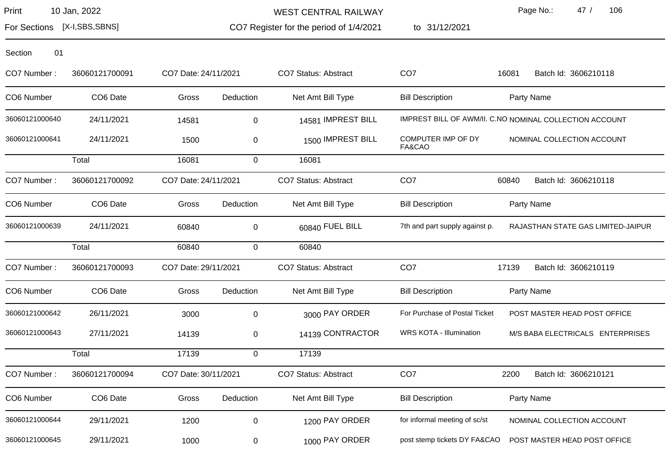WEST CENTRAL RAILWAY

CO7 Register for the period of 1/4/2021

to 31/12/2021

Page No.: 47 / 106

For Sections [X-I,SBS,SBNS]

| CO7 Number:    | 36060121700091 | CO7 Date: 24/11/2021 |             | <b>CO7 Status: Abstract</b> | CO <sub>7</sub>                | 16081<br>Batch Id: 3606210118                           |
|----------------|----------------|----------------------|-------------|-----------------------------|--------------------------------|---------------------------------------------------------|
| CO6 Number     | CO6 Date       | Gross                | Deduction   | Net Amt Bill Type           | <b>Bill Description</b>        | Party Name                                              |
| 36060121000640 | 24/11/2021     | 14581                | $\pmb{0}$   | 14581 IMPREST BILL          |                                | IMPREST BILL OF AWM/II. C.NO NOMINAL COLLECTION ACCOUNT |
| 36060121000641 | 24/11/2021     | 1500                 | 0           | 1500 IMPREST BILL           | COMPUTER IMP OF DY<br>FA&CAO   | NOMINAL COLLECTION ACCOUNT                              |
|                | Total          | 16081                | $\mathbf 0$ | 16081                       |                                |                                                         |
| CO7 Number:    | 36060121700092 | CO7 Date: 24/11/2021 |             | CO7 Status: Abstract        | CO <sub>7</sub>                | 60840<br>Batch Id: 3606210118                           |
| CO6 Number     | CO6 Date       | Gross                | Deduction   | Net Amt Bill Type           | <b>Bill Description</b>        | Party Name                                              |
| 36060121000639 | 24/11/2021     | 60840                | $\pmb{0}$   | 60840 FUEL BILL             | 7th and part supply against p. | RAJASTHAN STATE GAS LIMITED-JAIPUR                      |
|                | Total          | 60840                | $\mathbf 0$ | 60840                       |                                |                                                         |
| CO7 Number:    | 36060121700093 | CO7 Date: 29/11/2021 |             | CO7 Status: Abstract        | CO <sub>7</sub>                | 17139<br>Batch Id: 3606210119                           |
| CO6 Number     | CO6 Date       | Gross                | Deduction   | Net Amt Bill Type           | <b>Bill Description</b>        | Party Name                                              |
| 36060121000642 | 26/11/2021     | 3000                 | 0           | 3000 PAY ORDER              | For Purchase of Postal Ticket  | POST MASTER HEAD POST OFFICE                            |
| 36060121000643 | 27/11/2021     | 14139                | 0           | 14139 CONTRACTOR            | WRS KOTA - Illumination        | M/S BABA ELECTRICALS ENTERPRISES                        |
|                | Total          | 17139                | $\Omega$    | 17139                       |                                |                                                         |
| CO7 Number:    | 36060121700094 | CO7 Date: 30/11/2021 |             | CO7 Status: Abstract        | CO <sub>7</sub>                | 2200<br>Batch Id: 3606210121                            |
| CO6 Number     | CO6 Date       | Gross                | Deduction   | Net Amt Bill Type           | <b>Bill Description</b>        | Party Name                                              |
| 36060121000644 | 29/11/2021     | 1200                 | $\pmb{0}$   | 1200 PAY ORDER              | for informal meeting of sc/st  | NOMINAL COLLECTION ACCOUNT                              |
| 36060121000645 | 29/11/2021     | 1000                 | 0           | 1000 PAY ORDER              | post stemp tickets DY FA&CAO   | POST MASTER HEAD POST OFFICE                            |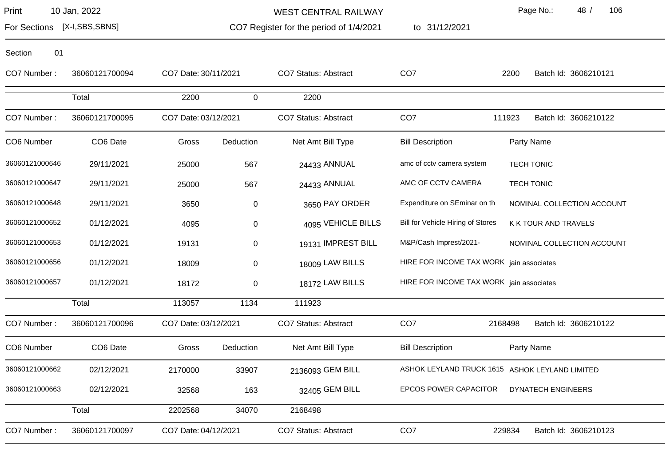WEST CENTRAL RAILWAY

to 31/12/2021

Page No.: 48 / 106

For Sections [X-I,SBS,SBNS]

CO7 Register for the period of 1/4/2021

| 01 |
|----|
|    |

| CO7 Number:    | 36060121700094 | CO7 Date: 30/11/2021 |             | <b>CO7 Status: Abstract</b> | CO <sub>7</sub>                          | Batch Id: 3606210121<br>2200                   |
|----------------|----------------|----------------------|-------------|-----------------------------|------------------------------------------|------------------------------------------------|
|                | Total          | 2200                 | $\mathbf 0$ | 2200                        |                                          |                                                |
| CO7 Number:    | 36060121700095 | CO7 Date: 03/12/2021 |             | <b>CO7 Status: Abstract</b> | CO <sub>7</sub>                          | 111923<br>Batch Id: 3606210122                 |
| CO6 Number     | CO6 Date       | Gross                | Deduction   | Net Amt Bill Type           | <b>Bill Description</b>                  | Party Name                                     |
| 36060121000646 | 29/11/2021     | 25000                | 567         | 24433 ANNUAL                | amc of cctv camera system                | <b>TECH TONIC</b>                              |
| 36060121000647 | 29/11/2021     | 25000                | 567         | 24433 ANNUAL                | AMC OF CCTV CAMERA                       | <b>TECH TONIC</b>                              |
| 36060121000648 | 29/11/2021     | 3650                 | 0           | 3650 PAY ORDER              | Expenditure on SEminar on th             | NOMINAL COLLECTION ACCOUNT                     |
| 36060121000652 | 01/12/2021     | 4095                 | 0           | 4095 VEHICLE BILLS          | Bill for Vehicle Hiring of Stores        | K K TOUR AND TRAVELS                           |
| 36060121000653 | 01/12/2021     | 19131                | 0           | 19131 IMPREST BILL          | M&P/Cash Imprest/2021-                   | NOMINAL COLLECTION ACCOUNT                     |
| 36060121000656 | 01/12/2021     | 18009                | 0           | 18009 LAW BILLS             | HIRE FOR INCOME TAX WORK jain associates |                                                |
| 36060121000657 | 01/12/2021     | 18172                | 0           | 18172 LAW BILLS             | HIRE FOR INCOME TAX WORK jain associates |                                                |
|                | Total          | 113057               | 1134        | 111923                      |                                          |                                                |
| CO7 Number:    | 36060121700096 | CO7 Date: 03/12/2021 |             | CO7 Status: Abstract        | CO <sub>7</sub>                          | 2168498<br>Batch Id: 3606210122                |
| CO6 Number     | CO6 Date       | Gross                | Deduction   | Net Amt Bill Type           | <b>Bill Description</b>                  | Party Name                                     |
| 36060121000662 | 02/12/2021     | 2170000              | 33907       | 2136093 GEM BILL            |                                          | ASHOK LEYLAND TRUCK 1615 ASHOK LEYLAND LIMITED |
| 36060121000663 | 02/12/2021     | 32568                | 163         | 32405 GEM BILL              | <b>EPCOS POWER CAPACITOR</b>             | <b>DYNATECH ENGINEERS</b>                      |
|                | Total          | 2202568              | 34070       | 2168498                     |                                          |                                                |
| CO7 Number:    | 36060121700097 | CO7 Date: 04/12/2021 |             | <b>CO7 Status: Abstract</b> | CO <sub>7</sub>                          | 229834<br>Batch Id: 3606210123                 |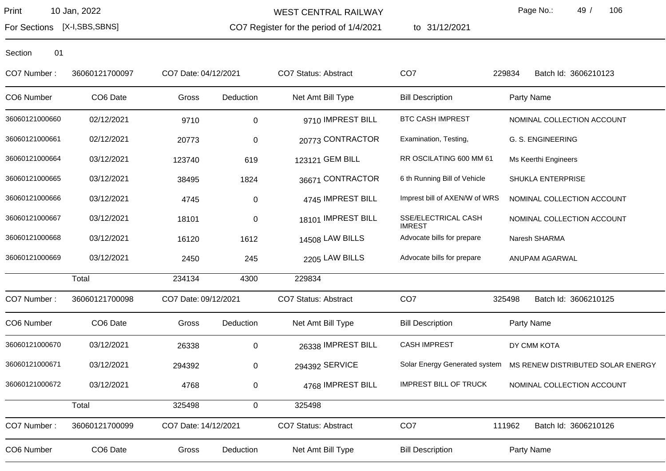For Sections [X-I,SBS,SBNS]

WEST CENTRAL RAILWAY

CO7 Register for the period of 1/4/2021

to 31/12/2021

Page No.: 49 / 106

| CO7 Number:    | 36060121700097 | CO7 Date: 04/12/2021 |             | <b>CO7 Status: Abstract</b> | CO <sub>7</sub>                      | 229834<br>Batch Id: 3606210123    |
|----------------|----------------|----------------------|-------------|-----------------------------|--------------------------------------|-----------------------------------|
| CO6 Number     | CO6 Date       | Gross                | Deduction   | Net Amt Bill Type           | <b>Bill Description</b>              | Party Name                        |
| 36060121000660 | 02/12/2021     | 9710                 | 0           | 9710 IMPREST BILL           | <b>BTC CASH IMPREST</b>              | NOMINAL COLLECTION ACCOUNT        |
| 36060121000661 | 02/12/2021     | 20773                | 0           | 20773 CONTRACTOR            | Examination, Testing,                | G. S. ENGINEERING                 |
| 36060121000664 | 03/12/2021     | 123740               | 619         | 123121 GEM BILL             | RR OSCILATING 600 MM 61              | Ms Keerthi Engineers              |
| 36060121000665 | 03/12/2021     | 38495                | 1824        | 36671 CONTRACTOR            | 6 th Running Bill of Vehicle         | SHUKLA ENTERPRISE                 |
| 36060121000666 | 03/12/2021     | 4745                 | $\mathbf 0$ | 4745 IMPREST BILL           | Imprest bill of AXEN/W of WRS        | NOMINAL COLLECTION ACCOUNT        |
| 36060121000667 | 03/12/2021     | 18101                | $\mathbf 0$ | 18101 IMPREST BILL          | SSE/ELECTRICAL CASH<br><b>IMREST</b> | NOMINAL COLLECTION ACCOUNT        |
| 36060121000668 | 03/12/2021     | 16120                | 1612        | 14508 LAW BILLS             | Advocate bills for prepare           | Naresh SHARMA                     |
| 36060121000669 | 03/12/2021     | 2450                 | 245         | 2205 LAW BILLS              | Advocate bills for prepare           | ANUPAM AGARWAL                    |
|                | Total          | 234134               | 4300        | 229834                      |                                      |                                   |
| CO7 Number:    | 36060121700098 | CO7 Date: 09/12/2021 |             | <b>CO7 Status: Abstract</b> | CO <sub>7</sub>                      | 325498<br>Batch Id: 3606210125    |
| CO6 Number     | CO6 Date       | Gross                | Deduction   | Net Amt Bill Type           | <b>Bill Description</b>              | Party Name                        |
| 36060121000670 | 03/12/2021     | 26338                | 0           | 26338 IMPREST BILL          | <b>CASH IMPREST</b>                  | DY CMM KOTA                       |
| 36060121000671 | 03/12/2021     | 294392               | 0           | 294392 SERVICE              | Solar Energy Generated system        | MS RENEW DISTRIBUTED SOLAR ENERGY |
| 36060121000672 | 03/12/2021     | 4768                 | 0           | 4768 IMPREST BILL           | <b>IMPREST BILL OF TRUCK</b>         | NOMINAL COLLECTION ACCOUNT        |
|                | Total          | 325498               | 0           | 325498                      |                                      |                                   |
| CO7 Number:    | 36060121700099 | CO7 Date: 14/12/2021 |             | <b>CO7 Status: Abstract</b> | CO <sub>7</sub>                      | 111962<br>Batch Id: 3606210126    |
| CO6 Number     | CO6 Date       | Gross                | Deduction   | Net Amt Bill Type           | <b>Bill Description</b>              | Party Name                        |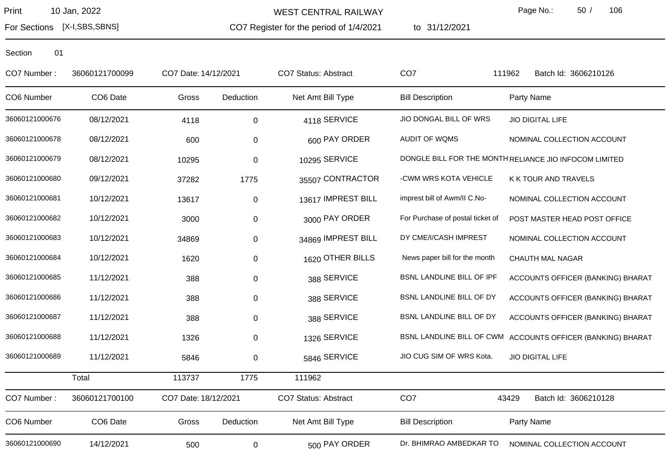CO7 Register for the period of 1/4/2021 WEST CENTRAL RAILWAY

to 31/12/2021

Page No.: 50 / 106

For Sections [X-I,SBS,SBNS]

| CO7 Number:    | 36060121700099 | CO7 Date: 14/12/2021 |             | <b>CO7 Status: Abstract</b> | CO <sub>7</sub>                  | 111962<br>Batch Id: 3606210126                              |
|----------------|----------------|----------------------|-------------|-----------------------------|----------------------------------|-------------------------------------------------------------|
| CO6 Number     | CO6 Date       | Gross                | Deduction   | Net Amt Bill Type           | <b>Bill Description</b>          | Party Name                                                  |
| 36060121000676 | 08/12/2021     | 4118                 | $\mathbf 0$ | 4118 SERVICE                | JIO DONGAL BILL OF WRS           | <b>JIO DIGITAL LIFE</b>                                     |
| 36060121000678 | 08/12/2021     | 600                  | 0           | 600 PAY ORDER               | AUDIT OF WQMS                    | NOMINAL COLLECTION ACCOUNT                                  |
| 36060121000679 | 08/12/2021     | 10295                | 0           | 10295 SERVICE               |                                  | DONGLE BILL FOR THE MONTH RELIANCE JIO INFOCOM LIMITED      |
| 36060121000680 | 09/12/2021     | 37282                | 1775        | 35507 CONTRACTOR            | -CWM WRS KOTA VEHICLE            | K K TOUR AND TRAVELS                                        |
| 36060121000681 | 10/12/2021     | 13617                | $\pmb{0}$   | 13617 IMPREST BILL          | imprest bill of Awm/II C.No-     | NOMINAL COLLECTION ACCOUNT                                  |
| 36060121000682 | 10/12/2021     | 3000                 | 0           | 3000 PAY ORDER              | For Purchase of postal ticket of | POST MASTER HEAD POST OFFICE                                |
| 36060121000683 | 10/12/2021     | 34869                | 0           | 34869 IMPREST BILL          | DY CME/I/CASH IMPREST            | NOMINAL COLLECTION ACCOUNT                                  |
| 36060121000684 | 10/12/2021     | 1620                 | 0           | 1620 OTHER BILLS            | News paper bill for the month    | <b>CHAUTH MAL NAGAR</b>                                     |
| 36060121000685 | 11/12/2021     | 388                  | 0           | 388 SERVICE                 | BSNL LANDLINE BILL OF IPF        | ACCOUNTS OFFICER (BANKING) BHARAT                           |
| 36060121000686 | 11/12/2021     | 388                  | 0           | 388 SERVICE                 | BSNL LANDLINE BILL OF DY         | ACCOUNTS OFFICER (BANKING) BHARAT                           |
| 36060121000687 | 11/12/2021     | 388                  | 0           | 388 SERVICE                 | BSNL LANDLINE BILL OF DY         | ACCOUNTS OFFICER (BANKING) BHARAT                           |
| 36060121000688 | 11/12/2021     | 1326                 | 0           | 1326 SERVICE                |                                  | BSNL LANDLINE BILL OF CWM ACCOUNTS OFFICER (BANKING) BHARAT |
| 36060121000689 | 11/12/2021     | 5846                 | 0           | 5846 SERVICE                | JIO CUG SIM OF WRS Kota.         | <b>JIO DIGITAL LIFE</b>                                     |
|                | Total          | 113737               | 1775        | 111962                      |                                  |                                                             |
| CO7 Number:    | 36060121700100 | CO7 Date: 18/12/2021 |             | <b>CO7 Status: Abstract</b> | CO <sub>7</sub>                  | 43429<br>Batch Id: 3606210128                               |
| CO6 Number     | CO6 Date       | Gross                | Deduction   | Net Amt Bill Type           | <b>Bill Description</b>          | Party Name                                                  |
| 36060121000690 | 14/12/2021     | 500                  | 0           | 500 PAY ORDER               | Dr. BHIMRAO AMBEDKAR TO          | NOMINAL COLLECTION ACCOUNT                                  |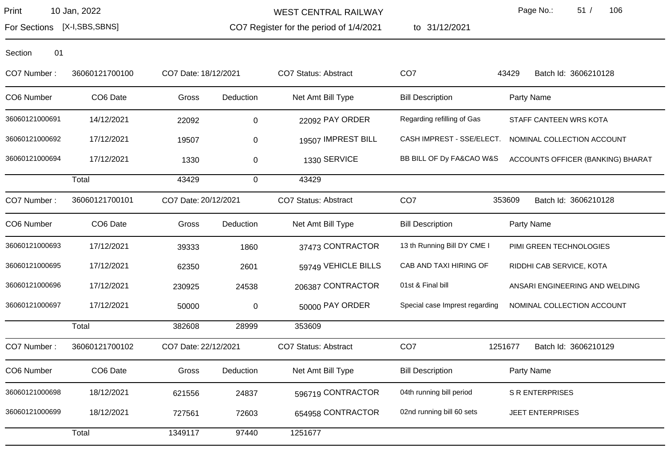WEST CENTRAL RAILWAY

CO7 Register for the period of 1/4/2021

to 31/12/2021

Page No.: 51 / 106

For Sections [X-I,SBS,SBNS]

| CO7 Number:    | 36060121700100 | CO7 Date: 18/12/2021 |             | <b>CO7 Status: Abstract</b> | CO <sub>7</sub>                | 43429<br>Batch Id: 3606210128     |
|----------------|----------------|----------------------|-------------|-----------------------------|--------------------------------|-----------------------------------|
| CO6 Number     | CO6 Date       | Gross                | Deduction   | Net Amt Bill Type           | <b>Bill Description</b>        | Party Name                        |
| 36060121000691 | 14/12/2021     | 22092                | $\mathbf 0$ | 22092 PAY ORDER             | Regarding refilling of Gas     | STAFF CANTEEN WRS KOTA            |
| 36060121000692 | 17/12/2021     | 19507                | $\mathbf 0$ | 19507 IMPREST BILL          | CASH IMPREST - SSE/ELECT.      | NOMINAL COLLECTION ACCOUNT        |
| 36060121000694 | 17/12/2021     | 1330                 | 0           | 1330 SERVICE                | BB BILL OF Dy FA&CAO W&S       | ACCOUNTS OFFICER (BANKING) BHARAT |
|                | Total          | 43429                | $\mathbf 0$ | 43429                       |                                |                                   |
| CO7 Number:    | 36060121700101 | CO7 Date: 20/12/2021 |             | CO7 Status: Abstract        | CO <sub>7</sub>                | 353609<br>Batch Id: 3606210128    |
| CO6 Number     | CO6 Date       | Gross                | Deduction   | Net Amt Bill Type           | <b>Bill Description</b>        | Party Name                        |
| 36060121000693 | 17/12/2021     | 39333                | 1860        | 37473 CONTRACTOR            | 13 th Running Bill DY CME I    | PIMI GREEN TECHNOLOGIES           |
| 36060121000695 | 17/12/2021     | 62350                | 2601        | 59749 VEHICLE BILLS         | CAB AND TAXI HIRING OF         | RIDDHI CAB SERVICE, KOTA          |
| 36060121000696 | 17/12/2021     | 230925               | 24538       | 206387 CONTRACTOR           | 01st & Final bill              | ANSARI ENGINEERING AND WELDING    |
| 36060121000697 | 17/12/2021     | 50000                | $\pmb{0}$   | 50000 PAY ORDER             | Special case Imprest regarding | NOMINAL COLLECTION ACCOUNT        |
|                | Total          | 382608               | 28999       | 353609                      |                                |                                   |
| CO7 Number:    | 36060121700102 | CO7 Date: 22/12/2021 |             | CO7 Status: Abstract        | CO <sub>7</sub>                | 1251677<br>Batch Id: 3606210129   |
| CO6 Number     | CO6 Date       | Gross                | Deduction   | Net Amt Bill Type           | <b>Bill Description</b>        | Party Name                        |
| 36060121000698 | 18/12/2021     | 621556               | 24837       | 596719 CONTRACTOR           | 04th running bill period       | <b>S R ENTERPRISES</b>            |
| 36060121000699 | 18/12/2021     | 727561               | 72603       | 654958 CONTRACTOR           | 02nd running bill 60 sets      | <b>JEET ENTERPRISES</b>           |
|                | Total          | 1349117              | 97440       | 1251677                     |                                |                                   |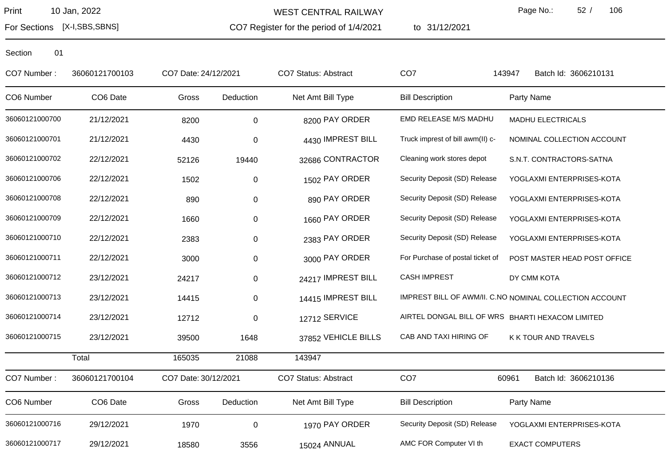For Sections [X-I,SBS,SBNS]

WEST CENTRAL RAILWAY

CO7 Register for the period of 1/4/2021

to 31/12/2021

Page No.: 52 / 106

| CO7 Number:    | 36060121700103 | CO7 Date: 24/12/2021 |             | CO7 Status: Abstract | CO <sub>7</sub>                  | Batch Id: 3606210131<br>143947                          |
|----------------|----------------|----------------------|-------------|----------------------|----------------------------------|---------------------------------------------------------|
| CO6 Number     | CO6 Date       | Gross                | Deduction   | Net Amt Bill Type    | <b>Bill Description</b>          | Party Name                                              |
| 36060121000700 | 21/12/2021     | 8200                 | $\mathbf 0$ | 8200 PAY ORDER       | EMD RELEASE M/S MADHU            | <b>MADHU ELECTRICALS</b>                                |
| 36060121000701 | 21/12/2021     | 4430                 | 0           | 4430 IMPREST BILL    | Truck imprest of bill awm(II) c- | NOMINAL COLLECTION ACCOUNT                              |
| 36060121000702 | 22/12/2021     | 52126                | 19440       | 32686 CONTRACTOR     | Cleaning work stores depot       | S.N.T. CONTRACTORS-SATNA                                |
| 36060121000706 | 22/12/2021     | 1502                 | $\pmb{0}$   | 1502 PAY ORDER       | Security Deposit (SD) Release    | YOGLAXMI ENTERPRISES-KOTA                               |
| 36060121000708 | 22/12/2021     | 890                  | $\pmb{0}$   | 890 PAY ORDER        | Security Deposit (SD) Release    | YOGLAXMI ENTERPRISES-KOTA                               |
| 36060121000709 | 22/12/2021     | 1660                 | 0           | 1660 PAY ORDER       | Security Deposit (SD) Release    | YOGLAXMI ENTERPRISES-KOTA                               |
| 36060121000710 | 22/12/2021     | 2383                 | 0           | 2383 PAY ORDER       | Security Deposit (SD) Release    | YOGLAXMI ENTERPRISES-KOTA                               |
| 36060121000711 | 22/12/2021     | 3000                 | 0           | 3000 PAY ORDER       | For Purchase of postal ticket of | POST MASTER HEAD POST OFFICE                            |
| 36060121000712 | 23/12/2021     | 24217                | 0           | 24217 IMPREST BILL   | <b>CASH IMPREST</b>              | DY CMM KOTA                                             |
| 36060121000713 | 23/12/2021     | 14415                | 0           | 14415 IMPREST BILL   |                                  | IMPREST BILL OF AWM/II. C.NO NOMINAL COLLECTION ACCOUNT |
| 36060121000714 | 23/12/2021     | 12712                | 0           | 12712 SERVICE        |                                  | AIRTEL DONGAL BILL OF WRS BHARTI HEXACOM LIMITED        |
| 36060121000715 | 23/12/2021     | 39500                | 1648        | 37852 VEHICLE BILLS  | CAB AND TAXI HIRING OF           | K K TOUR AND TRAVELS                                    |
|                | Total          | 165035               | 21088       | 143947               |                                  |                                                         |
| CO7 Number:    | 36060121700104 | CO7 Date: 30/12/2021 |             | CO7 Status: Abstract | CO <sub>7</sub>                  | 60961<br>Batch Id: 3606210136                           |
| CO6 Number     | CO6 Date       | Gross                | Deduction   | Net Amt Bill Type    | <b>Bill Description</b>          | Party Name                                              |
| 36060121000716 | 29/12/2021     | 1970                 | $\mathbf 0$ | 1970 PAY ORDER       | Security Deposit (SD) Release    | YOGLAXMI ENTERPRISES-KOTA                               |
| 36060121000717 | 29/12/2021     | 18580                | 3556        | 15024 ANNUAL         | AMC FOR Computer VI th           | <b>EXACT COMPUTERS</b>                                  |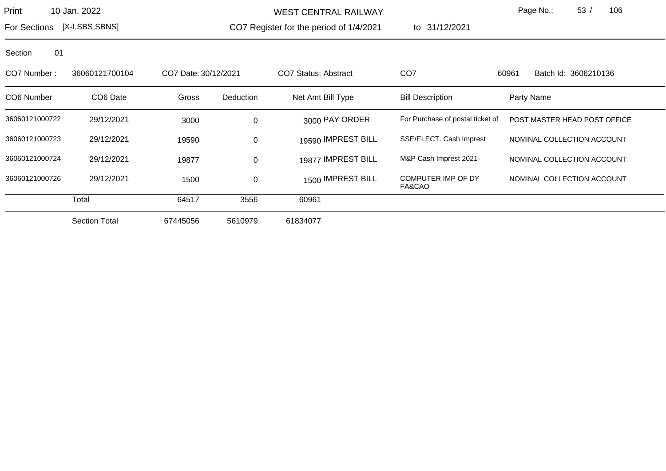WEST CENTRAL RAILWAY

CO7 Register for the period of 1/4/2021

to 31/12/2021

Page No.: 53 / 106

For Sections [X-I,SBS,SBNS]

| CO7 Number:    | 36060121700104       | CO7 Date: 30/12/2021 |             | CO7 Status: Abstract | CO <sub>7</sub>                  | 60961<br>Batch Id: 3606210136 |
|----------------|----------------------|----------------------|-------------|----------------------|----------------------------------|-------------------------------|
| CO6 Number     | CO <sub>6</sub> Date | Gross                | Deduction   | Net Amt Bill Type    | <b>Bill Description</b>          | Party Name                    |
| 36060121000722 | 29/12/2021           | 3000                 | $\mathbf 0$ | 3000 PAY ORDER       | For Purchase of postal ticket of | POST MASTER HEAD POST OFFICE  |
| 36060121000723 | 29/12/2021           | 19590                | $\mathbf 0$ | 19590 IMPREST BILL   | SSE/ELECT. Cash Imprest          | NOMINAL COLLECTION ACCOUNT    |
| 36060121000724 | 29/12/2021           | 19877                | $\mathbf 0$ | 19877 IMPREST BILL   | M&P Cash Imprest 2021-           | NOMINAL COLLECTION ACCOUNT    |
| 36060121000726 | 29/12/2021           | 1500                 | $\mathbf 0$ | 1500 IMPREST BILL    | COMPUTER IMP OF DY<br>FA&CAO     | NOMINAL COLLECTION ACCOUNT    |
|                | Total                | 64517                | 3556        | 60961                |                                  |                               |
|                | <b>Section Total</b> | 67445056             | 5610979     | 61834077             |                                  |                               |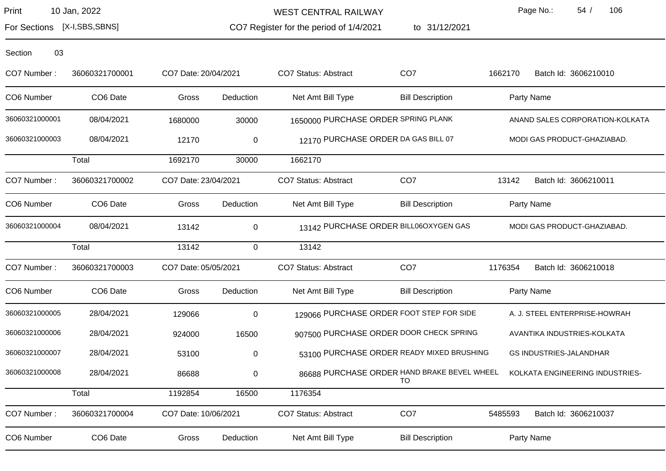WEST CENTRAL RAILWAY

CO7 Register for the period of 1/4/2021

to 31/12/2021

Page No.: 54 / 106

For Sections [X-I,SBS,SBNS]

| Section | 03 |
|---------|----|
|         |    |

| CO7 Number:    | 36060321700001       | CO7 Date: 20/04/2021 |             | CO7 Status: Abstract                        | CO <sub>7</sub>         | 1662170 | Batch Id: 3606210010            |
|----------------|----------------------|----------------------|-------------|---------------------------------------------|-------------------------|---------|---------------------------------|
| CO6 Number     | CO <sub>6</sub> Date | Gross                | Deduction   | Net Amt Bill Type                           | <b>Bill Description</b> |         | Party Name                      |
| 36060321000001 | 08/04/2021           | 1680000              | 30000       | 1650000 PURCHASE ORDER SPRING PLANK         |                         |         | ANAND SALES CORPORATION-KOLKATA |
| 36060321000003 | 08/04/2021           | 12170                | $\pmb{0}$   | 12170 PURCHASE ORDER DA GAS BILL 07         |                         |         | MODI GAS PRODUCT-GHAZIABAD.     |
|                | Total                | 1692170              | 30000       | 1662170                                     |                         |         |                                 |
| CO7 Number:    | 36060321700002       | CO7 Date: 23/04/2021 |             | CO7 Status: Abstract                        | CO <sub>7</sub>         | 13142   | Batch Id: 3606210011            |
| CO6 Number     | CO6 Date             | Gross                | Deduction   | Net Amt Bill Type                           | <b>Bill Description</b> |         | Party Name                      |
| 36060321000004 | 08/04/2021           | 13142                | $\mathbf 0$ | 13142 PURCHASE ORDER BILL06OXYGEN GAS       |                         |         | MODI GAS PRODUCT-GHAZIABAD.     |
|                | Total                | 13142                | $\mathbf 0$ | 13142                                       |                         |         |                                 |
| CO7 Number:    | 36060321700003       | CO7 Date: 05/05/2021 |             | CO7 Status: Abstract                        | CO <sub>7</sub>         | 1176354 | Batch Id: 3606210018            |
| CO6 Number     | CO6 Date             | Gross                | Deduction   | Net Amt Bill Type                           | <b>Bill Description</b> |         | Party Name                      |
| 36060321000005 | 28/04/2021           | 129066               | $\pmb{0}$   | 129066 PURCHASE ORDER FOOT STEP FOR SIDE    |                         |         | A. J. STEEL ENTERPRISE-HOWRAH   |
| 36060321000006 | 28/04/2021           | 924000               | 16500       | 907500 PURCHASE ORDER DOOR CHECK SPRING     |                         |         | AVANTIKA INDUSTRIES-KOLKATA     |
| 36060321000007 | 28/04/2021           | 53100                | 0           | 53100 PURCHASE ORDER READY MIXED BRUSHING   |                         |         | <b>GS INDUSTRIES-JALANDHAR</b>  |
| 36060321000008 | 28/04/2021           | 86688                | $\pmb{0}$   | 86688 PURCHASE ORDER HAND BRAKE BEVEL WHEEL | TO                      |         | KOLKATA ENGINEERING INDUSTRIES- |
|                | Total                | 1192854              | 16500       | 1176354                                     |                         |         |                                 |
| CO7 Number:    | 36060321700004       | CO7 Date: 10/06/2021 |             | CO7 Status: Abstract                        | CO <sub>7</sub>         | 5485593 | Batch Id: 3606210037            |
| CO6 Number     | CO6 Date             | Gross                | Deduction   | Net Amt Bill Type                           | <b>Bill Description</b> |         | Party Name                      |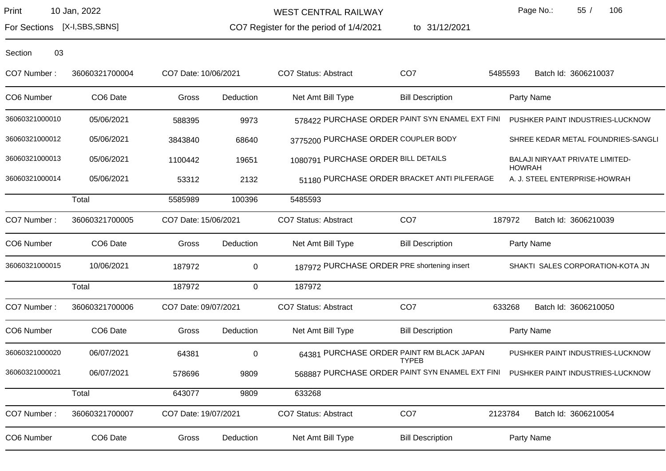WEST CENTRAL RAILWAY

CO7 Register for the period of 1/4/2021

to 31/12/2021

Page No.: 55 / 106

For Sections [X-I,SBS,SBNS]

| CO7 Number:    | 36060321700004 | CO7 Date: 10/06/2021 |           | <b>CO7 Status: Abstract</b>         | CO <sub>7</sub>                                           | 5485593 | Batch Id: 3606210037                                                             |
|----------------|----------------|----------------------|-----------|-------------------------------------|-----------------------------------------------------------|---------|----------------------------------------------------------------------------------|
| CO6 Number     | CO6 Date       | Gross                | Deduction | Net Amt Bill Type                   | <b>Bill Description</b>                                   |         | Party Name                                                                       |
| 36060321000010 | 05/06/2021     | 588395               | 9973      |                                     | 578422 PURCHASE ORDER PAINT SYN ENAMEL EXT FINI           |         | PUSHKER PAINT INDUSTRIES-LUCKNOW                                                 |
| 36060321000012 | 05/06/2021     | 3843840              | 68640     |                                     | 3775200 PURCHASE ORDER COUPLER BODY                       |         | SHREE KEDAR METAL FOUNDRIES-SANGLI                                               |
| 36060321000013 | 05/06/2021     | 1100442              | 19651     | 1080791 PURCHASE ORDER BILL DETAILS |                                                           |         | BALAJI NIRYAAT PRIVATE LIMITED-<br><b>HOWRAH</b>                                 |
| 36060321000014 | 05/06/2021     | 53312                | 2132      |                                     | 51180 PURCHASE ORDER BRACKET ANTI PILFERAGE               |         | A. J. STEEL ENTERPRISE-HOWRAH                                                    |
|                | Total          | 5585989              | 100396    | 5485593                             |                                                           |         |                                                                                  |
| CO7 Number:    | 36060321700005 | CO7 Date: 15/06/2021 |           | CO7 Status: Abstract                | CO <sub>7</sub>                                           | 187972  | Batch Id: 3606210039                                                             |
| CO6 Number     | CO6 Date       | Gross                | Deduction | Net Amt Bill Type                   | <b>Bill Description</b>                                   |         | Party Name                                                                       |
| 36060321000015 | 10/06/2021     | 187972               | $\pmb{0}$ |                                     | 187972 PURCHASE ORDER PRE shortening insert               |         | SHAKTI SALES CORPORATION-KOTA JN                                                 |
|                | Total          | 187972               | 0         | 187972                              |                                                           |         |                                                                                  |
| CO7 Number:    | 36060321700006 | CO7 Date: 09/07/2021 |           | CO7 Status: Abstract                | CO <sub>7</sub>                                           | 633268  | Batch Id: 3606210050                                                             |
| CO6 Number     | CO6 Date       | Gross                | Deduction | Net Amt Bill Type                   | <b>Bill Description</b>                                   |         | Party Name                                                                       |
| 36060321000020 | 06/07/2021     | 64381                | $\pmb{0}$ |                                     | 64381 PURCHASE ORDER PAINT RM BLACK JAPAN<br><b>TYPEB</b> |         | PUSHKER PAINT INDUSTRIES-LUCKNOW                                                 |
| 36060321000021 | 06/07/2021     | 578696               | 9809      |                                     |                                                           |         | 568887 PURCHASE ORDER PAINT SYN ENAMEL EXT FINI PUSHKER PAINT INDUSTRIES-LUCKNOW |
|                | Total          | 643077               | 9809      | 633268                              |                                                           |         |                                                                                  |
| CO7 Number:    | 36060321700007 | CO7 Date: 19/07/2021 |           | CO7 Status: Abstract                | CO <sub>7</sub>                                           | 2123784 | Batch Id: 3606210054                                                             |
| CO6 Number     | CO6 Date       | Gross                | Deduction | Net Amt Bill Type                   | <b>Bill Description</b>                                   |         | Party Name                                                                       |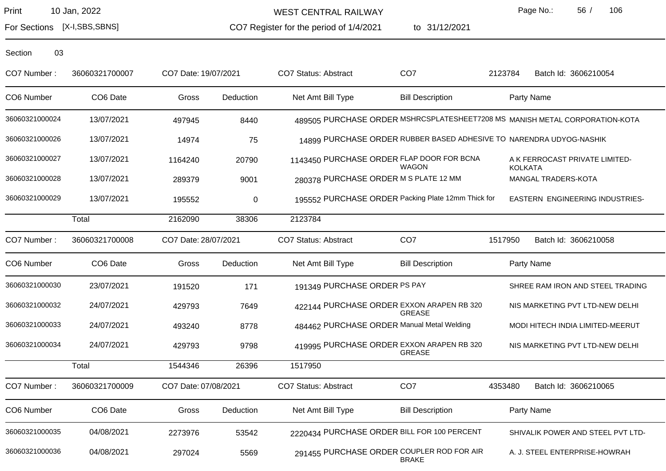WEST CENTRAL RAILWAY

CO7 Register for the period of 1/4/2021 to 31/12/2021 Page No.: 56 / 106

For Sections [X-I,SBS,SBNS]

| CO7 Number:    | 36060321700007 | CO7 Date: 19/07/2021 |           | CO7 Status: Abstract                       | CO <sub>7</sub>                                                     | 2123784        | Batch Id: 3606210054                                                        |
|----------------|----------------|----------------------|-----------|--------------------------------------------|---------------------------------------------------------------------|----------------|-----------------------------------------------------------------------------|
| CO6 Number     | CO6 Date       | Gross                | Deduction | Net Amt Bill Type                          | <b>Bill Description</b>                                             |                | Party Name                                                                  |
| 36060321000024 | 13/07/2021     | 497945               | 8440      |                                            |                                                                     |                | 489505 PURCHASE ORDER MSHRCSPLATESHEET7208 MS MANISH METAL CORPORATION-KOTA |
| 36060321000026 | 13/07/2021     | 14974                | 75        |                                            | 14899 PURCHASE ORDER RUBBER BASED ADHESIVE TO NARENDRA UDYOG-NASHIK |                |                                                                             |
| 36060321000027 | 13/07/2021     | 1164240              | 20790     |                                            | 1143450 PURCHASE ORDER FLAP DOOR FOR BCNA<br><b>WAGON</b>           | <b>KOLKATA</b> | A K FERROCAST PRIVATE LIMITED-                                              |
| 36060321000028 | 13/07/2021     | 289379               | 9001      | 280378 PURCHASE ORDER M S PLATE 12 MM      |                                                                     |                | MANGAL TRADERS-KOTA                                                         |
| 36060321000029 | 13/07/2021     | 195552               | $\pmb{0}$ |                                            | 195552 PURCHASE ORDER Packing Plate 12mm Thick for                  |                | EASTERN ENGINEERING INDUSTRIES-                                             |
|                | Total          | 2162090              | 38306     | 2123784                                    |                                                                     |                |                                                                             |
| CO7 Number:    | 36060321700008 | CO7 Date: 28/07/2021 |           | <b>CO7 Status: Abstract</b>                | CO <sub>7</sub>                                                     | 1517950        | Batch Id: 3606210058                                                        |
| CO6 Number     | CO6 Date       | Gross                | Deduction | Net Amt Bill Type                          | <b>Bill Description</b>                                             |                | Party Name                                                                  |
| 36060321000030 | 23/07/2021     | 191520               | 171       | 191349 PURCHASE ORDER PS PAY               |                                                                     |                | SHREE RAM IRON AND STEEL TRADING                                            |
| 36060321000032 | 24/07/2021     | 429793               | 7649      |                                            | 422144 PURCHASE ORDER EXXON ARAPEN RB 320<br><b>GREASE</b>          |                | NIS MARKETING PVT LTD-NEW DELHI                                             |
| 36060321000033 | 24/07/2021     | 493240               | 8778      | 484462 PURCHASE ORDER Manual Metal Welding |                                                                     |                | MODI HITECH INDIA LIMITED-MEERUT                                            |
| 36060321000034 | 24/07/2021     | 429793               | 9798      |                                            | 419995 PURCHASE ORDER EXXON ARAPEN RB 320<br><b>GREASE</b>          |                | NIS MARKETING PVT LTD-NEW DELHI                                             |
|                | Total          | 1544346              | 26396     | 1517950                                    |                                                                     |                |                                                                             |
| CO7 Number:    | 36060321700009 | CO7 Date: 07/08/2021 |           | CO7 Status: Abstract                       | CO <sub>7</sub>                                                     | 4353480        | Batch Id: 3606210065                                                        |
| CO6 Number     | CO6 Date       | Gross                | Deduction | Net Amt Bill Type                          | <b>Bill Description</b>                                             |                | Party Name                                                                  |
| 36060321000035 | 04/08/2021     | 2273976              | 53542     |                                            | 2220434 PURCHASE ORDER BILL FOR 100 PERCENT                         |                | SHIVALIK POWER AND STEEL PVT LTD-                                           |
| 36060321000036 | 04/08/2021     | 297024               | 5569      |                                            | 291455 PURCHASE ORDER COUPLER ROD FOR AIR<br><b>BRAKE</b>           |                | A. J. STEEL ENTERPRISE-HOWRAH                                               |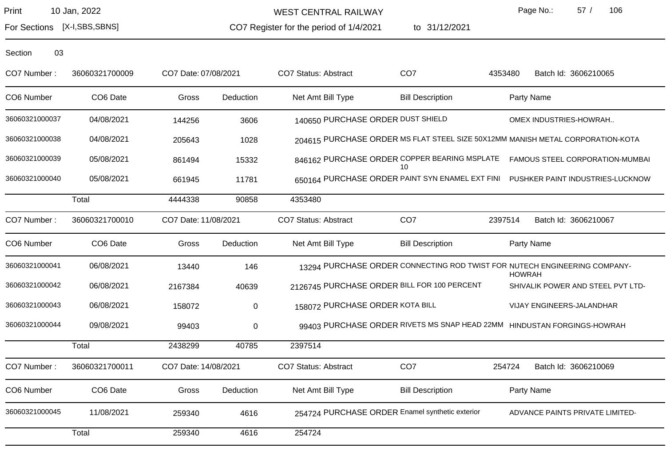WEST CENTRAL RAILWAY

Page No.: 57 / 106

For Sections [X-I,SBS,SBNS]

CO7 Register for the period of 1/4/2021

to 31/12/2021

| CO7 Number:    | 36060321700009 | CO7 Date: 07/08/2021 |           | CO7 Status: Abstract              | CO <sub>7</sub>                                    | Batch Id: 3606210065<br>4353480                                                            |  |
|----------------|----------------|----------------------|-----------|-----------------------------------|----------------------------------------------------|--------------------------------------------------------------------------------------------|--|
| CO6 Number     | CO6 Date       | Gross                | Deduction | Net Amt Bill Type                 | <b>Bill Description</b>                            | Party Name                                                                                 |  |
| 36060321000037 | 04/08/2021     | 144256               | 3606      | 140650 PURCHASE ORDER DUST SHIELD |                                                    | OMEX INDUSTRIES-HOWRAH                                                                     |  |
| 36060321000038 | 04/08/2021     | 205643               | 1028      |                                   |                                                    | 204615 PURCHASE ORDER MS FLAT STEEL SIZE 50X12MM MANISH METAL CORPORATION-KOTA             |  |
| 36060321000039 | 05/08/2021     | 861494               | 15332     |                                   | 846162 PURCHASE ORDER COPPER BEARING MSPLATE<br>10 | FAMOUS STEEL CORPORATION-MUMBAI                                                            |  |
| 36060321000040 | 05/08/2021     | 661945               | 11781     |                                   |                                                    | 650164 PURCHASE ORDER PAINT SYN ENAMEL EXT FINI PUSHKER PAINT INDUSTRIES-LUCKNOW           |  |
|                | Total          | 4444338              | 90858     | 4353480                           |                                                    |                                                                                            |  |
| CO7 Number:    | 36060321700010 | CO7 Date: 11/08/2021 |           | <b>CO7 Status: Abstract</b>       | CO <sub>7</sub>                                    | 2397514<br>Batch Id: 3606210067                                                            |  |
| CO6 Number     | CO6 Date       | Gross                | Deduction | Net Amt Bill Type                 | <b>Bill Description</b>                            | Party Name                                                                                 |  |
| 36060321000041 | 06/08/2021     | 13440                | 146       |                                   |                                                    | 13294 PURCHASE ORDER CONNECTING ROD TWIST FOR NUTECH ENGINEERING COMPANY-<br><b>HOWRAH</b> |  |
| 36060321000042 | 06/08/2021     | 2167384              | 40639     |                                   | 2126745 PURCHASE ORDER BILL FOR 100 PERCENT        | SHIVALIK POWER AND STEEL PVT LTD-                                                          |  |
| 36060321000043 | 06/08/2021     | 158072               | 0         | 158072 PURCHASE ORDER KOTA BILL   |                                                    | VIJAY ENGINEERS-JALANDHAR                                                                  |  |
| 36060321000044 | 09/08/2021     | 99403                | $\pmb{0}$ |                                   |                                                    | 99403 PURCHASE ORDER RIVETS MS SNAP HEAD 22MM HINDUSTAN FORGINGS-HOWRAH                    |  |
|                | Total          | 2438299              | 40785     | 2397514                           |                                                    |                                                                                            |  |
| CO7 Number:    | 36060321700011 | CO7 Date: 14/08/2021 |           | CO7 Status: Abstract              | CO <sub>7</sub>                                    | Batch Id: 3606210069<br>254724                                                             |  |
| CO6 Number     | CO6 Date       | Gross                | Deduction | Net Amt Bill Type                 | <b>Bill Description</b>                            | Party Name                                                                                 |  |
| 36060321000045 | 11/08/2021     | 259340               | 4616      |                                   | 254724 PURCHASE ORDER Enamel synthetic exterior    | ADVANCE PAINTS PRIVATE LIMITED-                                                            |  |
|                | Total          | 259340               | 4616      | 254724                            |                                                    |                                                                                            |  |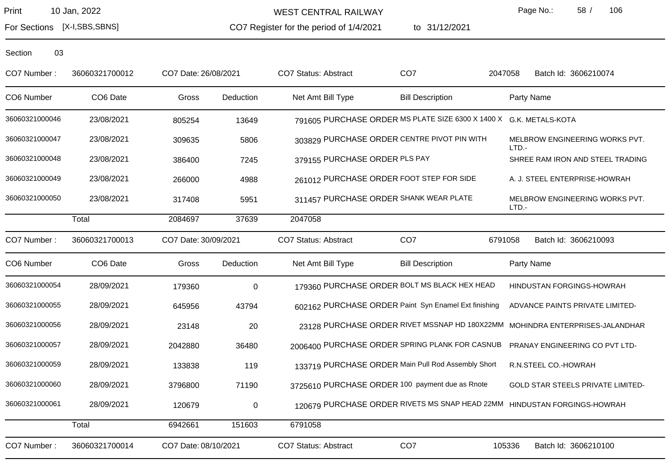WEST CENTRAL RAILWAY

CO7 Register for the period of 1/4/2021

to 31/12/2021

Page No.: 58 / 106

For Sections [X-I,SBS,SBNS]

| CO7 Number:    | 36060321700012 | CO7 Date: 26/08/2021 |             | <b>CO7 Status: Abstract</b>   | CO <sub>7</sub>                                                    | 2047058<br>Batch Id: 3606210074                                          |
|----------------|----------------|----------------------|-------------|-------------------------------|--------------------------------------------------------------------|--------------------------------------------------------------------------|
| CO6 Number     | CO6 Date       | Gross                | Deduction   | Net Amt Bill Type             | <b>Bill Description</b>                                            | Party Name                                                               |
| 36060321000046 | 23/08/2021     | 805254               | 13649       |                               | 791605 PURCHASE ORDER MS PLATE SIZE 6300 X 1400 X G.K. METALS-KOTA |                                                                          |
| 36060321000047 | 23/08/2021     | 309635               | 5806        |                               | 303829 PURCHASE ORDER CENTRE PIVOT PIN WITH                        | MELBROW ENGINEERING WORKS PVT.<br>LTD.-                                  |
| 36060321000048 | 23/08/2021     | 386400               | 7245        | 379155 PURCHASE ORDER PLS PAY |                                                                    | SHREE RAM IRON AND STEEL TRADING                                         |
| 36060321000049 | 23/08/2021     | 266000               | 4988        |                               | 261012 PURCHASE ORDER FOOT STEP FOR SIDE                           | A. J. STEEL ENTERPRISE-HOWRAH                                            |
| 36060321000050 | 23/08/2021     | 317408               | 5951        |                               | 311457 PURCHASE ORDER SHANK WEAR PLATE                             | MELBROW ENGINEERING WORKS PVT.<br>LTD.-                                  |
|                | Total          | 2084697              | 37639       | 2047058                       |                                                                    |                                                                          |
| CO7 Number:    | 36060321700013 | CO7 Date: 30/09/2021 |             | <b>CO7 Status: Abstract</b>   | CO <sub>7</sub>                                                    | 6791058<br>Batch Id: 3606210093                                          |
| CO6 Number     | CO6 Date       | Gross                | Deduction   | Net Amt Bill Type             | <b>Bill Description</b>                                            | Party Name                                                               |
| 36060321000054 | 28/09/2021     | 179360               | $\mathbf 0$ |                               | 179360 PURCHASE ORDER BOLT MS BLACK HEX HEAD                       | HINDUSTAN FORGINGS-HOWRAH                                                |
| 36060321000055 | 28/09/2021     | 645956               | 43794       |                               | 602162 PURCHASE ORDER Paint Syn Enamel Ext finishing               | ADVANCE PAINTS PRIVATE LIMITED-                                          |
| 36060321000056 | 28/09/2021     | 23148                | 20          |                               | 23128 PURCHASE ORDER RIVET MSSNAP HD 180X22MM                      | MOHINDRA ENTERPRISES-JALANDHAR                                           |
| 36060321000057 | 28/09/2021     | 2042880              | 36480       |                               | 2006400 PURCHASE ORDER SPRING PLANK FOR CASNUB                     | PRANAY ENGINEERING CO PVT LTD-                                           |
| 36060321000059 | 28/09/2021     | 133838               | 119         |                               | 133719 PURCHASE ORDER Main Pull Rod Assembly Short                 | R.N.STEEL CO.-HOWRAH                                                     |
| 36060321000060 | 28/09/2021     | 3796800              | 71190       |                               | 3725610 PURCHASE ORDER 100 payment due as Rnote                    | GOLD STAR STEELS PRIVATE LIMITED-                                        |
| 36060321000061 | 28/09/2021     | 120679               | $\mathbf 0$ |                               |                                                                    | 120679 PURCHASE ORDER RIVETS MS SNAP HEAD 22MM HINDUSTAN FORGINGS-HOWRAH |
|                | Total          | 6942661              | 151603      | 6791058                       |                                                                    |                                                                          |
| CO7 Number:    | 36060321700014 | CO7 Date: 08/10/2021 |             | <b>CO7 Status: Abstract</b>   | CO <sub>7</sub>                                                    | 105336<br>Batch Id: 3606210100                                           |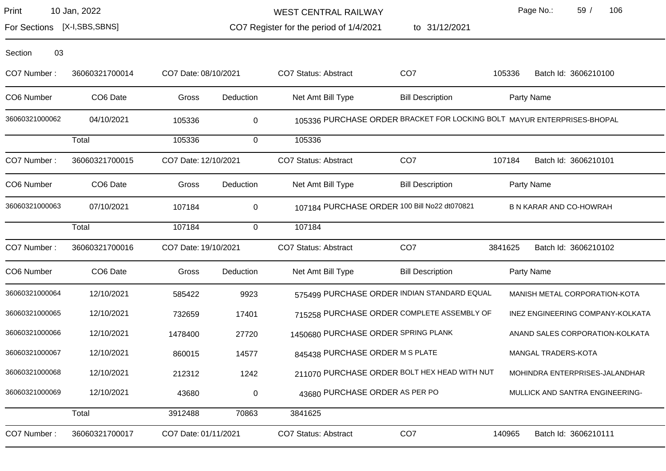| Print | 10 Jan, 2022 |  |
|-------|--------------|--|
|-------|--------------|--|

WEST CENTRAL RAILWAY

1/4/2021 to 31/12/2021

Page No.: 59 / 106

For Sections [X-I,SBS,SBNS]

| CO7 Register for the period of 1/4/2021 |  |
|-----------------------------------------|--|
|-----------------------------------------|--|

| 03<br>Section  |                      |                      |                |                                     |                                                                         |         |                                  |
|----------------|----------------------|----------------------|----------------|-------------------------------------|-------------------------------------------------------------------------|---------|----------------------------------|
| CO7 Number:    | 36060321700014       | CO7 Date: 08/10/2021 |                | <b>CO7 Status: Abstract</b>         | CO <sub>7</sub>                                                         | 105336  | Batch Id: 3606210100             |
| CO6 Number     | CO <sub>6</sub> Date | Gross                | Deduction      | Net Amt Bill Type                   | <b>Bill Description</b>                                                 |         | Party Name                       |
| 36060321000062 | 04/10/2021           | 105336               | 0              |                                     | 105336 PURCHASE ORDER BRACKET FOR LOCKING BOLT MAYUR ENTERPRISES-BHOPAL |         |                                  |
|                | Total                | 105336               | $\mathbf 0$    | 105336                              |                                                                         |         |                                  |
| CO7 Number:    | 36060321700015       | CO7 Date: 12/10/2021 |                | <b>CO7 Status: Abstract</b>         | CO <sub>7</sub>                                                         | 107184  | Batch Id: 3606210101             |
| CO6 Number     | CO <sub>6</sub> Date | Gross                | Deduction      | Net Amt Bill Type                   | <b>Bill Description</b>                                                 |         | Party Name                       |
| 36060321000063 | 07/10/2021           | 107184               | $\mathbf 0$    |                                     | 107184 PURCHASE ORDER 100 Bill No22 dt070821                            |         | <b>B N KARAR AND CO-HOWRAH</b>   |
|                | Total                | 107184               | $\overline{0}$ | 107184                              |                                                                         |         |                                  |
| CO7 Number:    | 36060321700016       | CO7 Date: 19/10/2021 |                | CO7 Status: Abstract                | CO <sub>7</sub>                                                         | 3841625 | Batch Id: 3606210102             |
| CO6 Number     | CO6 Date             | Gross                | Deduction      | Net Amt Bill Type                   | <b>Bill Description</b>                                                 |         | Party Name                       |
| 36060321000064 | 12/10/2021           | 585422               | 9923           |                                     | 575499 PURCHASE ORDER INDIAN STANDARD EQUAL                             |         | MANISH METAL CORPORATION-KOTA    |
| 36060321000065 | 12/10/2021           | 732659               | 17401          |                                     | 715258 PURCHASE ORDER COMPLETE ASSEMBLY OF                              |         | INEZ ENGINEERING COMPANY-KOLKATA |
| 36060321000066 | 12/10/2021           | 1478400              | 27720          | 1450680 PURCHASE ORDER SPRING PLANK |                                                                         |         | ANAND SALES CORPORATION-KOLKATA  |
| 36060321000067 | 12/10/2021           | 860015               | 14577          | 845438 PURCHASE ORDER M S PLATE     |                                                                         |         | MANGAL TRADERS-KOTA              |
| 36060321000068 | 12/10/2021           | 212312               | 1242           |                                     | 211070 PURCHASE ORDER BOLT HEX HEAD WITH NUT                            |         | MOHINDRA ENTERPRISES-JALANDHAR   |
| 36060321000069 | 12/10/2021           | 43680                | 0              | 43680 PURCHASE ORDER AS PER PO      |                                                                         |         | MULLICK AND SANTRA ENGINEERING-  |
|                | Total                | 3912488              | 70863          | 3841625                             |                                                                         |         |                                  |

CO7 Number: 36060321700017 CO7 Date: 01/11/2021 CO7 Status: Abstract CO7 CO7 140965 Batch Id: 3606210111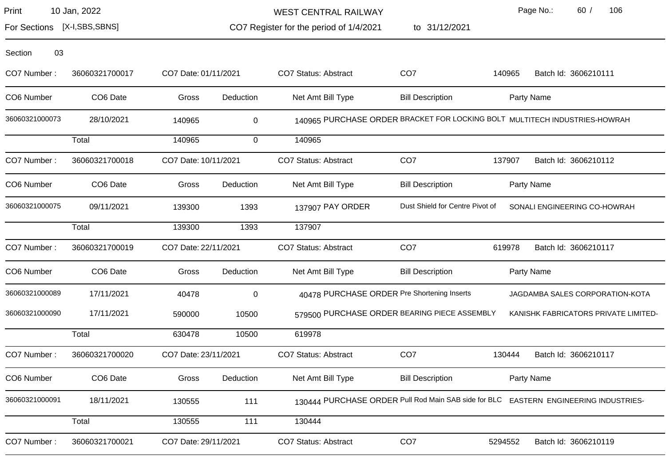| Print | 10 Jan, 2022 |  |
|-------|--------------|--|
|-------|--------------|--|

WEST CENTRAL RAILWAY

to 31/12/2021

Page No.: 60 / 106

For Sections [X-I,SBS,SBNS]

CO7 Register for the period of 1/4/2021

| 03<br>Section  |                |                      |             |                                             |                                              |        |                                                                                      |
|----------------|----------------|----------------------|-------------|---------------------------------------------|----------------------------------------------|--------|--------------------------------------------------------------------------------------|
| CO7 Number:    | 36060321700017 | CO7 Date: 01/11/2021 |             | CO7 Status: Abstract                        | CO <sub>7</sub>                              | 140965 | Batch Id: 3606210111                                                                 |
| CO6 Number     | CO6 Date       | Gross                | Deduction   | Net Amt Bill Type                           | <b>Bill Description</b>                      |        | Party Name                                                                           |
| 36060321000073 | 28/10/2021     | 140965               | $\mathbf 0$ |                                             |                                              |        | 140965 PURCHASE ORDER BRACKET FOR LOCKING BOLT MULTITECH INDUSTRIES-HOWRAH           |
|                | Total          | 140965               | $\mathbf 0$ | 140965                                      |                                              |        |                                                                                      |
| CO7 Number:    | 36060321700018 | CO7 Date: 10/11/2021 |             | <b>CO7 Status: Abstract</b>                 | CO <sub>7</sub>                              | 137907 | Batch Id: 3606210112                                                                 |
| CO6 Number     | CO6 Date       | Gross                | Deduction   | Net Amt Bill Type                           | <b>Bill Description</b>                      |        | Party Name                                                                           |
| 36060321000075 | 09/11/2021     | 139300               | 1393        | 137907 PAY ORDER                            | Dust Shield for Centre Pivot of              |        | SONALI ENGINEERING CO-HOWRAH                                                         |
|                | Total          | 139300               | 1393        | 137907                                      |                                              |        |                                                                                      |
| CO7 Number:    | 36060321700019 | CO7 Date: 22/11/2021 |             | CO7 Status: Abstract                        | CO <sub>7</sub>                              | 619978 | Batch Id: 3606210117                                                                 |
| CO6 Number     | CO6 Date       | Gross                | Deduction   | Net Amt Bill Type                           | <b>Bill Description</b>                      |        | Party Name                                                                           |
| 36060321000089 | 17/11/2021     | 40478                | $\mathsf 0$ | 40478 PURCHASE ORDER Pre Shortening Inserts |                                              |        | JAGDAMBA SALES CORPORATION-KOTA                                                      |
| 36060321000090 | 17/11/2021     | 590000               | 10500       |                                             | 579500 PURCHASE ORDER BEARING PIECE ASSEMBLY |        | KANISHK FABRICATORS PRIVATE LIMITED-                                                 |
|                | Total          | 630478               | 10500       | 619978                                      |                                              |        |                                                                                      |
| CO7 Number:    | 36060321700020 | CO7 Date: 23/11/2021 |             | CO7 Status: Abstract                        | CO <sub>7</sub>                              | 130444 | Batch Id: 3606210117                                                                 |
| CO6 Number     | CO6 Date       | Gross                | Deduction   | Net Amt Bill Type                           | <b>Bill Description</b>                      |        | Party Name                                                                           |
| 36060321000091 | 18/11/2021     | 130555               | 111         |                                             |                                              |        | 130444 PURCHASE ORDER Pull Rod Main SAB side for BLC EASTERN ENGINEERING INDUSTRIES- |
|                |                |                      |             |                                             |                                              |        |                                                                                      |

CO7 Number: 36060321700021 CO7 Date: 29/11/2021 CO7 Status: Abstract CO7 CO7 5294552 Batch Id: 3606210119

Total 130555 111 130444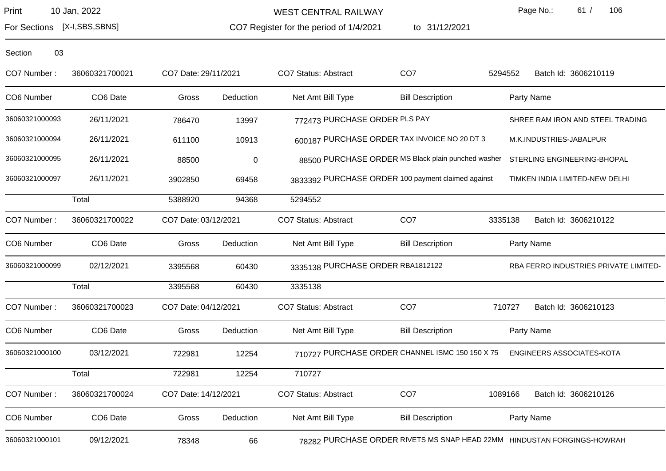WEST CENTRAL RAILWAY

CO7 Register for the period of 1/4/2021

to 31/12/2021

Page No.: 61 / 106

For Sections [X-I,SBS,SBNS]

| CO7 Number:    | 36060321700021 | CO7 Date: 29/11/2021 |                  | CO7 Status: Abstract              | CO <sub>7</sub>                                    | 5294552 | Batch Id: 3606210119                                                    |
|----------------|----------------|----------------------|------------------|-----------------------------------|----------------------------------------------------|---------|-------------------------------------------------------------------------|
| CO6 Number     | CO6 Date       | Gross                | Deduction        | Net Amt Bill Type                 | <b>Bill Description</b>                            |         | Party Name                                                              |
| 36060321000093 | 26/11/2021     | 786470               | 13997            | 772473 PURCHASE ORDER PLS PAY     |                                                    |         | SHREE RAM IRON AND STEEL TRADING                                        |
| 36060321000094 | 26/11/2021     | 611100               | 10913            |                                   | 600187 PURCHASE ORDER TAX INVOICE NO 20 DT 3       |         | M.K.INDUSTRIES-JABALPUR                                                 |
| 36060321000095 | 26/11/2021     | 88500                | $\boldsymbol{0}$ |                                   | 88500 PURCHASE ORDER MS Black plain punched washer |         | STERLING ENGINEERING-BHOPAL                                             |
| 36060321000097 | 26/11/2021     | 3902850              | 69458            |                                   | 3833392 PURCHASE ORDER 100 payment claimed against |         | TIMKEN INDIA LIMITED-NEW DELHI                                          |
|                | Total          | 5388920              | 94368            | 5294552                           |                                                    |         |                                                                         |
| CO7 Number:    | 36060321700022 | CO7 Date: 03/12/2021 |                  | CO7 Status: Abstract              | CO <sub>7</sub>                                    | 3335138 | Batch Id: 3606210122                                                    |
| CO6 Number     | CO6 Date       | Gross                | Deduction        | Net Amt Bill Type                 | <b>Bill Description</b>                            |         | Party Name                                                              |
| 36060321000099 | 02/12/2021     | 3395568              | 60430            | 3335138 PURCHASE ORDER RBA1812122 |                                                    |         | RBA FERRO INDUSTRIES PRIVATE LIMITED-                                   |
|                | Total          | 3395568              | 60430            | 3335138                           |                                                    |         |                                                                         |
| CO7 Number:    | 36060321700023 | CO7 Date: 04/12/2021 |                  | <b>CO7 Status: Abstract</b>       | CO <sub>7</sub>                                    | 710727  | Batch Id: 3606210123                                                    |
| CO6 Number     | CO6 Date       | Gross                | Deduction        | Net Amt Bill Type                 | <b>Bill Description</b>                            |         | Party Name                                                              |
| 36060321000100 | 03/12/2021     | 722981               | 12254            |                                   | 710727 PURCHASE ORDER CHANNEL ISMC 150 150 X 75    |         | ENGINEERS ASSOCIATES-KOTA                                               |
|                | Total          | 722981               | 12254            | 710727                            |                                                    |         |                                                                         |
| CO7 Number:    | 36060321700024 | CO7 Date: 14/12/2021 |                  | <b>CO7 Status: Abstract</b>       | CO <sub>7</sub>                                    | 1089166 | Batch Id: 3606210126                                                    |
| CO6 Number     | CO6 Date       | Gross                | Deduction        | Net Amt Bill Type                 | <b>Bill Description</b>                            |         | Party Name                                                              |
| 36060321000101 | 09/12/2021     | 78348                | 66               |                                   |                                                    |         | 78282 PURCHASE ORDER RIVETS MS SNAP HEAD 22MM HINDUSTAN FORGINGS-HOWRAH |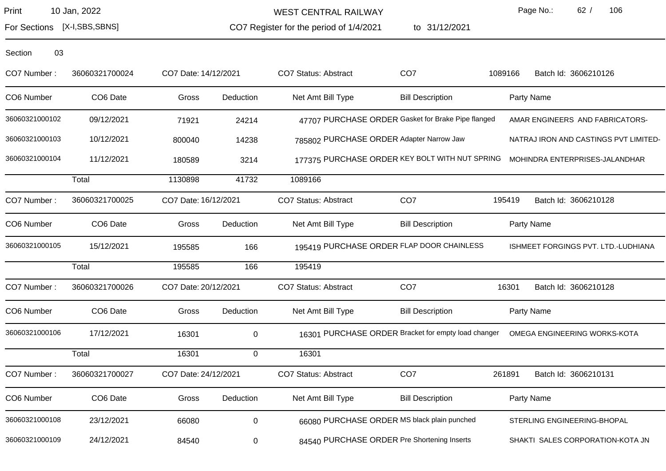WEST CENTRAL RAILWAY

CO7 Register for the period of 1/4/2021 to 31/12/2021 Page No.: 62 / 106

For Sections [X-I,SBS,SBNS]

| CO7 Number:    | 36060321700024 | CO7 Date: 14/12/2021 |           | CO7 Status: Abstract | CO <sub>7</sub>                                     | 1089166 | Batch Id: 3606210126                  |
|----------------|----------------|----------------------|-----------|----------------------|-----------------------------------------------------|---------|---------------------------------------|
| CO6 Number     | CO6 Date       | Gross                | Deduction | Net Amt Bill Type    | <b>Bill Description</b>                             |         | Party Name                            |
| 36060321000102 | 09/12/2021     | 71921                | 24214     |                      | 47707 PURCHASE ORDER Gasket for Brake Pipe flanged  |         | AMAR ENGINEERS AND FABRICATORS-       |
| 36060321000103 | 10/12/2021     | 800040               | 14238     |                      | 785802 PURCHASE ORDER Adapter Narrow Jaw            |         | NATRAJ IRON AND CASTINGS PVT LIMITED- |
| 36060321000104 | 11/12/2021     | 180589               | 3214      |                      | 177375 PURCHASE ORDER KEY BOLT WITH NUT SPRING      |         | MOHINDRA ENTERPRISES-JALANDHAR        |
|                | Total          | 1130898              | 41732     | 1089166              |                                                     |         |                                       |
| CO7 Number:    | 36060321700025 | CO7 Date: 16/12/2021 |           | CO7 Status: Abstract | CO <sub>7</sub>                                     | 195419  | Batch Id: 3606210128                  |
| CO6 Number     | CO6 Date       | Gross                | Deduction | Net Amt Bill Type    | <b>Bill Description</b>                             |         | Party Name                            |
| 36060321000105 | 15/12/2021     | 195585               | 166       |                      | 195419 PURCHASE ORDER FLAP DOOR CHAINLESS           |         | ISHMEET FORGINGS PVT. LTD.-LUDHIANA   |
|                | Total          | 195585               | 166       | 195419               |                                                     |         |                                       |
| CO7 Number:    | 36060321700026 | CO7 Date: 20/12/2021 |           | CO7 Status: Abstract | CO <sub>7</sub>                                     | 16301   | Batch Id: 3606210128                  |
| CO6 Number     | CO6 Date       | Gross                | Deduction | Net Amt Bill Type    | <b>Bill Description</b>                             |         | Party Name                            |
| 36060321000106 | 17/12/2021     | 16301                | 0         |                      | 16301 PURCHASE ORDER Bracket for empty load changer |         | OMEGA ENGINEERING WORKS-KOTA          |
|                | Total          | 16301                | 0         | 16301                |                                                     |         |                                       |
| CO7 Number:    | 36060321700027 | CO7 Date: 24/12/2021 |           | CO7 Status: Abstract | CO <sub>7</sub>                                     | 261891  | Batch Id: 3606210131                  |
| CO6 Number     | CO6 Date       | Gross                | Deduction | Net Amt Bill Type    | <b>Bill Description</b>                             |         | Party Name                            |
| 36060321000108 | 23/12/2021     | 66080                | 0         |                      | 66080 PURCHASE ORDER MS black plain punched         |         | STERLING ENGINEERING-BHOPAL           |
| 36060321000109 | 24/12/2021     | 84540                | 0         |                      | 84540 PURCHASE ORDER Pre Shortening Inserts         |         | SHAKTI SALES CORPORATION-KOTA JN      |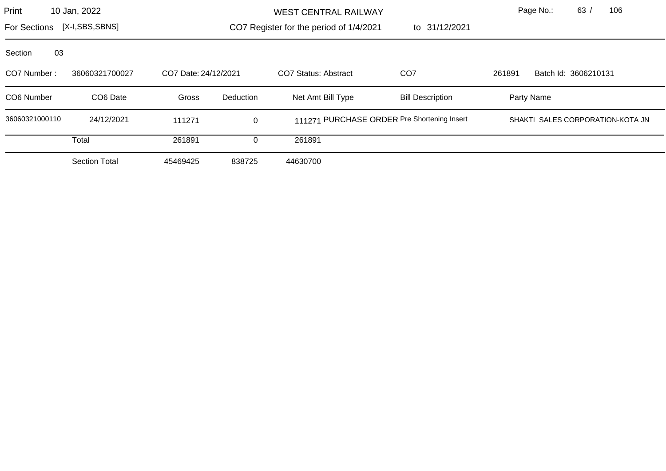| Print                          | 10 Jan, 2022                           |          |                      | <b>WEST CENTRAL RAILWAY</b>             |                                             |  | Page No.:            | 63 | 106                              |
|--------------------------------|----------------------------------------|----------|----------------------|-----------------------------------------|---------------------------------------------|--|----------------------|----|----------------------------------|
| [X-I,SBS,SBNS]<br>For Sections |                                        |          |                      | CO7 Register for the period of 1/4/2021 | to 31/12/2021                               |  |                      |    |                                  |
| Section<br>03                  |                                        |          |                      |                                         |                                             |  |                      |    |                                  |
| CO7 Number:                    | 36060321700027<br>CO7 Date: 24/12/2021 |          | CO7 Status: Abstract | CO <sub>7</sub>                         | 261891                                      |  | Batch Id: 3606210131 |    |                                  |
| CO6 Number                     | CO <sub>6</sub> Date                   | Gross    | Deduction            | Net Amt Bill Type                       | <b>Bill Description</b>                     |  | Party Name           |    |                                  |
| 36060321000110                 | 24/12/2021                             | 111271   | 0                    |                                         | 111271 PURCHASE ORDER Pre Shortening Insert |  |                      |    | SHAKTI SALES CORPORATION-KOTA JN |
|                                | Total                                  | 261891   | $\Omega$             | 261891                                  |                                             |  |                      |    |                                  |
|                                | <b>Section Total</b>                   | 45469425 | 838725               | 44630700                                |                                             |  |                      |    |                                  |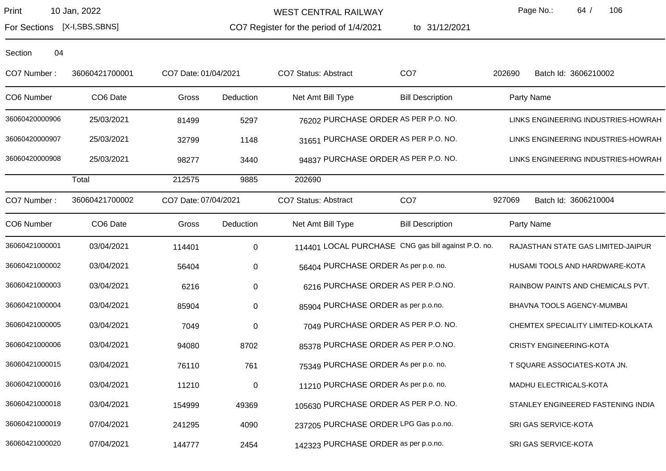WEST CENTRAL RAILWAY

CO7 Register for the period of 1/4/2021

to 31/12/2021

Page No.: 64 / 106

For Sections [X-I,SBS,SBNS]

| CO7 Number:    | 36060421700001 | CO7 Date: 01/04/2021 |             | CO7 Status: Abstract                 | CO <sub>7</sub>                                     | 202690 | Batch Id: 3606210002                |
|----------------|----------------|----------------------|-------------|--------------------------------------|-----------------------------------------------------|--------|-------------------------------------|
| CO6 Number     | CO6 Date       | Gross                | Deduction   | Net Amt Bill Type                    | <b>Bill Description</b>                             |        | Party Name                          |
| 36060420000906 | 25/03/2021     | 81499                | 5297        |                                      | 76202 PURCHASE ORDER AS PER P.O. NO.                |        | LINKS ENGINEERING INDUSTRIES-HOWRAH |
| 36060420000907 | 25/03/2021     | 32799                | 1148        |                                      | 31651 PURCHASE ORDER AS PER P.O. NO.                |        | LINKS ENGINEERING INDUSTRIES-HOWRAH |
| 36060420000908 | 25/03/2021     | 98277                | 3440        |                                      | 94837 PURCHASE ORDER AS PER P.O. NO.                |        | LINKS ENGINEERING INDUSTRIES-HOWRAH |
|                | Total          | 212575               | 9885        | 202690                               |                                                     |        |                                     |
| CO7 Number:    | 36060421700002 | CO7 Date: 07/04/2021 |             | <b>CO7 Status: Abstract</b>          | CO <sub>7</sub>                                     | 927069 | Batch Id: 3606210004                |
| CO6 Number     | CO6 Date       | Gross                | Deduction   | Net Amt Bill Type                    | <b>Bill Description</b>                             |        | Party Name                          |
| 36060421000001 | 03/04/2021     | 114401               | $\mathbf 0$ |                                      | 114401 LOCAL PURCHASE CNG gas bill against P.O. no. |        | RAJASTHAN STATE GAS LIMITED-JAIPUR  |
| 36060421000002 | 03/04/2021     | 56404                | $\mathbf 0$ | 56404 PURCHASE ORDER As per p.o. no. |                                                     |        | HUSAMI TOOLS AND HARDWARE-KOTA      |
| 36060421000003 | 03/04/2021     | 6216                 | $\mathbf 0$ |                                      | 6216 PURCHASE ORDER AS PER P.O.NO.                  |        | RAINBOW PAINTS AND CHEMICALS PVT.   |
| 36060421000004 | 03/04/2021     | 85904                | $\mathbf 0$ | 85904 PURCHASE ORDER as per p.o.no.  |                                                     |        | BHAVNA TOOLS AGENCY-MUMBAI          |
| 36060421000005 | 03/04/2021     | 7049                 | $\pmb{0}$   |                                      | 7049 PURCHASE ORDER AS PER P.O. NO.                 |        | CHEMTEX SPECIALITY LIMITED-KOLKATA  |
| 36060421000006 | 03/04/2021     | 94080                | 8702        |                                      | 85378 PURCHASE ORDER AS PER P.O.NO.                 |        | <b>CRISTY ENGINEERING-KOTA</b>      |
| 36060421000015 | 03/04/2021     | 76110                | 761         | 75349 PURCHASE ORDER As per p.o. no. |                                                     |        | T SQUARE ASSOCIATES-KOTA JN.        |
| 36060421000016 | 03/04/2021     | 11210                | $\pmb{0}$   | 11210 PURCHASE ORDER As per p.o. no. |                                                     |        | MADHU ELECTRICALS-KOTA              |
| 36060421000018 | 03/04/2021     | 154999               | 49369       |                                      | 105630 PURCHASE ORDER AS PER P.O. NO.               |        | STANLEY ENGINEERED FASTENING INDIA  |
| 36060421000019 | 07/04/2021     | 241295               | 4090        |                                      | 237205 PURCHASE ORDER LPG Gas p.o.no.               |        | SRI GAS SERVICE-KOTA                |
| 36060421000020 | 07/04/2021     | 144777               | 2454        | 142323 PURCHASE ORDER as per p.o.no. |                                                     |        | SRI GAS SERVICE-KOTA                |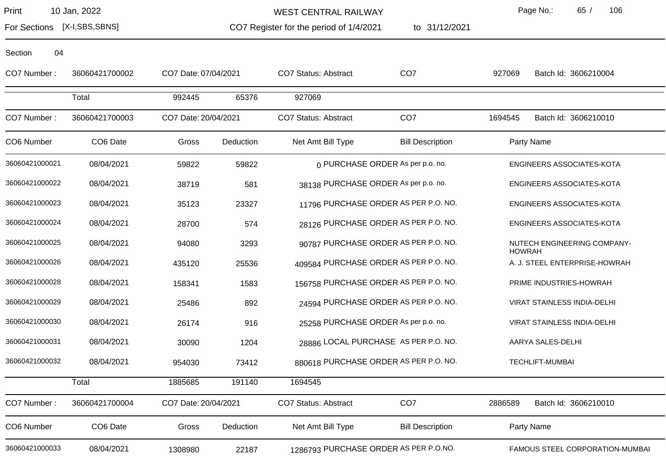WEST CENTRAL RAILWAY

CO7 Register for the period of 1/4/2021

to 31/12/2021

Page No.: 65 / 106

For Sections [X-I,SBS,SBNS]

| CO7 Number:    | 36060421700002 | CO7 Date: 07/04/2021 |           | <b>CO7 Status: Abstract</b>           | CO <sub>7</sub>                      | 927069<br>Batch Id: 3606210004               |  |
|----------------|----------------|----------------------|-----------|---------------------------------------|--------------------------------------|----------------------------------------------|--|
|                | Total          | 992445               | 65376     | 927069                                |                                      |                                              |  |
| CO7 Number:    | 36060421700003 | CO7 Date: 20/04/2021 |           | <b>CO7 Status: Abstract</b>           | CO <sub>7</sub>                      | Batch Id: 3606210010<br>1694545              |  |
| CO6 Number     | CO6 Date       | Gross                | Deduction | Net Amt Bill Type                     | <b>Bill Description</b>              | Party Name                                   |  |
| 36060421000021 | 08/04/2021     | 59822                | 59822     |                                       | 0 PURCHASE ORDER As per p.o. no.     | ENGINEERS ASSOCIATES-KOTA                    |  |
| 36060421000022 | 08/04/2021     | 38719                | 581       | 38138 PURCHASE ORDER As per p.o. no.  |                                      | ENGINEERS ASSOCIATES-KOTA                    |  |
| 36060421000023 | 08/04/2021     | 35123                | 23327     |                                       | 11796 PURCHASE ORDER AS PER P.O. NO. | ENGINEERS ASSOCIATES-KOTA                    |  |
| 36060421000024 | 08/04/2021     | 28700                | 574       |                                       | 28126 PURCHASE ORDER AS PER P.O. NO. | ENGINEERS ASSOCIATES-KOTA                    |  |
| 36060421000025 | 08/04/2021     | 94080                | 3293      |                                       | 90787 PURCHASE ORDER AS PER P.O. NO. | NUTECH ENGINEERING COMPANY-<br><b>HOWRAH</b> |  |
| 36060421000026 | 08/04/2021     | 435120               | 25536     | 409584 PURCHASE ORDER AS PER P.O. NO. |                                      | A. J. STEEL ENTERPRISE-HOWRAH                |  |
| 36060421000028 | 08/04/2021     | 158341               | 1583      | 156758 PURCHASE ORDER AS PER P.O. NO. |                                      | PRIME INDUSTRIES-HOWRAH                      |  |
| 36060421000029 | 08/04/2021     | 25486                | 892       |                                       | 24594 PURCHASE ORDER AS PER P.O. NO. | VIRAT STAINLESS INDIA-DELHI                  |  |
| 36060421000030 | 08/04/2021     | 26174                | 916       | 25258 PURCHASE ORDER As per p.o. no.  |                                      | VIRAT STAINLESS INDIA-DELHI                  |  |
| 36060421000031 | 08/04/2021     | 30090                | 1204      |                                       | 28886 LOCAL PURCHASE AS PER P.O. NO. | AARYA SALES-DELHI                            |  |
| 36060421000032 | 08/04/2021     | 954030               | 73412     | 880618 PURCHASE ORDER AS PER P.O. NO. |                                      | <b>TECHLIFT-MUMBAI</b>                       |  |
|                | Total          | 1885685              | 191140    | 1694545                               |                                      |                                              |  |
| CO7 Number:    | 36060421700004 | CO7 Date: 20/04/2021 |           | <b>CO7 Status: Abstract</b>           | CO <sub>7</sub>                      | 2886589<br>Batch Id: 3606210010              |  |
| CO6 Number     | CO6 Date       | Gross                | Deduction | Net Amt Bill Type                     | <b>Bill Description</b>              | Party Name                                   |  |
| 36060421000033 | 08/04/2021     | 1308980              | 22187     | 1286793 PURCHASE ORDER AS PER P.O.NO. |                                      | FAMOUS STEEL CORPORATION-MUMBAI              |  |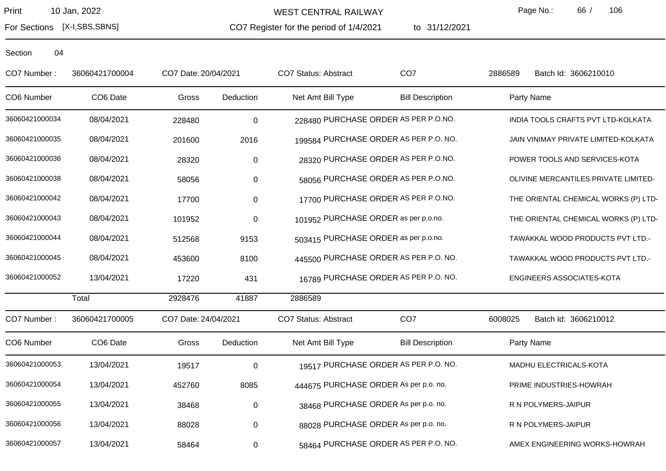For Sections [X-I,SBS,SBNS]

WEST CENTRAL RAILWAY

CO7 Register for the period of 1/4/2021

to 31/12/2021

Page No.: 66 / 106

| CO7 Number:    | 36060421700004 | CO7 Date: 20/04/2021 |           | CO7 Status: Abstract                  | CO <sub>7</sub>                       | 2886589    | Batch Id: 3606210010                 |
|----------------|----------------|----------------------|-----------|---------------------------------------|---------------------------------------|------------|--------------------------------------|
| CO6 Number     | CO6 Date       | Gross                | Deduction | Net Amt Bill Type                     | <b>Bill Description</b>               | Party Name |                                      |
| 36060421000034 | 08/04/2021     | 228480               | $\pmb{0}$ | 228480 PURCHASE ORDER AS PER P.O.NO.  |                                       |            | INDIA TOOLS CRAFTS PVT LTD-KOLKATA   |
| 36060421000035 | 08/04/2021     | 201600               | 2016      |                                       | 199584 PURCHASE ORDER AS PER P.O. NO. |            | JAIN VINIMAY PRIVATE LIMITED-KOLKATA |
| 36060421000036 | 08/04/2021     | 28320                | 0         |                                       | 28320 PURCHASE ORDER AS PER P.O.NO.   |            | POWER TOOLS AND SERVICES-KOTA        |
| 36060421000038 | 08/04/2021     | 58056                | $\pmb{0}$ |                                       | 58056 PURCHASE ORDER AS PER P.O.NO.   |            | OLIVINE MERCANTILES PRIVATE LIMITED- |
| 36060421000042 | 08/04/2021     | 17700                | 0         |                                       | 17700 PURCHASE ORDER AS PER P.O.NO.   |            | THE ORIENTAL CHEMICAL WORKS (P) LTD- |
| 36060421000043 | 08/04/2021     | 101952               | $\pmb{0}$ | 101952 PURCHASE ORDER as per p.o.no.  |                                       |            | THE ORIENTAL CHEMICAL WORKS (P) LTD- |
| 36060421000044 | 08/04/2021     | 512568               | 9153      | 503415 PURCHASE ORDER as per p.o.no.  |                                       |            | TAWAKKAL WOOD PRODUCTS PVT LTD.-     |
| 36060421000045 | 08/04/2021     | 453600               | 8100      |                                       | 445500 PURCHASE ORDER AS PER P.O. NO. |            | TAWAKKAL WOOD PRODUCTS PVT LTD.-     |
| 36060421000052 | 13/04/2021     | 17220                | 431       |                                       | 16789 PURCHASE ORDER AS PER P.O. NO.  |            | ENGINEERS ASSOCIATES-KOTA            |
|                | Total          | 2928476              | 41887     | 2886589                               |                                       |            |                                      |
| CO7 Number:    | 36060421700005 | CO7 Date: 24/04/2021 |           | CO7 Status: Abstract                  | CO <sub>7</sub>                       | 6008025    | Batch Id: 3606210012                 |
| CO6 Number     | CO6 Date       | Gross                | Deduction | Net Amt Bill Type                     | <b>Bill Description</b>               | Party Name |                                      |
| 36060421000053 | 13/04/2021     | 19517                | $\pmb{0}$ |                                       | 19517 PURCHASE ORDER AS PER P.O. NO.  |            | MADHU ELECTRICALS-KOTA               |
| 36060421000054 | 13/04/2021     | 452760               | 8085      | 444675 PURCHASE ORDER As per p.o. no. |                                       |            | PRIME INDUSTRIES-HOWRAH              |
| 36060421000055 | 13/04/2021     | 38468                | 0         | 38468 PURCHASE ORDER As per p.o. no.  |                                       |            | R N POLYMERS-JAIPUR                  |
| 36060421000056 | 13/04/2021     | 88028                | $\pmb{0}$ | 88028 PURCHASE ORDER As per p.o. no.  |                                       |            | R N POLYMERS-JAIPUR                  |
| 36060421000057 | 13/04/2021     | 58464                | 0         |                                       | 58464 PURCHASE ORDER AS PER P.O. NO.  |            | AMEX ENGINEERING WORKS-HOWRAH        |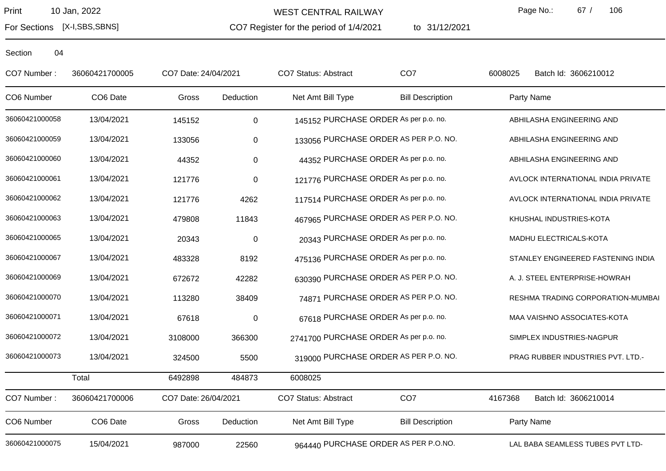For Sections [X-I,SBS,SBNS]

WEST CENTRAL RAILWAY

CO7 Register for the period of 1/4/2021 to 31/12/2021 Page No.: 67 / 106

| CO7 Number:    | 36060421700005 | CO7 Date: 24/04/2021 |                  | <b>CO7 Status: Abstract</b>            | CO <sub>7</sub>                      | 6008025    | Batch Id: 3606210012               |
|----------------|----------------|----------------------|------------------|----------------------------------------|--------------------------------------|------------|------------------------------------|
| CO6 Number     | CO6 Date       | Gross                | Deduction        | Net Amt Bill Type                      | <b>Bill Description</b>              | Party Name |                                    |
| 36060421000058 | 13/04/2021     | 145152               | $\mathbf 0$      | 145152 PURCHASE ORDER As per p.o. no.  |                                      |            | ABHILASHA ENGINEERING AND          |
| 36060421000059 | 13/04/2021     | 133056               | 0                | 133056 PURCHASE ORDER AS PER P.O. NO.  |                                      |            | ABHILASHA ENGINEERING AND          |
| 36060421000060 | 13/04/2021     | 44352                | $\boldsymbol{0}$ | 44352 PURCHASE ORDER As per p.o. no.   |                                      |            | ABHILASHA ENGINEERING AND          |
| 36060421000061 | 13/04/2021     | 121776               | $\pmb{0}$        | 121776 PURCHASE ORDER As per p.o. no.  |                                      |            | AVLOCK INTERNATIONAL INDIA PRIVATE |
| 36060421000062 | 13/04/2021     | 121776               | 4262             | 117514 PURCHASE ORDER As per p.o. no.  |                                      |            | AVLOCK INTERNATIONAL INDIA PRIVATE |
| 36060421000063 | 13/04/2021     | 479808               | 11843            | 467965 PURCHASE ORDER AS PER P.O. NO.  |                                      |            | KHUSHAL INDUSTRIES-KOTA            |
| 36060421000065 | 13/04/2021     | 20343                | $\pmb{0}$        | 20343 PURCHASE ORDER As per p.o. no.   |                                      |            | MADHU ELECTRICALS-KOTA             |
| 36060421000067 | 13/04/2021     | 483328               | 8192             | 475136 PURCHASE ORDER As per p.o. no.  |                                      |            | STANLEY ENGINEERED FASTENING INDIA |
| 36060421000069 | 13/04/2021     | 672672               | 42282            | 630390 PURCHASE ORDER AS PER P.O. NO.  |                                      |            | A. J. STEEL ENTERPRISE-HOWRAH      |
| 36060421000070 | 13/04/2021     | 113280               | 38409            |                                        | 74871 PURCHASE ORDER AS PER P.O. NO. |            | RESHMA TRADING CORPORATION-MUMBAI  |
| 36060421000071 | 13/04/2021     | 67618                | $\pmb{0}$        | 67618 PURCHASE ORDER As per p.o. no.   |                                      |            | MAA VAISHNO ASSOCIATES-KOTA        |
| 36060421000072 | 13/04/2021     | 3108000              | 366300           | 2741700 PURCHASE ORDER As per p.o. no. |                                      |            | SIMPLEX INDUSTRIES-NAGPUR          |
| 36060421000073 | 13/04/2021     | 324500               | 5500             | 319000 PURCHASE ORDER AS PER P.O. NO.  |                                      |            | PRAG RUBBER INDUSTRIES PVT. LTD.-  |
|                | Total          | 6492898              | 484873           | 6008025                                |                                      |            |                                    |
| CO7 Number:    | 36060421700006 | CO7 Date: 26/04/2021 |                  | <b>CO7 Status: Abstract</b>            | CO <sub>7</sub>                      | 4167368    | Batch Id: 3606210014               |
| CO6 Number     | CO6 Date       | Gross                | Deduction        | Net Amt Bill Type                      | <b>Bill Description</b>              | Party Name |                                    |
| 36060421000075 | 15/04/2021     | 987000               | 22560            | 964440 PURCHASE ORDER AS PER P.O.NO.   |                                      |            | LAL BABA SEAMLESS TUBES PVT LTD-   |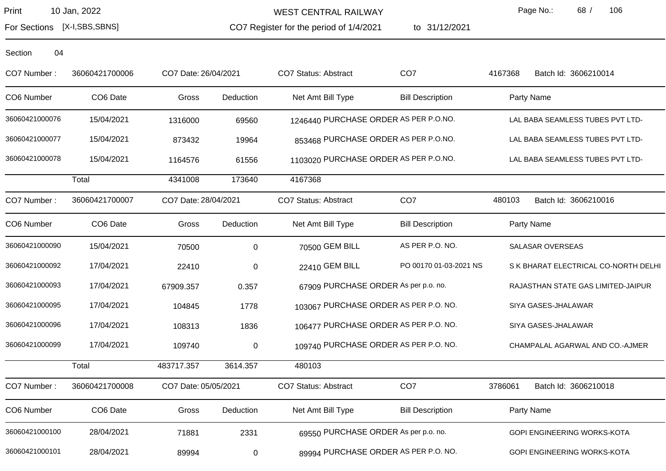WEST CENTRAL RAILWAY

CO7 Register for the period of 1/4/2021

to 31/12/2021

Page No.: 68 / 106

For Sections [X-I,SBS,SBNS]

| CO7 Number:    | 36060421700006 | CO7 Date: 26/04/2021 |             | <b>CO7 Status: Abstract</b>           | CO <sub>7</sub>         | 4167368    | Batch Id: 3606210014                 |
|----------------|----------------|----------------------|-------------|---------------------------------------|-------------------------|------------|--------------------------------------|
| CO6 Number     | CO6 Date       | Gross                | Deduction   | Net Amt Bill Type                     | <b>Bill Description</b> | Party Name |                                      |
| 36060421000076 | 15/04/2021     | 1316000              | 69560       | 1246440 PURCHASE ORDER AS PER P.O.NO. |                         |            | LAL BABA SEAMLESS TUBES PVT LTD-     |
| 36060421000077 | 15/04/2021     | 873432               | 19964       | 853468 PURCHASE ORDER AS PER P.O.NO.  |                         |            | LAL BABA SEAMLESS TUBES PVT LTD-     |
| 36060421000078 | 15/04/2021     | 1164576              | 61556       | 1103020 PURCHASE ORDER AS PER P.O.NO. |                         |            | LAL BABA SEAMLESS TUBES PVT LTD-     |
|                | Total          | 4341008              | 173640      | 4167368                               |                         |            |                                      |
| CO7 Number:    | 36060421700007 | CO7 Date: 28/04/2021 |             | <b>CO7 Status: Abstract</b>           | CO <sub>7</sub>         | 480103     | Batch Id: 3606210016                 |
| CO6 Number     | CO6 Date       | Gross                | Deduction   | Net Amt Bill Type                     | <b>Bill Description</b> | Party Name |                                      |
| 36060421000090 | 15/04/2021     | 70500                | $\mathbf 0$ | 70500 GEM BILL                        | AS PER P.O. NO.         |            | SALASAR OVERSEAS                     |
| 36060421000092 | 17/04/2021     | 22410                | $\pmb{0}$   | 22410 GEM BILL                        | PO 00170 01-03-2021 NS  |            | S K BHARAT ELECTRICAL CO-NORTH DELHI |
| 36060421000093 | 17/04/2021     | 67909.357            | 0.357       | 67909 PURCHASE ORDER As per p.o. no.  |                         |            | RAJASTHAN STATE GAS LIMITED-JAIPUR   |
| 36060421000095 | 17/04/2021     | 104845               | 1778        | 103067 PURCHASE ORDER AS PER P.O. NO. |                         |            | SIYA GASES-JHALAWAR                  |
| 36060421000096 | 17/04/2021     | 108313               | 1836        | 106477 PURCHASE ORDER AS PER P.O. NO. |                         |            | SIYA GASES-JHALAWAR                  |
| 36060421000099 | 17/04/2021     | 109740               | 0           | 109740 PURCHASE ORDER AS PER P.O. NO. |                         |            | CHAMPALAL AGARWAL AND CO.-AJMER      |
|                | Total          | 483717.357           | 3614.357    | 480103                                |                         |            |                                      |
| CO7 Number:    | 36060421700008 | CO7 Date: 05/05/2021 |             | <b>CO7 Status: Abstract</b>           | CO <sub>7</sub>         | 3786061    | Batch Id: 3606210018                 |
| CO6 Number     | CO6 Date       | Gross                | Deduction   | Net Amt Bill Type                     | <b>Bill Description</b> | Party Name |                                      |
| 36060421000100 | 28/04/2021     | 71881                | 2331        | 69550 PURCHASE ORDER As per p.o. no.  |                         |            | GOPI ENGINEERING WORKS-KOTA          |
| 36060421000101 | 28/04/2021     | 89994                | 0           | 89994 PURCHASE ORDER AS PER P.O. NO.  |                         |            | GOPI ENGINEERING WORKS-KOTA          |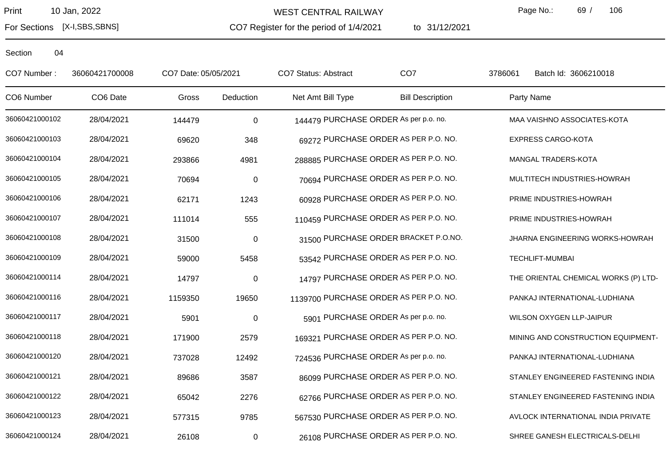For Sections [X-I,SBS,SBNS]

WEST CENTRAL RAILWAY

CO7 Register for the period of 1/4/2021

to 31/12/2021

Page No.: 69 / 106

| CO7 Number:    | 36060421700008 | CO7 Date: 05/05/2021 |                  | CO7 Status: Abstract                   | CO <sub>7</sub>                      | 3786061    | Batch Id: 3606210018                 |
|----------------|----------------|----------------------|------------------|----------------------------------------|--------------------------------------|------------|--------------------------------------|
| CO6 Number     | CO6 Date       | Gross                | Deduction        | Net Amt Bill Type                      | <b>Bill Description</b>              | Party Name |                                      |
| 36060421000102 | 28/04/2021     | 144479               | $\boldsymbol{0}$ | 144479 PURCHASE ORDER As per p.o. no.  |                                      |            | MAA VAISHNO ASSOCIATES-KOTA          |
| 36060421000103 | 28/04/2021     | 69620                | 348              |                                        | 69272 PURCHASE ORDER AS PER P.O. NO. |            | <b>EXPRESS CARGO-KOTA</b>            |
| 36060421000104 | 28/04/2021     | 293866               | 4981             | 288885 PURCHASE ORDER AS PER P.O. NO.  |                                      |            | MANGAL TRADERS-KOTA                  |
| 36060421000105 | 28/04/2021     | 70694                | $\pmb{0}$        |                                        | 70694 PURCHASE ORDER AS PER P.O. NO. |            | MULTITECH INDUSTRIES-HOWRAH          |
| 36060421000106 | 28/04/2021     | 62171                | 1243             |                                        | 60928 PURCHASE ORDER AS PER P.O. NO. |            | PRIME INDUSTRIES-HOWRAH              |
| 36060421000107 | 28/04/2021     | 111014               | 555              | 110459 PURCHASE ORDER AS PER P.O. NO.  |                                      |            | PRIME INDUSTRIES-HOWRAH              |
| 36060421000108 | 28/04/2021     | 31500                | $\mathbf 0$      |                                        | 31500 PURCHASE ORDER BRACKET P.O.NO. |            | JHARNA ENGINEERING WORKS-HOWRAH      |
| 36060421000109 | 28/04/2021     | 59000                | 5458             |                                        | 53542 PURCHASE ORDER AS PER P.O. NO. |            | <b>TECHLIFT-MUMBAI</b>               |
| 36060421000114 | 28/04/2021     | 14797                | $\mathbf 0$      |                                        | 14797 PURCHASE ORDER AS PER P.O. NO. |            | THE ORIENTAL CHEMICAL WORKS (P) LTD- |
| 36060421000116 | 28/04/2021     | 1159350              | 19650            | 1139700 PURCHASE ORDER AS PER P.O. NO. |                                      |            | PANKAJ INTERNATIONAL-LUDHIANA        |
| 36060421000117 | 28/04/2021     | 5901                 | $\boldsymbol{0}$ | 5901 PURCHASE ORDER As per p.o. no.    |                                      |            | WILSON OXYGEN LLP-JAIPUR             |
| 36060421000118 | 28/04/2021     | 171900               | 2579             | 169321 PURCHASE ORDER AS PER P.O. NO.  |                                      |            | MINING AND CONSTRUCTION EQUIPMENT-   |
| 36060421000120 | 28/04/2021     | 737028               | 12492            | 724536 PURCHASE ORDER As per p.o. no.  |                                      |            | PANKAJ INTERNATIONAL-LUDHIANA        |
| 36060421000121 | 28/04/2021     | 89686                | 3587             |                                        | 86099 PURCHASE ORDER AS PER P.O. NO. |            | STANLEY ENGINEERED FASTENING INDIA   |
| 36060421000122 | 28/04/2021     | 65042                | 2276             |                                        | 62766 PURCHASE ORDER AS PER P.O. NO. |            | STANLEY ENGINEERED FASTENING INDIA   |
| 36060421000123 | 28/04/2021     | 577315               | 9785             | 567530 PURCHASE ORDER AS PER P.O. NO.  |                                      |            | AVLOCK INTERNATIONAL INDIA PRIVATE   |
| 36060421000124 | 28/04/2021     | 26108                | $\pmb{0}$        |                                        | 26108 PURCHASE ORDER AS PER P.O. NO. |            | SHREE GANESH ELECTRICALS-DELHI       |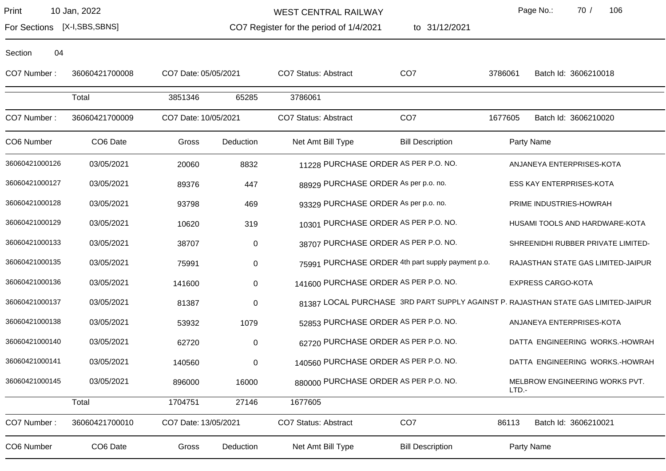Section 04

WEST CENTRAL RAILWAY

Page No.: 70 / 106

3786061 Batch Id: 3606210018

1677605 Batch Id: 3606210020

For Sections [X-I,SBS,SBNS]

CO7 Register for the period of 1/4/2021

to 31/12/2021

| CO7 Number:    | 36060421700008       | CO7 Date: 05/05/2021 |           | CO7 Status: Abstract                 | CO <sub>7</sub>         | 3786061 | <b>Batc</b>         |
|----------------|----------------------|----------------------|-----------|--------------------------------------|-------------------------|---------|---------------------|
|                | Total                | 3851346              | 65285     | 3786061                              |                         |         |                     |
| CO7 Number:    | 36060421700009       | CO7 Date: 10/05/2021 |           | CO7 Status: Abstract                 | CO <sub>7</sub>         | 1677605 | <b>Batc</b>         |
| CO6 Number     | CO <sub>6</sub> Date | Gross                | Deduction | Net Amt Bill Type                    | <b>Bill Description</b> |         | Party Name          |
| 36060421000126 | 03/05/2021           | 20060                | 8832      | 11228 PURCHASE ORDER AS PER P.O. NO. |                         |         | <b>ANJANEYA I</b>   |
| 36060421000127 | 03/05/2021           | 89376                | 447       | 88929 PURCHASE ORDER As per p.o. no. |                         |         | <b>ESS KAY EN</b>   |
| 36060421000128 | 03/05/2021           | 93798                | 469       | 93329 PURCHASE ORDER As per p.o. no. |                         |         | <b>PRIME INDU</b>   |
| 36060421000129 | 03/05/2021           | 10620                | 319       | 10301 PURCHASE ORDER AS PER P.O. NO. |                         |         | <b>HUSAMI TO</b>    |
| 36060421000133 | 03/05/2021           | 38707                | 0         | 38707 PURCHASE ORDER AS PER P.O. NO. |                         |         | <b>SHREENIDH</b>    |
| 20000121000125 | 0.205                | --^^ <i>*</i>        |           |                                      |                         |         | <b>DA IAOTIIANI</b> |

| 36060421000140 | 03/05/2021 | 62720  | $\pmb{0}$ |                                       | 62720 PURCHASE ORDER AS PER P.O. NO.              | DATTA ENGINEERING WORKS.-HOWRAH                                                    |  |
|----------------|------------|--------|-----------|---------------------------------------|---------------------------------------------------|------------------------------------------------------------------------------------|--|
| 36060421000138 | 03/05/2021 | 53932  | 1079      |                                       | 52853 PURCHASE ORDER AS PER P.O. NO.              | ANJANEYA ENTERPRISES-KOTA                                                          |  |
| 36060421000137 | 03/05/2021 | 81387  | $\pmb{0}$ |                                       |                                                   | 81387 LOCAL PURCHASE 3RD PART SUPPLY AGAINST P. RAJASTHAN STATE GAS LIMITED-JAIPUR |  |
| 36060421000136 | 03/05/2021 | 141600 | $\pmb{0}$ | 141600 PURCHASE ORDER AS PER P.O. NO. |                                                   | <b>EXPRESS CARGO-KOTA</b>                                                          |  |
|                |            |        |           |                                       |                                                   |                                                                                    |  |
| 36060421000135 | 03/05/2021 | 75991  | $\pmb{0}$ |                                       | 75991 PURCHASE ORDER 4th part supply payment p.o. | RAJASTHAN STATE GAS LIMITED-JAIPUR                                                 |  |
| 36060421000133 | 03/05/2021 | 38707  | $\pmb{0}$ |                                       | 38707 PURCHASE ORDER AS PER P.O. NO.              | SHREENIDHI RUBBER PRIVATE LIMITED-                                                 |  |
| 36060421000129 | 03/05/2021 | 10620  | 319       |                                       | 10301 PURCHASE ORDER AS PER P.O. NO.              | HUSAMI TOOLS AND HARDWARE-KOTA                                                     |  |
| 36060421000128 | 03/05/2021 | 93798  | 469       | 93329 PURCHASE ORDER As per p.o. no.  |                                                   | PRIME INDUSTRIES-HOWRAH                                                            |  |
| 36060421000127 | 03/05/2021 | 89376  | 447       | 88929 PURCHASE ORDER As per p.o. no.  |                                                   | <b>ESS KAY ENTERPRISES-KOTA</b>                                                    |  |
|                |            | 20060  | 8832      |                                       |                                                   | ANJANEYA ENTERPRISES-KOTA                                                          |  |
| 36060421000126 | 03/05/2021 |        |           |                                       | 11228 PURCHASE ORDER AS PER P.O. NO.              |                                                                                    |  |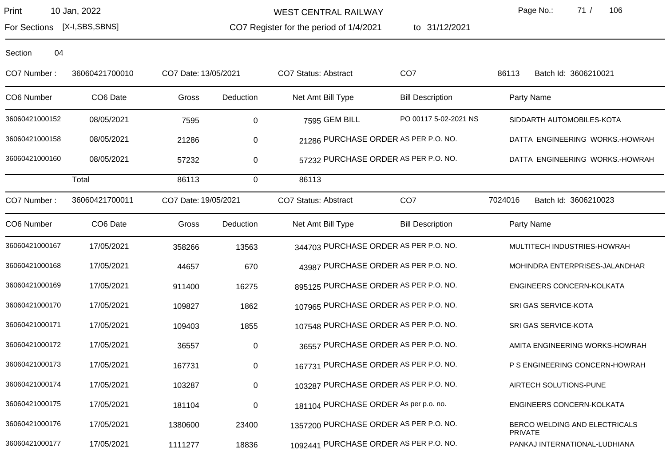For Sections [X-I,SBS,SBNS]

WEST CENTRAL RAILWAY

CO7 Register for the period of 1/4/2021

1/4/2021 to 31/12/2021

Page No.: 71 / 106

Section 04

CO7 Number : 36060421700010 CO7 Date:13/05/2021 CO7 Status: Abstract CO7 86113 Batch Id: 3606210021 CO6 Number CO6 Date Gross Deduction Net Amt Bill Type Bill Description Party Name 36060421000152 08/05/2021 7595 0 7595 GEM BILL PO 00117 5-02-2021 NS SIDDARTH AUTOMOBILES-KOTA 36060421000158 08/05/2021 21286 0 21286 PURCHASE ORDER AS PER P.O. NO. DATTA ENGINEERING WORKS.-HOWRAH 36060421000160 08/05/2021 57232 0 57232 DURCHASE ORDER AS PER P.O. NO. DATTA ENGINEERING WORKS.-HOWRAH Total 86113 0 86113 CO7 Number : 36060421700011 CO7 Date:19/05/2021 CO7 Status: Abstract CO7 7024016 Batch Id: 3606210023 CO6 Number CO6 Date Gross Deduction Net Amt Bill Type Bill Description Party Name 36060421000167 17/05/2021 358266 13563 344703 PURCHASE ORDER AS PER P.O. NO. MULTITECH INDUSTRIES-HOWRAH 36060421000168 17/05/2021 44657 670 43987 PURCHASE ORDER AS PER P.O. NO. MOHINDRA ENTERPRISES-JALANDHAR 36060421000169 17/05/2021 911400 16275 895125 PURCHASE ORDER AS PER P.O. NO. ENGINEERS CONCERN-KOLKATA 36060421000170 17/05/2021 109827 1862 107965 PURCHASE ORDER AS PER P.O. NO. SRI GAS SERVICE-KOTA 36060421000171 17/05/2021 109403 1855 107548 PURCHASE ORDER AS PER P.O. NO. SRI GAS SERVICE-KOTA 36060421000172 17/05/2021 36557 0 36557 0 36557 BURCHASE ORDER AS PER P.O. NO. AMITA ENGINEERING WORKS-HOWRAH 36060421000173 17/05/2021 167731 0 167731 0 167731 PURCHASE ORDER AS PER P.O. NO. PS ENGINEERING CONCERN-HOWRAH 36060421000174 17/05/2021 103287 0 103287 PURCHASE ORDER AS PER P.O. NO. AIRTECH SOLUTIONS-PUNE 36060421000175 17/05/2021 181104 0 181104 PURCHASE ORDER As per p.o. no. ENGINEERS CONCERN-KOLKATA 36060421000176 17/05/2021 1380600 23400 1357200 PURCHASE ORDER AS PER P.O. NO. BERCO WELDING AND ELECTRICALS PRIVATE 36060421000177 17/05/2021 1111277 18836 1092441 PURCHASE ORDER AS PER P.O. NO. PANKAJ INTERNATIONAL-LUDHIANA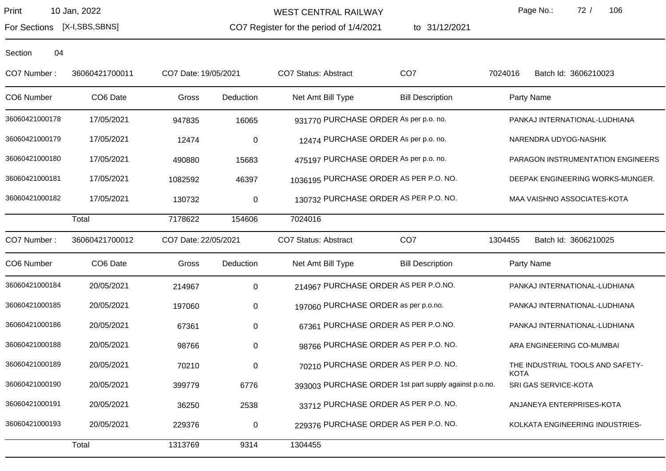For Sections [X-I,SBS,SBNS]

WEST CENTRAL RAILWAY

CO7 Register for the period of 1/4/2021

1/4/2021 to 31/12/2021

Page No.: 72 / 106

Section 04

CO7 Number : 36060421700011 CO7 Date:19/05/2021 CO7 Status: Abstract CO7 7024016 Batch Id: 3606210023 CO6 Number CO6 Date Gross Deduction Net Amt Bill Type Bill Description Party Name 36060421000178 17/05/2021 947835 16065 931770 PURCHASE ORDER As per p.o. no. PANKAJ INTERNATIONAL-LUDHIANA 36060421000179 17/05/2021 12474 0 12474 PURCHASE ORDER As per p.o. no. NARENDRA UDYOG-NASHIK 36060421000180 17/05/2021 490880 15683 475197 PURCHASE ORDER As per p.o. no. PARAGON INSTRUMENTATION ENGINEERS 36060421000181 17/05/2021 1082592 46397 1036195 PURCHASE ORDER AS PER P.O. NO. DEEPAK ENGINEERING WORKS-MUNGER. 36060421000182 17/05/2021 130732 0 130732 PURCHASE ORDER AS PER P.O. NO. MAA VAISHNO ASSOCIATES-KOTA Total 7178622 154606 7024016 CO7 Number : 36060421700012 CO7 Date:22/05/2021 CO7 Status: Abstract CO7 1304455 Batch Id: 3606210025 CO6 Number CO6 Date Gross Deduction Net Amt Bill Type Bill Description Party Name 36060421000184 20/05/2021 214967 0 214967 PURCHASE ORDER AS PER P.O.NO. PANKAJ INTERNATIONAL-LUDHIANA 36060421000185 20/05/2021 197060 0 197060 0 197060 197060 PURCHASE ORDER as per p.o.no. PANKAJ INTERNATIONAL-LUDHIANA 36060421000186 20/05/2021 67361 0 67361 0 67361 67361 6736 EURCHASE ORDER AS PER P.O.NO. PANKAJ INTERNATIONAL-LUDHIANA 36060421000188 20/05/2021 98766 0 98766 9 98766 98766 9 98766 PURCHASE ORDER AS PER P.O. NO. ARA ENGINEERING CO-MUMBAI 36060421000189 20/05/2021 70210 70210 PURCHASE ORDER AS PER P.O. NO. THE INDUSTRIAL TOOLS AND SAFETY-**KOTA** 36060421000190 20/05/2021 399779 6776 393003 PURCHASE ORDER 1st part supply against p.o.no. SRI GAS SERVICE-KOTA 36060421000191 20/05/2021 36250 2538 33712 PURCHASE ORDER AS PER P.O. NO. ANJANEYA ENTERPRISES-KOTA 36060421000193 20/05/2021 229376 0 229376 PURCHASE ORDER AS PER P.O. NO. KOLKATA ENGINEERING INDUSTRIES-Total 1313769 9314 1304455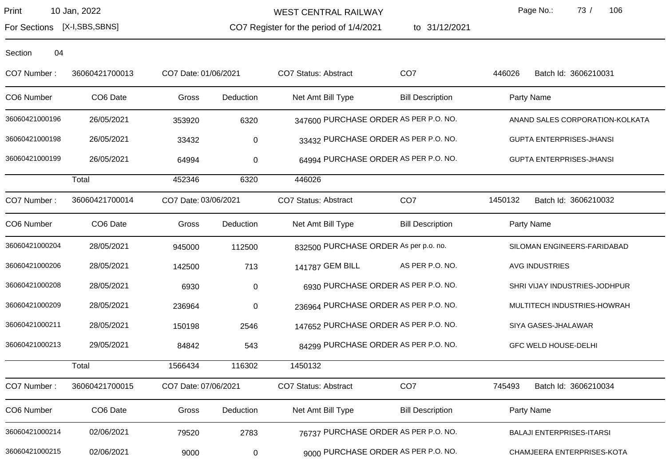WEST CENTRAL RAILWAY

CO7 Register for the period of 1/4/2021

to 31/12/2021

Page No.: 73 / 106

For Sections [X-I,SBS,SBNS]

| CO7 Number:    | 36060421700013 | CO7 Date: 01/06/2021 |           | <b>CO7 Status: Abstract</b>           | CO <sub>7</sub>                       | 446026     | Batch Id: 3606210031             |
|----------------|----------------|----------------------|-----------|---------------------------------------|---------------------------------------|------------|----------------------------------|
| CO6 Number     | CO6 Date       | Gross                | Deduction | Net Amt Bill Type                     | <b>Bill Description</b>               | Party Name |                                  |
| 36060421000196 | 26/05/2021     | 353920               | 6320      |                                       | 347600 PURCHASE ORDER AS PER P.O. NO. |            | ANAND SALES CORPORATION-KOLKATA  |
| 36060421000198 | 26/05/2021     | 33432                | $\pmb{0}$ |                                       | 33432 PURCHASE ORDER AS PER P.O. NO.  |            | <b>GUPTA ENTERPRISES-JHANSI</b>  |
| 36060421000199 | 26/05/2021     | 64994                | $\pmb{0}$ |                                       | 64994 PURCHASE ORDER AS PER P.O. NO.  |            | <b>GUPTA ENTERPRISES-JHANSI</b>  |
|                | Total          | 452346               | 6320      | 446026                                |                                       |            |                                  |
| CO7 Number:    | 36060421700014 | CO7 Date: 03/06/2021 |           | <b>CO7 Status: Abstract</b>           | CO <sub>7</sub>                       | 1450132    | Batch Id: 3606210032             |
| CO6 Number     | CO6 Date       | Gross                | Deduction | Net Amt Bill Type                     | <b>Bill Description</b>               | Party Name |                                  |
| 36060421000204 | 28/05/2021     | 945000               | 112500    | 832500 PURCHASE ORDER As per p.o. no. |                                       |            | SILOMAN ENGINEERS-FARIDABAD      |
| 36060421000206 | 28/05/2021     | 142500               | 713       | 141787 GEM BILL                       | AS PER P.O. NO.                       |            | <b>AVG INDUSTRIES</b>            |
| 36060421000208 | 28/05/2021     | 6930                 | $\pmb{0}$ |                                       | 6930 PURCHASE ORDER AS PER P.O. NO.   |            | SHRI VIJAY INDUSTRIES-JODHPUR    |
| 36060421000209 | 28/05/2021     | 236964               | $\pmb{0}$ |                                       | 236964 PURCHASE ORDER AS PER P.O. NO. |            | MULTITECH INDUSTRIES-HOWRAH      |
| 36060421000211 | 28/05/2021     | 150198               | 2546      |                                       | 147652 PURCHASE ORDER AS PER P.O. NO. |            | SIYA GASES-JHALAWAR              |
| 36060421000213 | 29/05/2021     | 84842                | 543       |                                       | 84299 PURCHASE ORDER AS PER P.O. NO.  |            | <b>GFC WELD HOUSE-DELHI</b>      |
|                | Total          | 1566434              | 116302    | 1450132                               |                                       |            |                                  |
| CO7 Number:    | 36060421700015 | CO7 Date: 07/06/2021 |           | <b>CO7 Status: Abstract</b>           | CO <sub>7</sub>                       | 745493     | Batch Id: 3606210034             |
| CO6 Number     | CO6 Date       | Gross                | Deduction | Net Amt Bill Type                     | <b>Bill Description</b>               | Party Name |                                  |
| 36060421000214 | 02/06/2021     | 79520                | 2783      |                                       | 76737 PURCHASE ORDER AS PER P.O. NO.  |            | <b>BALAJI ENTERPRISES-ITARSI</b> |
| 36060421000215 | 02/06/2021     | 9000                 | $\pmb{0}$ |                                       | 9000 PURCHASE ORDER AS PER P.O. NO.   |            | CHAMJEERA ENTERPRISES-KOTA       |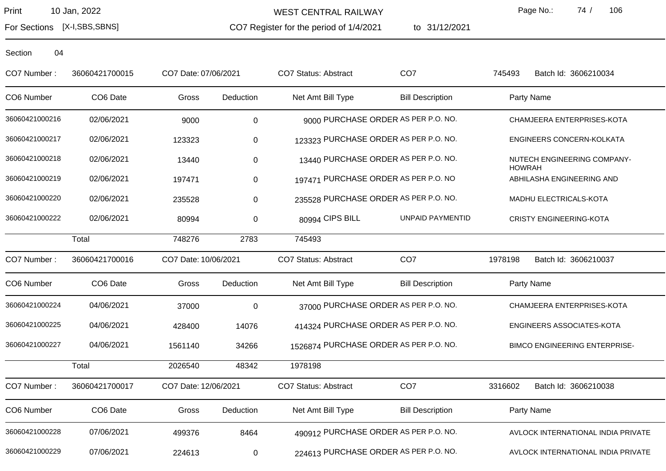For Sections [X-I,SBS,SBNS]

WEST CENTRAL RAILWAY

CO7 Register for the period of 1/4/2021

to 31/12/2021

Page No.: 74 / 106

| CO7 Number:    | 36060421700015 | CO7 Date: 07/06/2021 |             | <b>CO7 Status: Abstract</b>            | CO <sub>7</sub>                     | 745493        | Batch Id: 3606210034                 |
|----------------|----------------|----------------------|-------------|----------------------------------------|-------------------------------------|---------------|--------------------------------------|
| CO6 Number     | CO6 Date       | Gross                | Deduction   | Net Amt Bill Type                      | <b>Bill Description</b>             | Party Name    |                                      |
| 36060421000216 | 02/06/2021     | 9000                 | $\pmb{0}$   |                                        | 9000 PURCHASE ORDER AS PER P.O. NO. |               | CHAMJEERA ENTERPRISES-KOTA           |
| 36060421000217 | 02/06/2021     | 123323               | $\pmb{0}$   | 123323 PURCHASE ORDER AS PER P.O. NO.  |                                     |               | ENGINEERS CONCERN-KOLKATA            |
| 36060421000218 | 02/06/2021     | 13440                | $\pmb{0}$   | 13440 PURCHASE ORDER AS PER P.O. NO.   |                                     | <b>HOWRAH</b> | NUTECH ENGINEERING COMPANY-          |
| 36060421000219 | 02/06/2021     | 197471               | $\pmb{0}$   | 197471 PURCHASE ORDER AS PER P.O. NO   |                                     |               | ABHILASHA ENGINEERING AND            |
| 36060421000220 | 02/06/2021     | 235528               | $\pmb{0}$   | 235528 PURCHASE ORDER AS PER P.O. NO.  |                                     |               | MADHU ELECTRICALS-KOTA               |
| 36060421000222 | 02/06/2021     | 80994                | 0           | 80994 CIPS BILL                        | UNPAID PAYMENTID                    |               | <b>CRISTY ENGINEERING-KOTA</b>       |
|                | Total          | 748276               | 2783        | 745493                                 |                                     |               |                                      |
| CO7 Number:    | 36060421700016 | CO7 Date: 10/06/2021 |             | CO7 Status: Abstract                   | CO <sub>7</sub>                     | 1978198       | Batch Id: 3606210037                 |
| CO6 Number     | CO6 Date       | Gross                | Deduction   | Net Amt Bill Type                      | <b>Bill Description</b>             | Party Name    |                                      |
| 36060421000224 | 04/06/2021     | 37000                | $\mathbf 0$ | 37000 PURCHASE ORDER AS PER P.O. NO.   |                                     |               | CHAMJEERA ENTERPRISES-KOTA           |
| 36060421000225 | 04/06/2021     | 428400               | 14076       | 414324 PURCHASE ORDER AS PER P.O. NO.  |                                     |               | ENGINEERS ASSOCIATES-KOTA            |
| 36060421000227 | 04/06/2021     | 1561140              | 34266       | 1526874 PURCHASE ORDER AS PER P.O. NO. |                                     |               | <b>BIMCO ENGINEERING ENTERPRISE-</b> |
|                | Total          | 2026540              | 48342       | 1978198                                |                                     |               |                                      |
| CO7 Number:    | 36060421700017 | CO7 Date: 12/06/2021 |             | CO7 Status: Abstract                   | CO <sub>7</sub>                     | 3316602       | Batch Id: 3606210038                 |
| CO6 Number     | CO6 Date       | Gross                | Deduction   | Net Amt Bill Type                      | <b>Bill Description</b>             | Party Name    |                                      |
| 36060421000228 | 07/06/2021     | 499376               | 8464        | 490912 PURCHASE ORDER AS PER P.O. NO.  |                                     |               | AVLOCK INTERNATIONAL INDIA PRIVATE   |
| 36060421000229 | 07/06/2021     | 224613               | $\pmb{0}$   | 224613 PURCHASE ORDER AS PER P.O. NO.  |                                     |               | AVLOCK INTERNATIONAL INDIA PRIVATE   |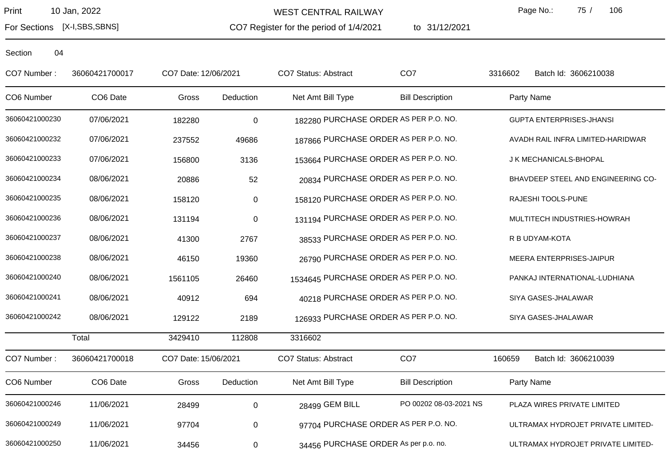WEST CENTRAL RAILWAY

CO7 Register for the period of 1/4/2021

to 31/12/2021

Page No.: 75 / 106

For Sections [X-I,SBS,SBNS]

| CO7 Number:    | 36060421700017 | CO7 Date: 12/06/2021 |             | CO7 Status: Abstract                   | CO <sub>7</sub>                      | 3316602 | Batch Id: 3606210038               |
|----------------|----------------|----------------------|-------------|----------------------------------------|--------------------------------------|---------|------------------------------------|
| CO6 Number     | CO6 Date       | Gross                | Deduction   | Net Amt Bill Type                      | <b>Bill Description</b>              |         | Party Name                         |
| 36060421000230 | 07/06/2021     | 182280               | $\mathbf 0$ | 182280 PURCHASE ORDER AS PER P.O. NO.  |                                      |         | <b>GUPTA ENTERPRISES-JHANSI</b>    |
| 36060421000232 | 07/06/2021     | 237552               | 49686       | 187866 PURCHASE ORDER AS PER P.O. NO.  |                                      |         | AVADH RAIL INFRA LIMITED-HARIDWAR  |
| 36060421000233 | 07/06/2021     | 156800               | 3136        | 153664 PURCHASE ORDER AS PER P.O. NO.  |                                      |         | J K MECHANICALS-BHOPAL             |
| 36060421000234 | 08/06/2021     | 20886                | 52          |                                        | 20834 PURCHASE ORDER AS PER P.O. NO. |         | BHAVDEEP STEEL AND ENGINEERING CO- |
| 36060421000235 | 08/06/2021     | 158120               | $\pmb{0}$   | 158120 PURCHASE ORDER AS PER P.O. NO.  |                                      |         | RAJESHI TOOLS-PUNE                 |
| 36060421000236 | 08/06/2021     | 131194               | $\pmb{0}$   | 131194 PURCHASE ORDER AS PER P.O. NO.  |                                      |         | MULTITECH INDUSTRIES-HOWRAH        |
| 36060421000237 | 08/06/2021     | 41300                | 2767        |                                        | 38533 PURCHASE ORDER AS PER P.O. NO. |         | R B UDYAM-KOTA                     |
| 36060421000238 | 08/06/2021     | 46150                | 19360       |                                        | 26790 PURCHASE ORDER AS PER P.O. NO. |         | MEERA ENTERPRISES-JAIPUR           |
| 36060421000240 | 08/06/2021     | 1561105              | 26460       | 1534645 PURCHASE ORDER AS PER P.O. NO. |                                      |         | PANKAJ INTERNATIONAL-LUDHIANA      |
| 36060421000241 | 08/06/2021     | 40912                | 694         |                                        | 40218 PURCHASE ORDER AS PER P.O. NO. |         | SIYA GASES-JHALAWAR                |
| 36060421000242 | 08/06/2021     | 129122               | 2189        | 126933 PURCHASE ORDER AS PER P.O. NO.  |                                      |         | SIYA GASES-JHALAWAR                |
|                | Total          | 3429410              | 112808      | 3316602                                |                                      |         |                                    |
| CO7 Number:    | 36060421700018 | CO7 Date: 15/06/2021 |             | <b>CO7 Status: Abstract</b>            | CO <sub>7</sub>                      | 160659  | Batch Id: 3606210039               |
| CO6 Number     | CO6 Date       | Gross                | Deduction   | Net Amt Bill Type                      | <b>Bill Description</b>              |         | Party Name                         |
| 36060421000246 | 11/06/2021     | 28499                | $\mathbf 0$ | 28499 GEM BILL                         | PO 00202 08-03-2021 NS               |         | PLAZA WIRES PRIVATE LIMITED        |
| 36060421000249 | 11/06/2021     | 97704                | 0           |                                        | 97704 PURCHASE ORDER AS PER P.O. NO. |         | ULTRAMAX HYDROJET PRIVATE LIMITED- |
| 36060421000250 | 11/06/2021     | 34456                | 0           | 34456 PURCHASE ORDER As per p.o. no.   |                                      |         | ULTRAMAX HYDROJET PRIVATE LIMITED- |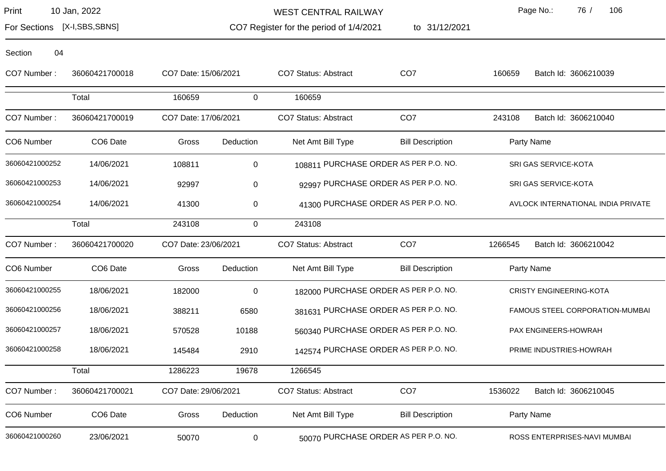Section 04

WEST CENTRAL RAILWAY

to 31/12/2021

Page No.: 76 / 106

For Sections [X-I,SBS,SBNS]

CO7 Register for the period of 1/4/2021

| CO7 Number:    | 36060421700018       | CO7 Date: 15/06/2021 |                  | CO7 Status: Abstract        | CO <sub>7</sub>                       | 160659  | Batch Id: 3606210039               |
|----------------|----------------------|----------------------|------------------|-----------------------------|---------------------------------------|---------|------------------------------------|
|                | Total                | 160659               | 0                | 160659                      |                                       |         |                                    |
| CO7 Number:    | 36060421700019       | CO7 Date: 17/06/2021 |                  | <b>CO7 Status: Abstract</b> | CO <sub>7</sub>                       | 243108  | Batch Id: 3606210040               |
| CO6 Number     | CO <sub>6</sub> Date | Gross                | Deduction        | Net Amt Bill Type           | <b>Bill Description</b>               |         | Party Name                         |
| 36060421000252 | 14/06/2021           | 108811               | 0                |                             | 108811 PURCHASE ORDER AS PER P.O. NO. |         | SRI GAS SERVICE-KOTA               |
| 36060421000253 | 14/06/2021           | 92997                | 0                |                             | 92997 PURCHASE ORDER AS PER P.O. NO.  |         | SRI GAS SERVICE-KOTA               |
| 36060421000254 | 14/06/2021           | 41300                | 0                |                             | 41300 PURCHASE ORDER AS PER P.O. NO.  |         | AVLOCK INTERNATIONAL INDIA PRIVATE |
|                | Total                | 243108               | 0                | 243108                      |                                       |         |                                    |
| CO7 Number:    | 36060421700020       | CO7 Date: 23/06/2021 |                  | <b>CO7 Status: Abstract</b> | CO <sub>7</sub>                       | 1266545 | Batch Id: 3606210042               |
| CO6 Number     | CO <sub>6</sub> Date | Gross                | Deduction        | Net Amt Bill Type           | <b>Bill Description</b>               |         | Party Name                         |
| 36060421000255 | 18/06/2021           | 182000               | $\boldsymbol{0}$ |                             | 182000 PURCHASE ORDER AS PER P.O. NO. |         | <b>CRISTY ENGINEERING-KOTA</b>     |
| 36060421000256 | 18/06/2021           | 388211               | 6580             |                             | 381631 PURCHASE ORDER AS PER P.O. NO. |         | FAMOUS STEEL CORPORATION-MUMBAI    |
| 36060421000257 | 18/06/2021           | 570528               | 10188            |                             | 560340 PURCHASE ORDER AS PER P.O. NO. |         | PAX ENGINEERS-HOWRAH               |
| 36060421000258 | 18/06/2021           | 145484               | 2910             |                             | 142574 PURCHASE ORDER AS PER P.O. NO. |         | PRIME INDUSTRIES-HOWRAH            |
|                | Total                | 1286223              | 19678            | 1266545                     |                                       |         |                                    |
| CO7 Number:    | 36060421700021       | CO7 Date: 29/06/2021 |                  | <b>CO7 Status: Abstract</b> | CO <sub>7</sub>                       | 1536022 | Batch Id: 3606210045               |

CO6 Number CO6 Date Gross Deduction Net Amt Bill Type Bill Description Party Name

36060421000260 23/06/2021 50070 0 50070 50070 50070 50070 EURCHASE ORDER AS PER P.O. NO. SANTERPRISES-NAVI MUMBAI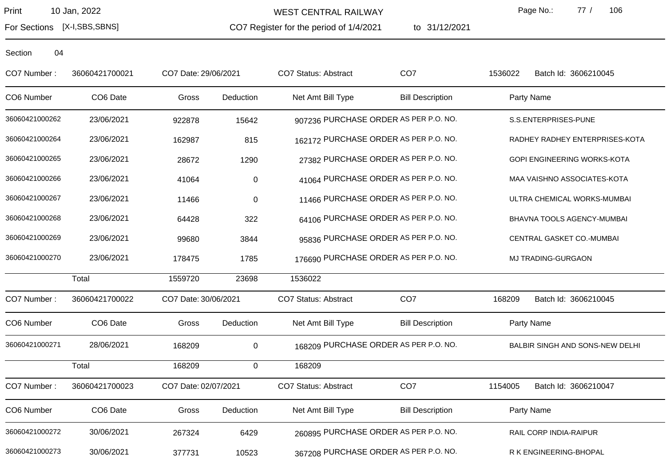WEST CENTRAL RAILWAY

CO7 Register for the period of 1/4/2021

to 31/12/2021

Page No.: 77 / 106

For Sections [X-I,SBS,SBNS]

| CO7 Number:    | 36060421700021 | CO7 Date: 29/06/2021 |             | CO7 Status: Abstract                  | CO <sub>7</sub>                      | 1536022    | Batch Id: 3606210045            |
|----------------|----------------|----------------------|-------------|---------------------------------------|--------------------------------------|------------|---------------------------------|
| CO6 Number     | CO6 Date       | Gross                | Deduction   | Net Amt Bill Type                     | <b>Bill Description</b>              | Party Name |                                 |
| 36060421000262 | 23/06/2021     | 922878               | 15642       | 907236 PURCHASE ORDER AS PER P.O. NO. |                                      |            | S.S.ENTERPRISES-PUNE            |
| 36060421000264 | 23/06/2021     | 162987               | 815         | 162172 PURCHASE ORDER AS PER P.O. NO. |                                      |            | RADHEY RADHEY ENTERPRISES-KOTA  |
| 36060421000265 | 23/06/2021     | 28672                | 1290        |                                       | 27382 PURCHASE ORDER AS PER P.O. NO. |            | GOPI ENGINEERING WORKS-KOTA     |
| 36060421000266 | 23/06/2021     | 41064                | $\pmb{0}$   |                                       | 41064 PURCHASE ORDER AS PER P.O. NO. |            | MAA VAISHNO ASSOCIATES-KOTA     |
| 36060421000267 | 23/06/2021     | 11466                | $\pmb{0}$   |                                       | 11466 PURCHASE ORDER AS PER P.O. NO. |            | ULTRA CHEMICAL WORKS-MUMBAI     |
| 36060421000268 | 23/06/2021     | 64428                | 322         |                                       | 64106 PURCHASE ORDER AS PER P.O. NO. |            | BHAVNA TOOLS AGENCY-MUMBAI      |
| 36060421000269 | 23/06/2021     | 99680                | 3844        |                                       | 95836 PURCHASE ORDER AS PER P.O. NO. |            | CENTRAL GASKET CO.-MUMBAI       |
| 36060421000270 | 23/06/2021     | 178475               | 1785        | 176690 PURCHASE ORDER AS PER P.O. NO. |                                      |            | MJ TRADING-GURGAON              |
|                | Total          | 1559720              | 23698       | 1536022                               |                                      |            |                                 |
| CO7 Number:    | 36060421700022 | CO7 Date: 30/06/2021 |             | CO7 Status: Abstract                  | CO <sub>7</sub>                      | 168209     | Batch Id: 3606210045            |
| CO6 Number     | CO6 Date       | Gross                | Deduction   | Net Amt Bill Type                     | <b>Bill Description</b>              | Party Name |                                 |
| 36060421000271 | 28/06/2021     | 168209               | $\mathbf 0$ | 168209 PURCHASE ORDER AS PER P.O. NO. |                                      |            | BALBIR SINGH AND SONS-NEW DELHI |
|                | Total          | 168209               | 0           | 168209                                |                                      |            |                                 |
| CO7 Number:    | 36060421700023 | CO7 Date: 02/07/2021 |             | <b>CO7 Status: Abstract</b>           | CO <sub>7</sub>                      | 1154005    | Batch Id: 3606210047            |
| CO6 Number     | CO6 Date       | Gross                | Deduction   | Net Amt Bill Type                     | <b>Bill Description</b>              | Party Name |                                 |
| 36060421000272 | 30/06/2021     | 267324               | 6429        | 260895 PURCHASE ORDER AS PER P.O. NO. |                                      |            | RAIL CORP INDIA-RAIPUR          |
| 36060421000273 | 30/06/2021     | 377731               | 10523       | 367208 PURCHASE ORDER AS PER P.O. NO. |                                      |            | R K ENGINEERING-BHOPAL          |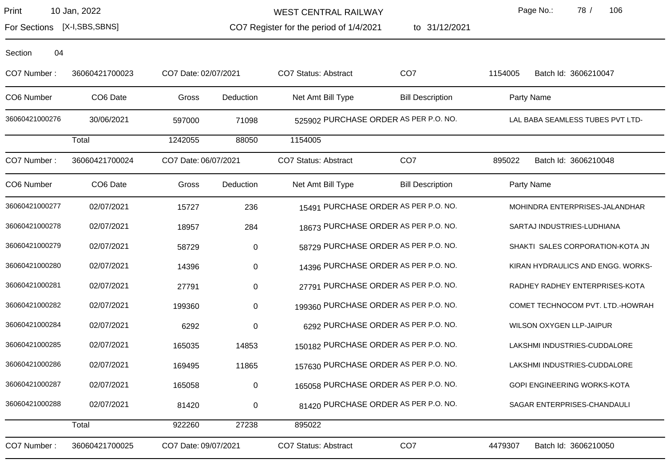For Sections [X-I,SBS,SBNS]

WEST CENTRAL RAILWAY

CO7 Register for the period of 1/4/2021

to 31/12/2021

Page No.: 78 / 106

| 04<br>Section  |                      |                      |           |                                       |                                      |         |                                   |
|----------------|----------------------|----------------------|-----------|---------------------------------------|--------------------------------------|---------|-----------------------------------|
| CO7 Number:    | 36060421700023       | CO7 Date: 02/07/2021 |           | <b>CO7 Status: Abstract</b>           | CO <sub>7</sub>                      | 1154005 | Batch Id: 3606210047              |
| CO6 Number     | CO6 Date             | Gross                | Deduction | Net Amt Bill Type                     | <b>Bill Description</b>              |         | Party Name                        |
| 36060421000276 | 30/06/2021           | 597000               | 71098     | 525902 PURCHASE ORDER AS PER P.O. NO. |                                      |         | LAL BABA SEAMLESS TUBES PVT LTD-  |
|                | Total                | 1242055              | 88050     | 1154005                               |                                      |         |                                   |
| CO7 Number:    | 36060421700024       | CO7 Date: 06/07/2021 |           | CO7 Status: Abstract                  | CO <sub>7</sub>                      | 895022  | Batch Id: 3606210048              |
| CO6 Number     | CO <sub>6</sub> Date | Gross                | Deduction | Net Amt Bill Type                     | <b>Bill Description</b>              |         | Party Name                        |
| 36060421000277 | 02/07/2021           | 15727                | 236       |                                       | 15491 PURCHASE ORDER AS PER P.O. NO. |         | MOHINDRA ENTERPRISES-JALANDHAR    |
| 36060421000278 | 02/07/2021           | 18957                | 284       |                                       | 18673 PURCHASE ORDER AS PER P.O. NO. |         | SARTAJ INDUSTRIES-LUDHIANA        |
| 36060421000279 | 02/07/2021           | 58729                | $\pmb{0}$ |                                       | 58729 PURCHASE ORDER AS PER P.O. NO. |         | SHAKTI SALES CORPORATION-KOTA JN  |
| 36060421000280 | 02/07/2021           | 14396                | 0         |                                       | 14396 PURCHASE ORDER AS PER P.O. NO. |         | KIRAN HYDRAULICS AND ENGG. WORKS- |
| 36060421000281 | 02/07/2021           | 27791                | 0         |                                       | 27791 PURCHASE ORDER AS PER P.O. NO. |         | RADHEY RADHEY ENTERPRISES-KOTA    |
| 36060421000282 | 02/07/2021           | 199360               | 0         | 199360 PURCHASE ORDER AS PER P.O. NO. |                                      |         | COMET TECHNOCOM PVT. LTD.-HOWRAH  |
| 36060421000284 | 02/07/2021           | 6292                 | $\pmb{0}$ |                                       | 6292 PURCHASE ORDER AS PER P.O. NO.  |         | WILSON OXYGEN LLP-JAIPUR          |
| 36060421000285 | 02/07/2021           | 165035               | 14853     | 150182 PURCHASE ORDER AS PER P.O. NO. |                                      |         | LAKSHMI INDUSTRIES-CUDDALORE      |
| 36060421000286 | 02/07/2021           | 169495               | 11865     | 157630 PURCHASE ORDER AS PER P.O. NO. |                                      |         | LAKSHMI INDUSTRIES-CUDDALORE      |
| 36060421000287 | 02/07/2021           | 165058               | 0         | 165058 PURCHASE ORDER AS PER P.O. NO. |                                      |         | GOPI ENGINEERING WORKS-KOTA       |
| 36060421000288 | 02/07/2021           | 81420                | $\pmb{0}$ |                                       | 81420 PURCHASE ORDER AS PER P.O. NO. |         | SAGAR ENTERPRISES-CHANDAULI       |
|                | Total                | 922260               | 27238     | 895022                                |                                      |         |                                   |
| CO7 Number:    | 36060421700025       | CO7 Date: 09/07/2021 |           | <b>CO7 Status: Abstract</b>           | CO <sub>7</sub>                      | 4479307 | Batch Id: 3606210050              |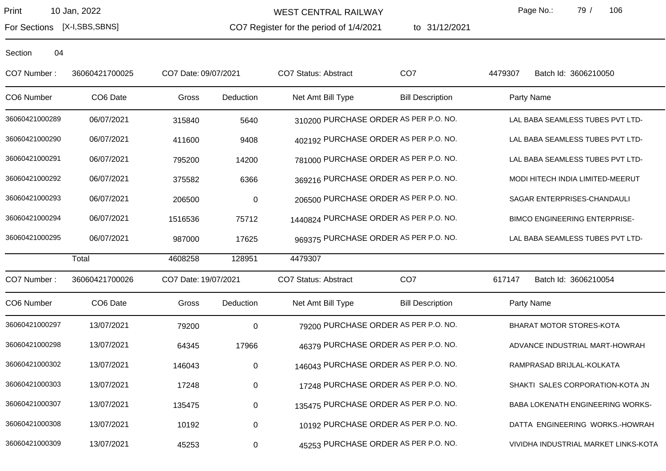WEST CENTRAL RAILWAY

CO7 Register for the period of 1/4/2021

to 31/12/2021

Page No.: 79 / 106

For Sections [X-I,SBS,SBNS]

| CO7 Number:    | 36060421700025 | CO7 Date: 09/07/2021 |                  | <b>CO7 Status: Abstract</b>            | CO <sub>7</sub>                       | 4479307<br>Batch Id: 3606210050      |  |
|----------------|----------------|----------------------|------------------|----------------------------------------|---------------------------------------|--------------------------------------|--|
| CO6 Number     | CO6 Date       | Gross                | Deduction        | Net Amt Bill Type                      | <b>Bill Description</b>               | Party Name                           |  |
| 36060421000289 | 06/07/2021     | 315840               | 5640             |                                        | 310200 PURCHASE ORDER AS PER P.O. NO. | LAL BABA SEAMLESS TUBES PVT LTD-     |  |
| 36060421000290 | 06/07/2021     | 411600               | 9408             |                                        | 402192 PURCHASE ORDER AS PER P.O. NO. | LAL BABA SEAMLESS TUBES PVT LTD-     |  |
| 36060421000291 | 06/07/2021     | 795200               | 14200            |                                        | 781000 PURCHASE ORDER AS PER P.O. NO. | LAL BABA SEAMLESS TUBES PVT LTD-     |  |
| 36060421000292 | 06/07/2021     | 375582               | 6366             |                                        | 369216 PURCHASE ORDER AS PER P.O. NO. | MODI HITECH INDIA LIMITED-MEERUT     |  |
| 36060421000293 | 06/07/2021     | 206500               | $\boldsymbol{0}$ |                                        | 206500 PURCHASE ORDER AS PER P.O. NO. | SAGAR ENTERPRISES-CHANDAULI          |  |
| 36060421000294 | 06/07/2021     | 1516536              | 75712            | 1440824 PURCHASE ORDER AS PER P.O. NO. |                                       | <b>BIMCO ENGINEERING ENTERPRISE-</b> |  |
| 36060421000295 | 06/07/2021     | 987000               | 17625            |                                        | 969375 PURCHASE ORDER AS PER P.O. NO. | LAL BABA SEAMLESS TUBES PVT LTD-     |  |
|                | Total          | 4608258              | 128951           | 4479307                                |                                       |                                      |  |
| CO7 Number:    | 36060421700026 | CO7 Date: 19/07/2021 |                  | <b>CO7 Status: Abstract</b>            | CO <sub>7</sub>                       | Batch Id: 3606210054<br>617147       |  |
| CO6 Number     | CO6 Date       | Gross                | Deduction        | Net Amt Bill Type                      | <b>Bill Description</b>               | Party Name                           |  |
| 36060421000297 | 13/07/2021     | 79200                | $\pmb{0}$        |                                        | 79200 PURCHASE ORDER AS PER P.O. NO.  | BHARAT MOTOR STORES-KOTA             |  |
| 36060421000298 | 13/07/2021     | 64345                | 17966            |                                        | 46379 PURCHASE ORDER AS PER P.O. NO.  | ADVANCE INDUSTRIAL MART-HOWRAH       |  |
| 36060421000302 | 13/07/2021     | 146043               | $\boldsymbol{0}$ |                                        | 146043 PURCHASE ORDER AS PER P.O. NO. | RAMPRASAD BRIJLAL-KOLKATA            |  |
| 36060421000303 | 13/07/2021     | 17248                | $\pmb{0}$        |                                        | 17248 PURCHASE ORDER AS PER P.O. NO.  | SHAKTI SALES CORPORATION-KOTA JN     |  |
| 36060421000307 | 13/07/2021     | 135475               | $\mathbf 0$      |                                        | 135475 PURCHASE ORDER AS PER P.O. NO. | BABA LOKENATH ENGINEERING WORKS-     |  |
| 36060421000308 | 13/07/2021     | 10192                | $\pmb{0}$        |                                        | 10192 PURCHASE ORDER AS PER P.O. NO.  | DATTA ENGINEERING WORKS.-HOWRAH      |  |
| 36060421000309 | 13/07/2021     | 45253                | 0                |                                        | 45253 PURCHASE ORDER AS PER P.O. NO.  | VIVIDHA INDUSTRIAL MARKET LINKS-KOTA |  |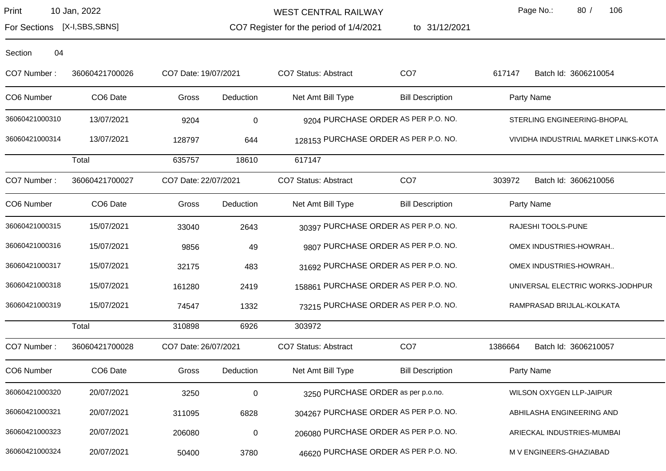WEST CENTRAL RAILWAY

CO7 Register for the period of 1/4/2021

to 31/12/2021

Page No.: 80 / 106

For Sections [X-I,SBS,SBNS]

| CO7 Number:    | 36060421700026 | CO7 Date: 19/07/2021 |                  | <b>CO7 Status: Abstract</b>        | CO <sub>7</sub>                       | 617147  | Batch Id: 3606210054                 |
|----------------|----------------|----------------------|------------------|------------------------------------|---------------------------------------|---------|--------------------------------------|
| CO6 Number     | CO6 Date       | Gross                | Deduction        | Net Amt Bill Type                  | <b>Bill Description</b>               |         | Party Name                           |
| 36060421000310 | 13/07/2021     | 9204                 | $\pmb{0}$        |                                    | 9204 PURCHASE ORDER AS PER P.O. NO.   |         | STERLING ENGINEERING-BHOPAL          |
| 36060421000314 | 13/07/2021     | 128797               | 644              |                                    | 128153 PURCHASE ORDER AS PER P.O. NO. |         | VIVIDHA INDUSTRIAL MARKET LINKS-KOTA |
|                | Total          | 635757               | 18610            | 617147                             |                                       |         |                                      |
| CO7 Number:    | 36060421700027 | CO7 Date: 22/07/2021 |                  | CO7 Status: Abstract               | CO <sub>7</sub>                       | 303972  | Batch Id: 3606210056                 |
| CO6 Number     | CO6 Date       | Gross                | Deduction        | Net Amt Bill Type                  | <b>Bill Description</b>               |         | Party Name                           |
| 36060421000315 | 15/07/2021     | 33040                | 2643             |                                    | 30397 PURCHASE ORDER AS PER P.O. NO.  |         | RAJESHI TOOLS-PUNE                   |
| 36060421000316 | 15/07/2021     | 9856                 | 49               |                                    | 9807 PURCHASE ORDER AS PER P.O. NO.   |         | OMEX INDUSTRIES-HOWRAH               |
| 36060421000317 | 15/07/2021     | 32175                | 483              |                                    | 31692 PURCHASE ORDER AS PER P.O. NO.  |         | OMEX INDUSTRIES-HOWRAH               |
| 36060421000318 | 15/07/2021     | 161280               | 2419             |                                    | 158861 PURCHASE ORDER AS PER P.O. NO. |         | UNIVERSAL ELECTRIC WORKS-JODHPUR     |
| 36060421000319 | 15/07/2021     | 74547                | 1332             |                                    | 73215 PURCHASE ORDER AS PER P.O. NO.  |         | RAMPRASAD BRIJLAL-KOLKATA            |
|                | Total          | 310898               | 6926             | 303972                             |                                       |         |                                      |
| CO7 Number:    | 36060421700028 | CO7 Date: 26/07/2021 |                  | CO7 Status: Abstract               | CO <sub>7</sub>                       | 1386664 | Batch Id: 3606210057                 |
| CO6 Number     | CO6 Date       | Gross                | Deduction        | Net Amt Bill Type                  | <b>Bill Description</b>               |         | Party Name                           |
| 36060421000320 | 20/07/2021     | 3250                 | $\boldsymbol{0}$ | 3250 PURCHASE ORDER as per p.o.no. |                                       |         | WILSON OXYGEN LLP-JAIPUR             |
| 36060421000321 | 20/07/2021     | 311095               | 6828             |                                    | 304267 PURCHASE ORDER AS PER P.O. NO. |         | ABHILASHA ENGINEERING AND            |
| 36060421000323 | 20/07/2021     | 206080               | $\pmb{0}$        |                                    | 206080 PURCHASE ORDER AS PER P.O. NO. |         | ARIECKAL INDUSTRIES-MUMBAI           |
| 36060421000324 | 20/07/2021     | 50400                | 3780             |                                    | 46620 PURCHASE ORDER AS PER P.O. NO.  |         | M V ENGINEERS-GHAZIABAD              |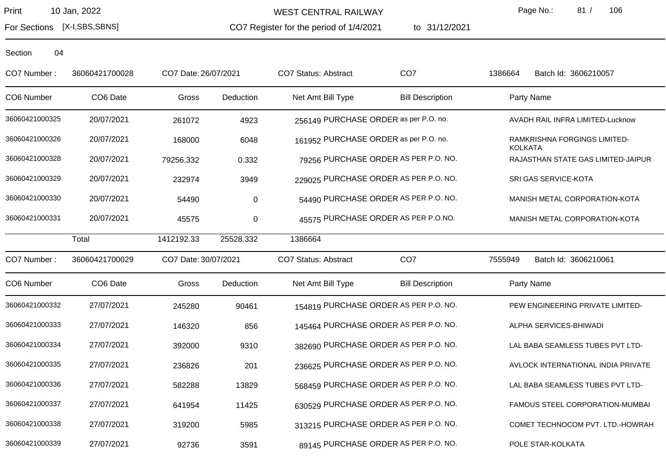For Sections [X-I,SBS,SBNS]

WEST CENTRAL RAILWAY

CO7 Register for the period of 1/4/2021

to 31/12/2021

Page No.: 81 / 106

| CO7 Number:    | 36060421700028 | CO7 Date: 26/07/2021 |           | <b>CO7 Status: Abstract</b>           | CO <sub>7</sub>                      | 1386664<br>Batch Id: 3606210057                |  |
|----------------|----------------|----------------------|-----------|---------------------------------------|--------------------------------------|------------------------------------------------|--|
| CO6 Number     | CO6 Date       | Gross                | Deduction | Net Amt Bill Type                     | <b>Bill Description</b>              | Party Name                                     |  |
| 36060421000325 | 20/07/2021     | 261072               | 4923      | 256149 PURCHASE ORDER as per P.O. no. |                                      | AVADH RAIL INFRA LIMITED-Lucknow               |  |
| 36060421000326 | 20/07/2021     | 168000               | 6048      | 161952 PURCHASE ORDER as per P.O. no. |                                      | RAMKRISHNA FORGINGS LIMITED-<br><b>KOLKATA</b> |  |
| 36060421000328 | 20/07/2021     | 79256.332            | 0.332     |                                       | 79256 PURCHASE ORDER AS PER P.O. NO. | RAJASTHAN STATE GAS LIMITED-JAIPUR             |  |
| 36060421000329 | 20/07/2021     | 232974               | 3949      | 229025 PURCHASE ORDER AS PER P.O. NO. |                                      | SRI GAS SERVICE-KOTA                           |  |
| 36060421000330 | 20/07/2021     | 54490                | 0         |                                       | 54490 PURCHASE ORDER AS PER P.O. NO. | MANISH METAL CORPORATION-KOTA                  |  |
| 36060421000331 | 20/07/2021     | 45575                | $\pmb{0}$ |                                       | 45575 PURCHASE ORDER AS PER P.O.NO.  | MANISH METAL CORPORATION-KOTA                  |  |
|                | Total          | 1412192.33           | 25528.332 | 1386664                               |                                      |                                                |  |
| CO7 Number:    | 36060421700029 | CO7 Date: 30/07/2021 |           | CO7 Status: Abstract                  | CO <sub>7</sub>                      | 7555949<br>Batch Id: 3606210061                |  |
| CO6 Number     | CO6 Date       | Gross                | Deduction | Net Amt Bill Type                     | <b>Bill Description</b>              | Party Name                                     |  |
| 36060421000332 | 27/07/2021     | 245280               | 90461     | 154819 PURCHASE ORDER AS PER P.O. NO. |                                      | PEW ENGINEERING PRIVATE LIMITED-               |  |
| 36060421000333 | 27/07/2021     | 146320               | 856       | 145464 PURCHASE ORDER AS PER P.O. NO. |                                      | ALPHA SERVICES-BHIWADI                         |  |
| 36060421000334 | 27/07/2021     | 392000               | 9310      | 382690 PURCHASE ORDER AS PER P.O. NO. |                                      | LAL BABA SEAMLESS TUBES PVT LTD-               |  |
| 36060421000335 | 27/07/2021     | 236826               | 201       | 236625 PURCHASE ORDER AS PER P.O. NO. |                                      | AVLOCK INTERNATIONAL INDIA PRIVATE             |  |
| 36060421000336 | 27/07/2021     | 582288               | 13829     | 568459 PURCHASE ORDER AS PER P.O. NO. |                                      | LAL BABA SEAMLESS TUBES PVT LTD-               |  |
| 36060421000337 | 27/07/2021     | 641954               | 11425     | 630529 PURCHASE ORDER AS PER P.O. NO. |                                      | FAMOUS STEEL CORPORATION-MUMBAI                |  |
| 36060421000338 | 27/07/2021     | 319200               | 5985      | 313215 PURCHASE ORDER AS PER P.O. NO. |                                      | COMET TECHNOCOM PVT. LTD.-HOWRAH               |  |
| 36060421000339 | 27/07/2021     | 92736                | 3591      |                                       | 89145 PURCHASE ORDER AS PER P.O. NO. | POLE STAR-KOLKATA                              |  |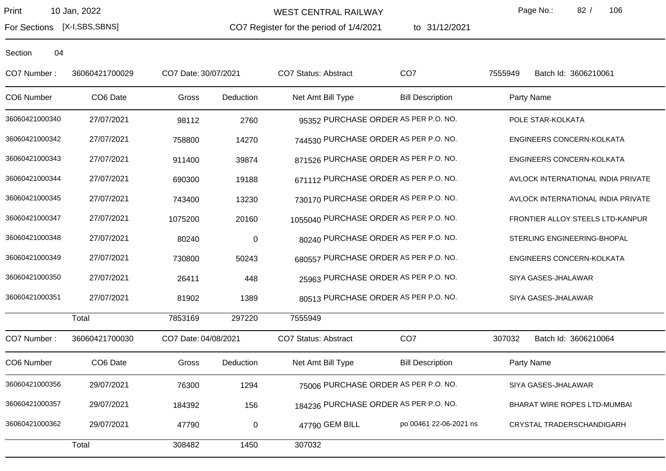For Sections [X-I,SBS,SBNS]

WEST CENTRAL RAILWAY

CO7 Register for the period of 1/4/2021

to 31/12/2021

Page No.: 82 / 106

| CO7 Number:    | 36060421700029 | CO7 Date: 30/07/2021 |           | CO7 Status: Abstract                   | CO <sub>7</sub>                      | 7555949<br>Batch Id: 3606210061    |  |
|----------------|----------------|----------------------|-----------|----------------------------------------|--------------------------------------|------------------------------------|--|
| CO6 Number     | CO6 Date       | Gross                | Deduction | Net Amt Bill Type                      | <b>Bill Description</b>              | Party Name                         |  |
| 36060421000340 | 27/07/2021     | 98112                | 2760      |                                        | 95352 PURCHASE ORDER AS PER P.O. NO. | POLE STAR-KOLKATA                  |  |
| 36060421000342 | 27/07/2021     | 758800               | 14270     | 744530 PURCHASE ORDER AS PER P.O. NO.  |                                      | ENGINEERS CONCERN-KOLKATA          |  |
| 36060421000343 | 27/07/2021     | 911400               | 39874     | 871526 PURCHASE ORDER AS PER P.O. NO.  |                                      | ENGINEERS CONCERN-KOLKATA          |  |
| 36060421000344 | 27/07/2021     | 690300               | 19188     | 671112 PURCHASE ORDER AS PER P.O. NO.  |                                      | AVLOCK INTERNATIONAL INDIA PRIVATE |  |
| 36060421000345 | 27/07/2021     | 743400               | 13230     | 730170 PURCHASE ORDER AS PER P.O. NO.  |                                      | AVLOCK INTERNATIONAL INDIA PRIVATE |  |
| 36060421000347 | 27/07/2021     | 1075200              | 20160     | 1055040 PURCHASE ORDER AS PER P.O. NO. |                                      | FRONTIER ALLOY STEELS LTD-KANPUR   |  |
| 36060421000348 | 27/07/2021     | 80240                | $\pmb{0}$ |                                        | 80240 PURCHASE ORDER AS PER P.O. NO. | STERLING ENGINEERING-BHOPAL        |  |
| 36060421000349 | 27/07/2021     | 730800               | 50243     | 680557 PURCHASE ORDER AS PER P.O. NO.  |                                      | ENGINEERS CONCERN-KOLKATA          |  |
| 36060421000350 | 27/07/2021     | 26411                | 448       |                                        | 25963 PURCHASE ORDER AS PER P.O. NO. | SIYA GASES-JHALAWAR                |  |
| 36060421000351 | 27/07/2021     | 81902                | 1389      |                                        | 80513 PURCHASE ORDER AS PER P.O. NO. | SIYA GASES-JHALAWAR                |  |
|                | Total          | 7853169              | 297220    | 7555949                                |                                      |                                    |  |
| CO7 Number:    | 36060421700030 | CO7 Date: 04/08/2021 |           | <b>CO7 Status: Abstract</b>            | CO <sub>7</sub>                      | 307032<br>Batch Id: 3606210064     |  |
| CO6 Number     | CO6 Date       | Gross                | Deduction | Net Amt Bill Type                      | <b>Bill Description</b>              | Party Name                         |  |
| 36060421000356 | 29/07/2021     | 76300                | 1294      |                                        | 75006 PURCHASE ORDER AS PER P.O. NO. | SIYA GASES-JHALAWAR                |  |
| 36060421000357 | 29/07/2021     | 184392               | 156       | 184236 PURCHASE ORDER AS PER P.O. NO.  |                                      | BHARAT WIRE ROPES LTD-MUMBAI       |  |
| 36060421000362 | 29/07/2021     | 47790                | $\pmb{0}$ | 47790 GEM BILL                         | po 00461 22-06-2021 ns               | CRYSTAL TRADERSCHANDIGARH          |  |
|                | Total          | 308482               | 1450      | 307032                                 |                                      |                                    |  |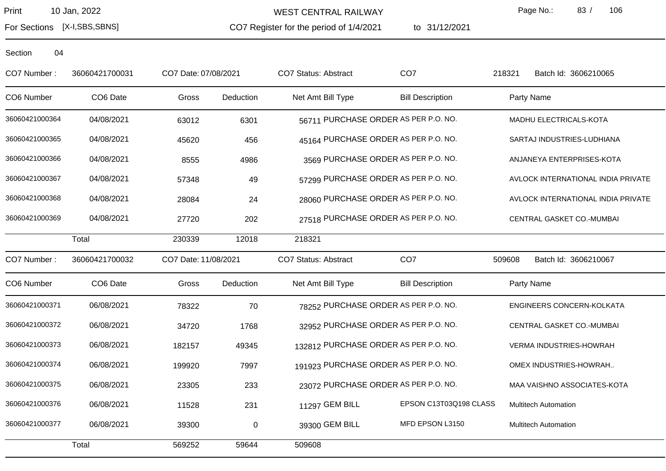WEST CENTRAL RAILWAY

CO7 Register for the period of 1/4/2021

to 31/12/2021

Page No.: 83 / 106

For Sections [X-I,SBS,SBNS]

| CO7 Number:    | 36060421700031 | CO7 Date: 07/08/2021 |             | CO7 Status: Abstract                  | CO <sub>7</sub>                      | 218321 | Batch Id: 3606210065               |
|----------------|----------------|----------------------|-------------|---------------------------------------|--------------------------------------|--------|------------------------------------|
| CO6 Number     | CO6 Date       | Gross                | Deduction   | Net Amt Bill Type                     | <b>Bill Description</b>              |        | Party Name                         |
| 36060421000364 | 04/08/2021     | 63012                | 6301        |                                       | 56711 PURCHASE ORDER AS PER P.O. NO. |        | MADHU ELECTRICALS-KOTA             |
| 36060421000365 | 04/08/2021     | 45620                | 456         |                                       | 45164 PURCHASE ORDER AS PER P.O. NO. |        | SARTAJ INDUSTRIES-LUDHIANA         |
| 36060421000366 | 04/08/2021     | 8555                 | 4986        |                                       | 3569 PURCHASE ORDER AS PER P.O. NO.  |        | ANJANEYA ENTERPRISES-KOTA          |
| 36060421000367 | 04/08/2021     | 57348                | 49          |                                       | 57299 PURCHASE ORDER AS PER P.O. NO. |        | AVLOCK INTERNATIONAL INDIA PRIVATE |
| 36060421000368 | 04/08/2021     | 28084                | 24          |                                       | 28060 PURCHASE ORDER AS PER P.O. NO. |        | AVLOCK INTERNATIONAL INDIA PRIVATE |
| 36060421000369 | 04/08/2021     | 27720                | 202         |                                       | 27518 PURCHASE ORDER AS PER P.O. NO. |        | CENTRAL GASKET CO.-MUMBAI          |
|                | Total          | 230339               | 12018       | 218321                                |                                      |        |                                    |
| CO7 Number:    | 36060421700032 | CO7 Date: 11/08/2021 |             | CO7 Status: Abstract                  | CO <sub>7</sub>                      | 509608 | Batch Id: 3606210067               |
| CO6 Number     | CO6 Date       | Gross                | Deduction   | Net Amt Bill Type                     | <b>Bill Description</b>              |        | Party Name                         |
| 36060421000371 | 06/08/2021     | 78322                | 70          |                                       | 78252 PURCHASE ORDER AS PER P.O. NO. |        | ENGINEERS CONCERN-KOLKATA          |
| 36060421000372 | 06/08/2021     | 34720                | 1768        |                                       | 32952 PURCHASE ORDER AS PER P.O. NO. |        | CENTRAL GASKET CO.-MUMBAI          |
| 36060421000373 | 06/08/2021     | 182157               | 49345       | 132812 PURCHASE ORDER AS PER P.O. NO. |                                      |        | VERMA INDUSTRIES-HOWRAH            |
| 36060421000374 | 06/08/2021     | 199920               | 7997        | 191923 PURCHASE ORDER AS PER P.O. NO. |                                      |        | OMEX INDUSTRIES-HOWRAH             |
| 36060421000375 | 06/08/2021     | 23305                | 233         |                                       | 23072 PURCHASE ORDER AS PER P.O. NO. |        | MAA VAISHNO ASSOCIATES-KOTA        |
| 36060421000376 | 06/08/2021     | 11528                | 231         | 11297 GEM BILL                        | EPSON C13T03Q198 CLASS               |        | <b>Multitech Automation</b>        |
| 36060421000377 | 06/08/2021     | 39300                | $\mathbf 0$ | 39300 GEM BILL                        | MFD EPSON L3150                      |        | <b>Multitech Automation</b>        |
|                | Total          | 569252               | 59644       | 509608                                |                                      |        |                                    |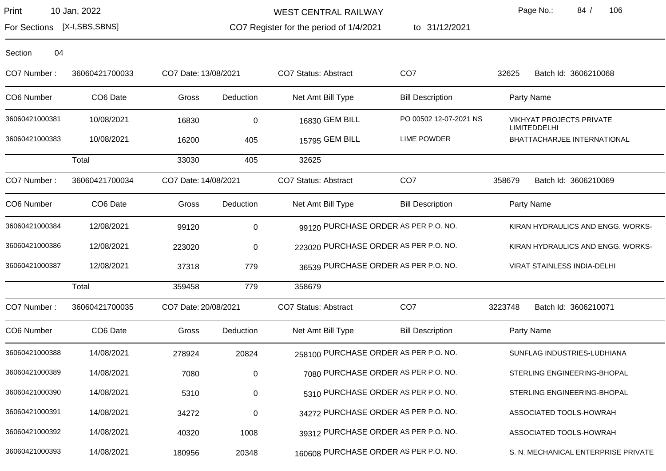WEST CENTRAL RAILWAY

CO7 Register for the period of 1/4/2021

to 31/12/2021

Page No.: 84 / 106

For Sections [X-I,SBS,SBNS]

| Section | 04 |
|---------|----|
|---------|----|

| CO7 Number :   | 36060421700033 | CO7 Date: 13/08/2021 |             | <b>CO7 Status: Abstract</b>           | CO <sub>7</sub>                     | 32625   | Batch Id: 3606210068                                   |
|----------------|----------------|----------------------|-------------|---------------------------------------|-------------------------------------|---------|--------------------------------------------------------|
| CO6 Number     | CO6 Date       | Gross                | Deduction   | Net Amt Bill Type                     | <b>Bill Description</b>             |         | Party Name                                             |
| 36060421000381 | 10/08/2021     | 16830                | $\mathbf 0$ | 16830 GEM BILL                        | PO 00502 12-07-2021 NS              |         | <b>VIKHYAT PROJECTS PRIVATE</b><br><b>LIMITEDDELHI</b> |
| 36060421000383 | 10/08/2021     | 16200                | 405         | 15795 GEM BILL                        | LIME POWDER                         |         | BHATTACHARJEE INTERNATIONAL                            |
|                | Total          | 33030                | 405         | 32625                                 |                                     |         |                                                        |
| CO7 Number:    | 36060421700034 | CO7 Date: 14/08/2021 |             | CO7 Status: Abstract                  | CO <sub>7</sub>                     | 358679  | Batch Id: 3606210069                                   |
| CO6 Number     | CO6 Date       | Gross                | Deduction   | Net Amt Bill Type                     | <b>Bill Description</b>             |         | Party Name                                             |
| 36060421000384 | 12/08/2021     | 99120                | $\pmb{0}$   | 99120 PURCHASE ORDER AS PER P.O. NO.  |                                     |         | KIRAN HYDRAULICS AND ENGG. WORKS-                      |
| 36060421000386 | 12/08/2021     | 223020               | $\pmb{0}$   | 223020 PURCHASE ORDER AS PER P.O. NO. |                                     |         | KIRAN HYDRAULICS AND ENGG. WORKS-                      |
| 36060421000387 | 12/08/2021     | 37318                | 779         | 36539 PURCHASE ORDER AS PER P.O. NO.  |                                     |         | <b>VIRAT STAINLESS INDIA-DELHI</b>                     |
|                | Total          | 359458               | 779         | 358679                                |                                     |         |                                                        |
| CO7 Number:    | 36060421700035 | CO7 Date: 20/08/2021 |             | <b>CO7 Status: Abstract</b>           | CO <sub>7</sub>                     | 3223748 | Batch Id: 3606210071                                   |
| CO6 Number     | CO6 Date       | Gross                | Deduction   | Net Amt Bill Type                     | <b>Bill Description</b>             |         | Party Name                                             |
| 36060421000388 | 14/08/2021     | 278924               | 20824       | 258100 PURCHASE ORDER AS PER P.O. NO. |                                     |         | SUNFLAG INDUSTRIES-LUDHIANA                            |
| 36060421000389 | 14/08/2021     | 7080                 | $\pmb{0}$   |                                       | 7080 PURCHASE ORDER AS PER P.O. NO. |         | STERLING ENGINEERING-BHOPAL                            |
| 36060421000390 | 14/08/2021     | 5310                 | $\pmb{0}$   |                                       | 5310 PURCHASE ORDER AS PER P.O. NO. |         | STERLING ENGINEERING-BHOPAL                            |
| 36060421000391 | 14/08/2021     | 34272                | $\pmb{0}$   | 34272 PURCHASE ORDER AS PER P.O. NO.  |                                     |         | ASSOCIATED TOOLS-HOWRAH                                |
| 36060421000392 | 14/08/2021     | 40320                | 1008        | 39312 PURCHASE ORDER AS PER P.O. NO.  |                                     |         | ASSOCIATED TOOLS-HOWRAH                                |
| 36060421000393 | 14/08/2021     | 180956               | 20348       | 160608 PURCHASE ORDER AS PER P.O. NO. |                                     |         | S. N. MECHANICAL ENTERPRISE PRIVATE                    |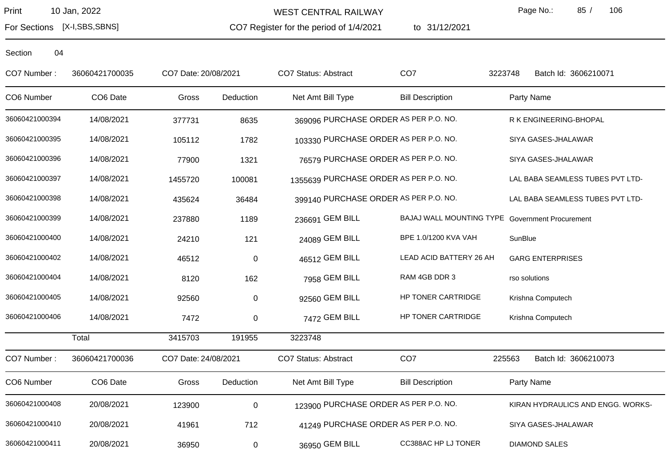WEST CENTRAL RAILWAY

CO7 Register for the period of 1/4/2021

to 31/12/2021

Page No.: 85 / 106

For Sections [X-I,SBS,SBNS]

| CO7 Number:    | 36060421700035       | CO7 Date: 20/08/2021 |                     | <b>CO7 Status: Abstract</b>            | CO <sub>7</sub>                                 | 3223748 | Batch Id: 3606210071              |
|----------------|----------------------|----------------------|---------------------|----------------------------------------|-------------------------------------------------|---------|-----------------------------------|
| CO6 Number     | CO <sub>6</sub> Date | Gross                | Deduction           | Net Amt Bill Type                      | <b>Bill Description</b>                         |         | Party Name                        |
| 36060421000394 | 14/08/2021           | 377731               | 8635                | 369096 PURCHASE ORDER AS PER P.O. NO.  |                                                 |         | R K ENGINEERING-BHOPAL            |
| 36060421000395 | 14/08/2021           | 105112               | 1782                | 103330 PURCHASE ORDER AS PER P.O. NO.  |                                                 |         | SIYA GASES-JHALAWAR               |
| 36060421000396 | 14/08/2021           | 77900                | 1321                | 76579 PURCHASE ORDER AS PER P.O. NO.   |                                                 |         | SIYA GASES-JHALAWAR               |
| 36060421000397 | 14/08/2021           | 1455720              | 100081              | 1355639 PURCHASE ORDER AS PER P.O. NO. |                                                 |         | LAL BABA SEAMLESS TUBES PVT LTD-  |
| 36060421000398 | 14/08/2021           | 435624               | 36484               | 399140 PURCHASE ORDER AS PER P.O. NO.  |                                                 |         | LAL BABA SEAMLESS TUBES PVT LTD-  |
| 36060421000399 | 14/08/2021           | 237880               | 1189                | 236691 GEM BILL                        | BAJAJ WALL MOUNTING TYPE Government Procurement |         |                                   |
| 36060421000400 | 14/08/2021           | 24210                | 121                 | 24089 GEM BILL                         | BPE 1.0/1200 KVA VAH                            | SunBlue |                                   |
| 36060421000402 | 14/08/2021           | 46512                | $\mathbf 0$         | 46512 GEM BILL                         | LEAD ACID BATTERY 26 AH                         |         | <b>GARG ENTERPRISES</b>           |
| 36060421000404 | 14/08/2021           | 8120                 | 162                 | 7958 GEM BILL                          | RAM 4GB DDR 3                                   |         | rso solutions                     |
| 36060421000405 | 14/08/2021           | 92560                | $\mathbf 0$         | 92560 GEM BILL                         | HP TONER CARTRIDGE                              |         | Krishna Computech                 |
| 36060421000406 | 14/08/2021           | 7472                 | $\mathbf 0$         | 7472 GEM BILL                          | HP TONER CARTRIDGE                              |         | Krishna Computech                 |
|                | Total                | 3415703              | 191955              | 3223748                                |                                                 |         |                                   |
| CO7 Number:    | 36060421700036       | CO7 Date: 24/08/2021 |                     | CO7 Status: Abstract                   | CO <sub>7</sub>                                 | 225563  | Batch Id: 3606210073              |
| CO6 Number     | CO6 Date             | Gross                | Deduction           | Net Amt Bill Type                      | <b>Bill Description</b>                         |         | Party Name                        |
| 36060421000408 | 20/08/2021           | 123900               | $\mathsf{O}\xspace$ | 123900 PURCHASE ORDER AS PER P.O. NO.  |                                                 |         | KIRAN HYDRAULICS AND ENGG. WORKS- |
| 36060421000410 | 20/08/2021           | 41961                | 712                 | 41249 PURCHASE ORDER AS PER P.O. NO.   |                                                 |         | SIYA GASES-JHALAWAR               |
| 36060421000411 | 20/08/2021           | 36950                | $\mathbf 0$         | 36950 GEM BILL                         | CC388AC HP LJ TONER                             |         | <b>DIAMOND SALES</b>              |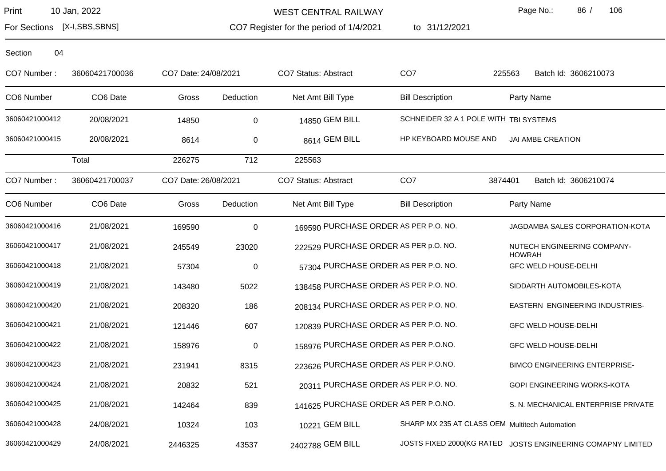WEST CENTRAL RAILWAY

CO7 Register for the period of 1/4/2021

to 31/12/2021

Page No.: 86 / 106

For Sections [X-I,SBS,SBNS]

| Section | 04 |
|---------|----|
|         |    |

| CO7 Number:    | 36060421700036       | CO7 Date: 24/08/2021 |             | <b>CO7 Status: Abstract</b>           | CO <sub>7</sub>                                | 225563<br>Batch Id: 3606210073                              |
|----------------|----------------------|----------------------|-------------|---------------------------------------|------------------------------------------------|-------------------------------------------------------------|
| CO6 Number     | CO6 Date             | Gross                | Deduction   | Net Amt Bill Type                     | <b>Bill Description</b>                        | Party Name                                                  |
| 36060421000412 | 20/08/2021           | 14850                | 0           | 14850 GEM BILL                        | SCHNEIDER 32 A 1 POLE WITH TBI SYSTEMS         |                                                             |
| 36060421000415 | 20/08/2021           | 8614                 | 0           | 8614 GEM BILL                         | HP KEYBOARD MOUSE AND                          | JAI AMBE CREATION                                           |
|                | Total                | 226275               | 712         | 225563                                |                                                |                                                             |
| CO7 Number:    | 36060421700037       | CO7 Date: 26/08/2021 |             | <b>CO7 Status: Abstract</b>           | CO <sub>7</sub>                                | 3874401<br>Batch Id: 3606210074                             |
| CO6 Number     | CO <sub>6</sub> Date | Gross                | Deduction   | Net Amt Bill Type                     | <b>Bill Description</b>                        | Party Name                                                  |
| 36060421000416 | 21/08/2021           | 169590               | $\mathbf 0$ | 169590 PURCHASE ORDER AS PER P.O. NO. |                                                | JAGDAMBA SALES CORPORATION-KOTA                             |
| 36060421000417 | 21/08/2021           | 245549               | 23020       | 222529 PURCHASE ORDER AS PER p.O. NO. |                                                | NUTECH ENGINEERING COMPANY-<br><b>HOWRAH</b>                |
| 36060421000418 | 21/08/2021           | 57304                | $\mathbf 0$ | 57304 PURCHASE ORDER AS PER P.O. NO.  |                                                | <b>GFC WELD HOUSE-DELHI</b>                                 |
| 36060421000419 | 21/08/2021           | 143480               | 5022        | 138458 PURCHASE ORDER AS PER P.O. NO. |                                                | SIDDARTH AUTOMOBILES-KOTA                                   |
| 36060421000420 | 21/08/2021           | 208320               | 186         | 208134 PURCHASE ORDER AS PER P.O. NO. |                                                | EASTERN ENGINEERING INDUSTRIES-                             |
| 36060421000421 | 21/08/2021           | 121446               | 607         | 120839 PURCHASE ORDER AS PER P.O. NO. |                                                | <b>GFC WELD HOUSE-DELHI</b>                                 |
| 36060421000422 | 21/08/2021           | 158976               | $\mathbf 0$ | 158976 PURCHASE ORDER AS PER P.O.NO.  |                                                | <b>GFC WELD HOUSE-DELHI</b>                                 |
| 36060421000423 | 21/08/2021           | 231941               | 8315        | 223626 PURCHASE ORDER AS PER P.O.NO.  |                                                | <b>BIMCO ENGINEERING ENTERPRISE-</b>                        |
| 36060421000424 | 21/08/2021           | 20832                | 521         | 20311 PURCHASE ORDER AS PER P.O. NO.  |                                                | <b>GOPI ENGINEERING WORKS-KOTA</b>                          |
| 36060421000425 | 21/08/2021           | 142464               | 839         | 141625 PURCHASE ORDER AS PER P.O.NO.  |                                                | S. N. MECHANICAL ENTERPRISE PRIVATE                         |
| 36060421000428 | 24/08/2021           | 10324                | 103         | 10221 GEM BILL                        | SHARP MX 235 AT CLASS OEM Multitech Automation |                                                             |
| 36060421000429 | 24/08/2021           | 2446325              | 43537       | 2402788 GEM BILL                      |                                                | JOSTS FIXED 2000(KG RATED JOSTS ENGINEERING COMAPNY LIMITED |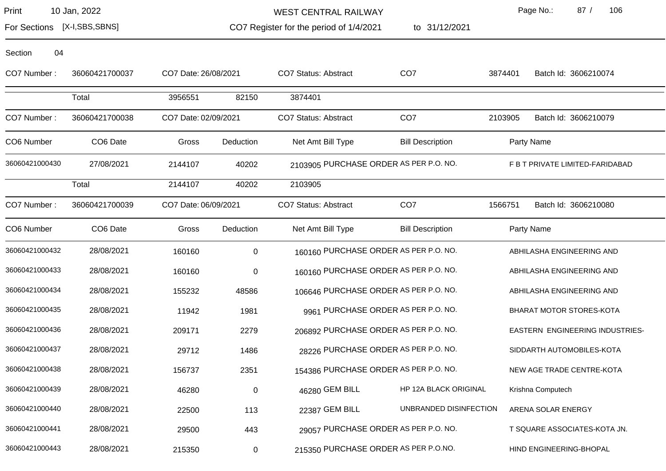WEST CENTRAL RAILWAY

to 31/12/2021

Page No.: 87 / 106

For Sections [X-I,SBS,SBNS]

CO7 Register for the period of 1/4/2021

| Section | 04 |
|---------|----|
|         |    |

| CO7 Number:    | 36060421700037       | CO7 Date: 26/08/2021 |             | CO7 Status: Abstract                   | CO <sub>7</sub>         | 3874401    | Batch Id: 3606210074            |
|----------------|----------------------|----------------------|-------------|----------------------------------------|-------------------------|------------|---------------------------------|
|                | Total                | 3956551              | 82150       | 3874401                                |                         |            |                                 |
| CO7 Number:    | 36060421700038       | CO7 Date: 02/09/2021 |             | CO7 Status: Abstract                   | CO <sub>7</sub>         | 2103905    | Batch Id: 3606210079            |
| CO6 Number     | CO6 Date             | Gross                | Deduction   | Net Amt Bill Type                      | <b>Bill Description</b> | Party Name |                                 |
| 36060421000430 | 27/08/2021           | 2144107              | 40202       | 2103905 PURCHASE ORDER AS PER P.O. NO. |                         |            | F B T PRIVATE LIMITED-FARIDABAD |
|                | Total                | 2144107              | 40202       | 2103905                                |                         |            |                                 |
| CO7 Number:    | 36060421700039       | CO7 Date: 06/09/2021 |             | CO7 Status: Abstract                   | CO <sub>7</sub>         | 1566751    | Batch Id: 3606210080            |
| CO6 Number     | CO <sub>6</sub> Date | Gross                | Deduction   | Net Amt Bill Type                      | <b>Bill Description</b> | Party Name |                                 |
| 36060421000432 | 28/08/2021           | 160160               | $\mathbf 0$ | 160160 PURCHASE ORDER AS PER P.O. NO.  |                         |            | ABHILASHA ENGINEERING AND       |
| 36060421000433 | 28/08/2021           | 160160               | $\mathbf 0$ | 160160 PURCHASE ORDER AS PER P.O. NO.  |                         |            | ABHILASHA ENGINEERING AND       |
| 36060421000434 | 28/08/2021           | 155232               | 48586       | 106646 PURCHASE ORDER AS PER P.O. NO.  |                         |            | ABHILASHA ENGINEERING AND       |
| 36060421000435 | 28/08/2021           | 11942                | 1981        | 9961 PURCHASE ORDER AS PER P.O. NO.    |                         |            | BHARAT MOTOR STORES-KOTA        |
| 36060421000436 | 28/08/2021           | 209171               | 2279        | 206892 PURCHASE ORDER AS PER P.O. NO.  |                         |            | EASTERN ENGINEERING INDUSTRIES- |
| 36060421000437 | 28/08/2021           | 29712                | 1486        | 28226 PURCHASE ORDER AS PER P.O. NO.   |                         |            | SIDDARTH AUTOMOBILES-KOTA       |
| 36060421000438 | 28/08/2021           | 156737               | 2351        | 154386 PURCHASE ORDER AS PER P.O. NO.  |                         |            | NEW AGE TRADE CENTRE-KOTA       |
| 36060421000439 | 28/08/2021           | 46280                | $\pmb{0}$   | 46280 GEM BILL                         | HP 12A BLACK ORIGINAL   |            | Krishna Computech               |
| 36060421000440 | 28/08/2021           | 22500                | 113         | 22387 GEM BILL                         | UNBRANDED DISINFECTION  |            | ARENA SOLAR ENERGY              |
| 36060421000441 | 28/08/2021           | 29500                | 443         | 29057 PURCHASE ORDER AS PER P.O. NO.   |                         |            | T SQUARE ASSOCIATES-KOTA JN.    |
| 36060421000443 | 28/08/2021           | 215350               | $\mathbf 0$ | 215350 PURCHASE ORDER AS PER P.O.NO.   |                         |            | HIND ENGINEERING-BHOPAL         |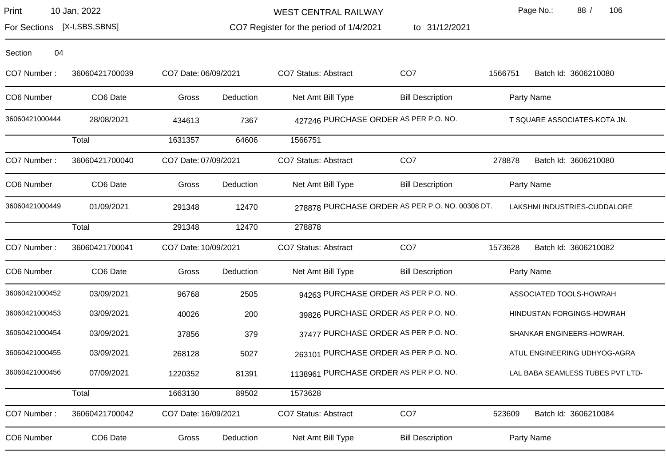For Sections [X-I,SBS,SBNS]

WEST CENTRAL RAILWAY

CO7 Register for the period of 1/4/2021 to 31/12/2021 Page No.: 88 / 106

| Section<br>04  |                      |                      |           |                                        |                                                 |         |                                  |
|----------------|----------------------|----------------------|-----------|----------------------------------------|-------------------------------------------------|---------|----------------------------------|
| CO7 Number:    | 36060421700039       | CO7 Date: 06/09/2021 |           | <b>CO7 Status: Abstract</b>            | CO <sub>7</sub>                                 | 1566751 | Batch Id: 3606210080             |
| CO6 Number     | CO <sub>6</sub> Date | Gross                | Deduction | Net Amt Bill Type                      | <b>Bill Description</b>                         |         | Party Name                       |
| 36060421000444 | 28/08/2021           | 434613               | 7367      |                                        | 427246 PURCHASE ORDER AS PER P.O. NO.           |         | T SQUARE ASSOCIATES-KOTA JN.     |
|                | Total                | 1631357              | 64606     | 1566751                                |                                                 |         |                                  |
| CO7 Number:    | 36060421700040       | CO7 Date: 07/09/2021 |           | <b>CO7 Status: Abstract</b>            | CO <sub>7</sub>                                 | 278878  | Batch Id: 3606210080             |
| CO6 Number     | CO <sub>6</sub> Date | Gross                | Deduction | Net Amt Bill Type                      | <b>Bill Description</b>                         |         | Party Name                       |
| 36060421000449 | 01/09/2021           | 291348               | 12470     |                                        | 278878 PURCHASE ORDER AS PER P.O. NO. 00308 DT. |         | LAKSHMI INDUSTRIES-CUDDALORE     |
|                | Total                | 291348               | 12470     | 278878                                 |                                                 |         |                                  |
| CO7 Number:    | 36060421700041       | CO7 Date: 10/09/2021 |           | <b>CO7 Status: Abstract</b>            | CO <sub>7</sub>                                 | 1573628 | Batch Id: 3606210082             |
| CO6 Number     | CO6 Date             | Gross                | Deduction | Net Amt Bill Type                      | <b>Bill Description</b>                         |         | Party Name                       |
| 36060421000452 | 03/09/2021           | 96768                | 2505      |                                        | 94263 PURCHASE ORDER AS PER P.O. NO.            |         | ASSOCIATED TOOLS-HOWRAH          |
| 36060421000453 | 03/09/2021           | 40026                | 200       |                                        | 39826 PURCHASE ORDER AS PER P.O. NO.            |         | HINDUSTAN FORGINGS-HOWRAH        |
| 36060421000454 | 03/09/2021           | 37856                | 379       |                                        | 37477 PURCHASE ORDER AS PER P.O. NO.            |         | SHANKAR ENGINEERS-HOWRAH.        |
| 36060421000455 | 03/09/2021           | 268128               | 5027      |                                        | 263101 PURCHASE ORDER AS PER P.O. NO.           |         | ATUL ENGINEERING UDHYOG-AGRA     |
| 36060421000456 | 07/09/2021           | 1220352              | 81391     | 1138961 PURCHASE ORDER AS PER P.O. NO. |                                                 |         | LAL BABA SEAMLESS TUBES PVT LTD- |
|                | Total                | 1663130              | 89502     | 1573628                                |                                                 |         |                                  |
| CO7 Number:    | 36060421700042       | CO7 Date: 16/09/2021 |           | <b>CO7 Status: Abstract</b>            | CO <sub>7</sub>                                 | 523609  | Batch Id: 3606210084             |
| CO6 Number     | CO <sub>6</sub> Date | Gross                | Deduction | Net Amt Bill Type                      | <b>Bill Description</b>                         |         | Party Name                       |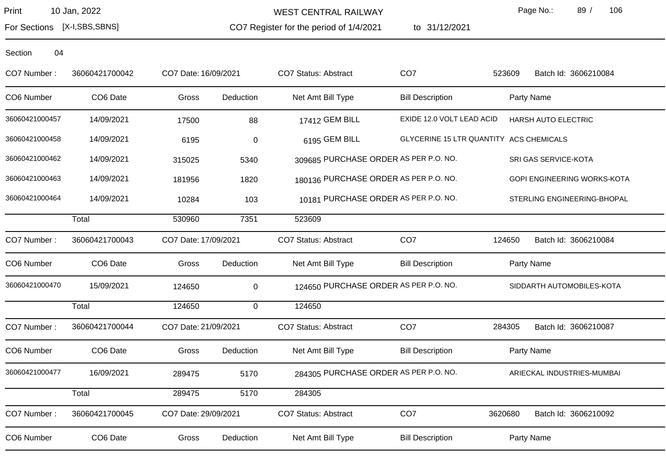For Sections [X-I,SBS,SBNS]

WEST CENTRAL RAILWAY

CO7 Register for the period of 1/4/2021

to 31/12/2021

Page No.: 89 / 106

| CO7 Number:    | 36060421700042       | CO7 Date: 16/09/2021 |                  | CO7 Status: Abstract                  | CO <sub>7</sub>           | 523609                                  | Batch Id: 3606210084        |
|----------------|----------------------|----------------------|------------------|---------------------------------------|---------------------------|-----------------------------------------|-----------------------------|
| CO6 Number     | CO <sub>6</sub> Date | Gross                | Deduction        | Net Amt Bill Type                     | <b>Bill Description</b>   | Party Name                              |                             |
| 36060421000457 | 14/09/2021           | 17500                | 88               | 17412 GEM BILL                        | EXIDE 12.0 VOLT LEAD ACID | HARSH AUTO ELECTRIC                     |                             |
| 36060421000458 | 14/09/2021           | 6195                 | $\boldsymbol{0}$ | 6195 GEM BILL                         |                           | GLYCERINE 15 LTR QUANTITY ACS CHEMICALS |                             |
| 36060421000462 | 14/09/2021           | 315025               | 5340             | 309685 PURCHASE ORDER AS PER P.O. NO. |                           | SRI GAS SERVICE-KOTA                    |                             |
| 36060421000463 | 14/09/2021           | 181956               | 1820             | 180136 PURCHASE ORDER AS PER P.O. NO. |                           |                                         | GOPI ENGINEERING WORKS-KOTA |
| 36060421000464 | 14/09/2021           | 10284                | 103              | 10181 PURCHASE ORDER AS PER P.O. NO.  |                           |                                         | STERLING ENGINEERING-BHOPAL |
|                | Total                | 530960               | 7351             | 523609                                |                           |                                         |                             |
| CO7 Number:    | 36060421700043       | CO7 Date: 17/09/2021 |                  | CO7 Status: Abstract                  | CO <sub>7</sub>           | 124650                                  | Batch Id: 3606210084        |
| CO6 Number     | CO <sub>6</sub> Date | Gross                | Deduction        | Net Amt Bill Type                     | <b>Bill Description</b>   | Party Name                              |                             |
| 36060421000470 | 15/09/2021           | 124650               | 0                | 124650 PURCHASE ORDER AS PER P.O. NO. |                           |                                         | SIDDARTH AUTOMOBILES-KOTA   |
|                | Total                | 124650               | $\mathsf{O}$     | 124650                                |                           |                                         |                             |
| CO7 Number:    | 36060421700044       | CO7 Date: 21/09/2021 |                  | CO7 Status: Abstract                  | CO <sub>7</sub>           | 284305                                  | Batch Id: 3606210087        |
| CO6 Number     | CO6 Date             | Gross                | Deduction        | Net Amt Bill Type                     | <b>Bill Description</b>   | Party Name                              |                             |
| 36060421000477 | 16/09/2021           | 289475               | 5170             | 284305 PURCHASE ORDER AS PER P.O. NO. |                           |                                         | ARIECKAL INDUSTRIES-MUMBAI  |
|                | Total                | 289475               | 5170             | 284305                                |                           |                                         |                             |
| CO7 Number:    | 36060421700045       | CO7 Date: 29/09/2021 |                  | CO7 Status: Abstract                  | CO <sub>7</sub>           | 3620680                                 | Batch Id: 3606210092        |
| CO6 Number     | CO6 Date             | Gross                | Deduction        | Net Amt Bill Type                     | <b>Bill Description</b>   | Party Name                              |                             |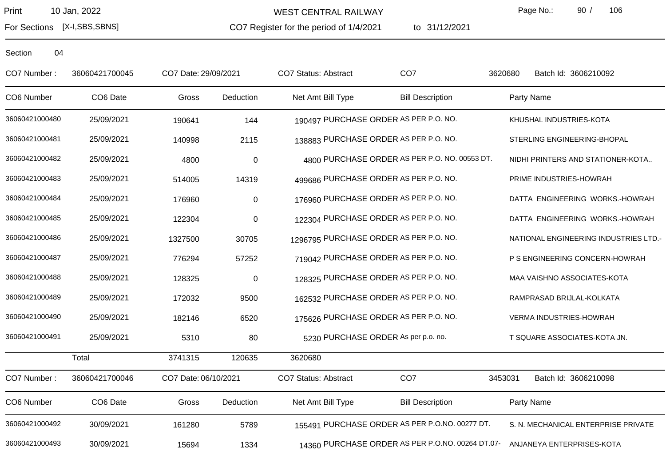CO7 Register for the period of 1/4/2021 WEST CENTRAL RAILWAY

to 31/12/2021

Page No.: 90 / 106

For Sections [X-I,SBS,SBNS]

| CO7 Number:    | 36060421700045 | CO7 Date: 29/09/2021 |                  | CO7 Status: Abstract                   | CO <sub>7</sub>                                  | 3620680<br>Batch Id: 3606210092       |  |
|----------------|----------------|----------------------|------------------|----------------------------------------|--------------------------------------------------|---------------------------------------|--|
| CO6 Number     | CO6 Date       | Gross                | Deduction        | Net Amt Bill Type                      | <b>Bill Description</b>                          | Party Name                            |  |
| 36060421000480 | 25/09/2021     | 190641               | 144              | 190497 PURCHASE ORDER AS PER P.O. NO.  |                                                  | KHUSHAL INDUSTRIES-KOTA               |  |
| 36060421000481 | 25/09/2021     | 140998               | 2115             | 138883 PURCHASE ORDER AS PER P.O. NO.  |                                                  | STERLING ENGINEERING-BHOPAL           |  |
| 36060421000482 | 25/09/2021     | 4800                 | $\mathbf 0$      |                                        | 4800 PURCHASE ORDER AS PER P.O. NO. 00553 DT.    | NIDHI PRINTERS AND STATIONER-KOTA     |  |
| 36060421000483 | 25/09/2021     | 514005               | 14319            | 499686 PURCHASE ORDER AS PER P.O. NO.  |                                                  | PRIME INDUSTRIES-HOWRAH               |  |
| 36060421000484 | 25/09/2021     | 176960               | $\pmb{0}$        | 176960 PURCHASE ORDER AS PER P.O. NO.  |                                                  | DATTA ENGINEERING WORKS.-HOWRAH       |  |
| 36060421000485 | 25/09/2021     | 122304               | $\pmb{0}$        | 122304 PURCHASE ORDER AS PER P.O. NO.  |                                                  | DATTA ENGINEERING WORKS.-HOWRAH       |  |
| 36060421000486 | 25/09/2021     | 1327500              | 30705            | 1296795 PURCHASE ORDER AS PER P.O. NO. |                                                  | NATIONAL ENGINEERING INDUSTRIES LTD.- |  |
| 36060421000487 | 25/09/2021     | 776294               | 57252            | 719042 PURCHASE ORDER AS PER P.O. NO.  |                                                  | P S ENGINEERING CONCERN-HOWRAH        |  |
| 36060421000488 | 25/09/2021     | 128325               | $\boldsymbol{0}$ | 128325 PURCHASE ORDER AS PER P.O. NO.  |                                                  | MAA VAISHNO ASSOCIATES-KOTA           |  |
| 36060421000489 | 25/09/2021     | 172032               | 9500             | 162532 PURCHASE ORDER AS PER P.O. NO.  |                                                  | RAMPRASAD BRIJLAL-KOLKATA             |  |
| 36060421000490 | 25/09/2021     | 182146               | 6520             | 175626 PURCHASE ORDER AS PER P.O. NO.  |                                                  | VERMA INDUSTRIES-HOWRAH               |  |
| 36060421000491 | 25/09/2021     | 5310                 | 80               | 5230 PURCHASE ORDER As per p.o. no.    |                                                  | T SQUARE ASSOCIATES-KOTA JN.          |  |
|                | Total          | 3741315              | 120635           | 3620680                                |                                                  |                                       |  |
| CO7 Number:    | 36060421700046 | CO7 Date: 06/10/2021 |                  | CO7 Status: Abstract                   | CO <sub>7</sub>                                  | 3453031<br>Batch Id: 3606210098       |  |
| CO6 Number     | CO6 Date       | Gross                | Deduction        | Net Amt Bill Type                      | <b>Bill Description</b>                          | Party Name                            |  |
| 36060421000492 | 30/09/2021     | 161280               | 5789             |                                        | 155491 PURCHASE ORDER AS PER P.O.NO. 00277 DT.   | S. N. MECHANICAL ENTERPRISE PRIVATE   |  |
| 36060421000493 | 30/09/2021     | 15694                | 1334             |                                        | 14360 PURCHASE ORDER AS PER P.O.NO. 00264 DT.07- | ANJANEYA ENTERPRISES-KOTA             |  |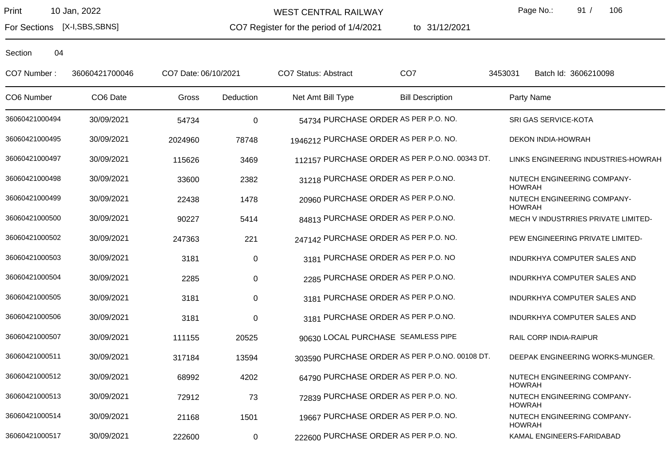For Sections [X-I,SBS,SBNS]

WEST CENTRAL RAILWAY

CO7 Register for the period of 1/4/2021

to 31/12/2021

Page No.: 91 / 106

| CO7 Number:    | 36060421700046 | CO7 Date: 06/10/2021 |             | CO7 Status: Abstract                   | CO <sub>7</sub>                                | 3453031       | Batch Id: 3606210098                |
|----------------|----------------|----------------------|-------------|----------------------------------------|------------------------------------------------|---------------|-------------------------------------|
| CO6 Number     | CO6 Date       | Gross                | Deduction   | Net Amt Bill Type                      | <b>Bill Description</b>                        |               | Party Name                          |
| 36060421000494 | 30/09/2021     | 54734                | $\mathbf 0$ |                                        | 54734 PURCHASE ORDER AS PER P.O. NO.           |               | SRI GAS SERVICE-KOTA                |
| 36060421000495 | 30/09/2021     | 2024960              | 78748       | 1946212 PURCHASE ORDER AS PER P.O. NO. |                                                |               | DEKON INDIA-HOWRAH                  |
| 36060421000497 | 30/09/2021     | 115626               | 3469        |                                        | 112157 PURCHASE ORDER AS PER P.O.NO. 00343 DT. |               | LINKS ENGINEERING INDUSTRIES-HOWRAH |
| 36060421000498 | 30/09/2021     | 33600                | 2382        |                                        | 31218 PURCHASE ORDER AS PER P.O.NO.            | <b>HOWRAH</b> | NUTECH ENGINEERING COMPANY-         |
| 36060421000499 | 30/09/2021     | 22438                | 1478        |                                        | 20960 PURCHASE ORDER AS PER P.O.NO.            | <b>HOWRAH</b> | NUTECH ENGINEERING COMPANY-         |
| 36060421000500 | 30/09/2021     | 90227                | 5414        |                                        | 84813 PURCHASE ORDER AS PER P.O.NO.            |               | MECH V INDUSTRRIES PRIVATE LIMITED- |
| 36060421000502 | 30/09/2021     | 247363               | 221         | 247142 PURCHASE ORDER AS PER P.O. NO.  |                                                |               | PEW ENGINEERING PRIVATE LIMITED-    |
| 36060421000503 | 30/09/2021     | 3181                 | 0           |                                        | 3181 PURCHASE ORDER AS PER P.O. NO             |               | INDURKHYA COMPUTER SALES AND        |
| 36060421000504 | 30/09/2021     | 2285                 | $\pmb{0}$   |                                        | 2285 PURCHASE ORDER AS PER P.O.NO.             |               | INDURKHYA COMPUTER SALES AND        |
| 36060421000505 | 30/09/2021     | 3181                 | $\pmb{0}$   |                                        | 3181 PURCHASE ORDER AS PER P.O.NO.             |               | INDURKHYA COMPUTER SALES AND        |
| 36060421000506 | 30/09/2021     | 3181                 | $\pmb{0}$   |                                        | 3181 PURCHASE ORDER AS PER P.O.NO.             |               | INDURKHYA COMPUTER SALES AND        |
| 36060421000507 | 30/09/2021     | 111155               | 20525       |                                        | 90630 LOCAL PURCHASE SEAMLESS PIPE             |               | RAIL CORP INDIA-RAIPUR              |
| 36060421000511 | 30/09/2021     | 317184               | 13594       |                                        | 303590 PURCHASE ORDER AS PER P.O.NO. 00108 DT. |               | DEEPAK ENGINEERING WORKS-MUNGER.    |
| 36060421000512 | 30/09/2021     | 68992                | 4202        |                                        | 64790 PURCHASE ORDER AS PER P.O. NO.           | <b>HOWRAH</b> | NUTECH ENGINEERING COMPANY-         |
| 36060421000513 | 30/09/2021     | 72912                | 73          |                                        | 72839 PURCHASE ORDER AS PER P.O. NO.           | <b>HOWRAH</b> | NUTECH ENGINEERING COMPANY-         |
| 36060421000514 | 30/09/2021     | 21168                | 1501        |                                        | 19667 PURCHASE ORDER AS PER P.O. NO.           | <b>HOWRAH</b> | NUTECH ENGINEERING COMPANY-         |
| 36060421000517 | 30/09/2021     | 222600               | 0           | 222600 PURCHASE ORDER AS PER P.O. NO.  |                                                |               | KAMAL ENGINEERS-FARIDABAD           |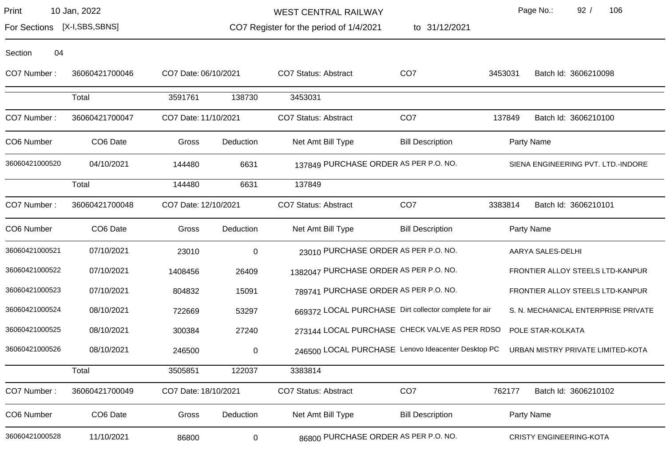WEST CENTRAL RAILWAY

to 31/12/2021

Page No.: 92 / 106

For Sections [X-I,SBS,SBNS]

CO7 Register for the period of 1/4/2021

| CO7 Number:    | 36060421700046       | CO7 Date: 06/10/2021 |             | <b>CO7 Status: Abstract</b>                           | CO <sub>7</sub>         | 3453031 | Batch Id: 3606210098                |
|----------------|----------------------|----------------------|-------------|-------------------------------------------------------|-------------------------|---------|-------------------------------------|
|                | Total                | 3591761              | 138730      | 3453031                                               |                         |         |                                     |
| CO7 Number:    | 36060421700047       | CO7 Date: 11/10/2021 |             | <b>CO7 Status: Abstract</b>                           | CO <sub>7</sub>         | 137849  | Batch Id: 3606210100                |
| CO6 Number     | CO6 Date             | Gross                | Deduction   | Net Amt Bill Type                                     | <b>Bill Description</b> |         | Party Name                          |
| 36060421000520 | 04/10/2021           | 144480               | 6631        | 137849 PURCHASE ORDER AS PER P.O. NO.                 |                         |         | SIENA ENGINEERING PVT. LTD.-INDORE  |
|                | Total                | 144480               | 6631        | 137849                                                |                         |         |                                     |
| CO7 Number:    | 36060421700048       | CO7 Date: 12/10/2021 |             | <b>CO7 Status: Abstract</b>                           | CO <sub>7</sub>         | 3383814 | Batch Id: 3606210101                |
| CO6 Number     | CO <sub>6</sub> Date | Gross                | Deduction   | Net Amt Bill Type                                     | <b>Bill Description</b> |         | Party Name                          |
| 36060421000521 | 07/10/2021           | 23010                | $\mathbf 0$ | 23010 PURCHASE ORDER AS PER P.O. NO.                  |                         |         | AARYA SALES-DELHI                   |
| 36060421000522 | 07/10/2021           | 1408456              | 26409       | 1382047 PURCHASE ORDER AS PER P.O. NO.                |                         |         | FRONTIER ALLOY STEELS LTD-KANPUR    |
| 36060421000523 | 07/10/2021           | 804832               | 15091       | 789741 PURCHASE ORDER AS PER P.O. NO.                 |                         |         | FRONTIER ALLOY STEELS LTD-KANPUR    |
| 36060421000524 | 08/10/2021           | 722669               | 53297       | 669372 LOCAL PURCHASE Dirt collector complete for air |                         |         | S. N. MECHANICAL ENTERPRISE PRIVATE |
| 36060421000525 | 08/10/2021           | 300384               | 27240       | 273144 LOCAL PURCHASE CHECK VALVE AS PER RDSO         |                         |         | POLE STAR-KOLKATA                   |
| 36060421000526 | 08/10/2021           | 246500               | $\pmb{0}$   | 246500 LOCAL PURCHASE Lenovo Ideacenter Desktop PC    |                         |         | URBAN MISTRY PRIVATE LIMITED-KOTA   |
|                | Total                | 3505851              | 122037      | 3383814                                               |                         |         |                                     |
| CO7 Number:    | 36060421700049       | CO7 Date: 18/10/2021 |             | <b>CO7 Status: Abstract</b>                           | CO <sub>7</sub>         | 762177  | Batch Id: 3606210102                |
| CO6 Number     | CO6 Date             | Gross                | Deduction   | Net Amt Bill Type                                     | <b>Bill Description</b> |         | Party Name                          |
| 36060421000528 | 11/10/2021           | 86800                | $\pmb{0}$   | 86800 PURCHASE ORDER AS PER P.O. NO.                  |                         |         | <b>CRISTY ENGINEERING-KOTA</b>      |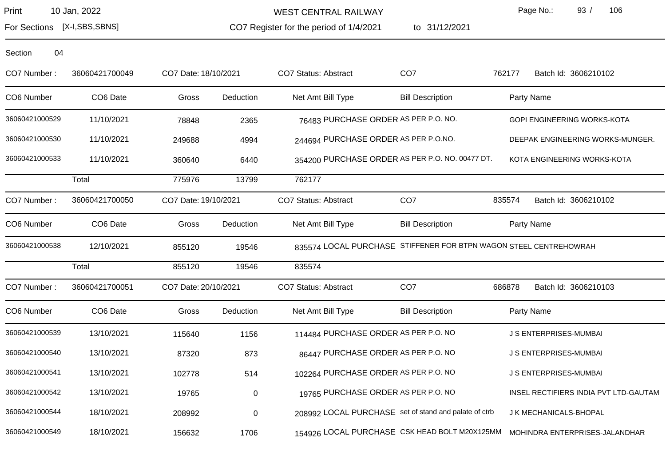For Sections [X-I,SBS,SBNS]

WEST CENTRAL RAILWAY

CO7 Register for the period of 1/4/2021 1/4/2021 to 31/12/2021 Page No.: 93 / 106

Section 04

CO7 Number : 36060421700049 CO7 Date:18/10/2021 CO7 Status: Abstract CO7 762177 Batch Id: 3606210102 CO6 Number CO6 Date Gross Deduction Net Amt Bill Type Bill Description Party Name 36060421000529 11/10/2021 78848 2365 76483 PURCHASE ORDER AS PER P.O. NO. GOPI ENGINEERING WORKS-KOTA 36060421000530 11/10/2021 249688 4994 244694 PURCHASE ORDER AS PER P.O.NO. DEEPAK ENGINEERING WORKS-MUNGER. 36060421000533 11/10/2021 360640 6440 354200 PURCHASE ORDER AS PER P.O. NO. 00477 DT. KOTA ENGINEERING WORKS-KOTA Total 775976 13799 762177 CO7 Number : 36060421700050 CO7 Date:19/10/2021 CO7 Status: Abstract CO7 835574 Batch Id: 3606210102 Total 855120 19546 835574

CO6 Number CO6 Date Gross Deduction Net Amt Bill Type Bill Description Party Name 36060421000538 12/10/2021 855120 19546 835574 LOCAL PURCHASE STIFFENER FOR BTPN WAGON STEEL CENTREHOWRAH CO7 Number: 36060421700051 CO7 Date: 20/10/2021 CO7 Status: Abstract CO7 CO7 686878 Batch Id: 3606210103 CO6 Number CO6 Date Gross Deduction Net Amt Bill Type Bill Description Party Name 36060421000539 13/10/2021 115640 1156 1156 114484 PURCHASE ORDER AS PER P.O. NO JS ENTERPRISES-MUMBAI 36060421000540 13/10/2021 87320 873 86447 PURCHASE ORDER AS PER P.O. NO JS ENTERPRISES-MUMBAI 36060421000541 13/10/2021 102778 514 102264 PURCHASE ORDER AS PER P.O. NO JS ENTERPRISES-MUMBAI 36060421000542 13/10/2021 19765 0 19765 19765 PURCHASE ORDER AS PER P.O. NO INSEL RECTIFIERS INDIA PVT LTD-GAUTAM 36060421000544 18/10/2021 208992 0 208992 LOCAL PURCHASE set of stand and palate of ctrb J K MECHANICALS-BHOPAL 36060421000549 18/10/2021 156632 1706 154926 LOCAL PURCHASE CSK HEAD BOLT M20X125MM MOHINDRA ENTERPRISES-JALANDHAR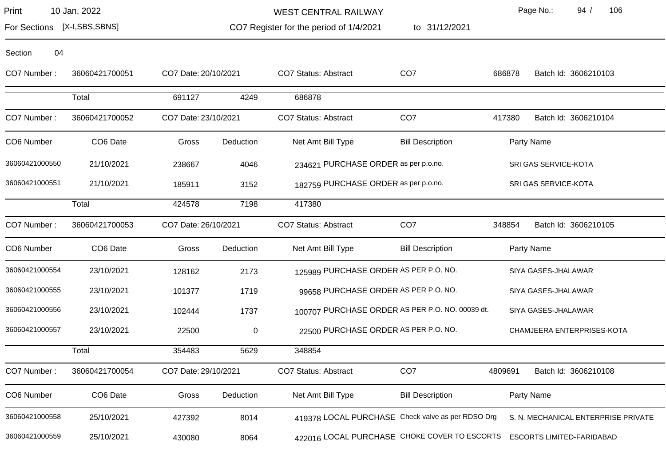| Print | 10 Jan, 2022 |  |
|-------|--------------|--|
|-------|--------------|--|

Section 04

WEST CENTRAL RAILWAY

to 31/12/2021

Page No.: 94 / 106

For Sections [X-I,SBS,SBNS]

CO7 Register for the period of 1/4/2021

| 36060421700051       |        |           | <b>CO7 Status: Abstract</b>                                                                  | CO <sub>7</sub>         | 686878                                                                                                                                                                                                | Batch Id: 3606210103                            |
|----------------------|--------|-----------|----------------------------------------------------------------------------------------------|-------------------------|-------------------------------------------------------------------------------------------------------------------------------------------------------------------------------------------------------|-------------------------------------------------|
| Total                | 691127 | 4249      | 686878                                                                                       |                         |                                                                                                                                                                                                       |                                                 |
| 36060421700052       |        |           | <b>CO7 Status: Abstract</b>                                                                  | CO <sub>7</sub>         | 417380                                                                                                                                                                                                | Batch Id: 3606210104                            |
| CO6 Date             | Gross  | Deduction | Net Amt Bill Type                                                                            | <b>Bill Description</b> |                                                                                                                                                                                                       | Party Name                                      |
| 21/10/2021           | 238667 | 4046      |                                                                                              |                         |                                                                                                                                                                                                       | SRI GAS SERVICE-KOTA                            |
| 21/10/2021           | 185911 | 3152      |                                                                                              |                         |                                                                                                                                                                                                       | SRI GAS SERVICE-KOTA                            |
| Total                | 424578 | 7198      | 417380                                                                                       |                         |                                                                                                                                                                                                       |                                                 |
| 36060421700053       |        |           | CO7 Status: Abstract                                                                         | CO <sub>7</sub>         | 348854                                                                                                                                                                                                | Batch Id: 3606210105                            |
| CO <sub>6</sub> Date | Gross  | Deduction | Net Amt Bill Type                                                                            | <b>Bill Description</b> |                                                                                                                                                                                                       | Party Name                                      |
| 23/10/2021           | 128162 | 2173      |                                                                                              |                         |                                                                                                                                                                                                       | SIYA GASES-JHALAWAR                             |
| 23/10/2021           | 101377 | 1719      |                                                                                              |                         |                                                                                                                                                                                                       | SIYA GASES-JHALAWAR                             |
| 23/10/2021           | 102444 | 1737      |                                                                                              |                         |                                                                                                                                                                                                       | SIYA GASES-JHALAWAR                             |
| 23/10/2021           | 22500  | 0         |                                                                                              |                         |                                                                                                                                                                                                       | CHAMJEERA ENTERPRISES-KOTA                      |
| Total                | 354483 | 5629      | 348854                                                                                       |                         |                                                                                                                                                                                                       |                                                 |
| 36060421700054       |        |           | <b>CO7 Status: Abstract</b>                                                                  | CO <sub>7</sub>         | 4809691                                                                                                                                                                                               | Batch Id: 3606210108                            |
| CO6 Date             | Gross  | Deduction | Net Amt Bill Type                                                                            | <b>Bill Description</b> |                                                                                                                                                                                                       | Party Name                                      |
|                      |        |           | CO7 Date: 20/10/2021<br>CO7 Date: 23/10/2021<br>CO7 Date: 26/10/2021<br>CO7 Date: 29/10/2021 |                         | 234621 PURCHASE ORDER as per p.o.no.<br>182759 PURCHASE ORDER as per p.o.no.<br>125989 PURCHASE ORDER AS PER P.O. NO.<br>99658 PURCHASE ORDER AS PER P.O. NO.<br>22500 PURCHASE ORDER AS PER P.O. NO. | 100707 PURCHASE ORDER AS PER P.O. NO. 00039 dt. |

36060421000559 25/10/2021 430080 8064 422016 LOCAL PURCHASE CHOKE COVER TO ESCORTS ESCORTS LIMITED-FARIDABAD

36060421000558 25/10/2021 427392 8014 419378 LOCAL PURCHASE Check valve as per RDSO Drg S. N. MECHANICAL ENTERPRISE PRIVATE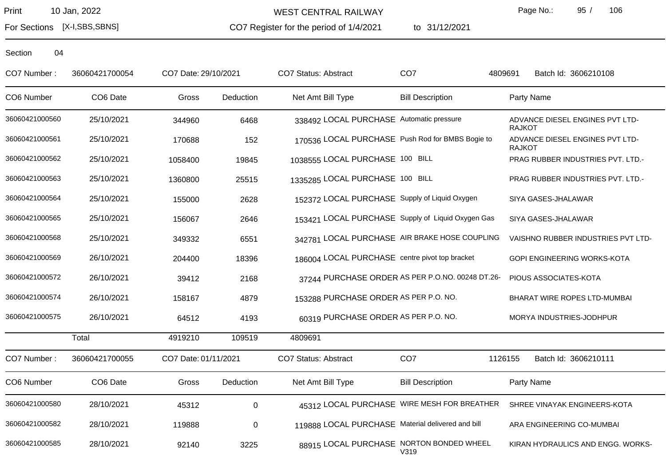For Sections [X-I,SBS,SBNS]

WEST CENTRAL RAILWAY

CO7 Register for the period of 1/4/2021

to 31/12/2021

Page No.: 95 / 106

| CO7 Number:    | 36060421700054 | CO7 Date: 29/10/2021 |             | CO7 Status: Abstract                              | CO <sub>7</sub>                                  | Batch Id: 3606210108<br>4809691                  |
|----------------|----------------|----------------------|-------------|---------------------------------------------------|--------------------------------------------------|--------------------------------------------------|
| CO6 Number     | CO6 Date       | Gross                | Deduction   | Net Amt Bill Type                                 | <b>Bill Description</b>                          | Party Name                                       |
| 36060421000560 | 25/10/2021     | 344960               | 6468        | 338492 LOCAL PURCHASE Automatic pressure          |                                                  | ADVANCE DIESEL ENGINES PVT LTD-<br><b>RAJKOT</b> |
| 36060421000561 | 25/10/2021     | 170688               | 152         | 170536 LOCAL PURCHASE Push Rod for BMBS Bogie to  |                                                  | ADVANCE DIESEL ENGINES PVT LTD-<br><b>RAJKOT</b> |
| 36060421000562 | 25/10/2021     | 1058400              | 19845       | 1038555 LOCAL PURCHASE 100 BILL                   |                                                  | PRAG RUBBER INDUSTRIES PVT. LTD.-                |
| 36060421000563 | 25/10/2021     | 1360800              | 25515       | 1335285 LOCAL PURCHASE 100 BILL                   |                                                  | PRAG RUBBER INDUSTRIES PVT. LTD.-                |
| 36060421000564 | 25/10/2021     | 155000               | 2628        | 152372 LOCAL PURCHASE Supply of Liquid Oxygen     |                                                  | SIYA GASES-JHALAWAR                              |
| 36060421000565 | 25/10/2021     | 156067               | 2646        | 153421 LOCAL PURCHASE Supply of Liquid Oxygen Gas |                                                  | SIYA GASES-JHALAWAR                              |
| 36060421000568 | 25/10/2021     | 349332               | 6551        | 342781 LOCAL PURCHASE AIR BRAKE HOSE COUPLING     |                                                  | VAISHNO RUBBER INDUSTRIES PVT LTD-               |
| 36060421000569 | 26/10/2021     | 204400               | 18396       | 186004 LOCAL PURCHASE centre pivot top bracket    |                                                  | GOPI ENGINEERING WORKS-KOTA                      |
| 36060421000572 | 26/10/2021     | 39412                | 2168        |                                                   | 37244 PURCHASE ORDER AS PER P.O.NO. 00248 DT.26- | PIOUS ASSOCIATES-KOTA                            |
| 36060421000574 | 26/10/2021     | 158167               | 4879        | 153288 PURCHASE ORDER AS PER P.O. NO.             |                                                  | BHARAT WIRE ROPES LTD-MUMBAI                     |
| 36060421000575 | 26/10/2021     | 64512                | 4193        | 60319 PURCHASE ORDER AS PER P.O. NO.              |                                                  | MORYA INDUSTRIES-JODHPUR                         |
|                | Total          | 4919210              | 109519      | 4809691                                           |                                                  |                                                  |
| CO7 Number:    | 36060421700055 | CO7 Date: 01/11/2021 |             | CO7 Status: Abstract                              | CO <sub>7</sub>                                  | 1126155<br>Batch Id: 3606210111                  |
| CO6 Number     | CO6 Date       | Gross                | Deduction   | Net Amt Bill Type                                 | <b>Bill Description</b>                          | Party Name                                       |
| 36060421000580 | 28/10/2021     | 45312                | $\mathbf 0$ |                                                   | 45312 LOCAL PURCHASE WIRE MESH FOR BREATHER      | SHREE VINAYAK ENGINEERS-KOTA                     |
| 36060421000582 | 28/10/2021     | 119888               | $\mathbf 0$ | 119888 LOCAL PURCHASE Material delivered and bill |                                                  | ARA ENGINEERING CO-MUMBAI                        |
| 36060421000585 | 28/10/2021     | 92140                | 3225        | 88915 LOCAL PURCHASE NORTON BONDED WHEEL          | V319                                             | KIRAN HYDRAULICS AND ENGG. WORKS-                |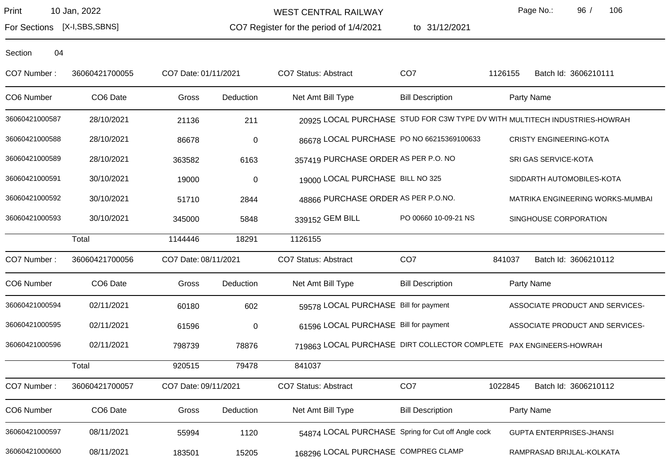WEST CENTRAL RAILWAY

to 31/12/2021

Page No.: 96 / 106

For Sections [X-I,SBS,SBNS]

CO7 Register for the period of 1/4/2021

| Section | 04 |
|---------|----|
|---------|----|

| CO7 Number:    | 36060421700055 | CO7 Date: 01/11/2021 |             | <b>CO7 Status: Abstract</b>                                        | CO <sub>7</sub>         | 1126155 | Batch Id: 3606210111                                                       |
|----------------|----------------|----------------------|-------------|--------------------------------------------------------------------|-------------------------|---------|----------------------------------------------------------------------------|
| CO6 Number     | CO6 Date       | Gross                | Deduction   | Net Amt Bill Type                                                  | <b>Bill Description</b> |         | Party Name                                                                 |
| 36060421000587 | 28/10/2021     | 21136                | 211         |                                                                    |                         |         | 20925 LOCAL PURCHASE STUD FOR C3W TYPE DV WITH MULTITECH INDUSTRIES-HOWRAH |
| 36060421000588 | 28/10/2021     | 86678                | $\pmb{0}$   | 86678 LOCAL PURCHASE PO NO 66215369100633                          |                         |         | <b>CRISTY ENGINEERING-KOTA</b>                                             |
| 36060421000589 | 28/10/2021     | 363582               | 6163        | 357419 PURCHASE ORDER AS PER P.O. NO                               |                         |         | SRI GAS SERVICE-KOTA                                                       |
| 36060421000591 | 30/10/2021     | 19000                | $\mathbf 0$ | 19000 LOCAL PURCHASE BILL NO 325                                   |                         |         | SIDDARTH AUTOMOBILES-KOTA                                                  |
| 36060421000592 | 30/10/2021     | 51710                | 2844        | 48866 PURCHASE ORDER AS PER P.O.NO.                                |                         |         | MATRIKA ENGINEERING WORKS-MUMBAI                                           |
| 36060421000593 | 30/10/2021     | 345000               | 5848        | 339152 GEM BILL                                                    | PO 00660 10-09-21 NS    |         | SINGHOUSE CORPORATION                                                      |
|                | Total          | 1144446              | 18291       | 1126155                                                            |                         |         |                                                                            |
| CO7 Number:    | 36060421700056 | CO7 Date: 08/11/2021 |             | <b>CO7 Status: Abstract</b>                                        | CO <sub>7</sub>         | 841037  | Batch Id: 3606210112                                                       |
| CO6 Number     | CO6 Date       | Gross                | Deduction   | Net Amt Bill Type                                                  | <b>Bill Description</b> |         | Party Name                                                                 |
| 36060421000594 | 02/11/2021     | 60180                | 602         | 59578 LOCAL PURCHASE Bill for payment                              |                         |         | ASSOCIATE PRODUCT AND SERVICES-                                            |
| 36060421000595 | 02/11/2021     | 61596                | 0           | 61596 LOCAL PURCHASE Bill for payment                              |                         |         | ASSOCIATE PRODUCT AND SERVICES-                                            |
| 36060421000596 | 02/11/2021     | 798739               | 78876       | 719863 LOCAL PURCHASE DIRT COLLECTOR COMPLETE PAX ENGINEERS-HOWRAH |                         |         |                                                                            |
|                | Total          | 920515               | 79478       | 841037                                                             |                         |         |                                                                            |
| CO7 Number:    | 36060421700057 | CO7 Date: 09/11/2021 |             | CO7 Status: Abstract                                               | CO <sub>7</sub>         | 1022845 | Batch Id: 3606210112                                                       |
| CO6 Number     | CO6 Date       | Gross                | Deduction   | Net Amt Bill Type                                                  | <b>Bill Description</b> |         | Party Name                                                                 |
| 36060421000597 | 08/11/2021     | 55994                | 1120        | 54874 LOCAL PURCHASE Spring for Cut off Angle cock                 |                         |         | <b>GUPTA ENTERPRISES-JHANSI</b>                                            |
| 36060421000600 | 08/11/2021     | 183501               | 15205       | 168296 LOCAL PURCHASE COMPREG CLAMP                                |                         |         | RAMPRASAD BRIJLAL-KOLKATA                                                  |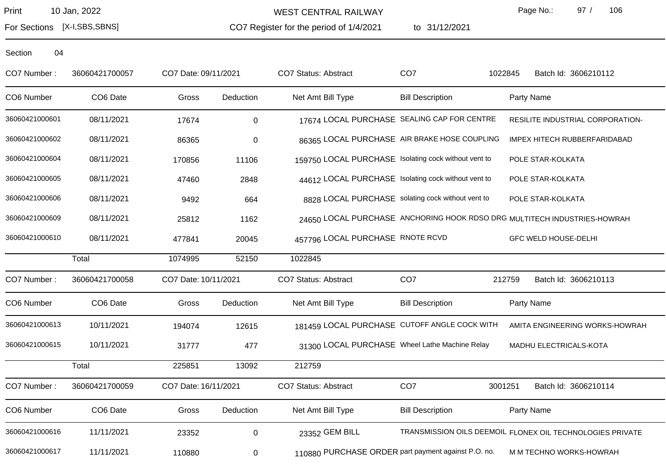WEST CENTRAL RAILWAY

CO7 Register for the period of 1/4/2021 to 31/12/2021 Page No.: 97 / 106

For Sections [X-I,SBS,SBNS]

| CO7 Number:    | 36060421700057 | CO7 Date: 09/11/2021 |             | CO7 Status: Abstract                                                     | CO <sub>7</sub>         | 1022845    | Batch Id: 3606210112                                      |
|----------------|----------------|----------------------|-------------|--------------------------------------------------------------------------|-------------------------|------------|-----------------------------------------------------------|
| CO6 Number     | CO6 Date       | Gross                | Deduction   | Net Amt Bill Type                                                        | <b>Bill Description</b> | Party Name |                                                           |
| 36060421000601 | 08/11/2021     | 17674                | $\mathbf 0$ | 17674 LOCAL PURCHASE SEALING CAP FOR CENTRE                              |                         |            | RESILITE INDUSTRIAL CORPORATION-                          |
| 36060421000602 | 08/11/2021     | 86365                | $\mathbf 0$ | 86365 LOCAL PURCHASE AIR BRAKE HOSE COUPLING                             |                         |            | IMPEX HITECH RUBBERFARIDABAD                              |
| 36060421000604 | 08/11/2021     | 170856               | 11106       | 159750 LOCAL PURCHASE Isolating cock without vent to                     |                         |            | POLE STAR-KOLKATA                                         |
| 36060421000605 | 08/11/2021     | 47460                | 2848        | 44612 LOCAL PURCHASE Isolating cock without vent to                      |                         |            | POLE STAR-KOLKATA                                         |
| 36060421000606 | 08/11/2021     | 9492                 | 664         | 8828 LOCAL PURCHASE solating cock without vent to                        |                         |            | POLE STAR-KOLKATA                                         |
| 36060421000609 | 08/11/2021     | 25812                | 1162        | 24650 LOCAL PURCHASE ANCHORING HOOK RDSO DRG MULTITECH INDUSTRIES-HOWRAH |                         |            |                                                           |
| 36060421000610 | 08/11/2021     | 477841               | 20045       | 457796 LOCAL PURCHASE RNOTE RCVD                                         |                         |            | <b>GFC WELD HOUSE-DELHI</b>                               |
|                | Total          | 1074995              | 52150       | 1022845                                                                  |                         |            |                                                           |
| CO7 Number:    | 36060421700058 | CO7 Date: 10/11/2021 |             | CO7 Status: Abstract                                                     | CO <sub>7</sub>         | 212759     | Batch Id: 3606210113                                      |
| CO6 Number     | CO6 Date       | Gross                | Deduction   | Net Amt Bill Type                                                        | <b>Bill Description</b> | Party Name |                                                           |
| 36060421000613 | 10/11/2021     | 194074               | 12615       | 181459 LOCAL PURCHASE CUTOFF ANGLE COCK WITH                             |                         |            | AMITA ENGINEERING WORKS-HOWRAH                            |
| 36060421000615 | 10/11/2021     | 31777                | 477         | 31300 LOCAL PURCHASE Wheel Lathe Machine Relay                           |                         |            | MADHU ELECTRICALS-KOTA                                    |
|                | Total          | 225851               | 13092       | 212759                                                                   |                         |            |                                                           |
| CO7 Number:    | 36060421700059 | CO7 Date: 16/11/2021 |             | CO7 Status: Abstract                                                     | CO <sub>7</sub>         | 3001251    | Batch Id: 3606210114                                      |
| CO6 Number     | CO6 Date       | Gross                | Deduction   | Net Amt Bill Type                                                        | <b>Bill Description</b> | Party Name |                                                           |
| 36060421000616 | 11/11/2021     | 23352                | $\pmb{0}$   | 23352 GEM BILL                                                           |                         |            | TRANSMISSION OILS DEEMOIL FLONEX OIL TECHNOLOGIES PRIVATE |
| 36060421000617 | 11/11/2021     | 110880               | 0           | 110880 PURCHASE ORDER part payment against P.O. no.                      |                         |            | M M TECHNO WORKS-HOWRAH                                   |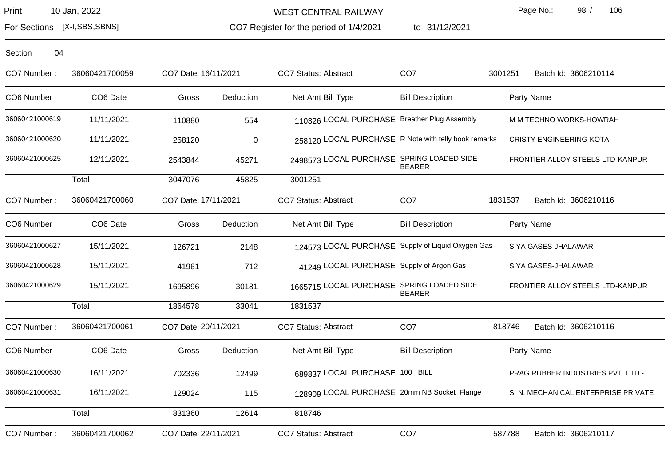For Sections [X-I,SBS,SBNS]

WEST CENTRAL RAILWAY

CO7 Register for the period of 1/4/2021

to 31/12/2021

Page No.: 98 / 106

| CO7 Number:    | 36060421700059 | CO7 Date: 16/11/2021 |           | <b>CO7 Status: Abstract</b>                          | CO <sub>7</sub>         | 3001251 | Batch Id: 3606210114                |
|----------------|----------------|----------------------|-----------|------------------------------------------------------|-------------------------|---------|-------------------------------------|
| CO6 Number     | CO6 Date       | Gross                | Deduction | Net Amt Bill Type                                    | <b>Bill Description</b> |         | Party Name                          |
| 36060421000619 | 11/11/2021     | 110880               | 554       | 110326 LOCAL PURCHASE Breather Plug Assembly         |                         |         | M M TECHNO WORKS-HOWRAH             |
| 36060421000620 | 11/11/2021     | 258120               | 0         | 258120 LOCAL PURCHASE R Note with telly book remarks |                         |         | <b>CRISTY ENGINEERING-KOTA</b>      |
| 36060421000625 | 12/11/2021     | 2543844              | 45271     | 2498573 LOCAL PURCHASE SPRING LOADED SIDE            | <b>BEARER</b>           |         | FRONTIER ALLOY STEELS LTD-KANPUR    |
|                | Total          | 3047076              | 45825     | 3001251                                              |                         |         |                                     |
| CO7 Number:    | 36060421700060 | CO7 Date: 17/11/2021 |           | <b>CO7 Status: Abstract</b>                          | CO <sub>7</sub>         | 1831537 | Batch Id: 3606210116                |
| CO6 Number     | CO6 Date       | Gross                | Deduction | Net Amt Bill Type                                    | <b>Bill Description</b> |         | Party Name                          |
| 36060421000627 | 15/11/2021     | 126721               | 2148      | 124573 LOCAL PURCHASE Supply of Liquid Oxygen Gas    |                         |         | SIYA GASES-JHALAWAR                 |
| 36060421000628 | 15/11/2021     | 41961                | 712       | 41249 LOCAL PURCHASE Supply of Argon Gas             |                         |         | SIYA GASES-JHALAWAR                 |
| 36060421000629 | 15/11/2021     | 1695896              | 30181     | 1665715 LOCAL PURCHASE SPRING LOADED SIDE            | <b>BEARER</b>           |         | FRONTIER ALLOY STEELS LTD-KANPUR    |
|                | Total          | 1864578              | 33041     | 1831537                                              |                         |         |                                     |
| CO7 Number:    | 36060421700061 | CO7 Date: 20/11/2021 |           | <b>CO7 Status: Abstract</b>                          | CO <sub>7</sub>         | 818746  | Batch Id: 3606210116                |
| CO6 Number     | CO6 Date       | Gross                | Deduction | Net Amt Bill Type                                    | <b>Bill Description</b> |         | Party Name                          |
| 36060421000630 | 16/11/2021     | 702336               | 12499     | 689837 LOCAL PURCHASE 100 BILL                       |                         |         | PRAG RUBBER INDUSTRIES PVT. LTD.-   |
| 36060421000631 | 16/11/2021     | 129024               | 115       | 128909 LOCAL PURCHASE 20mm NB Socket Flange          |                         |         | S. N. MECHANICAL ENTERPRISE PRIVATE |
|                | Total          | 831360               | 12614     | 818746                                               |                         |         |                                     |
| CO7 Number:    | 36060421700062 | CO7 Date: 22/11/2021 |           | <b>CO7 Status: Abstract</b>                          | CO <sub>7</sub>         | 587788  | Batch Id: 3606210117                |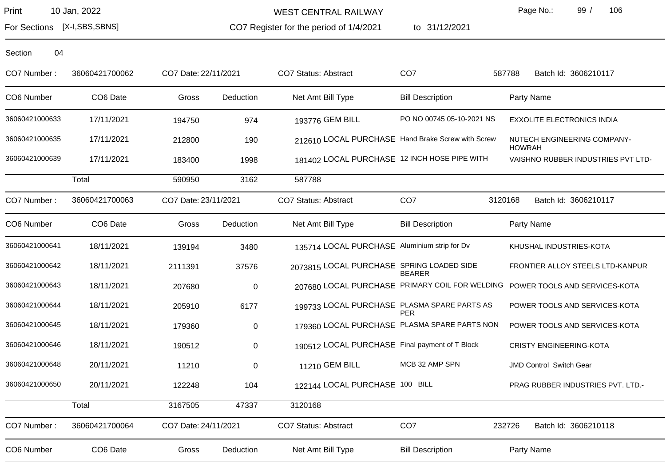WEST CENTRAL RAILWAY

CO7 Register for the period of 1/4/2021

to 31/12/2021

Page No.: 99 / 106

For Sections [X-I,SBS,SBNS]

| CO7 Number:    | 36060421700062 | CO7 Date: 22/11/2021 |           | <b>CO7 Status: Abstract</b>                       | CO <sub>7</sub>           | 587788<br>Batch Id: 3606210117                                               |
|----------------|----------------|----------------------|-----------|---------------------------------------------------|---------------------------|------------------------------------------------------------------------------|
| CO6 Number     | CO6 Date       | Gross                | Deduction | Net Amt Bill Type                                 | <b>Bill Description</b>   | Party Name                                                                   |
| 36060421000633 | 17/11/2021     | 194750               | 974       | 193776 GEM BILL                                   | PO NO 00745 05-10-2021 NS | <b>EXXOLITE ELECTRONICS INDIA</b>                                            |
| 36060421000635 | 17/11/2021     | 212800               | 190       | 212610 LOCAL PURCHASE Hand Brake Screw with Screw |                           | NUTECH ENGINEERING COMPANY-<br><b>HOWRAH</b>                                 |
| 36060421000639 | 17/11/2021     | 183400               | 1998      | 181402 LOCAL PURCHASE 12 INCH HOSE PIPE WITH      |                           | VAISHNO RUBBER INDUSTRIES PVT LTD-                                           |
|                | Total          | 590950               | 3162      | 587788                                            |                           |                                                                              |
| CO7 Number:    | 36060421700063 | CO7 Date: 23/11/2021 |           | <b>CO7 Status: Abstract</b>                       | CO <sub>7</sub>           | Batch Id: 3606210117<br>3120168                                              |
| CO6 Number     | CO6 Date       | Gross                | Deduction | Net Amt Bill Type                                 | <b>Bill Description</b>   | Party Name                                                                   |
| 36060421000641 | 18/11/2021     | 139194               | 3480      | 135714 LOCAL PURCHASE Aluminium strip for Dv      |                           | KHUSHAL INDUSTRIES-KOTA                                                      |
| 36060421000642 | 18/11/2021     | 2111391              | 37576     | 2073815 LOCAL PURCHASE SPRING LOADED SIDE         | <b>BEARER</b>             | FRONTIER ALLOY STEELS LTD-KANPUR                                             |
| 36060421000643 | 18/11/2021     | 207680               | $\pmb{0}$ |                                                   |                           | 207680 LOCAL PURCHASE PRIMARY COIL FOR WELDING POWER TOOLS AND SERVICES-KOTA |
| 36060421000644 | 18/11/2021     | 205910               | 6177      | 199733 LOCAL PURCHASE PLASMA SPARE PARTS AS       | <b>PER</b>                | POWER TOOLS AND SERVICES-KOTA                                                |
| 36060421000645 | 18/11/2021     | 179360               | 0         | 179360 LOCAL PURCHASE PLASMA SPARE PARTS NON      |                           | POWER TOOLS AND SERVICES-KOTA                                                |
| 36060421000646 | 18/11/2021     | 190512               | 0         | 190512 LOCAL PURCHASE Final payment of T Block    |                           | <b>CRISTY ENGINEERING-KOTA</b>                                               |
| 36060421000648 | 20/11/2021     | 11210                | $\pmb{0}$ | 11210 GEM BILL                                    | MCB 32 AMP SPN            | JMD Control Switch Gear                                                      |
| 36060421000650 | 20/11/2021     | 122248               | 104       | 122144 LOCAL PURCHASE 100 BILL                    |                           | PRAG RUBBER INDUSTRIES PVT. LTD.-                                            |
|                | Total          | 3167505              | 47337     | 3120168                                           |                           |                                                                              |
| CO7 Number:    | 36060421700064 | CO7 Date: 24/11/2021 |           | CO7 Status: Abstract                              | CO <sub>7</sub>           | Batch Id: 3606210118<br>232726                                               |
| CO6 Number     | CO6 Date       | Gross                | Deduction | Net Amt Bill Type                                 | <b>Bill Description</b>   | Party Name                                                                   |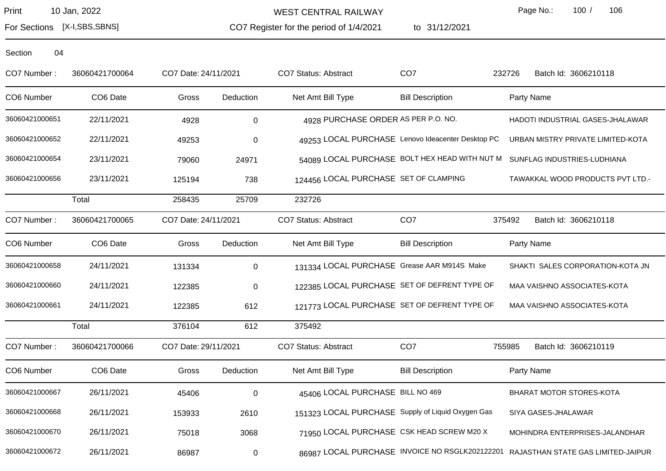WEST CENTRAL RAILWAY

to 31/12/2021

Page No.: 100 / 106

For Sections [X-I,SBS,SBNS]

CO7 Register for the period of 1/4/2021

| CO7 Number:    | 36060421700064 | CO7 Date: 24/11/2021 |           | CO7 Status: Abstract                              | CO <sub>7</sub>                                   | 232726<br>Batch Id: 3606210118                                                    |
|----------------|----------------|----------------------|-----------|---------------------------------------------------|---------------------------------------------------|-----------------------------------------------------------------------------------|
| CO6 Number     | CO6 Date       | Gross                | Deduction | Net Amt Bill Type                                 | <b>Bill Description</b>                           | Party Name                                                                        |
| 36060421000651 | 22/11/2021     | 4928                 | 0         | 4928 PURCHASE ORDER AS PER P.O. NO.               |                                                   | HADOTI INDUSTRIAL GASES-JHALAWAR                                                  |
| 36060421000652 | 22/11/2021     | 49253                | $\pmb{0}$ |                                                   | 49253 LOCAL PURCHASE Lenovo Ideacenter Desktop PC | URBAN MISTRY PRIVATE LIMITED-KOTA                                                 |
| 36060421000654 | 23/11/2021     | 79060                | 24971     |                                                   |                                                   | 54089 LOCAL PURCHASE BOLT HEX HEAD WITH NUT M SUNFLAG INDUSTRIES-LUDHIANA         |
| 36060421000656 | 23/11/2021     | 125194               | 738       | 124456 LOCAL PURCHASE SET OF CLAMPING             |                                                   | TAWAKKAL WOOD PRODUCTS PVT LTD.-                                                  |
|                | Total          | 258435               | 25709     | 232726                                            |                                                   |                                                                                   |
| CO7 Number:    | 36060421700065 | CO7 Date: 24/11/2021 |           | CO7 Status: Abstract                              | CO <sub>7</sub>                                   | 375492<br>Batch Id: 3606210118                                                    |
| CO6 Number     | CO6 Date       | Gross                | Deduction | Net Amt Bill Type                                 | <b>Bill Description</b>                           | Party Name                                                                        |
| 36060421000658 | 24/11/2021     | 131334               | 0         | 131334 LOCAL PURCHASE Grease AAR M914S Make       |                                                   | SHAKTI SALES CORPORATION-KOTA JN                                                  |
| 36060421000660 | 24/11/2021     | 122385               | $\pmb{0}$ | 122385 LOCAL PURCHASE SET OF DEFRENT TYPE OF      |                                                   | MAA VAISHNO ASSOCIATES-KOTA                                                       |
| 36060421000661 | 24/11/2021     | 122385               | 612       | 121773 LOCAL PURCHASE SET OF DEFRENT TYPE OF      |                                                   | MAA VAISHNO ASSOCIATES-KOTA                                                       |
|                | Total          | 376104               | 612       | 375492                                            |                                                   |                                                                                   |
| CO7 Number:    | 36060421700066 | CO7 Date: 29/11/2021 |           | CO7 Status: Abstract                              | CO <sub>7</sub>                                   | 755985<br>Batch Id: 3606210119                                                    |
| CO6 Number     | CO6 Date       | Gross                | Deduction | Net Amt Bill Type                                 | <b>Bill Description</b>                           | Party Name                                                                        |
| 36060421000667 | 26/11/2021     | 45406                | $\pmb{0}$ | 45406 LOCAL PURCHASE BILL NO 469                  |                                                   | BHARAT MOTOR STORES-KOTA                                                          |
| 36060421000668 | 26/11/2021     | 153933               | 2610      | 151323 LOCAL PURCHASE Supply of Liquid Oxygen Gas |                                                   | SIYA GASES-JHALAWAR                                                               |
| 36060421000670 | 26/11/2021     | 75018                | 3068      | 71950 LOCAL PURCHASE CSK HEAD SCREW M20 X         |                                                   | MOHINDRA ENTERPRISES-JALANDHAR                                                    |
| 36060421000672 | 26/11/2021     | 86987                | $\pmb{0}$ |                                                   |                                                   | 86987 LOCAL PURCHASE INVOICE NO RSGLK202122201 RAJASTHAN STATE GAS LIMITED-JAIPUR |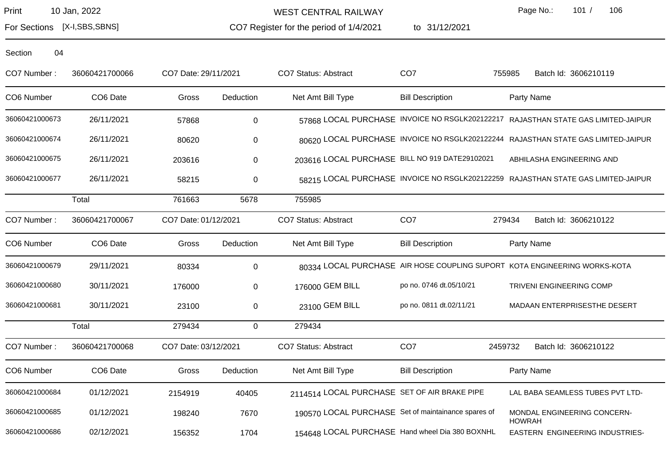WEST CENTRAL RAILWAY

CO7 Register for the period of 1/4/2021

to 31/12/2021

Page No.: 101 / 106

For Sections [X-I,SBS,SBNS]

| CO7 Number:    | 36060421700066       | CO7 Date: 29/11/2021 |             | CO7 Status: Abstract                                | CO <sub>7</sub>         | Batch Id: 3606210119<br>755985                                                    |
|----------------|----------------------|----------------------|-------------|-----------------------------------------------------|-------------------------|-----------------------------------------------------------------------------------|
| CO6 Number     | CO <sub>6</sub> Date | Gross                | Deduction   | Net Amt Bill Type                                   | <b>Bill Description</b> | Party Name                                                                        |
| 36060421000673 | 26/11/2021           | 57868                | $\mathbf 0$ |                                                     |                         | 57868 LOCAL PURCHASE INVOICE NO RSGLK202122217 RAJASTHAN STATE GAS LIMITED-JAIPUR |
| 36060421000674 | 26/11/2021           | 80620                | 0           |                                                     |                         | 80620 LOCAL PURCHASE INVOICE NO RSGLK202122244 RAJASTHAN STATE GAS LIMITED-JAIPUR |
| 36060421000675 | 26/11/2021           | 203616               | $\mathbf 0$ | 203616 LOCAL PURCHASE BILL NO 919 DATE29102021      |                         | ABHILASHA ENGINEERING AND                                                         |
| 36060421000677 | 26/11/2021           | 58215                | 0           |                                                     |                         | 58215 LOCAL PURCHASE INVOICE NO RSGLK202122259 RAJASTHAN STATE GAS LIMITED-JAIPUR |
|                | Total                | 761663               | 5678        | 755985                                              |                         |                                                                                   |
| CO7 Number:    | 36060421700067       | CO7 Date: 01/12/2021 |             | <b>CO7 Status: Abstract</b>                         | CO <sub>7</sub>         | 279434<br>Batch Id: 3606210122                                                    |
| CO6 Number     | CO6 Date             | Gross                | Deduction   | Net Amt Bill Type                                   | <b>Bill Description</b> | Party Name                                                                        |
| 36060421000679 | 29/11/2021           | 80334                | $\mathbf 0$ |                                                     |                         | 80334 LOCAL PURCHASE AIR HOSE COUPLING SUPORT KOTA ENGINEERING WORKS-KOTA         |
| 36060421000680 | 30/11/2021           | 176000               | $\mathbf 0$ | 176000 GEM BILL                                     | po no. 0746 dt.05/10/21 | <b>TRIVENI ENGINEERING COMP</b>                                                   |
| 36060421000681 | 30/11/2021           | 23100                | 0           | 23100 GEM BILL                                      | po no. 0811 dt.02/11/21 | MADAAN ENTERPRISESTHE DESERT                                                      |
|                | Total                | 279434               | $\mathbf 0$ | 279434                                              |                         |                                                                                   |
| CO7 Number:    | 36060421700068       | CO7 Date: 03/12/2021 |             | <b>CO7 Status: Abstract</b>                         | CO <sub>7</sub>         | 2459732<br>Batch Id: 3606210122                                                   |
| CO6 Number     | CO6 Date             | Gross                | Deduction   | Net Amt Bill Type                                   | <b>Bill Description</b> | Party Name                                                                        |
| 36060421000684 | 01/12/2021           | 2154919              | 40405       | 2114514 LOCAL PURCHASE SET OF AIR BRAKE PIPE        |                         | LAL BABA SEAMLESS TUBES PVT LTD-                                                  |
| 36060421000685 | 01/12/2021           | 198240               | 7670        | 190570 LOCAL PURCHASE Set of maintainance spares of |                         | MONDAL ENGINEERING CONCERN-<br><b>HOWRAH</b>                                      |
| 36060421000686 | 02/12/2021           | 156352               | 1704        | 154648 LOCAL PURCHASE Hand wheel Dia 380 BOXNHL     |                         | EASTERN ENGINEERING INDUSTRIES-                                                   |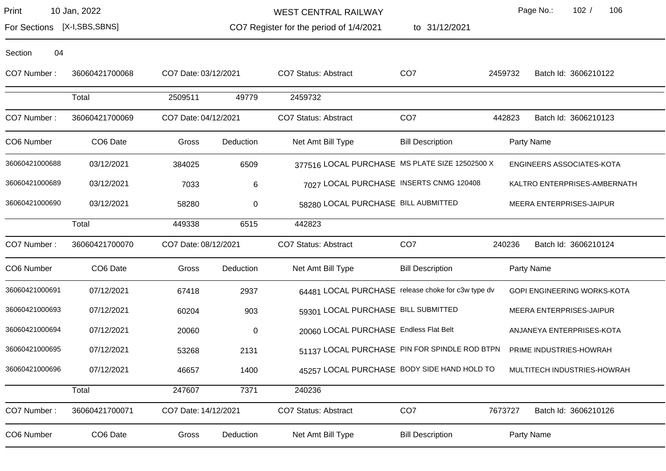Section 04

WEST CENTRAL RAILWAY

to 31/12/2021

Page No.: 102 / 106

For Sections [X-I,SBS,SBNS]

CO7 Register for the period of 1/4/2021

| CO7 Number:    | 36060421700068       | CO7 Date: 03/12/2021 |           | <b>CO7 Status: Abstract</b>                        | CO <sub>7</sub>         | 2459732 | Batch Id: 3606210122               |
|----------------|----------------------|----------------------|-----------|----------------------------------------------------|-------------------------|---------|------------------------------------|
|                | Total                | 2509511              | 49779     | 2459732                                            |                         |         |                                    |
| CO7 Number:    | 36060421700069       | CO7 Date: 04/12/2021 |           | CO7 Status: Abstract                               | CO <sub>7</sub>         | 442823  | Batch Id: 3606210123               |
| CO6 Number     | CO <sub>6</sub> Date | Gross                | Deduction | Net Amt Bill Type                                  | <b>Bill Description</b> |         | Party Name                         |
| 36060421000688 | 03/12/2021           | 384025               | 6509      | 377516 LOCAL PURCHASE MS PLATE SIZE 12502500 X     |                         |         | <b>ENGINEERS ASSOCIATES-KOTA</b>   |
| 36060421000689 | 03/12/2021           | 7033                 | 6         | 7027 LOCAL PURCHASE INSERTS CNMG 120408            |                         |         | KALTRO ENTERPRISES-AMBERNATH       |
| 36060421000690 | 03/12/2021           | 58280                | $\,0\,$   | 58280 LOCAL PURCHASE BILL AUBMITTED                |                         |         | MEERA ENTERPRISES-JAIPUR           |
|                | Total                | 449338               | 6515      | 442823                                             |                         |         |                                    |
| CO7 Number:    | 36060421700070       | CO7 Date: 08/12/2021 |           | <b>CO7 Status: Abstract</b>                        | CO <sub>7</sub>         | 240236  | Batch Id: 3606210124               |
| CO6 Number     | CO6 Date             | Gross                | Deduction | Net Amt Bill Type                                  | <b>Bill Description</b> |         | Party Name                         |
| 36060421000691 | 07/12/2021           | 67418                | 2937      | 64481 LOCAL PURCHASE release choke for c3w type dv |                         |         | <b>GOPI ENGINEERING WORKS-KOTA</b> |
| 36060421000693 | 07/12/2021           | 60204                | 903       | 59301 LOCAL PURCHASE BILL SUBMITTED                |                         |         | MEERA ENTERPRISES-JAIPUR           |
| 36060421000694 | 07/12/2021           | 20060                | 0         | 20060 LOCAL PURCHASE Endless Flat Belt             |                         |         | ANJANEYA ENTERPRISES-KOTA          |
| 36060421000695 | 07/12/2021           | 53268                | 2131      | 51137 LOCAL PURCHASE PIN FOR SPINDLE ROD BTPN      |                         |         | PRIME INDUSTRIES-HOWRAH            |
| 36060421000696 | 07/12/2021           | 46657                | 1400      | 45257 LOCAL PURCHASE BODY SIDE HAND HOLD TO        |                         |         | MULTITECH INDUSTRIES-HOWRAH        |
|                | Total                | 247607               | 7371      | 240236                                             |                         |         |                                    |
| CO7 Number:    | 36060421700071       | CO7 Date: 14/12/2021 |           | <b>CO7 Status: Abstract</b>                        | CO <sub>7</sub>         | 7673727 | Batch Id: 3606210126               |

CO6 Number CO6 Date Gross Deduction Net Amt Bill Type Bill Description Party Name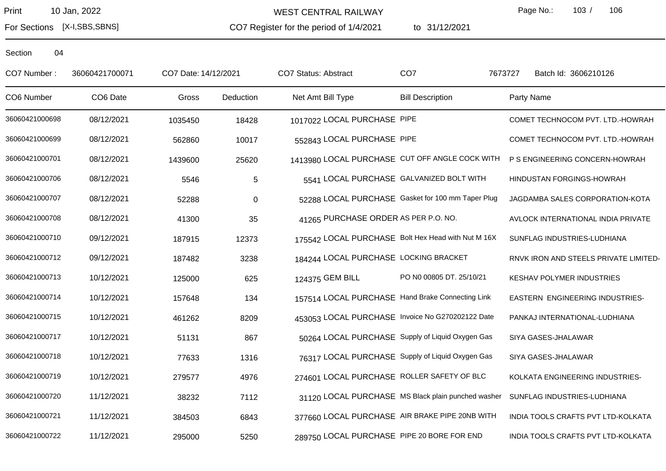For Sections [X-I,SBS,SBNS]

WEST CENTRAL RAILWAY

CO7 Register for the period of 1/4/2021

to 31/12/2021

Page No.: 103 / 106

| CO7 Number:    | 36060421700071 | CO7 Date: 14/12/2021 |            | <b>CO7 Status: Abstract</b>                        | CO <sub>7</sub>          | Batch Id: 3606210126<br>7673727       |
|----------------|----------------|----------------------|------------|----------------------------------------------------|--------------------------|---------------------------------------|
| CO6 Number     | CO6 Date       | Gross                | Deduction  | Net Amt Bill Type                                  | <b>Bill Description</b>  | Party Name                            |
| 36060421000698 | 08/12/2021     | 1035450              | 18428      | 1017022 LOCAL PURCHASE PIPE                        |                          | COMET TECHNOCOM PVT. LTD.-HOWRAH      |
| 36060421000699 | 08/12/2021     | 562860               | 10017      | 552843 LOCAL PURCHASE PIPE                         |                          | COMET TECHNOCOM PVT. LTD.-HOWRAH      |
| 36060421000701 | 08/12/2021     | 1439600              | 25620      | 1413980 LOCAL PURCHASE CUT OFF ANGLE COCK WITH     |                          | P S ENGINEERING CONCERN-HOWRAH        |
| 36060421000706 | 08/12/2021     | 5546                 | $\sqrt{5}$ | 5541 LOCAL PURCHASE GALVANIZED BOLT WITH           |                          | HINDUSTAN FORGINGS-HOWRAH             |
| 36060421000707 | 08/12/2021     | 52288                | $\pmb{0}$  | 52288 LOCAL PURCHASE Gasket for 100 mm Taper Plug  |                          | JAGDAMBA SALES CORPORATION-KOTA       |
| 36060421000708 | 08/12/2021     | 41300                | 35         | 41265 PURCHASE ORDER AS PER P.O. NO.               |                          | AVLOCK INTERNATIONAL INDIA PRIVATE    |
| 36060421000710 | 09/12/2021     | 187915               | 12373      | 175542 LOCAL PURCHASE Bolt Hex Head with Nut M 16X |                          | SUNFLAG INDUSTRIES-LUDHIANA           |
| 36060421000712 | 09/12/2021     | 187482               | 3238       | 184244 LOCAL PURCHASE LOCKING BRACKET              |                          | RNVK IRON AND STEELS PRIVATE LIMITED- |
| 36060421000713 | 10/12/2021     | 125000               | 625        | 124375 GEM BILL                                    | PO N0 00805 DT. 25/10/21 | KESHAV POLYMER INDUSTRIES             |
| 36060421000714 | 10/12/2021     | 157648               | 134        | 157514 LOCAL PURCHASE Hand Brake Connecting Link   |                          | EASTERN ENGINEERING INDUSTRIES-       |
| 36060421000715 | 10/12/2021     | 461262               | 8209       | 453053 LOCAL PURCHASE Invoice No G270202122 Date   |                          | PANKAJ INTERNATIONAL-LUDHIANA         |
| 36060421000717 | 10/12/2021     | 51131                | 867        | 50264 LOCAL PURCHASE Supply of Liquid Oxygen Gas   |                          | SIYA GASES-JHALAWAR                   |
| 36060421000718 | 10/12/2021     | 77633                | 1316       | 76317 LOCAL PURCHASE Supply of Liquid Oxygen Gas   |                          | SIYA GASES-JHALAWAR                   |
| 36060421000719 | 10/12/2021     | 279577               | 4976       | 274601 LOCAL PURCHASE ROLLER SAFETY OF BLC         |                          | KOLKATA ENGINEERING INDUSTRIES-       |
| 36060421000720 | 11/12/2021     | 38232                | 7112       | 31120 LOCAL PURCHASE MS Black plain punched washer |                          | SUNFLAG INDUSTRIES-LUDHIANA           |
| 36060421000721 | 11/12/2021     | 384503               | 6843       | 377660 LOCAL PURCHASE AIR BRAKE PIPE 20NB WITH     |                          | INDIA TOOLS CRAFTS PVT LTD-KOLKATA    |
| 36060421000722 | 11/12/2021     | 295000               | 5250       | 289750 LOCAL PURCHASE PIPE 20 BORE FOR END         |                          | INDIA TOOLS CRAFTS PVT LTD-KOLKATA    |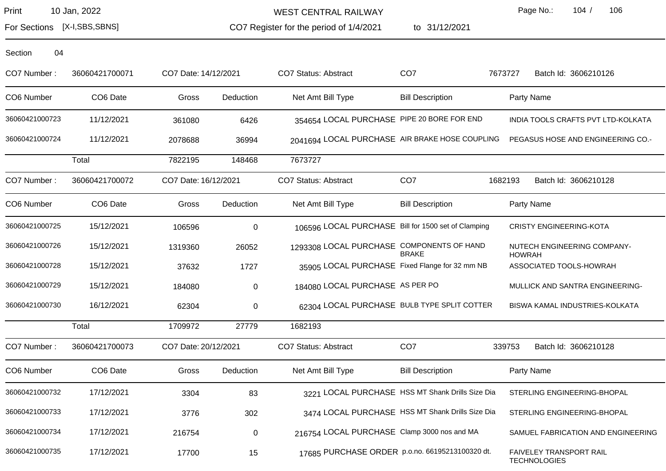WEST CENTRAL RAILWAY

CO7 Register for the period of 1/4/2021

to 31/12/2021

Page No.: 104 / 106

For Sections [X-I,SBS,SBNS]

| CO7 Number:    | 36060421700071 | CO7 Date: 14/12/2021 |             | CO7 Status: Abstract                                | CO <sub>7</sub>                                  | 7673727<br>Batch Id: 3606210126                |
|----------------|----------------|----------------------|-------------|-----------------------------------------------------|--------------------------------------------------|------------------------------------------------|
| CO6 Number     | CO6 Date       | Gross                | Deduction   | Net Amt Bill Type                                   | <b>Bill Description</b>                          | Party Name                                     |
| 36060421000723 | 11/12/2021     | 361080               | 6426        | 354654 LOCAL PURCHASE PIPE 20 BORE FOR END          |                                                  | INDIA TOOLS CRAFTS PVT LTD-KOLKATA             |
| 36060421000724 | 11/12/2021     | 2078688              | 36994       | 2041694 LOCAL PURCHASE AIR BRAKE HOSE COUPLING      |                                                  | PEGASUS HOSE AND ENGINEERING CO.-              |
|                | Total          | 7822195              | 148468      | 7673727                                             |                                                  |                                                |
| CO7 Number:    | 36060421700072 | CO7 Date: 16/12/2021 |             | CO7 Status: Abstract                                | CO <sub>7</sub>                                  | 1682193<br>Batch Id: 3606210128                |
| CO6 Number     | CO6 Date       | Gross                | Deduction   | Net Amt Bill Type                                   | <b>Bill Description</b>                          | Party Name                                     |
| 36060421000725 | 15/12/2021     | 106596               | $\mathbf 0$ | 106596 LOCAL PURCHASE Bill for 1500 set of Clamping |                                                  | <b>CRISTY ENGINEERING-KOTA</b>                 |
| 36060421000726 | 15/12/2021     | 1319360              | 26052       | 1293308 LOCAL PURCHASE COMPONENTS OF HAND           | <b>BRAKE</b>                                     | NUTECH ENGINEERING COMPANY-<br><b>HOWRAH</b>   |
| 36060421000728 | 15/12/2021     | 37632                | 1727        | 35905 LOCAL PURCHASE Fixed Flange for 32 mm NB      |                                                  | ASSOCIATED TOOLS-HOWRAH                        |
| 36060421000729 | 15/12/2021     | 184080               | $\mathbf 0$ | 184080 LOCAL PURCHASE AS PER PO                     |                                                  | MULLICK AND SANTRA ENGINEERING-                |
| 36060421000730 | 16/12/2021     | 62304                | 0           | 62304 LOCAL PURCHASE BULB TYPE SPLIT COTTER         |                                                  | BISWA KAMAL INDUSTRIES-KOLKATA                 |
|                | Total          | 1709972              | 27779       | 1682193                                             |                                                  |                                                |
| CO7 Number:    | 36060421700073 | CO7 Date: 20/12/2021 |             | <b>CO7 Status: Abstract</b>                         | CO <sub>7</sub>                                  | 339753<br>Batch Id: 3606210128                 |
| CO6 Number     | CO6 Date       | Gross                | Deduction   | Net Amt Bill Type                                   | <b>Bill Description</b>                          | Party Name                                     |
| 36060421000732 | 17/12/2021     | 3304                 | 83          |                                                     | 3221 LOCAL PURCHASE HSS MT Shank Drills Size Dia | STERLING ENGINEERING-BHOPAL                    |
| 36060421000733 | 17/12/2021     | 3776                 | 302         |                                                     | 3474 LOCAL PURCHASE HSS MT Shank Drills Size Dia | STERLING ENGINEERING-BHOPAL                    |
| 36060421000734 | 17/12/2021     | 216754               | $\mathbf 0$ | 216754 LOCAL PURCHASE Clamp 3000 nos and MA         |                                                  | SAMUEL FABRICATION AND ENGINEERING             |
| 36060421000735 | 17/12/2021     | 17700                | 15          | 17685 PURCHASE ORDER p.o.no. 66195213100320 dt.     |                                                  | FAIVELEY TRANSPORT RAIL<br><b>TECHNOLOGIES</b> |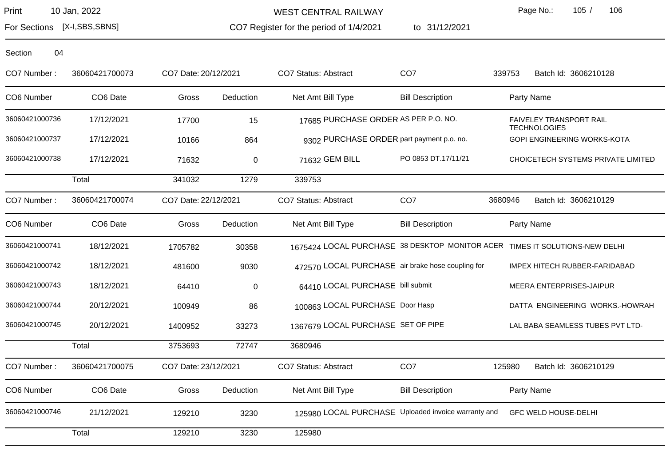WEST CENTRAL RAILWAY

CO7 Register for the period of 1/4/2021 to 31/12/2021 Page No.: 105 / 106

For Sections [X-I,SBS,SBNS]

| CO7 Number:    | 36060421700073 | CO7 Date: 20/12/2021 |           | CO7 Status: Abstract                                                        | CO <sub>7</sub>         | 339753  | Batch Id: 3606210128                           |
|----------------|----------------|----------------------|-----------|-----------------------------------------------------------------------------|-------------------------|---------|------------------------------------------------|
| CO6 Number     | CO6 Date       | Gross                | Deduction | Net Amt Bill Type                                                           | <b>Bill Description</b> |         | Party Name                                     |
| 36060421000736 | 17/12/2021     | 17700                | 15        | 17685 PURCHASE ORDER AS PER P.O. NO.                                        |                         |         | FAIVELEY TRANSPORT RAIL<br><b>TECHNOLOGIES</b> |
| 36060421000737 | 17/12/2021     | 10166                | 864       | 9302 PURCHASE ORDER part payment p.o. no.                                   |                         |         | GOPI ENGINEERING WORKS-KOTA                    |
| 36060421000738 | 17/12/2021     | 71632                | 0         | 71632 GEM BILL                                                              | PO 0853 DT.17/11/21     |         | CHOICETECH SYSTEMS PRIVATE LIMITED             |
|                | Total          | 341032               | 1279      | 339753                                                                      |                         |         |                                                |
| CO7 Number:    | 36060421700074 | CO7 Date: 22/12/2021 |           | CO7 Status: Abstract                                                        | CO <sub>7</sub>         | 3680946 | Batch Id: 3606210129                           |
| CO6 Number     | CO6 Date       | Gross                | Deduction | Net Amt Bill Type                                                           | <b>Bill Description</b> |         | Party Name                                     |
| 36060421000741 | 18/12/2021     | 1705782              | 30358     | 1675424 LOCAL PURCHASE 38 DESKTOP MONITOR ACER TIMES IT SOLUTIONS-NEW DELHI |                         |         |                                                |
| 36060421000742 | 18/12/2021     | 481600               | 9030      | 472570 LOCAL PURCHASE air brake hose coupling for                           |                         |         | IMPEX HITECH RUBBER-FARIDABAD                  |
| 36060421000743 | 18/12/2021     | 64410                | 0         | 64410 LOCAL PURCHASE bill submit                                            |                         |         | MEERA ENTERPRISES-JAIPUR                       |
| 36060421000744 | 20/12/2021     | 100949               | 86        | 100863 LOCAL PURCHASE Door Hasp                                             |                         |         | DATTA ENGINEERING WORKS.-HOWRAH                |
| 36060421000745 | 20/12/2021     | 1400952              | 33273     | 1367679 LOCAL PURCHASE SET OF PIPE                                          |                         |         | LAL BABA SEAMLESS TUBES PVT LTD-               |
|                | Total          | 3753693              | 72747     | 3680946                                                                     |                         |         |                                                |
| CO7 Number:    | 36060421700075 | CO7 Date: 23/12/2021 |           | CO7 Status: Abstract                                                        | CO <sub>7</sub>         | 125980  | Batch Id: 3606210129                           |
| CO6 Number     | CO6 Date       | Gross                | Deduction | Net Amt Bill Type                                                           | <b>Bill Description</b> |         | Party Name                                     |
| 36060421000746 | 21/12/2021     | 129210               | 3230      | 125980 LOCAL PURCHASE Uploaded invoice warranty and                         |                         |         | <b>GFC WELD HOUSE-DELHI</b>                    |
|                | Total          | 129210               | 3230      | 125980                                                                      |                         |         |                                                |